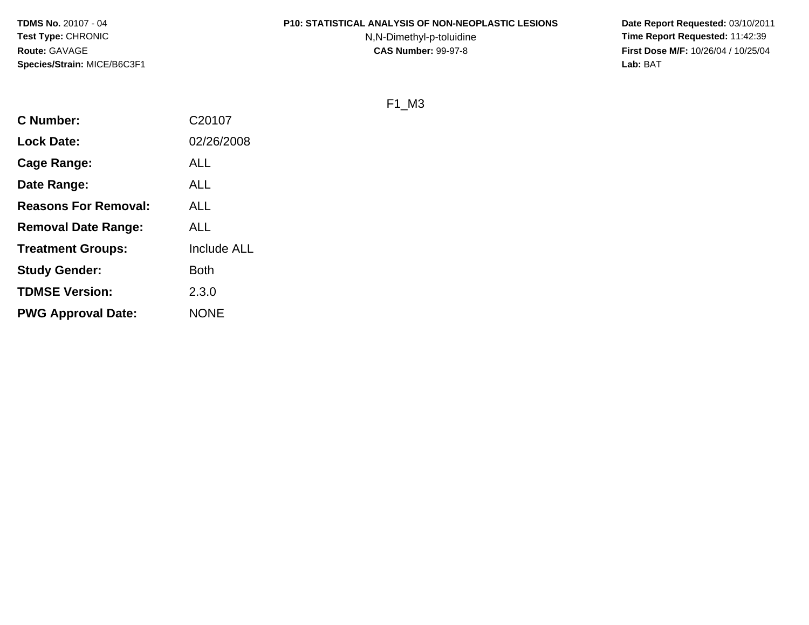#### **P10: STATISTICAL ANALYSIS OF NON-NEOPLASTIC LESIONS**

N,N-Dimethyl-p-toluidine

 **Date Report Requested:** 03/10/2011 **Time Report Requested:** 11:42:39 **First Dose M/F:** 10/26/04 / 10/25/04<br>Lab: BAT **Lab:** BAT

F1\_M3

| <b>C</b> Number:            | C20107             |
|-----------------------------|--------------------|
| <b>Lock Date:</b>           | 02/26/2008         |
| <b>Cage Range:</b>          | <b>ALL</b>         |
| Date Range:                 | <b>ALL</b>         |
| <b>Reasons For Removal:</b> | ALL                |
| <b>Removal Date Range:</b>  | ALL                |
| <b>Treatment Groups:</b>    | <b>Include ALL</b> |
| <b>Study Gender:</b>        | <b>Both</b>        |
| <b>TDMSE Version:</b>       | 2.3.0              |
| <b>PWG Approval Date:</b>   | <b>NONE</b>        |
|                             |                    |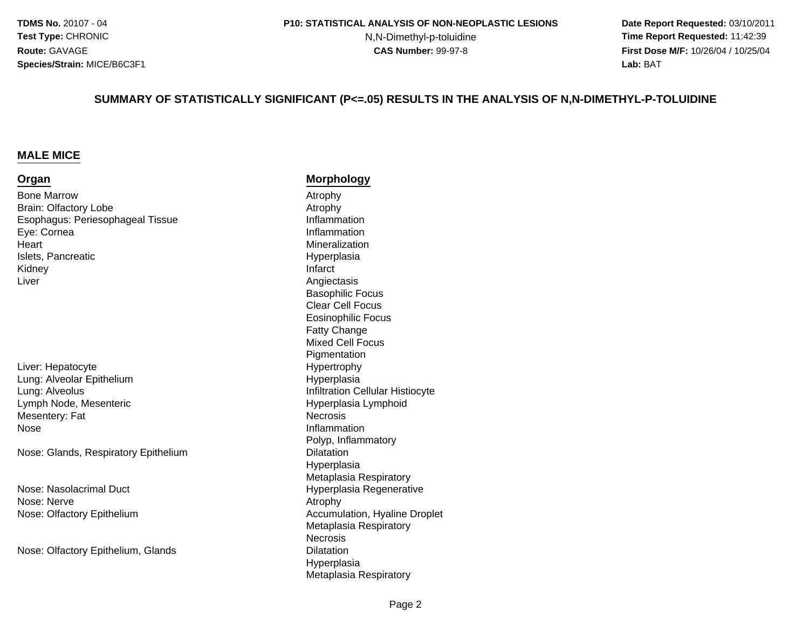N,N-Dimethyl-p-toluidine

 **Date Report Requested:** 03/10/2011 **Time Report Requested:** 11:42:39 **First Dose M/F:** 10/26/04 / 10/25/04 Lab: BAT **Lab:** BAT

#### **SUMMARY OF STATISTICALLY SIGNIFICANT (P<=.05) RESULTS IN THE ANALYSIS OF N,N-DIMETHYL-P-TOLUIDINE**

#### **MALE MICE**

#### **Organ**

Bone Marroww<br>Atrophy Atrophy Atrophy Brain: Olfactory LobeEsophagus: Periesophageal TissueEye: Cornea**Heart** Islets, PancreaticKidneyy and the contract of the contract of the contract of the contract of the contract of the contract of the contract of the contract of the contract of the contract of the contract of the contract of the contract of the cont Liver

Liver: HepatocyteLung: Alveolar EpitheliumLung: AlveolusLymph Node, MesentericMesentery: Fate and the state of the state of the state of the state of the state of the state of the state of the state of the state of the state of the state of the state of the state of the state of the state of the state of the stat Nose

Nose: Glands, Respiratory Epithelium

Nose: Nasolacrimal DuctNose: Nervee Atrophy Nose: Olfactory Epithelium

Nose: Olfactory Epithelium, Glands

#### **Morphology**

 Atrophy Inflammation Inflammation MineralizationHyperplasia<br>Infarct Angiectasis Basophilic Focus Clear Cell Focus Eosinophilic FocusFatty Change Mixed Cell Focus**Pigmentation** e Hypertrophy Hyperplasia Infiltration Cellular Histiocyte Hyperplasia Lymphoid**Necrosis** Polyp, Inflammatory Dilatation Hyperplasia Metaplasia Respiratory Hyperplasia Regenerative Accumulation, Hyaline Droplet Metaplasia Respiratory**Necrosis** s Dilatation HyperplasiaMetaplasia Respiratory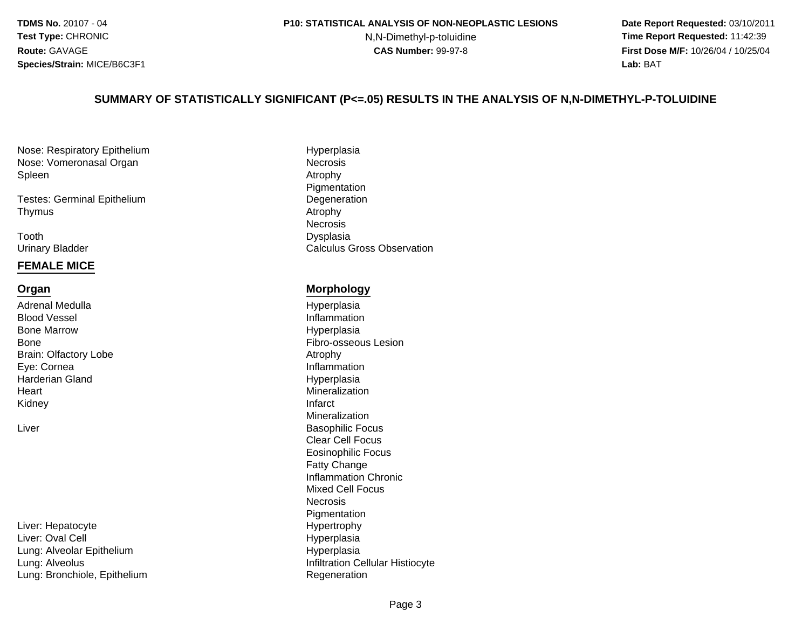#### **P10: STATISTICAL ANALYSIS OF NON-NEOPLASTIC LESIONS**

N,N-Dimethyl-p-toluidine

 **Date Report Requested:** 03/10/2011 **Time Report Requested:** 11:42:39 **First Dose M/F:** 10/26/04 / 10/25/04 Lab: BAT **Lab:** BAT

#### **SUMMARY OF STATISTICALLY SIGNIFICANT (P<=.05) RESULTS IN THE ANALYSIS OF N,N-DIMETHYL-P-TOLUIDINE**

Nose: Respiratory EpitheliumNose: Vomeronasal OrganSpleenn and the contract of the contract of the contract of the contract of the contract of the contract of the contra<br>Attraction of the contract of the contract of the contract of the contract of the contract of the contract of

Testes: Germinal EpitheliumThymuss and the contract of the contract of the contract of the contract of the contract of the contract of the contract of the contract of the contract of the contract of the contract of the contract of the contract of the cont

Toothh Dysplasia Urinary Bladder

#### **FEMALE MICE**

#### **Organ**

Adrenal MedullaBlood VesselBone MarrowBoneBrain: Olfactory LobeEye: CorneaHarderian Gland**Heart** Kidneyy and the contract of the contract of the contract of the contract of the contract of the contract of the contract of the contract of the contract of the contract of the contract of the contract of the contract of the cont

Liver

e **Hypertrophy** Liver: HepatocyteLiver: Oval CellLung: Alveolar EpitheliumLung: AlveolusLung: Bronchiole, Epithelium

 Hyperplasia Necrosis<br>Atrophy **Pigmentation** m Degeneration<br>Atrachy NecrosisDysplasia Calculus Gross Observation

#### **Morphology**

 Hyperplasia Inflammation Hyperplasia Fibro-osseous Lesion Atrophy Inflammation Hyperplasia MineralizationMineralizationr and the contract of the contract of the Basophilic Focus Clear Cell Focus Eosinophilic FocusFatty Change Inflammation ChronicMixed Cell FocusNecrosis Pigmentation Hyperplasia Hyperplasia Infiltration Cellular HistiocyteRegeneration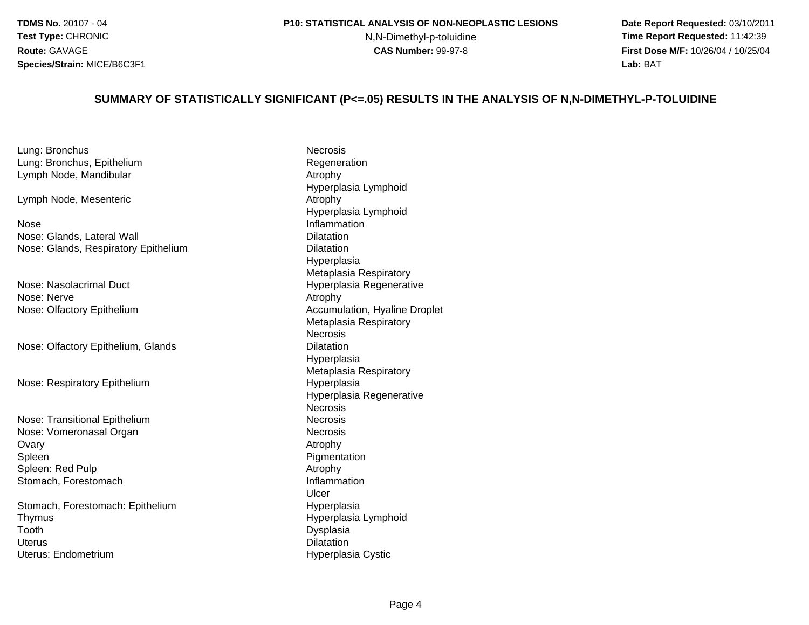N,N-Dimethyl-p-toluidine

 **Date Report Requested:** 03/10/2011 **Time Report Requested:** 11:42:39 **First Dose M/F:** 10/26/04 / 10/25/04 Lab: BAT **Lab:** BAT

#### **SUMMARY OF STATISTICALLY SIGNIFICANT (P<=.05) RESULTS IN THE ANALYSIS OF N,N-DIMETHYL-P-TOLUIDINE**

Lung: Bronchuss **Necrosis** Lung: Bronchus, EpitheliumLymph Node, Mandibular

Lymph Node, Mesenteric

NoseNose: Glands, Lateral WallNose: Glands, Respiratory Epithelium

Nose: Nasolacrimal DuctNose: Nervee Atrophy Nose: Olfactory Epithelium

Nose: Olfactory Epithelium, Glands

Nose: Respiratory Epithelium

Nose: Transitional EpitheliumNose: Vomeronasal Organ**Ovary** y and the contract of the contract of the contract of the contract of the contract of the contract of the contract of  $\mathcal{A}$ SpleenSpleen: Red Pulpp and a strong of the Atrophy Stomach, Forestomach

Stomach, Forestomach: EpitheliumThymusToothh Dysplasia<br>Dysplasia Uteruss Dilatation Uterus: Endometrium

**Regeneration**  Atrophy Hyperplasia Lymphoid Atrophy Hyperplasia Lymphoid Inflammation **Dilatation** m Dilatation<br>Dilatation Hyperplasia Metaplasia Respiratory Hyperplasia Regenerative Accumulation, Hyaline Droplet Metaplasia RespiratoryNecrosiss Dilatation Hyperplasia Metaplasia Respiratory Hyperplasia Hyperplasia RegenerativeNecrosis**Necrosis** m Necrosis<br>Necrosis Necrosis Necrosis<br>Atrophy Pigmentation<br>Atrophy Inflammation Ulcerm Hyperplasia<br>Hyperplasia Hyperplasia LymphoidHyperplasia Cystic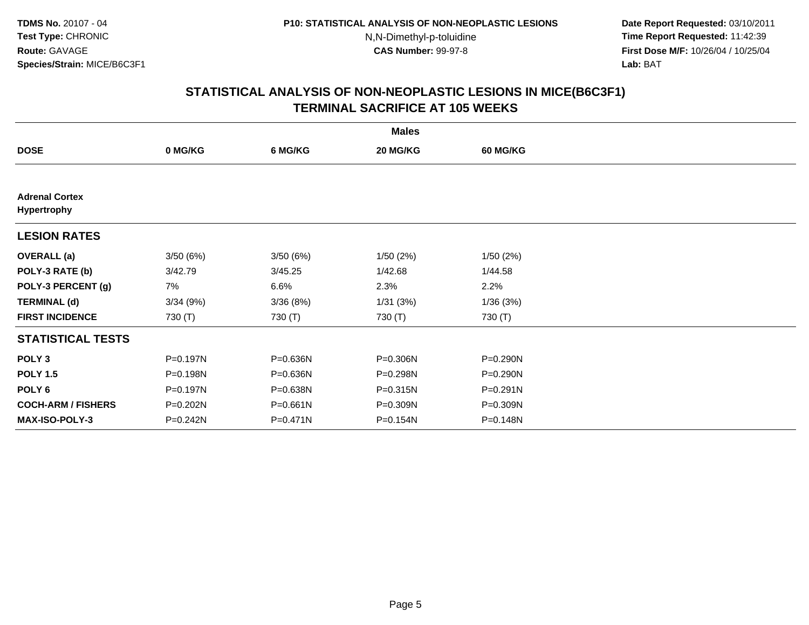**Date Report Requested:** 03/10/2011 **Time Report Requested:** 11:42:39 **First Dose M/F:** 10/26/04 / 10/25/04 Lab: BAT **Lab:** BAT

|                                      |          |          | <b>Males</b> |                 |  |
|--------------------------------------|----------|----------|--------------|-----------------|--|
| <b>DOSE</b>                          | 0 MG/KG  | 6 MG/KG  | 20 MG/KG     | <b>60 MG/KG</b> |  |
|                                      |          |          |              |                 |  |
| <b>Adrenal Cortex</b><br>Hypertrophy |          |          |              |                 |  |
| <b>LESION RATES</b>                  |          |          |              |                 |  |
| <b>OVERALL</b> (a)                   | 3/50(6%) | 3/50(6%) | 1/50(2%)     | 1/50(2%)        |  |
| POLY-3 RATE (b)                      | 3/42.79  | 3/45.25  | 1/42.68      | 1/44.58         |  |
| POLY-3 PERCENT (g)                   | 7%       | 6.6%     | 2.3%         | 2.2%            |  |
| <b>TERMINAL (d)</b>                  | 3/34(9%) | 3/36(8%) | 1/31(3%)     | 1/36(3%)        |  |
| <b>FIRST INCIDENCE</b>               | 730 (T)  | 730 (T)  | 730 (T)      | 730 (T)         |  |
| <b>STATISTICAL TESTS</b>             |          |          |              |                 |  |
| POLY <sub>3</sub>                    | P=0.197N | P=0.636N | P=0.306N     | P=0.290N        |  |
| <b>POLY 1.5</b>                      | P=0.198N | P=0.636N | P=0.298N     | P=0.290N        |  |
| POLY 6                               | P=0.197N | P=0.638N | P=0.315N     | $P = 0.291N$    |  |
| <b>COCH-ARM / FISHERS</b>            | P=0.202N | P=0.661N | P=0.309N     | P=0.309N        |  |
| MAX-ISO-POLY-3                       | P=0.242N | P=0.471N | P=0.154N     | P=0.148N        |  |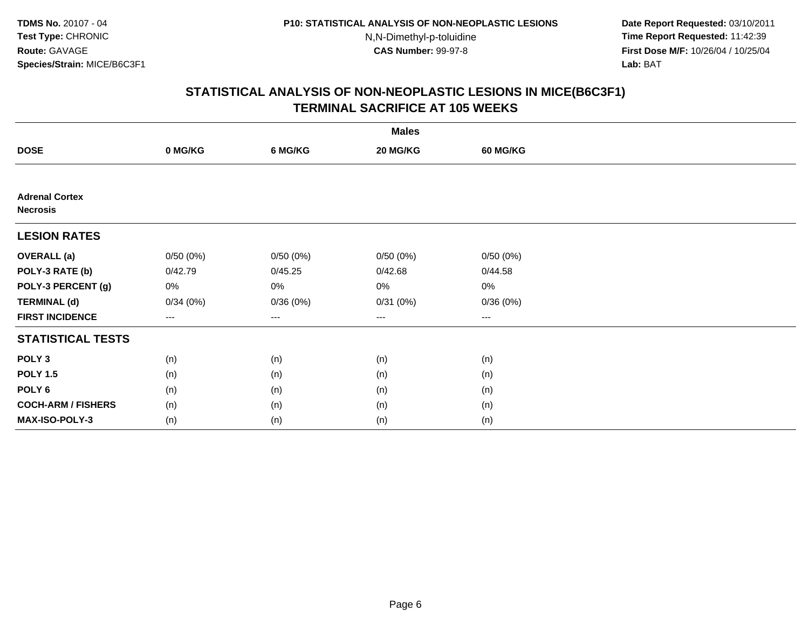N,N-Dimethyl-p-toluidine

 **Date Report Requested:** 03/10/2011 **Time Report Requested:** 11:42:39 **First Dose M/F:** 10/26/04 / 10/25/04 Lab: BAT **Lab:** BAT

| <b>Males</b>                             |          |                   |          |                   |  |  |  |
|------------------------------------------|----------|-------------------|----------|-------------------|--|--|--|
| <b>DOSE</b>                              | 0 MG/KG  | 6 MG/KG           | 20 MG/KG | 60 MG/KG          |  |  |  |
|                                          |          |                   |          |                   |  |  |  |
| <b>Adrenal Cortex</b><br><b>Necrosis</b> |          |                   |          |                   |  |  |  |
| <b>LESION RATES</b>                      |          |                   |          |                   |  |  |  |
| <b>OVERALL</b> (a)                       | 0/50(0%) | 0/50(0%)          | 0/50(0%) | 0/50(0%)          |  |  |  |
| POLY-3 RATE (b)                          | 0/42.79  | 0/45.25           | 0/42.68  | 0/44.58           |  |  |  |
| POLY-3 PERCENT (g)                       | 0%       | 0%                | 0%       | 0%                |  |  |  |
| <b>TERMINAL (d)</b>                      | 0/34(0%) | 0/36(0%)          | 0/31(0%) | 0/36(0%)          |  |  |  |
| <b>FIRST INCIDENCE</b>                   | $---$    | $\qquad \qquad -$ | ---      | $\qquad \qquad -$ |  |  |  |
| <b>STATISTICAL TESTS</b>                 |          |                   |          |                   |  |  |  |
| POLY <sub>3</sub>                        | (n)      | (n)               | (n)      | (n)               |  |  |  |
| <b>POLY 1.5</b>                          | (n)      | (n)               | (n)      | (n)               |  |  |  |
| POLY <sub>6</sub>                        | (n)      | (n)               | (n)      | (n)               |  |  |  |
| <b>COCH-ARM / FISHERS</b>                | (n)      | (n)               | (n)      | (n)               |  |  |  |
| MAX-ISO-POLY-3                           | (n)      | (n)               | (n)      | (n)               |  |  |  |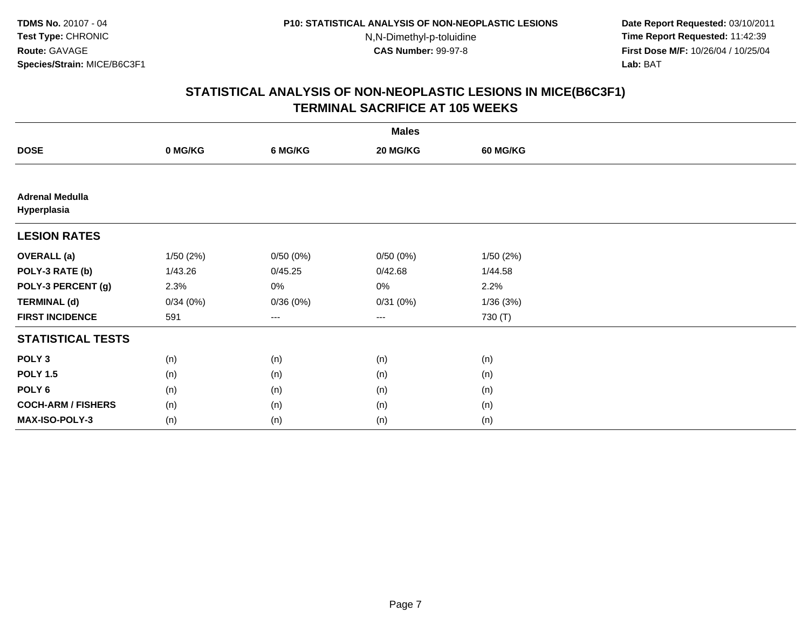N,N-Dimethyl-p-toluidine

 **Date Report Requested:** 03/10/2011 **Time Report Requested:** 11:42:39 **First Dose M/F:** 10/26/04 / 10/25/04 Lab: BAT **Lab:** BAT

| <b>Males</b>                          |           |          |          |          |  |  |  |
|---------------------------------------|-----------|----------|----------|----------|--|--|--|
| <b>DOSE</b>                           | 0 MG/KG   | 6 MG/KG  | 20 MG/KG | 60 MG/KG |  |  |  |
|                                       |           |          |          |          |  |  |  |
| <b>Adrenal Medulla</b><br>Hyperplasia |           |          |          |          |  |  |  |
| <b>LESION RATES</b>                   |           |          |          |          |  |  |  |
| <b>OVERALL</b> (a)                    | 1/50 (2%) | 0/50(0%) | 0/50(0%) | 1/50(2%) |  |  |  |
| POLY-3 RATE (b)                       | 1/43.26   | 0/45.25  | 0/42.68  | 1/44.58  |  |  |  |
| POLY-3 PERCENT (g)                    | 2.3%      | 0%       | 0%       | 2.2%     |  |  |  |
| <b>TERMINAL (d)</b>                   | 0/34(0%)  | 0/36(0%) | 0/31(0%) | 1/36(3%) |  |  |  |
| <b>FIRST INCIDENCE</b>                | 591       | $---$    | ---      | 730 (T)  |  |  |  |
| <b>STATISTICAL TESTS</b>              |           |          |          |          |  |  |  |
| POLY <sub>3</sub>                     | (n)       | (n)      | (n)      | (n)      |  |  |  |
| <b>POLY 1.5</b>                       | (n)       | (n)      | (n)      | (n)      |  |  |  |
| POLY <sub>6</sub>                     | (n)       | (n)      | (n)      | (n)      |  |  |  |
| <b>COCH-ARM / FISHERS</b>             | (n)       | (n)      | (n)      | (n)      |  |  |  |
| MAX-ISO-POLY-3                        | (n)       | (n)      | (n)      | (n)      |  |  |  |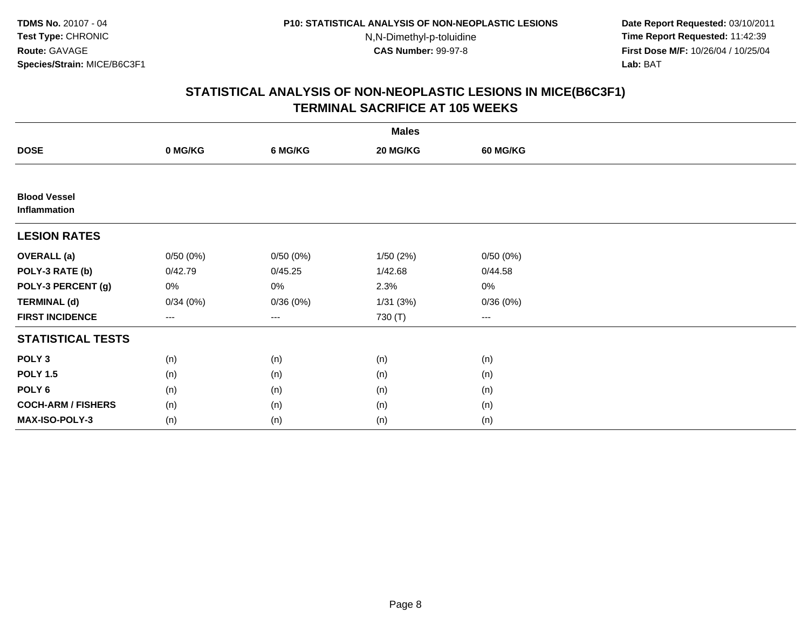N,N-Dimethyl-p-toluidine

 **Date Report Requested:** 03/10/2011 **Time Report Requested:** 11:42:39 **First Dose M/F:** 10/26/04 / 10/25/04 Lab: BAT **Lab:** BAT

| <b>Males</b>                        |          |          |          |          |  |  |  |
|-------------------------------------|----------|----------|----------|----------|--|--|--|
| <b>DOSE</b>                         | 0 MG/KG  | 6 MG/KG  | 20 MG/KG | 60 MG/KG |  |  |  |
|                                     |          |          |          |          |  |  |  |
| <b>Blood Vessel</b><br>Inflammation |          |          |          |          |  |  |  |
| <b>LESION RATES</b>                 |          |          |          |          |  |  |  |
| <b>OVERALL</b> (a)                  | 0/50(0%) | 0/50(0%) | 1/50(2%) | 0/50(0%) |  |  |  |
| POLY-3 RATE (b)                     | 0/42.79  | 0/45.25  | 1/42.68  | 0/44.58  |  |  |  |
| POLY-3 PERCENT (g)                  | 0%       | 0%       | 2.3%     | 0%       |  |  |  |
| <b>TERMINAL (d)</b>                 | 0/34(0%) | 0/36(0%) | 1/31(3%) | 0/36(0%) |  |  |  |
| <b>FIRST INCIDENCE</b>              | $---$    | $--$     | 730 (T)  | $---$    |  |  |  |
| <b>STATISTICAL TESTS</b>            |          |          |          |          |  |  |  |
| POLY <sub>3</sub>                   | (n)      | (n)      | (n)      | (n)      |  |  |  |
| <b>POLY 1.5</b>                     | (n)      | (n)      | (n)      | (n)      |  |  |  |
| POLY <sub>6</sub>                   | (n)      | (n)      | (n)      | (n)      |  |  |  |
| <b>COCH-ARM / FISHERS</b>           | (n)      | (n)      | (n)      | (n)      |  |  |  |
| <b>MAX-ISO-POLY-3</b>               | (n)      | (n)      | (n)      | (n)      |  |  |  |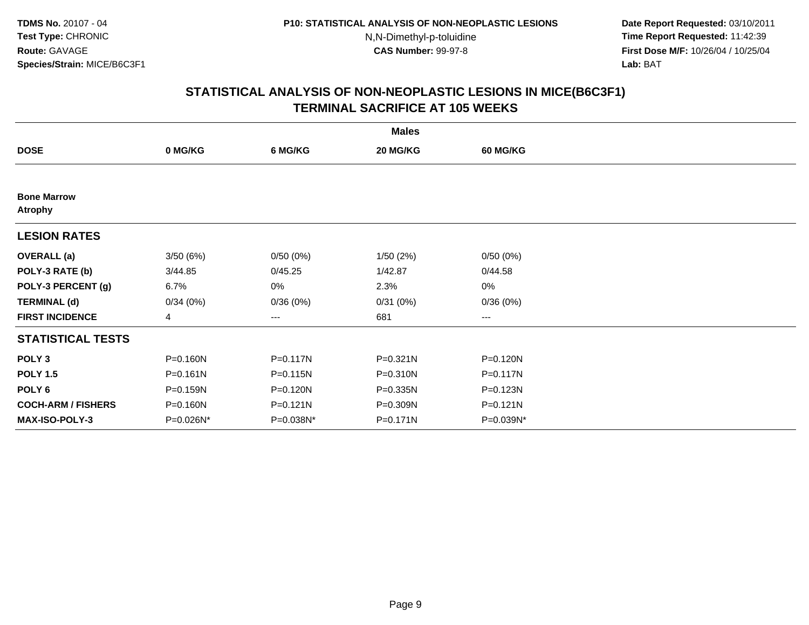**Date Report Requested:** 03/10/2011 **Time Report Requested:** 11:42:39 **First Dose M/F:** 10/26/04 / 10/25/04 Lab: BAT **Lab:** BAT

|                                      |              |              | <b>Males</b> |                        |  |
|--------------------------------------|--------------|--------------|--------------|------------------------|--|
| <b>DOSE</b>                          | 0 MG/KG      | 6 MG/KG      | 20 MG/KG     | <b>60 MG/KG</b>        |  |
|                                      |              |              |              |                        |  |
| <b>Bone Marrow</b><br><b>Atrophy</b> |              |              |              |                        |  |
| <b>LESION RATES</b>                  |              |              |              |                        |  |
| <b>OVERALL</b> (a)                   | 3/50(6%)     | 0/50(0%)     | 1/50(2%)     | 0/50(0%)               |  |
| POLY-3 RATE (b)                      | 3/44.85      | 0/45.25      | 1/42.87      | 0/44.58                |  |
| POLY-3 PERCENT (g)                   | 6.7%         | 0%           | 2.3%         | 0%                     |  |
| <b>TERMINAL (d)</b>                  | 0/34(0%)     | 0/36(0%)     | 0/31(0%)     | 0/36(0%)               |  |
| <b>FIRST INCIDENCE</b>               | 4            | ---          | 681          | $\qquad \qquad \cdots$ |  |
| <b>STATISTICAL TESTS</b>             |              |              |              |                        |  |
| POLY <sub>3</sub>                    | P=0.160N     | P=0.117N     | P=0.321N     | P=0.120N               |  |
| <b>POLY 1.5</b>                      | $P = 0.161N$ | $P = 0.115N$ | P=0.310N     | $P = 0.117N$           |  |
| POLY <sub>6</sub>                    | P=0.159N     | P=0.120N     | $P = 0.335N$ | P=0.123N               |  |
| <b>COCH-ARM / FISHERS</b>            | P=0.160N     | P=0.121N     | P=0.309N     | $P = 0.121N$           |  |
| <b>MAX-ISO-POLY-3</b>                | P=0.026N*    | P=0.038N*    | P=0.171N     | P=0.039N*              |  |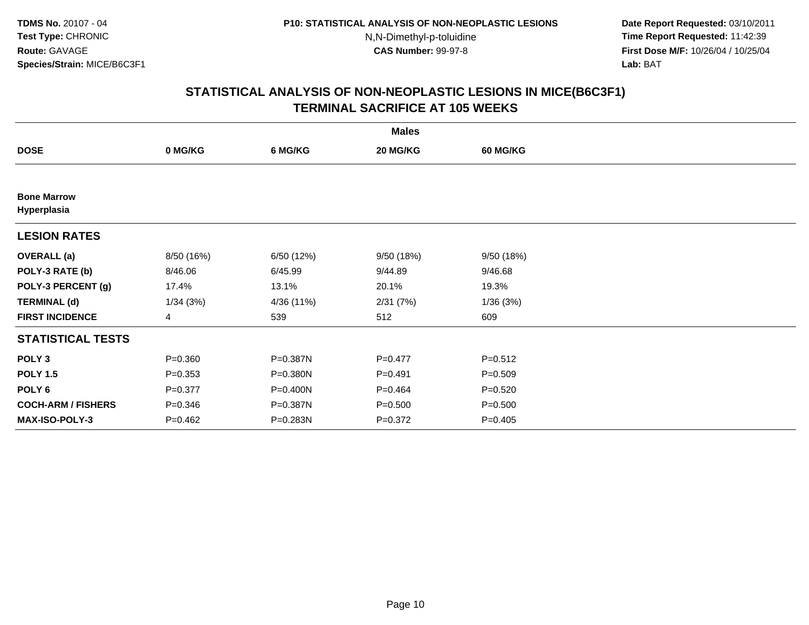**Date Report Requested:** 03/10/2011 **Time Report Requested:** 11:42:39 **First Dose M/F:** 10/26/04 / 10/25/04 Lab: BAT **Lab:** BAT

|                                   |             |            | <b>Males</b> |                 |  |
|-----------------------------------|-------------|------------|--------------|-----------------|--|
| <b>DOSE</b>                       | 0 MG/KG     | 6 MG/KG    | 20 MG/KG     | <b>60 MG/KG</b> |  |
|                                   |             |            |              |                 |  |
| <b>Bone Marrow</b><br>Hyperplasia |             |            |              |                 |  |
| <b>LESION RATES</b>               |             |            |              |                 |  |
| <b>OVERALL</b> (a)                | 8/50 (16%)  | 6/50 (12%) | 9/50 (18%)   | 9/50 (18%)      |  |
| POLY-3 RATE (b)                   | 8/46.06     | 6/45.99    | 9/44.89      | 9/46.68         |  |
| POLY-3 PERCENT (g)                | 17.4%       | 13.1%      | 20.1%        | 19.3%           |  |
| <b>TERMINAL (d)</b>               | 1/34(3%)    | 4/36 (11%) | 2/31(7%)     | 1/36(3%)        |  |
| <b>FIRST INCIDENCE</b>            | 4           | 539        | 512          | 609             |  |
| <b>STATISTICAL TESTS</b>          |             |            |              |                 |  |
| POLY <sub>3</sub>                 | $P = 0.360$ | P=0.387N   | $P=0.477$    | $P = 0.512$     |  |
| <b>POLY 1.5</b>                   | $P = 0.353$ | P=0.380N   | $P=0.491$    | $P = 0.509$     |  |
| POLY <sub>6</sub>                 | $P = 0.377$ | P=0.400N   | $P=0.464$    | $P = 0.520$     |  |
| <b>COCH-ARM / FISHERS</b>         | $P = 0.346$ | P=0.387N   | $P = 0.500$  | $P = 0.500$     |  |
| <b>MAX-ISO-POLY-3</b>             | $P=0.462$   | P=0.283N   | $P=0.372$    | $P = 0.405$     |  |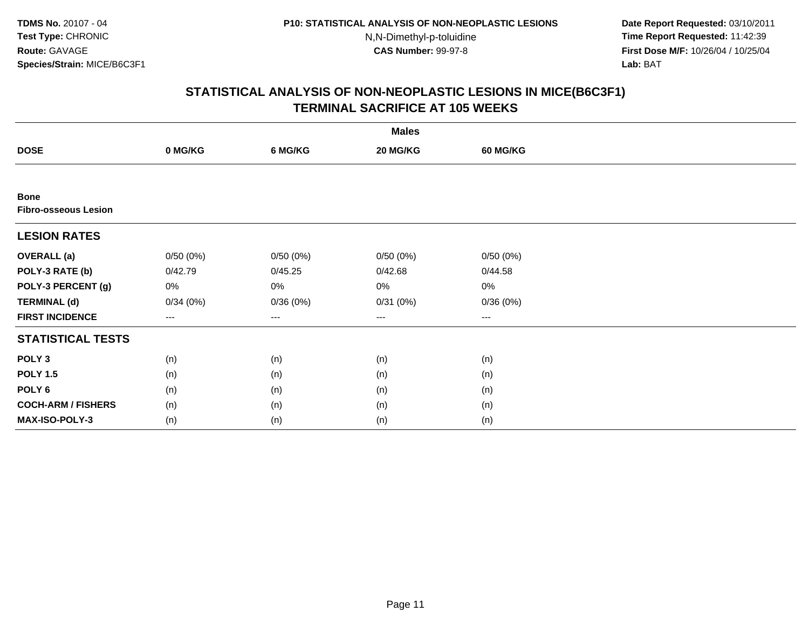N,N-Dimethyl-p-toluidine

 **Date Report Requested:** 03/10/2011 **Time Report Requested:** 11:42:39 **First Dose M/F:** 10/26/04 / 10/25/04 Lab: BAT **Lab:** BAT

|                                            |          |          | <b>Males</b> |                        |  |
|--------------------------------------------|----------|----------|--------------|------------------------|--|
| <b>DOSE</b>                                | 0 MG/KG  | 6 MG/KG  | 20 MG/KG     | <b>60 MG/KG</b>        |  |
|                                            |          |          |              |                        |  |
| <b>Bone</b><br><b>Fibro-osseous Lesion</b> |          |          |              |                        |  |
| <b>LESION RATES</b>                        |          |          |              |                        |  |
| <b>OVERALL</b> (a)                         | 0/50(0%) | 0/50(0%) | 0/50(0%)     | 0/50(0%)               |  |
| POLY-3 RATE (b)                            | 0/42.79  | 0/45.25  | 0/42.68      | 0/44.58                |  |
| POLY-3 PERCENT (g)                         | 0%       | 0%       | 0%           | 0%                     |  |
| <b>TERMINAL (d)</b>                        | 0/34(0%) | 0/36(0%) | 0/31(0%)     | 0/36(0%)               |  |
| <b>FIRST INCIDENCE</b>                     | $---$    | ---      | ---          | $\qquad \qquad \cdots$ |  |
| <b>STATISTICAL TESTS</b>                   |          |          |              |                        |  |
| POLY <sub>3</sub>                          | (n)      | (n)      | (n)          | (n)                    |  |
| <b>POLY 1.5</b>                            | (n)      | (n)      | (n)          | (n)                    |  |
| POLY <sub>6</sub>                          | (n)      | (n)      | (n)          | (n)                    |  |
| <b>COCH-ARM / FISHERS</b>                  | (n)      | (n)      | (n)          | (n)                    |  |
| MAX-ISO-POLY-3                             | (n)      | (n)      | (n)          | (n)                    |  |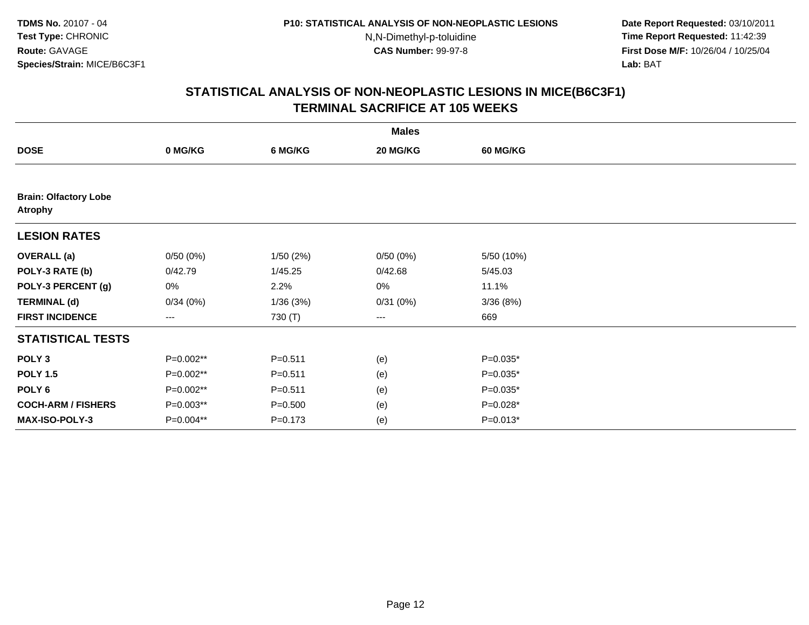**Date Report Requested:** 03/10/2011 **Time Report Requested:** 11:42:39 **First Dose M/F:** 10/26/04 / 10/25/04 Lab: BAT **Lab:** BAT

|                                                |           |             | <b>Males</b> |                 |  |
|------------------------------------------------|-----------|-------------|--------------|-----------------|--|
| <b>DOSE</b>                                    | 0 MG/KG   | 6 MG/KG     | 20 MG/KG     | <b>60 MG/KG</b> |  |
|                                                |           |             |              |                 |  |
| <b>Brain: Olfactory Lobe</b><br><b>Atrophy</b> |           |             |              |                 |  |
| <b>LESION RATES</b>                            |           |             |              |                 |  |
| <b>OVERALL</b> (a)                             | 0/50(0%)  | 1/50(2%)    | 0/50(0%)     | 5/50 (10%)      |  |
| POLY-3 RATE (b)                                | 0/42.79   | 1/45.25     | 0/42.68      | 5/45.03         |  |
| POLY-3 PERCENT (g)                             | $0\%$     | 2.2%        | 0%           | 11.1%           |  |
| <b>TERMINAL (d)</b>                            | 0/34(0%)  | 1/36(3%)    | 0/31(0%)     | 3/36(8%)        |  |
| <b>FIRST INCIDENCE</b>                         | $---$     | 730 (T)     | ---          | 669             |  |
| <b>STATISTICAL TESTS</b>                       |           |             |              |                 |  |
| POLY <sub>3</sub>                              | P=0.002** | $P = 0.511$ | (e)          | $P=0.035*$      |  |
| <b>POLY 1.5</b>                                | P=0.002** | $P = 0.511$ | (e)          | $P=0.035*$      |  |
| POLY 6                                         | P=0.002** | $P = 0.511$ | (e)          | $P=0.035*$      |  |
| <b>COCH-ARM / FISHERS</b>                      | P=0.003** | $P = 0.500$ | (e)          | $P=0.028*$      |  |
| MAX-ISO-POLY-3                                 | P=0.004** | $P = 0.173$ | (e)          | $P=0.013*$      |  |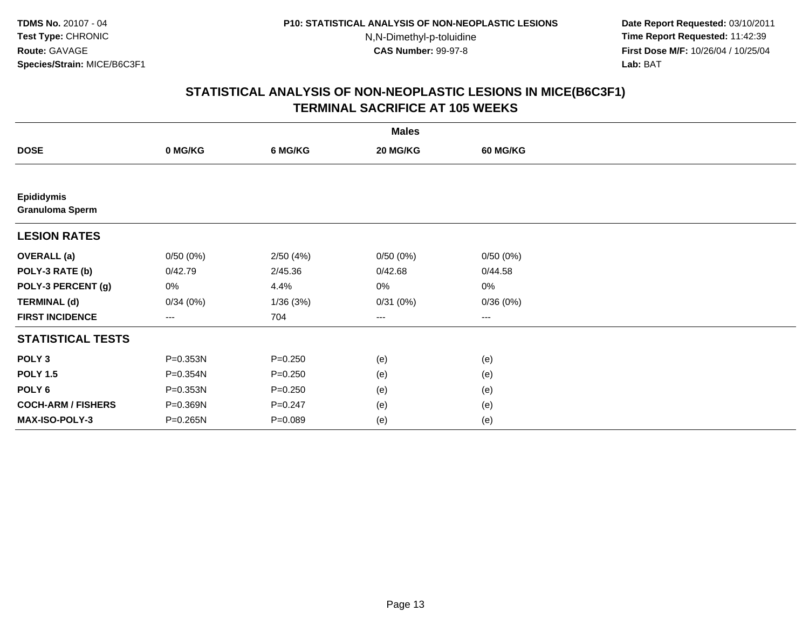**Date Report Requested:** 03/10/2011 **Time Report Requested:** 11:42:39 **First Dose M/F:** 10/26/04 / 10/25/04 Lab: BAT **Lab:** BAT

|                                             |                   |             | <b>Males</b> |                        |  |
|---------------------------------------------|-------------------|-------------|--------------|------------------------|--|
| <b>DOSE</b>                                 | 0 MG/KG           | 6 MG/KG     | 20 MG/KG     | <b>60 MG/KG</b>        |  |
|                                             |                   |             |              |                        |  |
| <b>Epididymis</b><br><b>Granuloma Sperm</b> |                   |             |              |                        |  |
| <b>LESION RATES</b>                         |                   |             |              |                        |  |
| <b>OVERALL</b> (a)                          | 0/50(0%)          | 2/50(4%)    | 0/50(0%)     | 0/50(0%)               |  |
| POLY-3 RATE (b)                             | 0/42.79           | 2/45.36     | 0/42.68      | 0/44.58                |  |
| POLY-3 PERCENT (g)                          | 0%                | 4.4%        | 0%           | 0%                     |  |
| <b>TERMINAL (d)</b>                         | 0/34(0%)          | 1/36(3%)    | 0/31(0%)     | 0/36(0%)               |  |
| <b>FIRST INCIDENCE</b>                      | $\qquad \qquad -$ | 704         | $---$        | $\qquad \qquad \cdots$ |  |
| <b>STATISTICAL TESTS</b>                    |                   |             |              |                        |  |
| POLY <sub>3</sub>                           | P=0.353N          | $P = 0.250$ | (e)          | (e)                    |  |
| <b>POLY 1.5</b>                             | P=0.354N          | $P = 0.250$ | (e)          | (e)                    |  |
| POLY <sub>6</sub>                           | P=0.353N          | $P = 0.250$ | (e)          | (e)                    |  |
| <b>COCH-ARM / FISHERS</b>                   | P=0.369N          | $P = 0.247$ | (e)          | (e)                    |  |
| MAX-ISO-POLY-3                              | P=0.265N          | $P = 0.089$ | (e)          | (e)                    |  |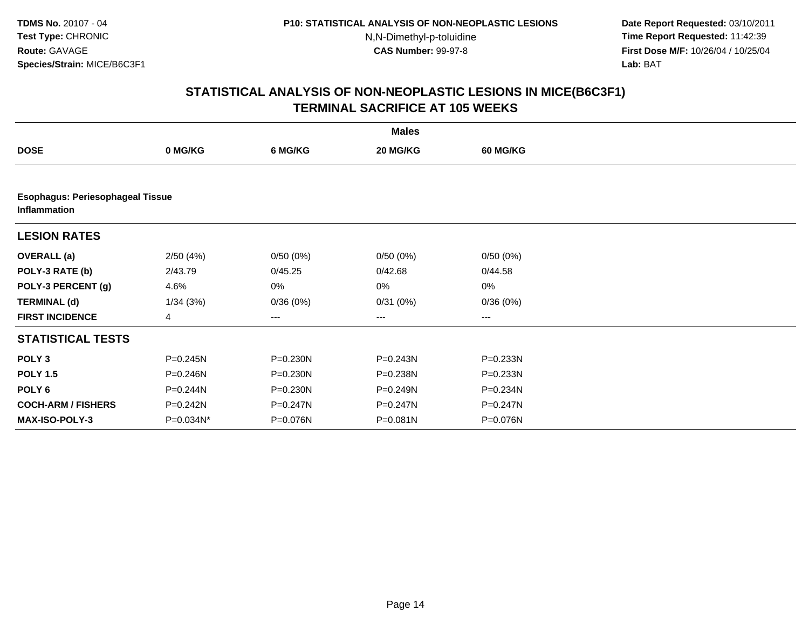**Date Report Requested:** 03/10/2011 **Time Report Requested:** 11:42:39 **First Dose M/F:** 10/26/04 / 10/25/04 Lab: BAT **Lab:** BAT

|                                                                |           |              | <b>Males</b> |                 |  |  |  |  |
|----------------------------------------------------------------|-----------|--------------|--------------|-----------------|--|--|--|--|
| <b>DOSE</b>                                                    | 0 MG/KG   | 6 MG/KG      | 20 MG/KG     | <b>60 MG/KG</b> |  |  |  |  |
|                                                                |           |              |              |                 |  |  |  |  |
| <b>Esophagus: Periesophageal Tissue</b><br><b>Inflammation</b> |           |              |              |                 |  |  |  |  |
| <b>LESION RATES</b>                                            |           |              |              |                 |  |  |  |  |
| <b>OVERALL</b> (a)                                             | 2/50(4%)  | 0/50(0%)     | 0/50(0%)     | 0/50(0%)        |  |  |  |  |
| POLY-3 RATE (b)                                                | 2/43.79   | 0/45.25      | 0/42.68      | 0/44.58         |  |  |  |  |
| POLY-3 PERCENT (g)                                             | 4.6%      | 0%           | 0%           | $0\%$           |  |  |  |  |
| <b>TERMINAL (d)</b>                                            | 1/34(3%)  | 0/36(0%)     | 0/31(0%)     | 0/36(0%)        |  |  |  |  |
| <b>FIRST INCIDENCE</b>                                         | 4         | ---          | $---$        | $---$           |  |  |  |  |
| <b>STATISTICAL TESTS</b>                                       |           |              |              |                 |  |  |  |  |
| POLY <sub>3</sub>                                              | P=0.245N  | P=0.230N     | P=0.243N     | P=0.233N        |  |  |  |  |
| <b>POLY 1.5</b>                                                | P=0.246N  | $P = 0.230N$ | P=0.238N     | P=0.233N        |  |  |  |  |
| POLY 6                                                         | P=0.244N  | $P = 0.230N$ | P=0.249N     | P=0.234N        |  |  |  |  |
| <b>COCH-ARM / FISHERS</b>                                      | P=0.242N  | P=0.247N     | $P = 0.247N$ | P=0.247N        |  |  |  |  |
| <b>MAX-ISO-POLY-3</b>                                          | P=0.034N* | P=0.076N     | P=0.081N     | P=0.076N        |  |  |  |  |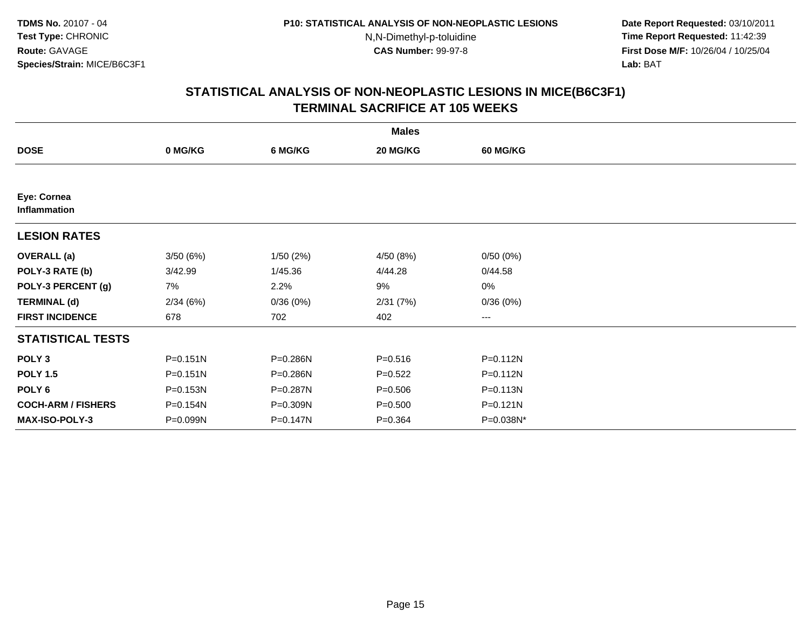**Date Report Requested:** 03/10/2011 **Time Report Requested:** 11:42:39 **First Dose M/F:** 10/26/04 / 10/25/04 Lab: BAT **Lab:** BAT

|                             |              |          | <b>Males</b> |                 |  |
|-----------------------------|--------------|----------|--------------|-----------------|--|
| <b>DOSE</b>                 | 0 MG/KG      | 6 MG/KG  | 20 MG/KG     | <b>60 MG/KG</b> |  |
|                             |              |          |              |                 |  |
| Eye: Cornea<br>Inflammation |              |          |              |                 |  |
| <b>LESION RATES</b>         |              |          |              |                 |  |
| <b>OVERALL</b> (a)          | 3/50(6%)     | 1/50(2%) | 4/50 (8%)    | 0/50(0%)        |  |
| POLY-3 RATE (b)             | 3/42.99      | 1/45.36  | 4/44.28      | 0/44.58         |  |
| POLY-3 PERCENT (g)          | 7%           | 2.2%     | 9%           | 0%              |  |
| <b>TERMINAL (d)</b>         | 2/34(6%)     | 0/36(0%) | 2/31(7%)     | 0/36(0%)        |  |
| <b>FIRST INCIDENCE</b>      | 678          | 702      | 402          | $\cdots$        |  |
| <b>STATISTICAL TESTS</b>    |              |          |              |                 |  |
| POLY <sub>3</sub>           | $P = 0.151N$ | P=0.286N | $P = 0.516$  | P=0.112N        |  |
| <b>POLY 1.5</b>             | $P = 0.151N$ | P=0.286N | $P=0.522$    | $P = 0.112N$    |  |
| POLY 6                      | P=0.153N     | P=0.287N | $P = 0.506$  | $P = 0.113N$    |  |
| <b>COCH-ARM / FISHERS</b>   | P=0.154N     | P=0.309N | $P = 0.500$  | $P = 0.121N$    |  |
| <b>MAX-ISO-POLY-3</b>       | P=0.099N     | P=0.147N | $P = 0.364$  | P=0.038N*       |  |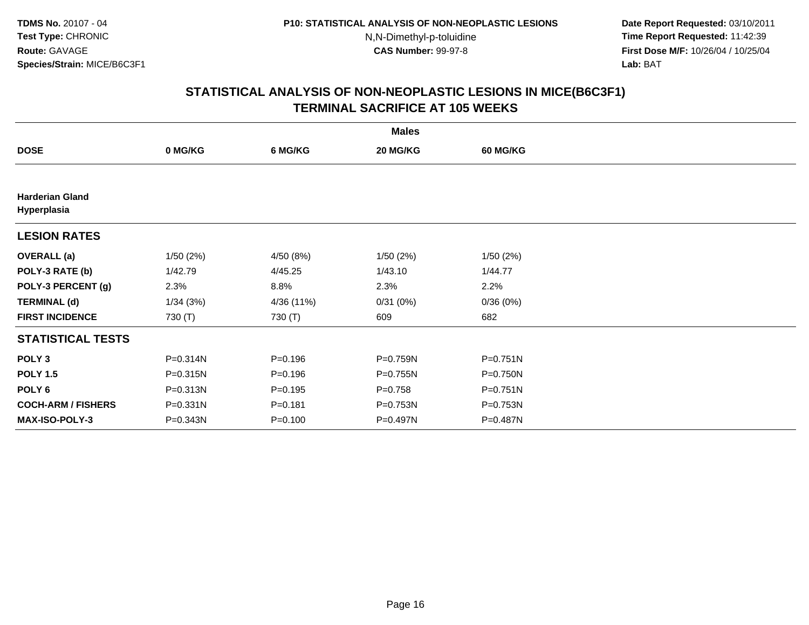**Date Report Requested:** 03/10/2011 **Time Report Requested:** 11:42:39 **First Dose M/F:** 10/26/04 / 10/25/04 Lab: BAT **Lab:** BAT

|                                       | <b>Males</b> |             |             |                 |  |  |  |  |
|---------------------------------------|--------------|-------------|-------------|-----------------|--|--|--|--|
| <b>DOSE</b>                           | 0 MG/KG      | 6 MG/KG     | 20 MG/KG    | <b>60 MG/KG</b> |  |  |  |  |
|                                       |              |             |             |                 |  |  |  |  |
| <b>Harderian Gland</b><br>Hyperplasia |              |             |             |                 |  |  |  |  |
| <b>LESION RATES</b>                   |              |             |             |                 |  |  |  |  |
| <b>OVERALL</b> (a)                    | 1/50(2%)     | 4/50 (8%)   | 1/50(2%)    | 1/50(2%)        |  |  |  |  |
| POLY-3 RATE (b)                       | 1/42.79      | 4/45.25     | 1/43.10     | 1/44.77         |  |  |  |  |
| POLY-3 PERCENT (g)                    | 2.3%         | 8.8%        | 2.3%        | 2.2%            |  |  |  |  |
| <b>TERMINAL (d)</b>                   | 1/34(3%)     | 4/36 (11%)  | 0/31(0%)    | 0/36(0%)        |  |  |  |  |
| <b>FIRST INCIDENCE</b>                | 730 $(T)$    | 730 (T)     | 609         | 682             |  |  |  |  |
| <b>STATISTICAL TESTS</b>              |              |             |             |                 |  |  |  |  |
| POLY <sub>3</sub>                     | P=0.314N     | $P = 0.196$ | P=0.759N    | $P = 0.751N$    |  |  |  |  |
| <b>POLY 1.5</b>                       | P=0.315N     | $P=0.196$   | P=0.755N    | $P = 0.750N$    |  |  |  |  |
| POLY 6                                | P=0.313N     | $P=0.195$   | $P = 0.758$ | $P = 0.751N$    |  |  |  |  |
| <b>COCH-ARM / FISHERS</b>             | P=0.331N     | $P = 0.181$ | P=0.753N    | P=0.753N        |  |  |  |  |
| <b>MAX-ISO-POLY-3</b>                 | P=0.343N     | $P = 0.100$ | P=0.497N    | P=0.487N        |  |  |  |  |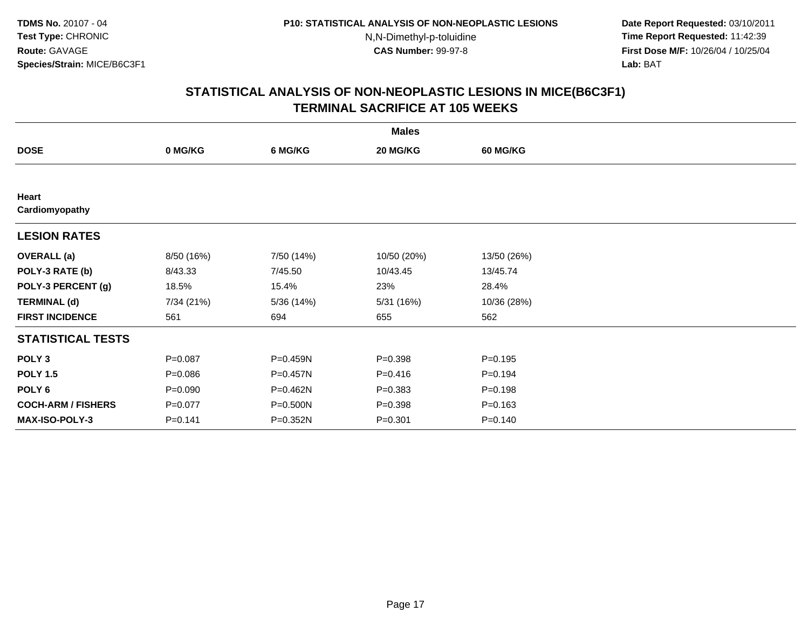**Date Report Requested:** 03/10/2011 **Time Report Requested:** 11:42:39 **First Dose M/F:** 10/26/04 / 10/25/04 Lab: BAT **Lab:** BAT

|                           | <b>Males</b> |              |             |                 |  |  |  |  |
|---------------------------|--------------|--------------|-------------|-----------------|--|--|--|--|
| <b>DOSE</b>               | 0 MG/KG      | 6 MG/KG      | 20 MG/KG    | <b>60 MG/KG</b> |  |  |  |  |
|                           |              |              |             |                 |  |  |  |  |
| Heart                     |              |              |             |                 |  |  |  |  |
| Cardiomyopathy            |              |              |             |                 |  |  |  |  |
| <b>LESION RATES</b>       |              |              |             |                 |  |  |  |  |
| <b>OVERALL</b> (a)        | 8/50 (16%)   | 7/50 (14%)   | 10/50 (20%) | 13/50 (26%)     |  |  |  |  |
| POLY-3 RATE (b)           | 8/43.33      | 7/45.50      | 10/43.45    | 13/45.74        |  |  |  |  |
| POLY-3 PERCENT (g)        | 18.5%        | 15.4%        | 23%         | 28.4%           |  |  |  |  |
| <b>TERMINAL (d)</b>       | 7/34 (21%)   | 5/36(14%)    | 5/31 (16%)  | 10/36 (28%)     |  |  |  |  |
| <b>FIRST INCIDENCE</b>    | 561          | 694          | 655         | 562             |  |  |  |  |
| <b>STATISTICAL TESTS</b>  |              |              |             |                 |  |  |  |  |
| POLY <sub>3</sub>         | $P = 0.087$  | P=0.459N     | $P = 0.398$ | $P = 0.195$     |  |  |  |  |
| <b>POLY 1.5</b>           | $P = 0.086$  | $P = 0.457N$ | $P = 0.416$ | $P = 0.194$     |  |  |  |  |
| POLY <sub>6</sub>         | $P = 0.090$  | P=0.462N     | $P = 0.383$ | $P = 0.198$     |  |  |  |  |
| <b>COCH-ARM / FISHERS</b> | $P = 0.077$  | P=0.500N     | $P = 0.398$ | $P = 0.163$     |  |  |  |  |
| <b>MAX-ISO-POLY-3</b>     | $P = 0.141$  | P=0.352N     | $P = 0.301$ | $P = 0.140$     |  |  |  |  |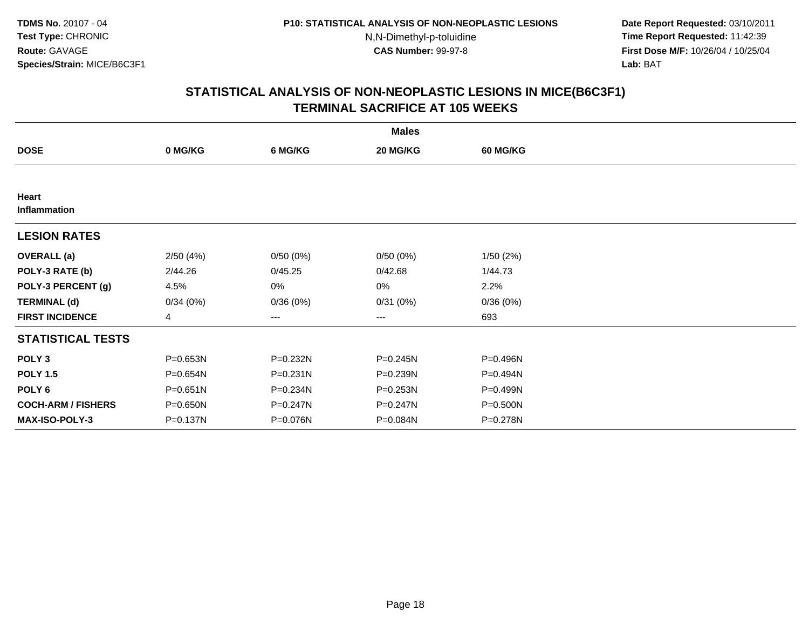**Date Report Requested:** 03/10/2011 **Time Report Requested:** 11:42:39 **First Dose M/F:** 10/26/04 / 10/25/04 Lab: BAT **Lab:** BAT

|                           |                |              | <b>Males</b> |                 |  |
|---------------------------|----------------|--------------|--------------|-----------------|--|
| <b>DOSE</b>               | 0 MG/KG        | 6 MG/KG      | 20 MG/KG     | <b>60 MG/KG</b> |  |
|                           |                |              |              |                 |  |
| Heart<br>Inflammation     |                |              |              |                 |  |
| <b>LESION RATES</b>       |                |              |              |                 |  |
| <b>OVERALL</b> (a)        | 2/50(4%)       | 0/50(0%)     | 0/50(0%)     | 1/50(2%)        |  |
| POLY-3 RATE (b)           | 2/44.26        | 0/45.25      | 0/42.68      | 1/44.73         |  |
| POLY-3 PERCENT (g)        | 4.5%           | 0%           | 0%           | 2.2%            |  |
| <b>TERMINAL (d)</b>       | 0/34(0%)       | 0/36(0%)     | 0/31(0%)     | 0/36(0%)        |  |
| <b>FIRST INCIDENCE</b>    | $\overline{4}$ | ---          | $\cdots$     | 693             |  |
| <b>STATISTICAL TESTS</b>  |                |              |              |                 |  |
| POLY <sub>3</sub>         | P=0.653N       | P=0.232N     | P=0.245N     | P=0.496N        |  |
| <b>POLY 1.5</b>           | P=0.654N       | $P = 0.231N$ | P=0.239N     | $P = 0.494N$    |  |
| POLY 6                    | P=0.651N       | P=0.234N     | $P = 0.253N$ | P=0.499N        |  |
| <b>COCH-ARM / FISHERS</b> | P=0.650N       | $P = 0.247N$ | P=0.247N     | P=0.500N        |  |
| <b>MAX-ISO-POLY-3</b>     | P=0.137N       | P=0.076N     | P=0.084N     | P=0.278N        |  |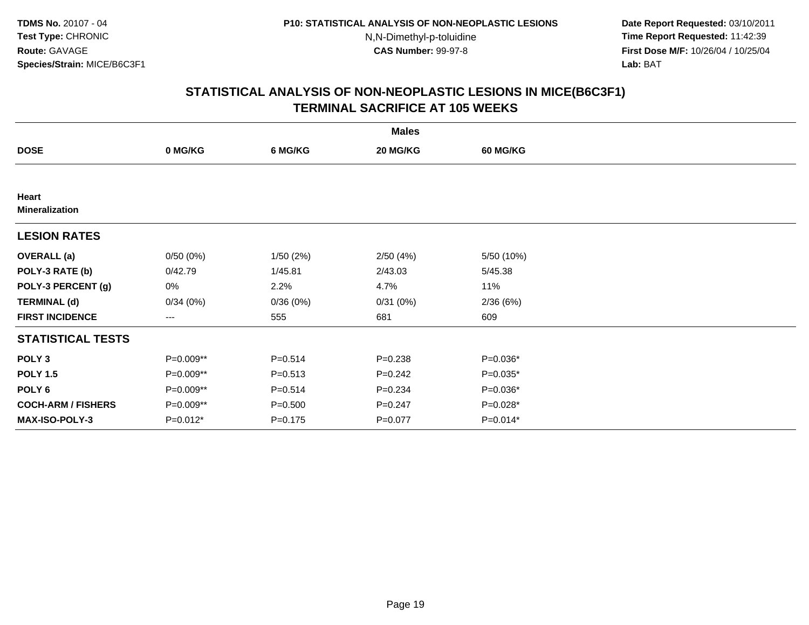**Date Report Requested:** 03/10/2011 **Time Report Requested:** 11:42:39 **First Dose M/F:** 10/26/04 / 10/25/04 Lab: BAT **Lab:** BAT

|                                |           |             | <b>Males</b> |                 |  |
|--------------------------------|-----------|-------------|--------------|-----------------|--|
| <b>DOSE</b>                    | 0 MG/KG   | 6 MG/KG     | 20 MG/KG     | <b>60 MG/KG</b> |  |
|                                |           |             |              |                 |  |
| Heart<br><b>Mineralization</b> |           |             |              |                 |  |
| <b>LESION RATES</b>            |           |             |              |                 |  |
| <b>OVERALL</b> (a)             | 0/50(0%)  | 1/50(2%)    | 2/50(4%)     | 5/50 (10%)      |  |
| POLY-3 RATE (b)                | 0/42.79   | 1/45.81     | 2/43.03      | 5/45.38         |  |
| POLY-3 PERCENT (g)             | 0%        | 2.2%        | 4.7%         | 11%             |  |
| <b>TERMINAL (d)</b>            | 0/34(0%)  | 0/36(0%)    | 0/31(0%)     | 2/36(6%)        |  |
| <b>FIRST INCIDENCE</b>         | $--$      | 555         | 681          | 609             |  |
| <b>STATISTICAL TESTS</b>       |           |             |              |                 |  |
| POLY <sub>3</sub>              | P=0.009** | $P = 0.514$ | $P = 0.238$  | $P=0.036*$      |  |
| <b>POLY 1.5</b>                | P=0.009** | $P = 0.513$ | $P = 0.242$  | $P=0.035*$      |  |
| POLY 6                         | P=0.009** | $P = 0.514$ | $P = 0.234$  | $P=0.036*$      |  |
| <b>COCH-ARM / FISHERS</b>      | P=0.009** | $P = 0.500$ | $P = 0.247$  | $P=0.028*$      |  |
| <b>MAX-ISO-POLY-3</b>          | P=0.012*  | $P = 0.175$ | $P=0.077$    | $P=0.014*$      |  |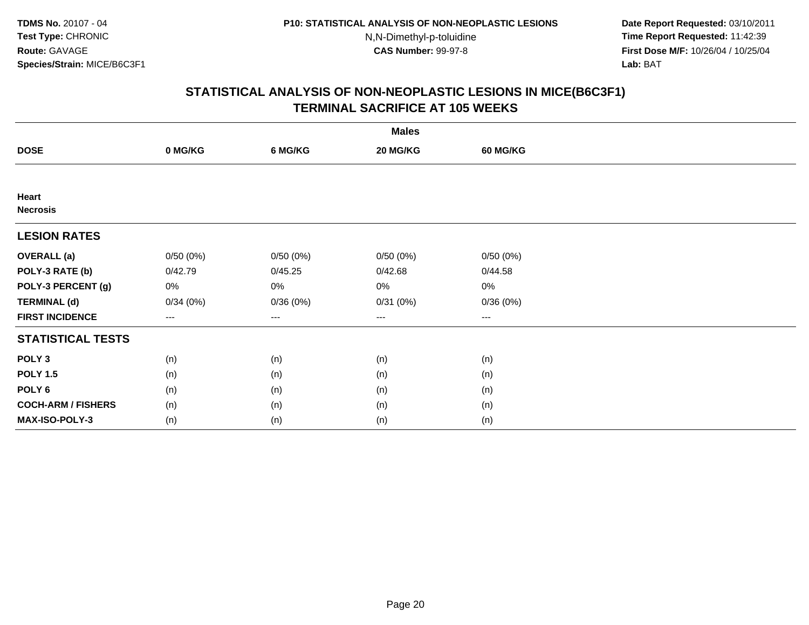**Date Report Requested:** 03/10/2011 **Time Report Requested:** 11:42:39 **First Dose M/F:** 10/26/04 / 10/25/04 Lab: BAT **Lab:** BAT

|                           | <b>Males</b>           |          |          |          |  |  |  |  |
|---------------------------|------------------------|----------|----------|----------|--|--|--|--|
| <b>DOSE</b>               | 0 MG/KG                | 6 MG/KG  | 20 MG/KG | 60 MG/KG |  |  |  |  |
|                           |                        |          |          |          |  |  |  |  |
| Heart<br><b>Necrosis</b>  |                        |          |          |          |  |  |  |  |
| <b>LESION RATES</b>       |                        |          |          |          |  |  |  |  |
| <b>OVERALL</b> (a)        | 0/50(0%)               | 0/50(0%) | 0/50(0%) | 0/50(0%) |  |  |  |  |
| POLY-3 RATE (b)           | 0/42.79                | 0/45.25  | 0/42.68  | 0/44.58  |  |  |  |  |
| POLY-3 PERCENT (g)        | 0%                     | $0\%$    | 0%       | 0%       |  |  |  |  |
| <b>TERMINAL (d)</b>       | 0/34(0%)               | 0/36(0%) | 0/31(0%) | 0/36(0%) |  |  |  |  |
| <b>FIRST INCIDENCE</b>    | $\qquad \qquad \cdots$ | $\cdots$ | $\cdots$ | $\cdots$ |  |  |  |  |
| <b>STATISTICAL TESTS</b>  |                        |          |          |          |  |  |  |  |
| POLY <sub>3</sub>         | (n)                    | (n)      | (n)      | (n)      |  |  |  |  |
| <b>POLY 1.5</b>           | (n)                    | (n)      | (n)      | (n)      |  |  |  |  |
| POLY <sub>6</sub>         | (n)                    | (n)      | (n)      | (n)      |  |  |  |  |
| <b>COCH-ARM / FISHERS</b> | (n)                    | (n)      | (n)      | (n)      |  |  |  |  |
| MAX-ISO-POLY-3            | (n)                    | (n)      | (n)      | (n)      |  |  |  |  |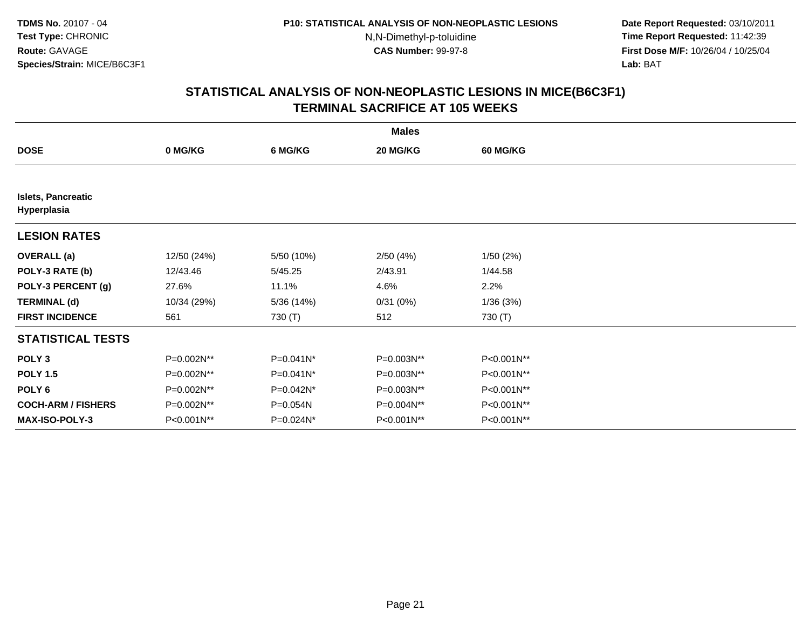**Date Report Requested:** 03/10/2011 **Time Report Requested:** 11:42:39 **First Dose M/F:** 10/26/04 / 10/25/04 Lab: BAT **Lab:** BAT

|                                          | <b>Males</b> |              |            |                 |  |  |  |  |
|------------------------------------------|--------------|--------------|------------|-----------------|--|--|--|--|
| <b>DOSE</b>                              | 0 MG/KG      | 6 MG/KG      | 20 MG/KG   | <b>60 MG/KG</b> |  |  |  |  |
|                                          |              |              |            |                 |  |  |  |  |
| <b>Islets, Pancreatic</b><br>Hyperplasia |              |              |            |                 |  |  |  |  |
| <b>LESION RATES</b>                      |              |              |            |                 |  |  |  |  |
| <b>OVERALL</b> (a)                       | 12/50 (24%)  | 5/50 (10%)   | 2/50(4%)   | 1/50(2%)        |  |  |  |  |
| POLY-3 RATE (b)                          | 12/43.46     | 5/45.25      | 2/43.91    | 1/44.58         |  |  |  |  |
| POLY-3 PERCENT (g)                       | 27.6%        | 11.1%        | 4.6%       | 2.2%            |  |  |  |  |
| <b>TERMINAL (d)</b>                      | 10/34 (29%)  | 5/36 (14%)   | 0/31(0%)   | 1/36(3%)        |  |  |  |  |
| <b>FIRST INCIDENCE</b>                   | 561          | 730 (T)      | 512        | 730 (T)         |  |  |  |  |
| <b>STATISTICAL TESTS</b>                 |              |              |            |                 |  |  |  |  |
| POLY <sub>3</sub>                        | P=0.002N**   | P=0.041N*    | P=0.003N** | P<0.001N**      |  |  |  |  |
| <b>POLY 1.5</b>                          | P=0.002N**   | P=0.041N*    | P=0.003N** | P<0.001N**      |  |  |  |  |
| POLY <sub>6</sub>                        | P=0.002N**   | P=0.042N*    | P=0.003N** | P<0.001N**      |  |  |  |  |
| <b>COCH-ARM / FISHERS</b>                | P=0.002N**   | P=0.054N     | P=0.004N** | P<0.001N**      |  |  |  |  |
| <b>MAX-ISO-POLY-3</b>                    | P<0.001N**   | $P=0.024N^*$ | P<0.001N** | P<0.001N**      |  |  |  |  |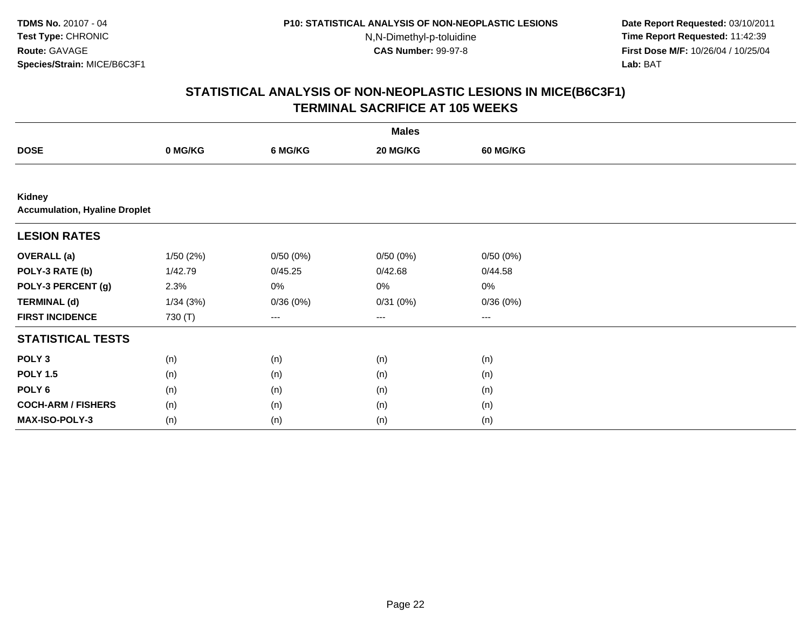N,N-Dimethyl-p-toluidine

 **Date Report Requested:** 03/10/2011 **Time Report Requested:** 11:42:39 **First Dose M/F:** 10/26/04 / 10/25/04 Lab: BAT **Lab:** BAT

|                                                | <b>Males</b> |          |          |                 |  |  |  |  |
|------------------------------------------------|--------------|----------|----------|-----------------|--|--|--|--|
| <b>DOSE</b>                                    | 0 MG/KG      | 6 MG/KG  | 20 MG/KG | <b>60 MG/KG</b> |  |  |  |  |
|                                                |              |          |          |                 |  |  |  |  |
| Kidney<br><b>Accumulation, Hyaline Droplet</b> |              |          |          |                 |  |  |  |  |
| <b>LESION RATES</b>                            |              |          |          |                 |  |  |  |  |
| <b>OVERALL</b> (a)                             | 1/50(2%)     | 0/50(0%) | 0/50(0%) | 0/50(0%)        |  |  |  |  |
| POLY-3 RATE (b)                                | 1/42.79      | 0/45.25  | 0/42.68  | 0/44.58         |  |  |  |  |
| POLY-3 PERCENT (g)                             | 2.3%         | 0%       | 0%       | 0%              |  |  |  |  |
| <b>TERMINAL (d)</b>                            | 1/34(3%)     | 0/36(0%) | 0/31(0%) | 0/36(0%)        |  |  |  |  |
| <b>FIRST INCIDENCE</b>                         | 730 (T)      | $--$     | ---      | $--$            |  |  |  |  |
| <b>STATISTICAL TESTS</b>                       |              |          |          |                 |  |  |  |  |
| POLY <sub>3</sub>                              | (n)          | (n)      | (n)      | (n)             |  |  |  |  |
| <b>POLY 1.5</b>                                | (n)          | (n)      | (n)      | (n)             |  |  |  |  |
| POLY <sub>6</sub>                              | (n)          | (n)      | (n)      | (n)             |  |  |  |  |
| <b>COCH-ARM / FISHERS</b>                      | (n)          | (n)      | (n)      | (n)             |  |  |  |  |
| MAX-ISO-POLY-3                                 | (n)          | (n)      | (n)      | (n)             |  |  |  |  |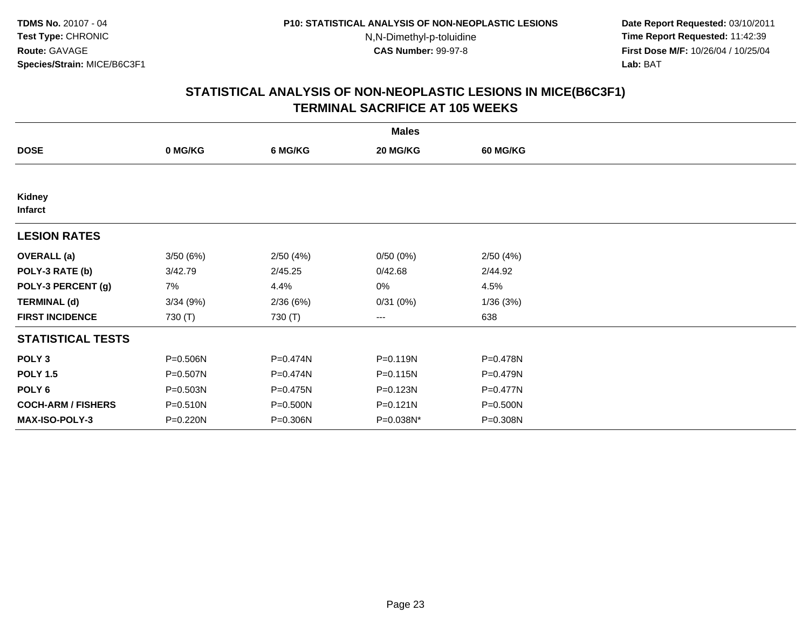**Date Report Requested:** 03/10/2011 **Time Report Requested:** 11:42:39 **First Dose M/F:** 10/26/04 / 10/25/04 Lab: BAT **Lab:** BAT

|                           | <b>Males</b> |          |           |                 |  |  |  |  |
|---------------------------|--------------|----------|-----------|-----------------|--|--|--|--|
| <b>DOSE</b>               | 0 MG/KG      | 6 MG/KG  | 20 MG/KG  | <b>60 MG/KG</b> |  |  |  |  |
|                           |              |          |           |                 |  |  |  |  |
| Kidney<br><b>Infarct</b>  |              |          |           |                 |  |  |  |  |
| <b>LESION RATES</b>       |              |          |           |                 |  |  |  |  |
| <b>OVERALL</b> (a)        | 3/50(6%)     | 2/50(4%) | 0/50(0%)  | 2/50(4%)        |  |  |  |  |
| POLY-3 RATE (b)           | 3/42.79      | 2/45.25  | 0/42.68   | 2/44.92         |  |  |  |  |
| POLY-3 PERCENT (g)        | 7%           | 4.4%     | 0%        | 4.5%            |  |  |  |  |
| <b>TERMINAL (d)</b>       | 3/34(9%)     | 2/36(6%) | 0/31(0%)  | 1/36(3%)        |  |  |  |  |
| <b>FIRST INCIDENCE</b>    | 730 (T)      | 730 (T)  | ---       | 638             |  |  |  |  |
| <b>STATISTICAL TESTS</b>  |              |          |           |                 |  |  |  |  |
| POLY <sub>3</sub>         | P=0.506N     | P=0.474N | P=0.119N  | P=0.478N        |  |  |  |  |
| <b>POLY 1.5</b>           | P=0.507N     | P=0.474N | P=0.115N  | P=0.479N        |  |  |  |  |
| POLY 6                    | P=0.503N     | P=0.475N | P=0.123N  | P=0.477N        |  |  |  |  |
| <b>COCH-ARM / FISHERS</b> | P=0.510N     | P=0.500N | P=0.121N  | P=0.500N        |  |  |  |  |
| <b>MAX-ISO-POLY-3</b>     | P=0.220N     | P=0.306N | P=0.038N* | P=0.308N        |  |  |  |  |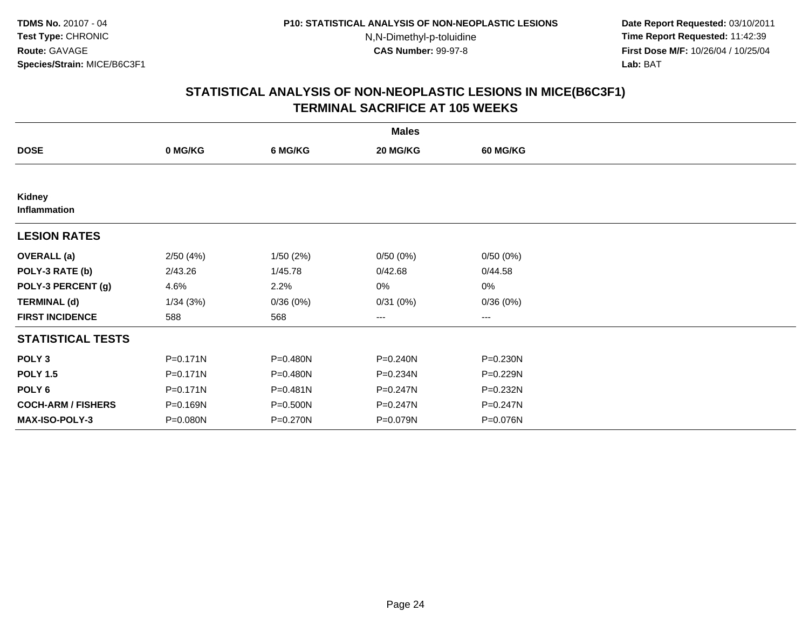**Date Report Requested:** 03/10/2011 **Time Report Requested:** 11:42:39 **First Dose M/F:** 10/26/04 / 10/25/04 Lab: BAT **Lab:** BAT

|                           |              |              | <b>Males</b> |                   |  |
|---------------------------|--------------|--------------|--------------|-------------------|--|
| <b>DOSE</b>               | 0 MG/KG      | 6 MG/KG      | 20 MG/KG     | <b>60 MG/KG</b>   |  |
|                           |              |              |              |                   |  |
| Kidney<br>Inflammation    |              |              |              |                   |  |
| <b>LESION RATES</b>       |              |              |              |                   |  |
| <b>OVERALL</b> (a)        | 2/50(4%)     | 1/50(2%)     | 0/50(0%)     | 0/50(0%)          |  |
| POLY-3 RATE (b)           | 2/43.26      | 1/45.78      | 0/42.68      | 0/44.58           |  |
| POLY-3 PERCENT (g)        | 4.6%         | 2.2%         | 0%           | $0\%$             |  |
| <b>TERMINAL (d)</b>       | 1/34(3%)     | 0/36(0%)     | 0/31(0%)     | 0/36(0%)          |  |
| <b>FIRST INCIDENCE</b>    | 588          | 568          | ---          | $\qquad \qquad -$ |  |
| <b>STATISTICAL TESTS</b>  |              |              |              |                   |  |
| POLY <sub>3</sub>         | $P = 0.171N$ | P=0.480N     | P=0.240N     | P=0.230N          |  |
| <b>POLY 1.5</b>           | $P = 0.171N$ | $P = 0.480N$ | P=0.234N     | P=0.229N          |  |
| POLY <sub>6</sub>         | $P = 0.171N$ | $P = 0.481N$ | $P = 0.247N$ | P=0.232N          |  |
| <b>COCH-ARM / FISHERS</b> | P=0.169N     | P=0.500N     | P=0.247N     | P=0.247N          |  |
| <b>MAX-ISO-POLY-3</b>     | P=0.080N     | P=0.270N     | P=0.079N     | P=0.076N          |  |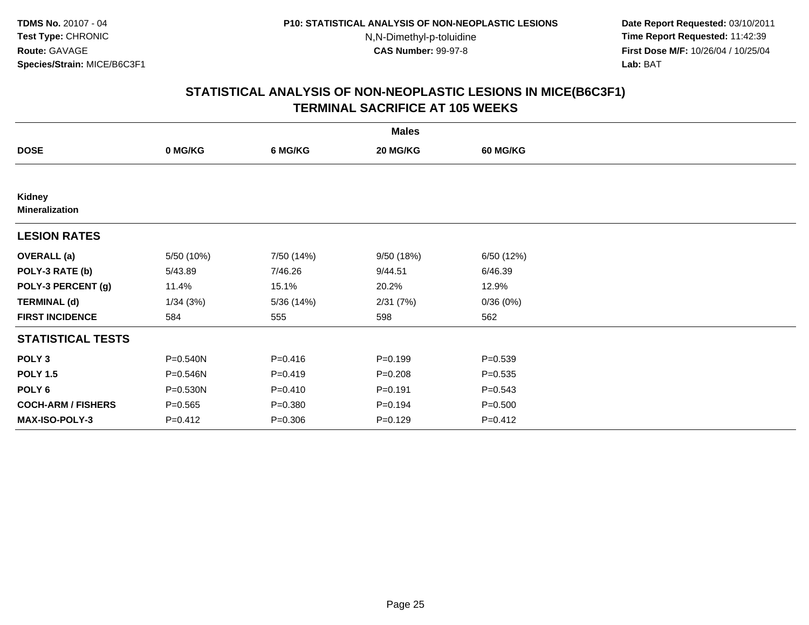**Date Report Requested:** 03/10/2011 **Time Report Requested:** 11:42:39 **First Dose M/F:** 10/26/04 / 10/25/04 Lab: BAT **Lab:** BAT

|                                 | <b>Males</b> |             |             |                 |  |  |  |  |
|---------------------------------|--------------|-------------|-------------|-----------------|--|--|--|--|
| <b>DOSE</b>                     | 0 MG/KG      | 6 MG/KG     | 20 MG/KG    | <b>60 MG/KG</b> |  |  |  |  |
|                                 |              |             |             |                 |  |  |  |  |
| Kidney<br><b>Mineralization</b> |              |             |             |                 |  |  |  |  |
| <b>LESION RATES</b>             |              |             |             |                 |  |  |  |  |
| <b>OVERALL</b> (a)              | 5/50 (10%)   | 7/50 (14%)  | 9/50 (18%)  | 6/50 (12%)      |  |  |  |  |
| POLY-3 RATE (b)                 | 5/43.89      | 7/46.26     | 9/44.51     | 6/46.39         |  |  |  |  |
| POLY-3 PERCENT (g)              | 11.4%        | 15.1%       | 20.2%       | 12.9%           |  |  |  |  |
| <b>TERMINAL (d)</b>             | 1/34(3%)     | 5/36 (14%)  | 2/31(7%)    | 0/36(0%)        |  |  |  |  |
| <b>FIRST INCIDENCE</b>          | 584          | 555         | 598         | 562             |  |  |  |  |
| <b>STATISTICAL TESTS</b>        |              |             |             |                 |  |  |  |  |
| POLY <sub>3</sub>               | P=0.540N     | $P = 0.416$ | $P=0.199$   | $P = 0.539$     |  |  |  |  |
| <b>POLY 1.5</b>                 | $P = 0.546N$ | $P=0.419$   | $P = 0.208$ | $P = 0.535$     |  |  |  |  |
| POLY 6                          | P=0.530N     | $P = 0.410$ | $P = 0.191$ | $P = 0.543$     |  |  |  |  |
| <b>COCH-ARM / FISHERS</b>       | $P = 0.565$  | $P = 0.380$ | $P = 0.194$ | $P = 0.500$     |  |  |  |  |
| MAX-ISO-POLY-3                  | $P=0.412$    | $P = 0.306$ | $P = 0.129$ | $P = 0.412$     |  |  |  |  |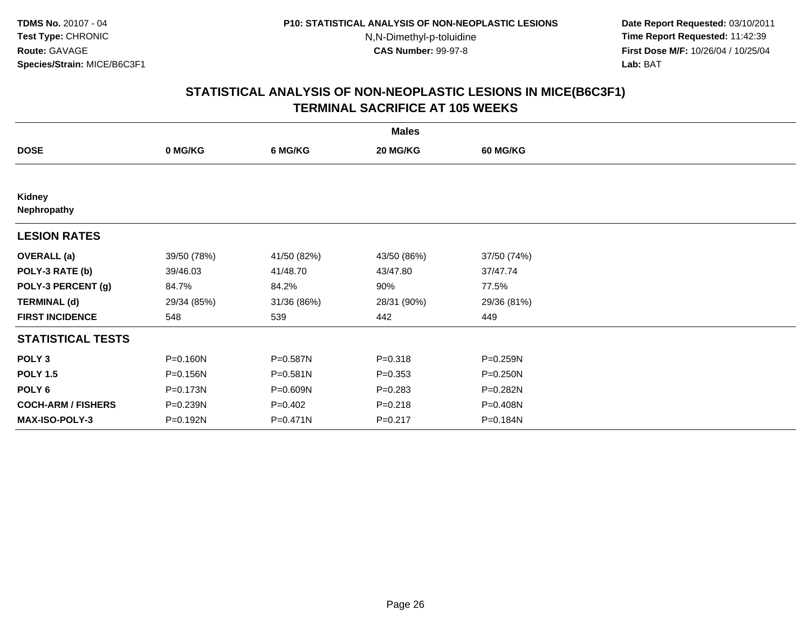**Date Report Requested:** 03/10/2011 **Time Report Requested:** 11:42:39 **First Dose M/F:** 10/26/04 / 10/25/04 Lab: BAT **Lab:** BAT

|                           | <b>Males</b> |              |             |                 |  |  |  |  |
|---------------------------|--------------|--------------|-------------|-----------------|--|--|--|--|
| <b>DOSE</b>               | 0 MG/KG      | 6 MG/KG      | 20 MG/KG    | <b>60 MG/KG</b> |  |  |  |  |
|                           |              |              |             |                 |  |  |  |  |
| Kidney<br>Nephropathy     |              |              |             |                 |  |  |  |  |
| <b>LESION RATES</b>       |              |              |             |                 |  |  |  |  |
| <b>OVERALL</b> (a)        | 39/50 (78%)  | 41/50 (82%)  | 43/50 (86%) | 37/50 (74%)     |  |  |  |  |
| POLY-3 RATE (b)           | 39/46.03     | 41/48.70     | 43/47.80    | 37/47.74        |  |  |  |  |
| POLY-3 PERCENT (g)        | 84.7%        | 84.2%        | 90%         | 77.5%           |  |  |  |  |
| <b>TERMINAL (d)</b>       | 29/34 (85%)  | 31/36 (86%)  | 28/31 (90%) | 29/36 (81%)     |  |  |  |  |
| <b>FIRST INCIDENCE</b>    | 548          | 539          | 442         | 449             |  |  |  |  |
| <b>STATISTICAL TESTS</b>  |              |              |             |                 |  |  |  |  |
| POLY <sub>3</sub>         | $P = 0.160N$ | P=0.587N     | $P = 0.318$ | $P = 0.259N$    |  |  |  |  |
| <b>POLY 1.5</b>           | P=0.156N     | $P = 0.581N$ | $P = 0.353$ | $P = 0.250N$    |  |  |  |  |
| POLY 6                    | P=0.173N     | P=0.609N     | $P = 0.283$ | P=0.282N        |  |  |  |  |
| <b>COCH-ARM / FISHERS</b> | P=0.239N     | $P=0.402$    | $P = 0.218$ | P=0.408N        |  |  |  |  |
| MAX-ISO-POLY-3            | P=0.192N     | P=0.471N     | $P = 0.217$ | P=0.184N        |  |  |  |  |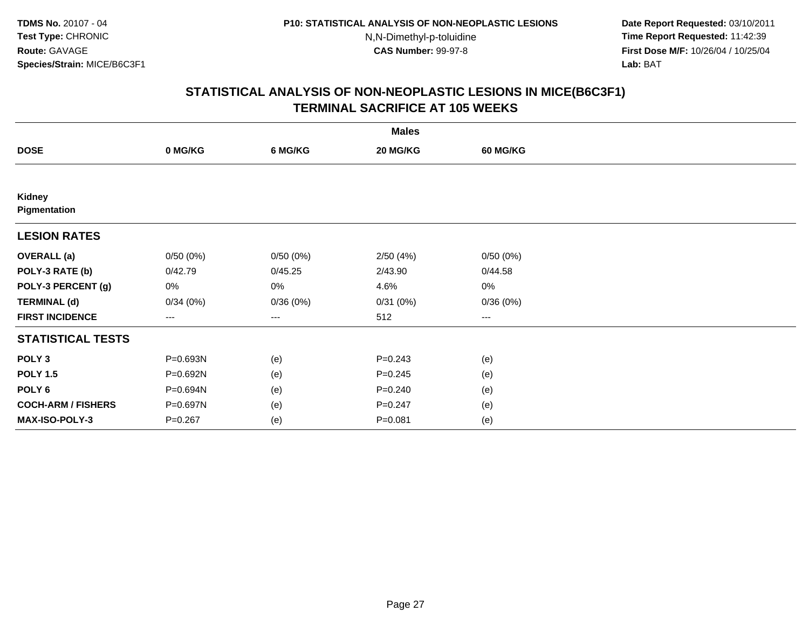**Date Report Requested:** 03/10/2011 **Time Report Requested:** 11:42:39 **First Dose M/F:** 10/26/04 / 10/25/04 Lab: BAT **Lab:** BAT

|                           | <b>Males</b> |                   |             |                 |  |  |  |  |
|---------------------------|--------------|-------------------|-------------|-----------------|--|--|--|--|
| <b>DOSE</b>               | 0 MG/KG      | 6 MG/KG           | 20 MG/KG    | <b>60 MG/KG</b> |  |  |  |  |
|                           |              |                   |             |                 |  |  |  |  |
| Kidney<br>Pigmentation    |              |                   |             |                 |  |  |  |  |
| <b>LESION RATES</b>       |              |                   |             |                 |  |  |  |  |
| <b>OVERALL</b> (a)        | 0/50(0%)     | 0/50(0%)          | 2/50(4%)    | 0/50(0%)        |  |  |  |  |
| POLY-3 RATE (b)           | 0/42.79      | 0/45.25           | 2/43.90     | 0/44.58         |  |  |  |  |
| POLY-3 PERCENT (g)        | 0%           | 0%                | 4.6%        | 0%              |  |  |  |  |
| <b>TERMINAL (d)</b>       | 0/34(0%)     | 0/36(0%)          | 0/31(0%)    | 0/36(0%)        |  |  |  |  |
| <b>FIRST INCIDENCE</b>    | ---          | $\qquad \qquad -$ | 512         | $--$            |  |  |  |  |
| <b>STATISTICAL TESTS</b>  |              |                   |             |                 |  |  |  |  |
| POLY <sub>3</sub>         | P=0.693N     | (e)               | $P=0.243$   | (e)             |  |  |  |  |
| <b>POLY 1.5</b>           | P=0.692N     | (e)               | $P = 0.245$ | (e)             |  |  |  |  |
| POLY 6                    | P=0.694N     | (e)               | $P = 0.240$ | (e)             |  |  |  |  |
| <b>COCH-ARM / FISHERS</b> | P=0.697N     | (e)               | $P = 0.247$ | (e)             |  |  |  |  |
| MAX-ISO-POLY-3            | $P = 0.267$  | (e)               | $P = 0.081$ | (e)             |  |  |  |  |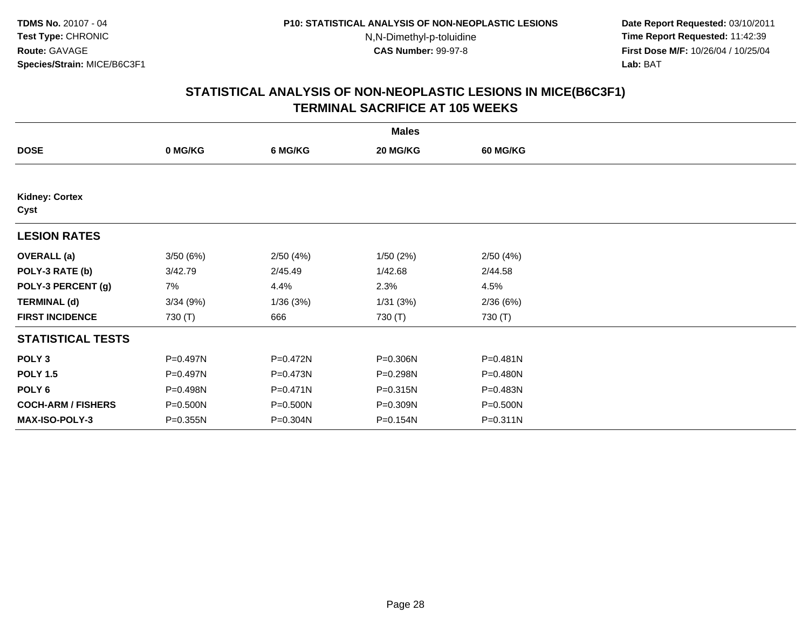**Date Report Requested:** 03/10/2011 **Time Report Requested:** 11:42:39 **First Dose M/F:** 10/26/04 / 10/25/04 Lab: BAT **Lab:** BAT

|                               |              |              | <b>Males</b> |                 |  |
|-------------------------------|--------------|--------------|--------------|-----------------|--|
| <b>DOSE</b>                   | 0 MG/KG      | 6 MG/KG      | 20 MG/KG     | <b>60 MG/KG</b> |  |
|                               |              |              |              |                 |  |
| <b>Kidney: Cortex</b><br>Cyst |              |              |              |                 |  |
| <b>LESION RATES</b>           |              |              |              |                 |  |
| <b>OVERALL</b> (a)            | 3/50(6%)     | 2/50(4%)     | 1/50(2%)     | 2/50(4%)        |  |
| POLY-3 RATE (b)               | 3/42.79      | 2/45.49      | 1/42.68      | 2/44.58         |  |
| POLY-3 PERCENT (g)            | 7%           | 4.4%         | 2.3%         | 4.5%            |  |
| <b>TERMINAL (d)</b>           | 3/34(9%)     | 1/36(3%)     | 1/31(3%)     | 2/36(6%)        |  |
| <b>FIRST INCIDENCE</b>        | 730 (T)      | 666          | 730 (T)      | 730 (T)         |  |
| <b>STATISTICAL TESTS</b>      |              |              |              |                 |  |
| POLY <sub>3</sub>             | P=0.497N     | P=0.472N     | P=0.306N     | P=0.481N        |  |
| <b>POLY 1.5</b>               | P=0.497N     | P=0.473N     | P=0.298N     | P=0.480N        |  |
| POLY 6                        | P=0.498N     | $P = 0.471N$ | P=0.315N     | P=0.483N        |  |
| <b>COCH-ARM / FISHERS</b>     | $P = 0.500N$ | P=0.500N     | P=0.309N     | P=0.500N        |  |
| MAX-ISO-POLY-3                | $P = 0.355N$ | P=0.304N     | P=0.154N     | $P = 0.311N$    |  |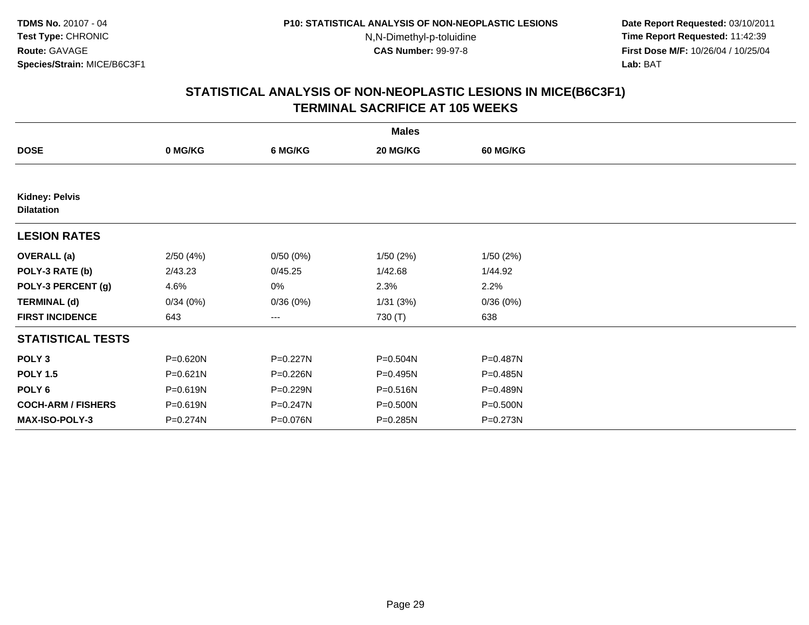**Date Report Requested:** 03/10/2011 **Time Report Requested:** 11:42:39 **First Dose M/F:** 10/26/04 / 10/25/04 Lab: BAT **Lab:** BAT

|                                            |              |          | <b>Males</b> |                 |  |
|--------------------------------------------|--------------|----------|--------------|-----------------|--|
| <b>DOSE</b>                                | 0 MG/KG      | 6 MG/KG  | 20 MG/KG     | <b>60 MG/KG</b> |  |
|                                            |              |          |              |                 |  |
| <b>Kidney: Pelvis</b><br><b>Dilatation</b> |              |          |              |                 |  |
| <b>LESION RATES</b>                        |              |          |              |                 |  |
| <b>OVERALL</b> (a)                         | 2/50(4%)     | 0/50(0%) | 1/50(2%)     | 1/50(2%)        |  |
| POLY-3 RATE (b)                            | 2/43.23      | 0/45.25  | 1/42.68      | 1/44.92         |  |
| POLY-3 PERCENT (g)                         | 4.6%         | 0%       | 2.3%         | 2.2%            |  |
| <b>TERMINAL (d)</b>                        | 0/34(0%)     | 0/36(0%) | 1/31(3%)     | 0/36(0%)        |  |
| <b>FIRST INCIDENCE</b>                     | 643          | ---      | 730 (T)      | 638             |  |
| <b>STATISTICAL TESTS</b>                   |              |          |              |                 |  |
| POLY <sub>3</sub>                          | P=0.620N     | P=0.227N | P=0.504N     | P=0.487N        |  |
| <b>POLY 1.5</b>                            | $P = 0.621N$ | P=0.226N | P=0.495N     | P=0.485N        |  |
| POLY <sub>6</sub>                          | P=0.619N     | P=0.229N | P=0.516N     | P=0.489N        |  |
| <b>COCH-ARM / FISHERS</b>                  | P=0.619N     | P=0.247N | P=0.500N     | P=0.500N        |  |
| <b>MAX-ISO-POLY-3</b>                      | P=0.274N     | P=0.076N | P=0.285N     | P=0.273N        |  |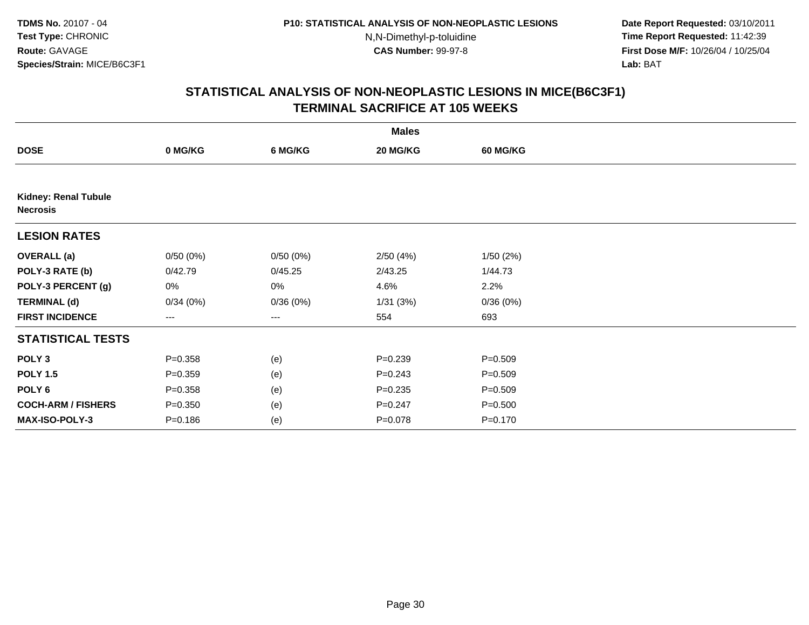**Date Report Requested:** 03/10/2011 **Time Report Requested:** 11:42:39 **First Dose M/F:** 10/26/04 / 10/25/04 Lab: BAT **Lab:** BAT

| <b>Males</b>                                   |             |          |             |                 |  |  |  |
|------------------------------------------------|-------------|----------|-------------|-----------------|--|--|--|
| <b>DOSE</b>                                    | 0 MG/KG     | 6 MG/KG  | 20 MG/KG    | <b>60 MG/KG</b> |  |  |  |
|                                                |             |          |             |                 |  |  |  |
| <b>Kidney: Renal Tubule</b><br><b>Necrosis</b> |             |          |             |                 |  |  |  |
| <b>LESION RATES</b>                            |             |          |             |                 |  |  |  |
| <b>OVERALL</b> (a)                             | 0/50(0%)    | 0/50(0%) | 2/50(4%)    | 1/50(2%)        |  |  |  |
| POLY-3 RATE (b)                                | 0/42.79     | 0/45.25  | 2/43.25     | 1/44.73         |  |  |  |
| POLY-3 PERCENT (g)                             | 0%          | 0%       | 4.6%        | 2.2%            |  |  |  |
| <b>TERMINAL (d)</b>                            | 0/34(0%)    | 0/36(0%) | 1/31(3%)    | 0/36(0%)        |  |  |  |
| <b>FIRST INCIDENCE</b>                         | ---         | ---      | 554         | 693             |  |  |  |
| <b>STATISTICAL TESTS</b>                       |             |          |             |                 |  |  |  |
| POLY <sub>3</sub>                              | $P = 0.358$ | (e)      | $P = 0.239$ | $P = 0.509$     |  |  |  |
| <b>POLY 1.5</b>                                | $P = 0.359$ | (e)      | $P = 0.243$ | $P = 0.509$     |  |  |  |
| POLY <sub>6</sub>                              | $P = 0.358$ | (e)      | $P = 0.235$ | $P = 0.509$     |  |  |  |
| <b>COCH-ARM / FISHERS</b>                      | $P = 0.350$ | (e)      | $P = 0.247$ | $P = 0.500$     |  |  |  |
| MAX-ISO-POLY-3                                 | $P = 0.186$ | (e)      | $P = 0.078$ | $P = 0.170$     |  |  |  |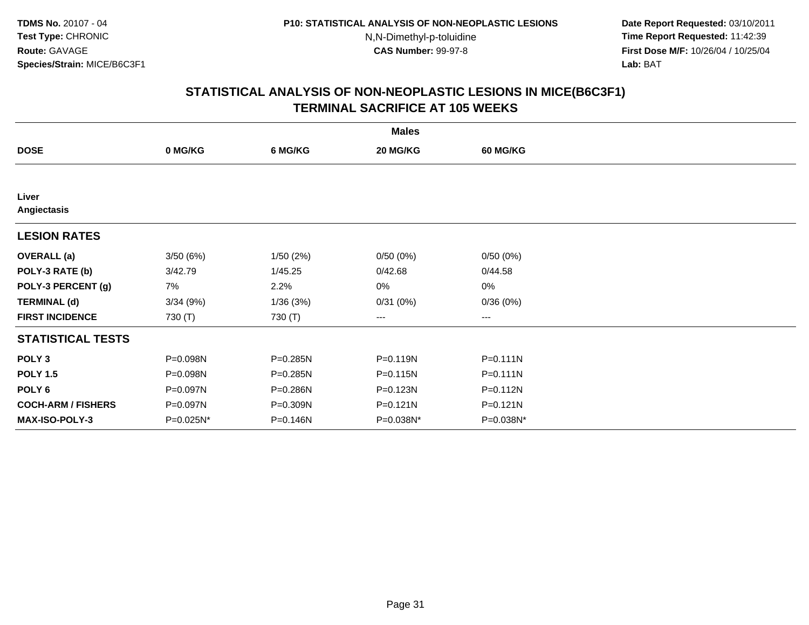**Date Report Requested:** 03/10/2011 **Time Report Requested:** 11:42:39 **First Dose M/F:** 10/26/04 / 10/25/04 Lab: BAT **Lab:** BAT

|                           |           |          | <b>Males</b> |                   |  |
|---------------------------|-----------|----------|--------------|-------------------|--|
| <b>DOSE</b>               | 0 MG/KG   | 6 MG/KG  | 20 MG/KG     | 60 MG/KG          |  |
|                           |           |          |              |                   |  |
| Liver<br>Angiectasis      |           |          |              |                   |  |
| <b>LESION RATES</b>       |           |          |              |                   |  |
| <b>OVERALL</b> (a)        | 3/50(6%)  | 1/50(2%) | 0/50(0%)     | 0/50(0%)          |  |
| POLY-3 RATE (b)           | 3/42.79   | 1/45.25  | 0/42.68      | 0/44.58           |  |
| POLY-3 PERCENT (g)        | 7%        | 2.2%     | 0%           | 0%                |  |
| <b>TERMINAL (d)</b>       | 3/34(9%)  | 1/36(3%) | 0/31(0%)     | 0/36(0%)          |  |
| <b>FIRST INCIDENCE</b>    | 730 (T)   | 730 (T)  | ---          | $\qquad \qquad -$ |  |
| <b>STATISTICAL TESTS</b>  |           |          |              |                   |  |
| POLY <sub>3</sub>         | P=0.098N  | P=0.285N | P=0.119N     | $P = 0.111N$      |  |
| <b>POLY 1.5</b>           | P=0.098N  | P=0.285N | P=0.115N     | P=0.111N          |  |
| POLY <sub>6</sub>         | P=0.097N  | P=0.286N | P=0.123N     | P=0.112N          |  |
| <b>COCH-ARM / FISHERS</b> | P=0.097N  | P=0.309N | $P = 0.121N$ | P=0.121N          |  |
| <b>MAX-ISO-POLY-3</b>     | P=0.025N* | P=0.146N | P=0.038N*    | P=0.038N*         |  |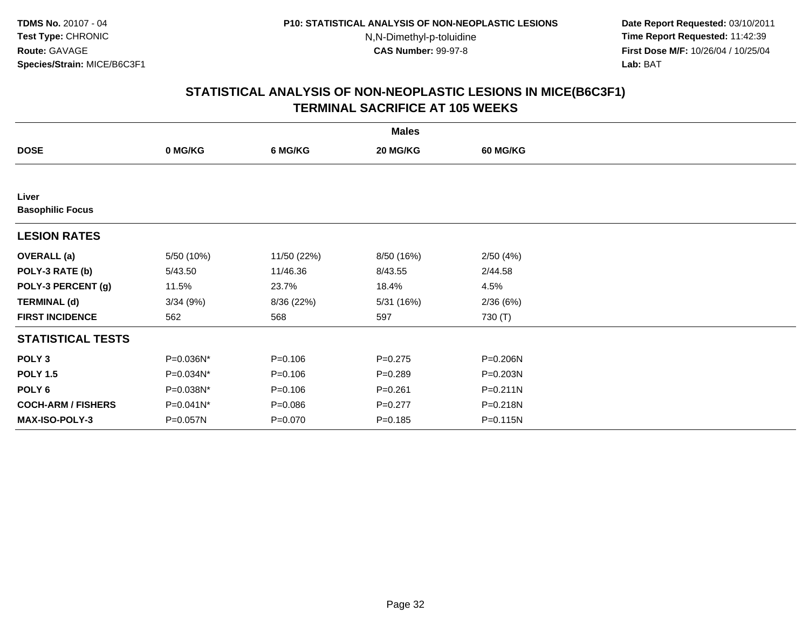**Date Report Requested:** 03/10/2011 **Time Report Requested:** 11:42:39 **First Dose M/F:** 10/26/04 / 10/25/04 Lab: BAT **Lab:** BAT

| <b>Males</b>                     |            |             |             |                 |  |  |
|----------------------------------|------------|-------------|-------------|-----------------|--|--|
| <b>DOSE</b>                      | 0 MG/KG    | 6 MG/KG     | 20 MG/KG    | <b>60 MG/KG</b> |  |  |
|                                  |            |             |             |                 |  |  |
| Liver<br><b>Basophilic Focus</b> |            |             |             |                 |  |  |
| <b>LESION RATES</b>              |            |             |             |                 |  |  |
| <b>OVERALL</b> (a)               | 5/50 (10%) | 11/50 (22%) | 8/50 (16%)  | 2/50(4%)        |  |  |
| POLY-3 RATE (b)                  | 5/43.50    | 11/46.36    | 8/43.55     | 2/44.58         |  |  |
| POLY-3 PERCENT (g)               | 11.5%      | 23.7%       | 18.4%       | 4.5%            |  |  |
| <b>TERMINAL (d)</b>              | 3/34(9%)   | 8/36 (22%)  | 5/31(16%)   | 2/36(6%)        |  |  |
| <b>FIRST INCIDENCE</b>           | 562        | 568         | 597         | 730 (T)         |  |  |
| <b>STATISTICAL TESTS</b>         |            |             |             |                 |  |  |
| POLY <sub>3</sub>                | P=0.036N*  | $P = 0.106$ | $P = 0.275$ | P=0.206N        |  |  |
| <b>POLY 1.5</b>                  | P=0.034N*  | $P = 0.106$ | $P = 0.289$ | $P = 0.203N$    |  |  |
| POLY 6                           | P=0.038N*  | $P = 0.106$ | $P = 0.261$ | $P = 0.211N$    |  |  |
| <b>COCH-ARM / FISHERS</b>        | P=0.041N*  | $P = 0.086$ | $P=0.277$   | P=0.218N        |  |  |
| MAX-ISO-POLY-3                   | P=0.057N   | $P=0.070$   | $P = 0.185$ | P=0.115N        |  |  |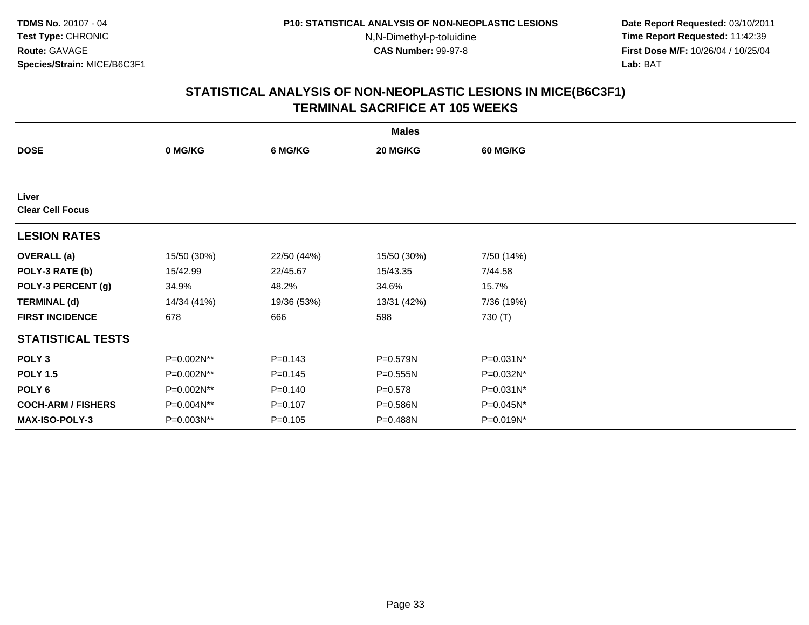**Date Report Requested:** 03/10/2011 **Time Report Requested:** 11:42:39 **First Dose M/F:** 10/26/04 / 10/25/04 Lab: BAT **Lab:** BAT

| <b>Males</b>                     |             |             |              |                 |  |  |
|----------------------------------|-------------|-------------|--------------|-----------------|--|--|
| <b>DOSE</b>                      | 0 MG/KG     | 6 MG/KG     | 20 MG/KG     | <b>60 MG/KG</b> |  |  |
|                                  |             |             |              |                 |  |  |
| Liver<br><b>Clear Cell Focus</b> |             |             |              |                 |  |  |
| <b>LESION RATES</b>              |             |             |              |                 |  |  |
| <b>OVERALL</b> (a)               | 15/50 (30%) | 22/50 (44%) | 15/50 (30%)  | 7/50 (14%)      |  |  |
| POLY-3 RATE (b)                  | 15/42.99    | 22/45.67    | 15/43.35     | 7/44.58         |  |  |
| POLY-3 PERCENT (g)               | 34.9%       | 48.2%       | 34.6%        | 15.7%           |  |  |
| <b>TERMINAL (d)</b>              | 14/34 (41%) | 19/36 (53%) | 13/31 (42%)  | 7/36 (19%)      |  |  |
| <b>FIRST INCIDENCE</b>           | 678         | 666         | 598          | 730 (T)         |  |  |
| <b>STATISTICAL TESTS</b>         |             |             |              |                 |  |  |
| POLY <sub>3</sub>                | P=0.002N**  | $P = 0.143$ | P=0.579N     | $P = 0.031N^*$  |  |  |
| <b>POLY 1.5</b>                  | P=0.002N**  | $P = 0.145$ | $P = 0.555N$ | P=0.032N*       |  |  |
| POLY <sub>6</sub>                | P=0.002N**  | $P = 0.140$ | $P = 0.578$  | P=0.031N*       |  |  |
| <b>COCH-ARM / FISHERS</b>        | P=0.004N**  | $P = 0.107$ | P=0.586N     | P=0.045N*       |  |  |
| <b>MAX-ISO-POLY-3</b>            | P=0.003N**  | $P = 0.105$ | P=0.488N     | $P=0.019N^*$    |  |  |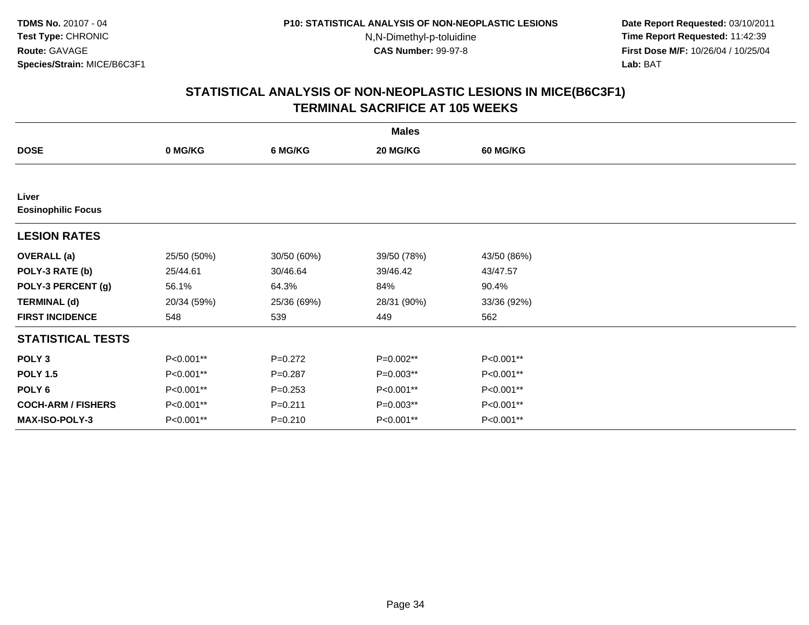**Date Report Requested:** 03/10/2011 **Time Report Requested:** 11:42:39 **First Dose M/F:** 10/26/04 / 10/25/04 Lab: BAT **Lab:** BAT

| <b>Males</b>                       |             |             |             |                 |  |  |
|------------------------------------|-------------|-------------|-------------|-----------------|--|--|
| <b>DOSE</b>                        | 0 MG/KG     | 6 MG/KG     | 20 MG/KG    | <b>60 MG/KG</b> |  |  |
|                                    |             |             |             |                 |  |  |
| Liver<br><b>Eosinophilic Focus</b> |             |             |             |                 |  |  |
| <b>LESION RATES</b>                |             |             |             |                 |  |  |
| <b>OVERALL</b> (a)                 | 25/50 (50%) | 30/50 (60%) | 39/50 (78%) | 43/50 (86%)     |  |  |
| POLY-3 RATE (b)                    | 25/44.61    | 30/46.64    | 39/46.42    | 43/47.57        |  |  |
| POLY-3 PERCENT (g)                 | 56.1%       | 64.3%       | 84%         | 90.4%           |  |  |
| <b>TERMINAL (d)</b>                | 20/34 (59%) | 25/36 (69%) | 28/31 (90%) | 33/36 (92%)     |  |  |
| <b>FIRST INCIDENCE</b>             | 548         | 539         | 449         | 562             |  |  |
| <b>STATISTICAL TESTS</b>           |             |             |             |                 |  |  |
| POLY <sub>3</sub>                  | P<0.001**   | $P=0.272$   | P=0.002**   | P<0.001**       |  |  |
| <b>POLY 1.5</b>                    | P<0.001**   | $P = 0.287$ | P=0.003**   | P<0.001**       |  |  |
| POLY 6                             | P<0.001**   | $P = 0.253$ | P<0.001**   | P<0.001**       |  |  |
| <b>COCH-ARM / FISHERS</b>          | P<0.001**   | $P = 0.211$ | $P=0.003**$ | P<0.001**       |  |  |
| <b>MAX-ISO-POLY-3</b>              | P<0.001**   | $P = 0.210$ | P<0.001**   | P<0.001**       |  |  |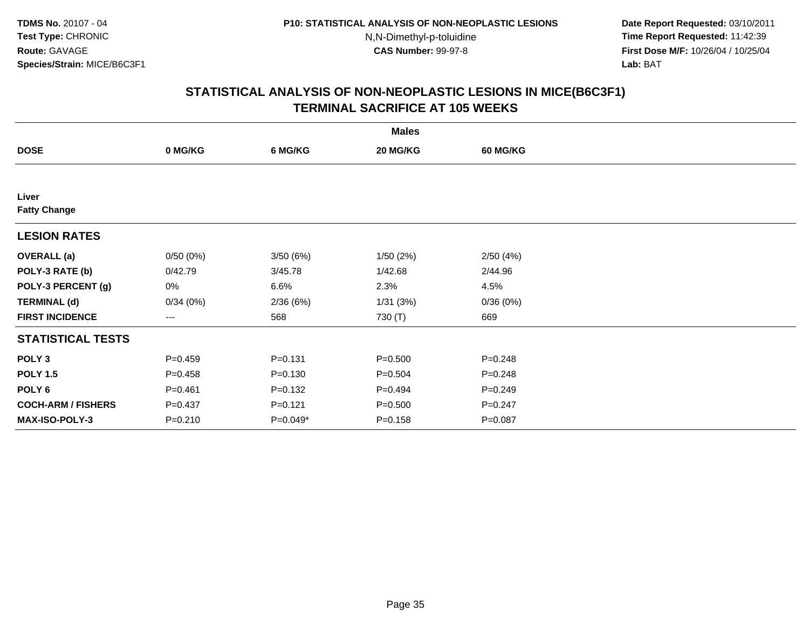**Date Report Requested:** 03/10/2011 **Time Report Requested:** 11:42:39 **First Dose M/F:** 10/26/04 / 10/25/04 Lab: BAT **Lab:** BAT

|                              |             |             | <b>Males</b> |                 |  |
|------------------------------|-------------|-------------|--------------|-----------------|--|
| <b>DOSE</b>                  | 0 MG/KG     | 6 MG/KG     | 20 MG/KG     | <b>60 MG/KG</b> |  |
|                              |             |             |              |                 |  |
| Liver<br><b>Fatty Change</b> |             |             |              |                 |  |
|                              |             |             |              |                 |  |
| <b>LESION RATES</b>          |             |             |              |                 |  |
| <b>OVERALL</b> (a)           | 0/50(0%)    | 3/50(6%)    | 1/50(2%)     | 2/50(4%)        |  |
| POLY-3 RATE (b)              | 0/42.79     | 3/45.78     | 1/42.68      | 2/44.96         |  |
| POLY-3 PERCENT (g)           | 0%          | 6.6%        | 2.3%         | 4.5%            |  |
| <b>TERMINAL (d)</b>          | 0/34(0%)    | 2/36(6%)    | 1/31(3%)     | 0/36(0%)        |  |
| <b>FIRST INCIDENCE</b>       | $--$        | 568         | 730 (T)      | 669             |  |
| <b>STATISTICAL TESTS</b>     |             |             |              |                 |  |
| POLY <sub>3</sub>            | $P=0.459$   | $P = 0.131$ | $P = 0.500$  | $P = 0.248$     |  |
| <b>POLY 1.5</b>              | $P=0.458$   | $P = 0.130$ | $P = 0.504$  | $P = 0.248$     |  |
| POLY <sub>6</sub>            | $P = 0.461$ | $P = 0.132$ | $P=0.494$    | $P = 0.249$     |  |
| <b>COCH-ARM / FISHERS</b>    | $P = 0.437$ | $P = 0.121$ | $P = 0.500$  | $P = 0.247$     |  |
| MAX-ISO-POLY-3               | $P = 0.210$ | P=0.049*    | $P = 0.158$  | $P = 0.087$     |  |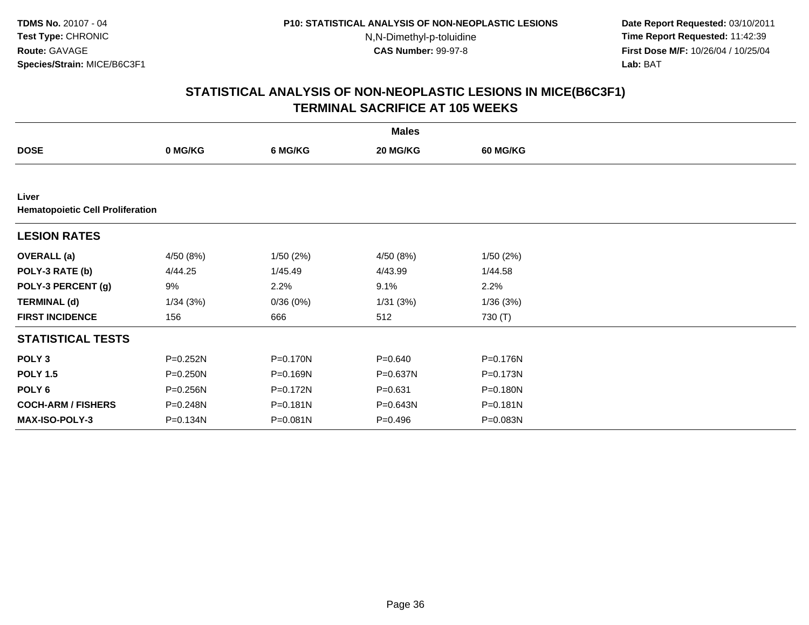**Date Report Requested:** 03/10/2011 **Time Report Requested:** 11:42:39 **First Dose M/F:** 10/26/04 / 10/25/04 Lab: BAT **Lab:** BAT

|                           |                                         |          | <b>Males</b> |                 |  |  |  |  |  |  |
|---------------------------|-----------------------------------------|----------|--------------|-----------------|--|--|--|--|--|--|
| <b>DOSE</b>               | 0 MG/KG                                 | 6 MG/KG  | 20 MG/KG     | <b>60 MG/KG</b> |  |  |  |  |  |  |
|                           |                                         |          |              |                 |  |  |  |  |  |  |
| Liver                     | <b>Hematopoietic Cell Proliferation</b> |          |              |                 |  |  |  |  |  |  |
| <b>LESION RATES</b>       |                                         |          |              |                 |  |  |  |  |  |  |
| <b>OVERALL</b> (a)        | 4/50 (8%)                               | 1/50(2%) | 4/50 (8%)    | 1/50(2%)        |  |  |  |  |  |  |
| POLY-3 RATE (b)           | 4/44.25                                 | 1/45.49  | 4/43.99      | 1/44.58         |  |  |  |  |  |  |
| POLY-3 PERCENT (g)        | 9%                                      | 2.2%     | 9.1%         | 2.2%            |  |  |  |  |  |  |
| <b>TERMINAL (d)</b>       | 1/34(3%)                                | 0/36(0%) | 1/31(3%)     | 1/36(3%)        |  |  |  |  |  |  |
| <b>FIRST INCIDENCE</b>    | 156                                     | 666      | 512          | 730 (T)         |  |  |  |  |  |  |
| <b>STATISTICAL TESTS</b>  |                                         |          |              |                 |  |  |  |  |  |  |
| POLY <sub>3</sub>         | P=0.252N                                | P=0.170N | $P = 0.640$  | P=0.176N        |  |  |  |  |  |  |
| <b>POLY 1.5</b>           | P=0.250N                                | P=0.169N | P=0.637N     | P=0.173N        |  |  |  |  |  |  |
| POLY <sub>6</sub>         | P=0.256N                                | P=0.172N | $P = 0.631$  | P=0.180N        |  |  |  |  |  |  |
| <b>COCH-ARM / FISHERS</b> | P=0.248N                                | P=0.181N | P=0.643N     | P=0.181N        |  |  |  |  |  |  |
| <b>MAX-ISO-POLY-3</b>     | P=0.134N                                | P=0.081N | $P = 0.496$  | P=0.083N        |  |  |  |  |  |  |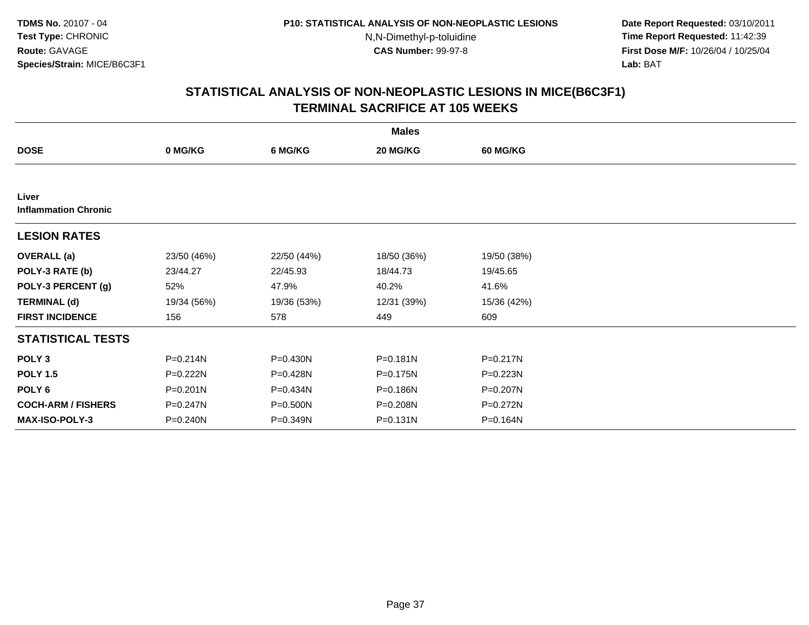**Date Report Requested:** 03/10/2011 **Time Report Requested:** 11:42:39 **First Dose M/F:** 10/26/04 / 10/25/04 Lab: BAT **Lab:** BAT

|                                      | <b>Males</b> |              |              |                 |  |  |  |
|--------------------------------------|--------------|--------------|--------------|-----------------|--|--|--|
| <b>DOSE</b>                          | 0 MG/KG      | 6 MG/KG      | 20 MG/KG     | <b>60 MG/KG</b> |  |  |  |
|                                      |              |              |              |                 |  |  |  |
| Liver<br><b>Inflammation Chronic</b> |              |              |              |                 |  |  |  |
| <b>LESION RATES</b>                  |              |              |              |                 |  |  |  |
| <b>OVERALL</b> (a)                   | 23/50 (46%)  | 22/50 (44%)  | 18/50 (36%)  | 19/50 (38%)     |  |  |  |
| POLY-3 RATE (b)                      | 23/44.27     | 22/45.93     | 18/44.73     | 19/45.65        |  |  |  |
| POLY-3 PERCENT (g)                   | 52%          | 47.9%        | 40.2%        | 41.6%           |  |  |  |
| <b>TERMINAL (d)</b>                  | 19/34 (56%)  | 19/36 (53%)  | 12/31 (39%)  | 15/36 (42%)     |  |  |  |
| <b>FIRST INCIDENCE</b>               | 156          | 578          | 449          | 609             |  |  |  |
| <b>STATISTICAL TESTS</b>             |              |              |              |                 |  |  |  |
| POLY <sub>3</sub>                    | P=0.214N     | $P = 0.430N$ | $P = 0.181N$ | $P = 0.217N$    |  |  |  |
| <b>POLY 1.5</b>                      | P=0.222N     | P=0.428N     | P=0.175N     | $P = 0.223N$    |  |  |  |
| POLY <sub>6</sub>                    | $P = 0.201N$ | P=0.434N     | P=0.186N     | P=0.207N        |  |  |  |
| <b>COCH-ARM / FISHERS</b>            | P=0.247N     | $P = 0.500N$ | P=0.208N     | P=0.272N        |  |  |  |
| MAX-ISO-POLY-3                       | P=0.240N     | P=0.349N     | $P = 0.131N$ | P=0.164N        |  |  |  |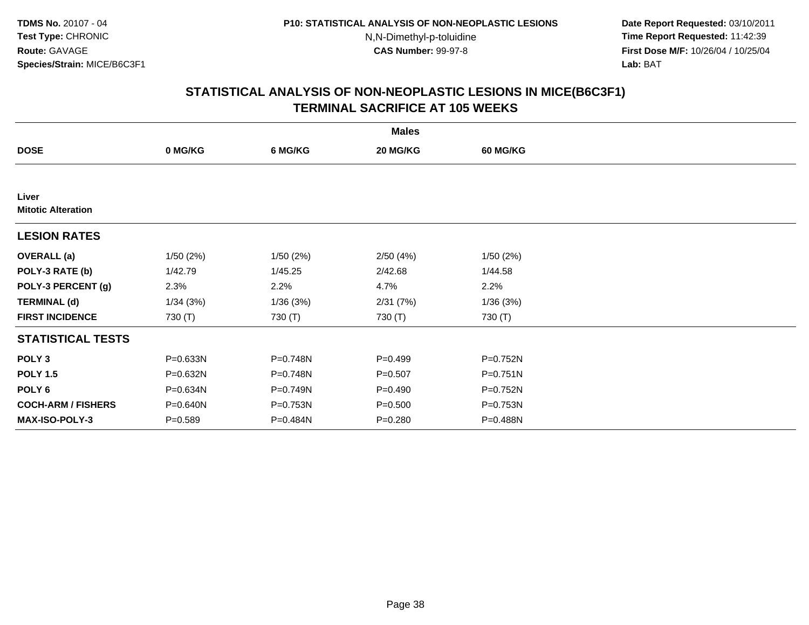**Date Report Requested:** 03/10/2011 **Time Report Requested:** 11:42:39 **First Dose M/F:** 10/26/04 / 10/25/04 Lab: BAT **Lab:** BAT

|                                    |             |          | <b>Males</b> |                 |  |
|------------------------------------|-------------|----------|--------------|-----------------|--|
| <b>DOSE</b>                        | 0 MG/KG     | 6 MG/KG  | 20 MG/KG     | <b>60 MG/KG</b> |  |
|                                    |             |          |              |                 |  |
| Liver<br><b>Mitotic Alteration</b> |             |          |              |                 |  |
| <b>LESION RATES</b>                |             |          |              |                 |  |
| <b>OVERALL</b> (a)                 | 1/50(2%)    | 1/50(2%) | 2/50(4%)     | 1/50(2%)        |  |
| POLY-3 RATE (b)                    | 1/42.79     | 1/45.25  | 2/42.68      | 1/44.58         |  |
| POLY-3 PERCENT (g)                 | 2.3%        | 2.2%     | 4.7%         | 2.2%            |  |
| <b>TERMINAL (d)</b>                | 1/34(3%)    | 1/36(3%) | 2/31(7%)     | 1/36(3%)        |  |
| <b>FIRST INCIDENCE</b>             | 730 (T)     | 730 (T)  | 730 (T)      | 730 (T)         |  |
| <b>STATISTICAL TESTS</b>           |             |          |              |                 |  |
| POLY <sub>3</sub>                  | P=0.633N    | P=0.748N | $P=0.499$    | P=0.752N        |  |
| <b>POLY 1.5</b>                    | P=0.632N    | P=0.748N | $P = 0.507$  | P=0.751N        |  |
| POLY 6                             | P=0.634N    | P=0.749N | $P=0.490$    | P=0.752N        |  |
| <b>COCH-ARM / FISHERS</b>          | P=0.640N    | P=0.753N | $P = 0.500$  | P=0.753N        |  |
| MAX-ISO-POLY-3                     | $P = 0.589$ | P=0.484N | $P = 0.280$  | P=0.488N        |  |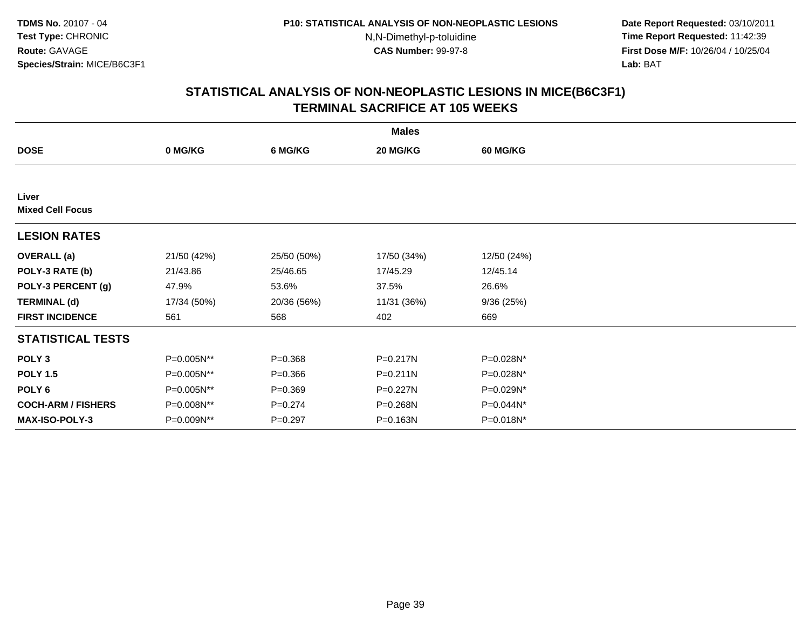**Date Report Requested:** 03/10/2011 **Time Report Requested:** 11:42:39 **First Dose M/F:** 10/26/04 / 10/25/04 Lab: BAT **Lab:** BAT

|                                  | <b>Males</b> |             |              |                 |  |  |  |
|----------------------------------|--------------|-------------|--------------|-----------------|--|--|--|
| <b>DOSE</b>                      | 0 MG/KG      | 6 MG/KG     | 20 MG/KG     | <b>60 MG/KG</b> |  |  |  |
|                                  |              |             |              |                 |  |  |  |
| Liver<br><b>Mixed Cell Focus</b> |              |             |              |                 |  |  |  |
| <b>LESION RATES</b>              |              |             |              |                 |  |  |  |
| <b>OVERALL</b> (a)               | 21/50 (42%)  | 25/50 (50%) | 17/50 (34%)  | 12/50 (24%)     |  |  |  |
| POLY-3 RATE (b)                  | 21/43.86     | 25/46.65    | 17/45.29     | 12/45.14        |  |  |  |
| POLY-3 PERCENT (g)               | 47.9%        | 53.6%       | 37.5%        | 26.6%           |  |  |  |
| <b>TERMINAL (d)</b>              | 17/34 (50%)  | 20/36 (56%) | 11/31 (36%)  | 9/36(25%)       |  |  |  |
| <b>FIRST INCIDENCE</b>           | 561          | 568         | 402          | 669             |  |  |  |
| <b>STATISTICAL TESTS</b>         |              |             |              |                 |  |  |  |
| POLY <sub>3</sub>                | P=0.005N**   | $P = 0.368$ | P=0.217N     | P=0.028N*       |  |  |  |
| <b>POLY 1.5</b>                  | P=0.005N**   | $P = 0.366$ | $P = 0.211N$ | P=0.028N*       |  |  |  |
| POLY <sub>6</sub>                | P=0.005N**   | $P = 0.369$ | P=0.227N     | P=0.029N*       |  |  |  |
| <b>COCH-ARM / FISHERS</b>        | P=0.008N**   | $P = 0.274$ | P=0.268N     | P=0.044N*       |  |  |  |
| <b>MAX-ISO-POLY-3</b>            | P=0.009N**   | $P = 0.297$ | P=0.163N     | $P=0.018N^*$    |  |  |  |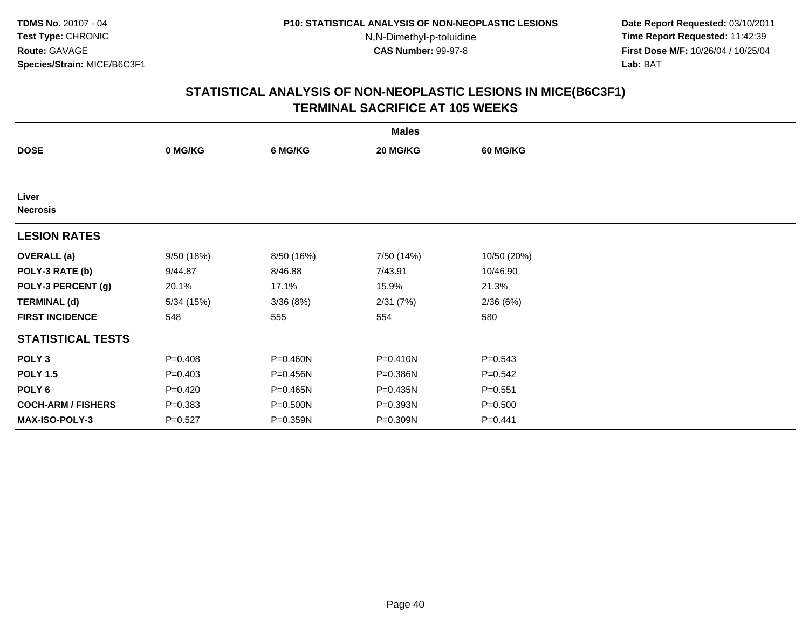**Date Report Requested:** 03/10/2011 **Time Report Requested:** 11:42:39 **First Dose M/F:** 10/26/04 / 10/25/04 Lab: BAT **Lab:** BAT

|                           |             |            | <b>Males</b> |                 |  |
|---------------------------|-------------|------------|--------------|-----------------|--|
| <b>DOSE</b>               | 0 MG/KG     | 6 MG/KG    | 20 MG/KG     | <b>60 MG/KG</b> |  |
|                           |             |            |              |                 |  |
| Liver<br><b>Necrosis</b>  |             |            |              |                 |  |
| <b>LESION RATES</b>       |             |            |              |                 |  |
| <b>OVERALL</b> (a)        | 9/50(18%)   | 8/50 (16%) | 7/50 (14%)   | 10/50 (20%)     |  |
| POLY-3 RATE (b)           | 9/44.87     | 8/46.88    | 7/43.91      | 10/46.90        |  |
| POLY-3 PERCENT (g)        | 20.1%       | 17.1%      | 15.9%        | 21.3%           |  |
| <b>TERMINAL (d)</b>       | 5/34(15%)   | 3/36(8%)   | 2/31(7%)     | 2/36(6%)        |  |
| <b>FIRST INCIDENCE</b>    | 548         | 555        | 554          | 580             |  |
| <b>STATISTICAL TESTS</b>  |             |            |              |                 |  |
| POLY <sub>3</sub>         | $P = 0.408$ | P=0.460N   | P=0.410N     | $P = 0.543$     |  |
| <b>POLY 1.5</b>           | $P = 0.403$ | P=0.456N   | P=0.386N     | $P = 0.542$     |  |
| POLY 6                    | $P=0.420$   | P=0.465N   | P=0.435N     | $P = 0.551$     |  |
| <b>COCH-ARM / FISHERS</b> | $P = 0.383$ | P=0.500N   | P=0.393N     | $P = 0.500$     |  |
| <b>MAX-ISO-POLY-3</b>     | $P = 0.527$ | P=0.359N   | P=0.309N     | $P=0.441$       |  |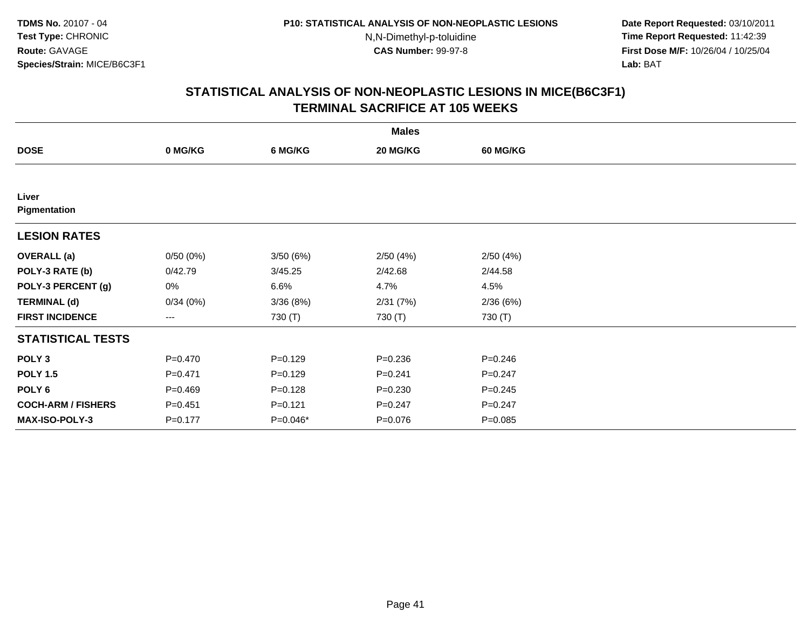**Date Report Requested:** 03/10/2011 **Time Report Requested:** 11:42:39 **First Dose M/F:** 10/26/04 / 10/25/04 Lab: BAT **Lab:** BAT

|                           |             |             | <b>Males</b> |                 |  |
|---------------------------|-------------|-------------|--------------|-----------------|--|
| <b>DOSE</b>               | 0 MG/KG     | 6 MG/KG     | 20 MG/KG     | <b>60 MG/KG</b> |  |
|                           |             |             |              |                 |  |
| Liver<br>Pigmentation     |             |             |              |                 |  |
| <b>LESION RATES</b>       |             |             |              |                 |  |
| <b>OVERALL</b> (a)        | 0/50(0%)    | 3/50(6%)    | 2/50(4%)     | 2/50(4%)        |  |
| POLY-3 RATE (b)           | 0/42.79     | 3/45.25     | 2/42.68      | 2/44.58         |  |
| POLY-3 PERCENT (g)        | $0\%$       | 6.6%        | 4.7%         | 4.5%            |  |
| <b>TERMINAL (d)</b>       | 0/34(0%)    | 3/36(8%)    | 2/31(7%)     | 2/36(6%)        |  |
| <b>FIRST INCIDENCE</b>    | $---$       | 730 (T)     | 730 (T)      | 730 (T)         |  |
| <b>STATISTICAL TESTS</b>  |             |             |              |                 |  |
| POLY <sub>3</sub>         | $P = 0.470$ | $P=0.129$   | $P = 0.236$  | $P = 0.246$     |  |
| <b>POLY 1.5</b>           | $P = 0.471$ | $P=0.129$   | $P = 0.241$  | $P=0.247$       |  |
| POLY <sub>6</sub>         | $P=0.469$   | $P=0.128$   | $P = 0.230$  | $P = 0.245$     |  |
| <b>COCH-ARM / FISHERS</b> | $P = 0.451$ | $P = 0.121$ | $P = 0.247$  | $P = 0.247$     |  |
| MAX-ISO-POLY-3            | $P = 0.177$ | P=0.046*    | $P = 0.076$  | $P=0.085$       |  |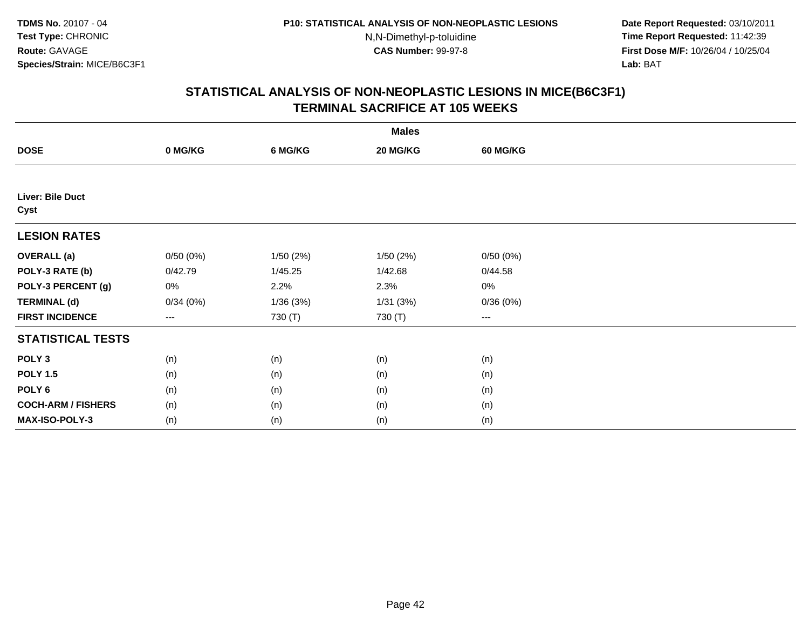**Date Report Requested:** 03/10/2011 **Time Report Requested:** 11:42:39 **First Dose M/F:** 10/26/04 / 10/25/04 Lab: BAT **Lab:** BAT

|                           |                        |          | <b>Males</b> |                   |  |
|---------------------------|------------------------|----------|--------------|-------------------|--|
| <b>DOSE</b>               | 0 MG/KG                | 6 MG/KG  | 20 MG/KG     | <b>60 MG/KG</b>   |  |
|                           |                        |          |              |                   |  |
| Liver: Bile Duct<br>Cyst  |                        |          |              |                   |  |
| <b>LESION RATES</b>       |                        |          |              |                   |  |
| <b>OVERALL</b> (a)        | 0/50(0%)               | 1/50(2%) | 1/50(2%)     | 0/50(0%)          |  |
| POLY-3 RATE (b)           | 0/42.79                | 1/45.25  | 1/42.68      | 0/44.58           |  |
| POLY-3 PERCENT (g)        | 0%                     | 2.2%     | 2.3%         | 0%                |  |
| <b>TERMINAL (d)</b>       | 0/34(0%)               | 1/36(3%) | 1/31(3%)     | 0/36(0%)          |  |
| <b>FIRST INCIDENCE</b>    | $\qquad \qquad \cdots$ | 730 (T)  | 730 (T)      | $\qquad \qquad -$ |  |
| <b>STATISTICAL TESTS</b>  |                        |          |              |                   |  |
| POLY <sub>3</sub>         | (n)                    | (n)      | (n)          | (n)               |  |
| <b>POLY 1.5</b>           | (n)                    | (n)      | (n)          | (n)               |  |
| POLY <sub>6</sub>         | (n)                    | (n)      | (n)          | (n)               |  |
| <b>COCH-ARM / FISHERS</b> | (n)                    | (n)      | (n)          | (n)               |  |
| MAX-ISO-POLY-3            | (n)                    | (n)      | (n)          | (n)               |  |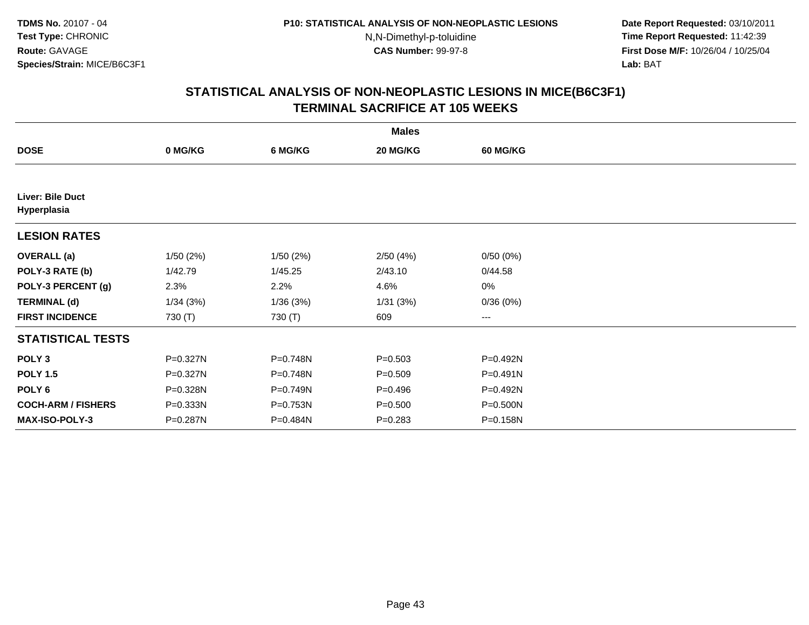**Date Report Requested:** 03/10/2011 **Time Report Requested:** 11:42:39 **First Dose M/F:** 10/26/04 / 10/25/04 Lab: BAT **Lab:** BAT

|                                 |          |          | <b>Males</b> |                        |  |
|---------------------------------|----------|----------|--------------|------------------------|--|
| <b>DOSE</b>                     | 0 MG/KG  | 6 MG/KG  | 20 MG/KG     | <b>60 MG/KG</b>        |  |
|                                 |          |          |              |                        |  |
| Liver: Bile Duct<br>Hyperplasia |          |          |              |                        |  |
| <b>LESION RATES</b>             |          |          |              |                        |  |
| <b>OVERALL</b> (a)              | 1/50(2%) | 1/50(2%) | 2/50(4%)     | 0/50(0%)               |  |
| POLY-3 RATE (b)                 | 1/42.79  | 1/45.25  | 2/43.10      | 0/44.58                |  |
| POLY-3 PERCENT (g)              | 2.3%     | 2.2%     | 4.6%         | 0%                     |  |
| <b>TERMINAL (d)</b>             | 1/34(3%) | 1/36(3%) | 1/31(3%)     | 0/36(0%)               |  |
| <b>FIRST INCIDENCE</b>          | 730 (T)  | 730 (T)  | 609          | $\qquad \qquad \cdots$ |  |
| <b>STATISTICAL TESTS</b>        |          |          |              |                        |  |
| POLY <sub>3</sub>               | P=0.327N | P=0.748N | $P = 0.503$  | P=0.492N               |  |
| <b>POLY 1.5</b>                 | P=0.327N | P=0.748N | $P = 0.509$  | P=0.491N               |  |
| POLY <sub>6</sub>               | P=0.328N | P=0.749N | $P=0.496$    | P=0.492N               |  |
| <b>COCH-ARM / FISHERS</b>       | P=0.333N | P=0.753N | $P = 0.500$  | P=0.500N               |  |
| MAX-ISO-POLY-3                  | P=0.287N | P=0.484N | $P = 0.283$  | P=0.158N               |  |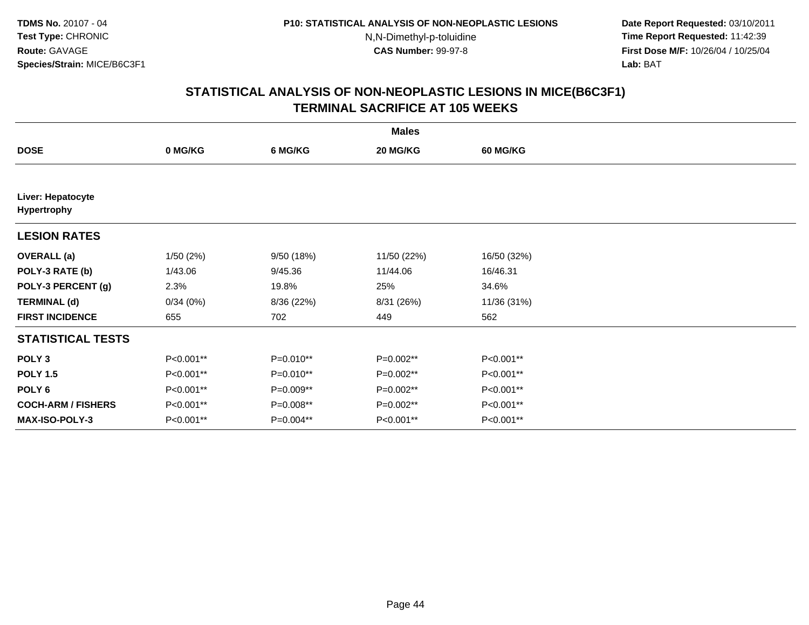**Date Report Requested:** 03/10/2011 **Time Report Requested:** 11:42:39 **First Dose M/F:** 10/26/04 / 10/25/04 Lab: BAT **Lab:** BAT

| <b>Males</b>                            |           |             |             |                 |  |  |
|-----------------------------------------|-----------|-------------|-------------|-----------------|--|--|
| <b>DOSE</b>                             | 0 MG/KG   | 6 MG/KG     | 20 MG/KG    | <b>60 MG/KG</b> |  |  |
|                                         |           |             |             |                 |  |  |
| Liver: Hepatocyte<br><b>Hypertrophy</b> |           |             |             |                 |  |  |
| <b>LESION RATES</b>                     |           |             |             |                 |  |  |
| <b>OVERALL</b> (a)                      | 1/50(2%)  | 9/50 (18%)  | 11/50 (22%) | 16/50 (32%)     |  |  |
| POLY-3 RATE (b)                         | 1/43.06   | 9/45.36     | 11/44.06    | 16/46.31        |  |  |
| POLY-3 PERCENT (g)                      | 2.3%      | 19.8%       | 25%         | 34.6%           |  |  |
| <b>TERMINAL (d)</b>                     | 0/34(0%)  | 8/36 (22%)  | 8/31 (26%)  | 11/36 (31%)     |  |  |
| <b>FIRST INCIDENCE</b>                  | 655       | 702         | 449         | 562             |  |  |
| <b>STATISTICAL TESTS</b>                |           |             |             |                 |  |  |
| POLY <sub>3</sub>                       | P<0.001** | $P=0.010**$ | $P=0.002**$ | P<0.001**       |  |  |
| <b>POLY 1.5</b>                         | P<0.001** | $P=0.010**$ | P=0.002**   | P<0.001**       |  |  |
| POLY <sub>6</sub>                       | P<0.001** | P=0.009**   | P=0.002**   | P<0.001**       |  |  |
| <b>COCH-ARM / FISHERS</b>               | P<0.001** | P=0.008**   | P=0.002**   | P<0.001**       |  |  |
| <b>MAX-ISO-POLY-3</b>                   | P<0.001** | P=0.004**   | P<0.001**   | P<0.001**       |  |  |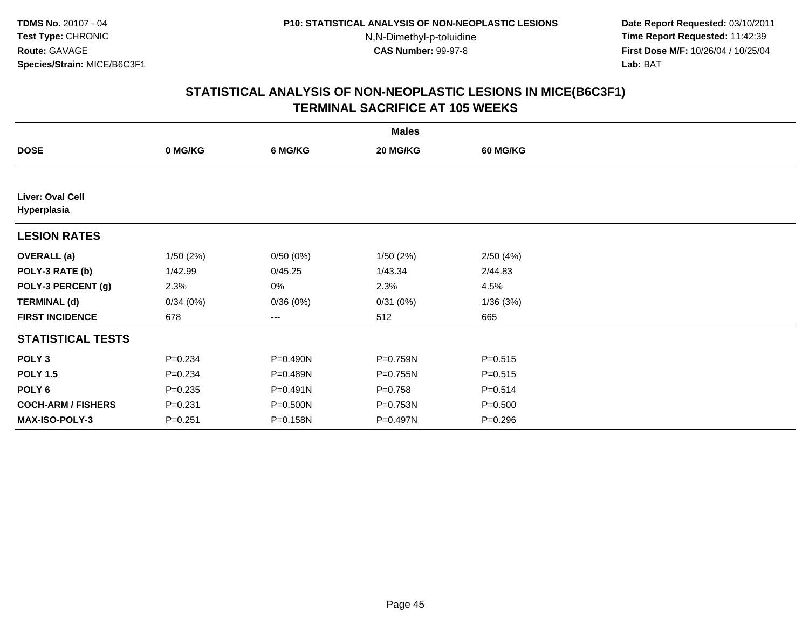**Date Report Requested:** 03/10/2011 **Time Report Requested:** 11:42:39 **First Dose M/F:** 10/26/04 / 10/25/04 Lab: BAT **Lab:** BAT

|                                 |             |              | <b>Males</b> |                 |  |
|---------------------------------|-------------|--------------|--------------|-----------------|--|
| <b>DOSE</b>                     | 0 MG/KG     | 6 MG/KG      | 20 MG/KG     | <b>60 MG/KG</b> |  |
|                                 |             |              |              |                 |  |
| Liver: Oval Cell<br>Hyperplasia |             |              |              |                 |  |
| <b>LESION RATES</b>             |             |              |              |                 |  |
| <b>OVERALL</b> (a)              | 1/50(2%)    | 0/50(0%)     | 1/50(2%)     | 2/50(4%)        |  |
| POLY-3 RATE (b)                 | 1/42.99     | 0/45.25      | 1/43.34      | 2/44.83         |  |
| POLY-3 PERCENT (g)              | 2.3%        | 0%           | 2.3%         | 4.5%            |  |
| <b>TERMINAL (d)</b>             | 0/34(0%)    | 0/36(0%)     | 0/31(0%)     | 1/36(3%)        |  |
| <b>FIRST INCIDENCE</b>          | 678         | ---          | 512          | 665             |  |
| <b>STATISTICAL TESTS</b>        |             |              |              |                 |  |
| POLY <sub>3</sub>               | $P = 0.234$ | P=0.490N     | P=0.759N     | $P = 0.515$     |  |
| <b>POLY 1.5</b>                 | $P = 0.234$ | P=0.489N     | P=0.755N     | $P = 0.515$     |  |
| POLY <sub>6</sub>               | $P = 0.235$ | $P = 0.491N$ | $P = 0.758$  | $P = 0.514$     |  |
| <b>COCH-ARM / FISHERS</b>       | $P = 0.231$ | P=0.500N     | P=0.753N     | $P = 0.500$     |  |
| <b>MAX-ISO-POLY-3</b>           | $P = 0.251$ | P=0.158N     | P=0.497N     | $P = 0.296$     |  |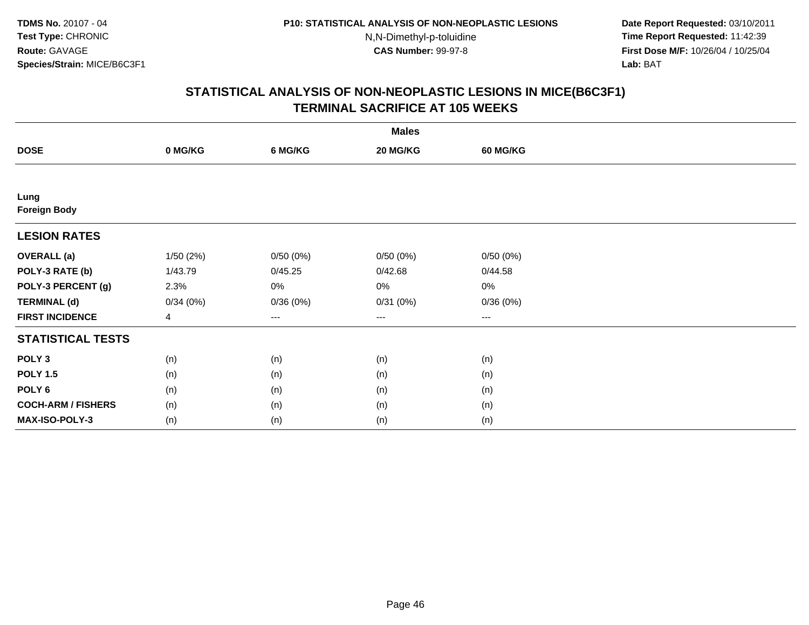**Date Report Requested:** 03/10/2011 **Time Report Requested:** 11:42:39 **First Dose M/F:** 10/26/04 / 10/25/04 Lab: BAT **Lab:** BAT

|                           |           |          | <b>Males</b> |                 |  |
|---------------------------|-----------|----------|--------------|-----------------|--|
| <b>DOSE</b>               | 0 MG/KG   | 6 MG/KG  | 20 MG/KG     | <b>60 MG/KG</b> |  |
|                           |           |          |              |                 |  |
| Lung                      |           |          |              |                 |  |
| <b>Foreign Body</b>       |           |          |              |                 |  |
| <b>LESION RATES</b>       |           |          |              |                 |  |
| <b>OVERALL (a)</b>        | 1/50 (2%) | 0/50(0%) | 0/50(0%)     | 0/50(0%)        |  |
| POLY-3 RATE (b)           | 1/43.79   | 0/45.25  | 0/42.68      | 0/44.58         |  |
| POLY-3 PERCENT (g)        | 2.3%      | $0\%$    | 0%           | 0%              |  |
| <b>TERMINAL (d)</b>       | 0/34(0%)  | 0/36(0%) | 0/31(0%)     | 0/36(0%)        |  |
| <b>FIRST INCIDENCE</b>    | 4         | $\cdots$ | ---          | $\cdots$        |  |
| <b>STATISTICAL TESTS</b>  |           |          |              |                 |  |
| POLY <sub>3</sub>         | (n)       | (n)      | (n)          | (n)             |  |
| <b>POLY 1.5</b>           | (n)       | (n)      | (n)          | (n)             |  |
| POLY <sub>6</sub>         | (n)       | (n)      | (n)          | (n)             |  |
| <b>COCH-ARM / FISHERS</b> | (n)       | (n)      | (n)          | (n)             |  |
| MAX-ISO-POLY-3            | (n)       | (n)      | (n)          | (n)             |  |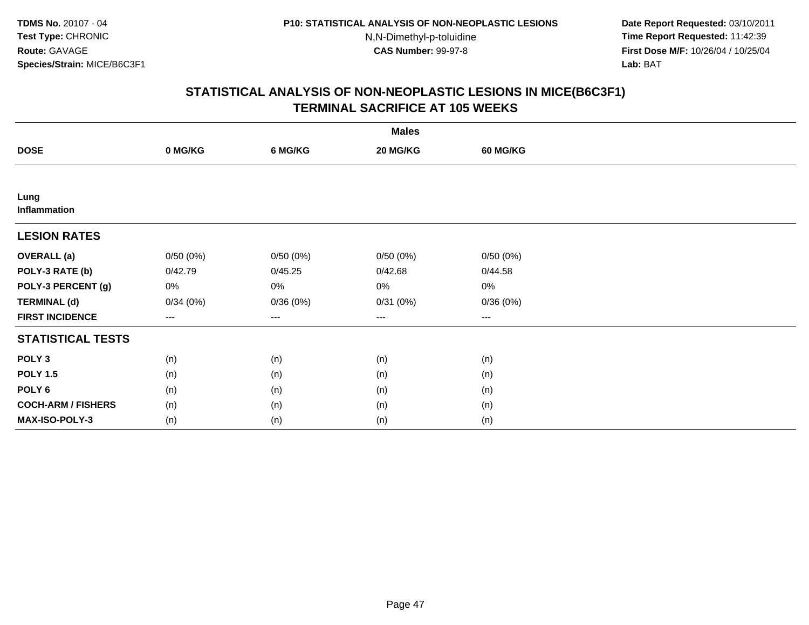**Date Report Requested:** 03/10/2011 **Time Report Requested:** 11:42:39 **First Dose M/F:** 10/26/04 / 10/25/04 Lab: BAT **Lab:** BAT

|                           |          |          | <b>Males</b> |                 |  |
|---------------------------|----------|----------|--------------|-----------------|--|
| <b>DOSE</b>               | 0 MG/KG  | 6 MG/KG  | 20 MG/KG     | <b>60 MG/KG</b> |  |
|                           |          |          |              |                 |  |
| Lung<br>Inflammation      |          |          |              |                 |  |
| <b>LESION RATES</b>       |          |          |              |                 |  |
| <b>OVERALL</b> (a)        | 0/50(0%) | 0/50(0%) | 0/50(0%)     | 0/50(0%)        |  |
| POLY-3 RATE (b)           | 0/42.79  | 0/45.25  | 0/42.68      | 0/44.58         |  |
| POLY-3 PERCENT (g)        | 0%       | $0\%$    | $0\%$        | 0%              |  |
| <b>TERMINAL (d)</b>       | 0/34(0%) | 0/36(0%) | 0/31(0%)     | 0/36(0%)        |  |
| <b>FIRST INCIDENCE</b>    | $--$     | $--$     | $--$         | $---$           |  |
| <b>STATISTICAL TESTS</b>  |          |          |              |                 |  |
| POLY <sub>3</sub>         | (n)      | (n)      | (n)          | (n)             |  |
| <b>POLY 1.5</b>           | (n)      | (n)      | (n)          | (n)             |  |
| POLY <sub>6</sub>         | (n)      | (n)      | (n)          | (n)             |  |
| <b>COCH-ARM / FISHERS</b> | (n)      | (n)      | (n)          | (n)             |  |
| MAX-ISO-POLY-3            | (n)      | (n)      | (n)          | (n)             |  |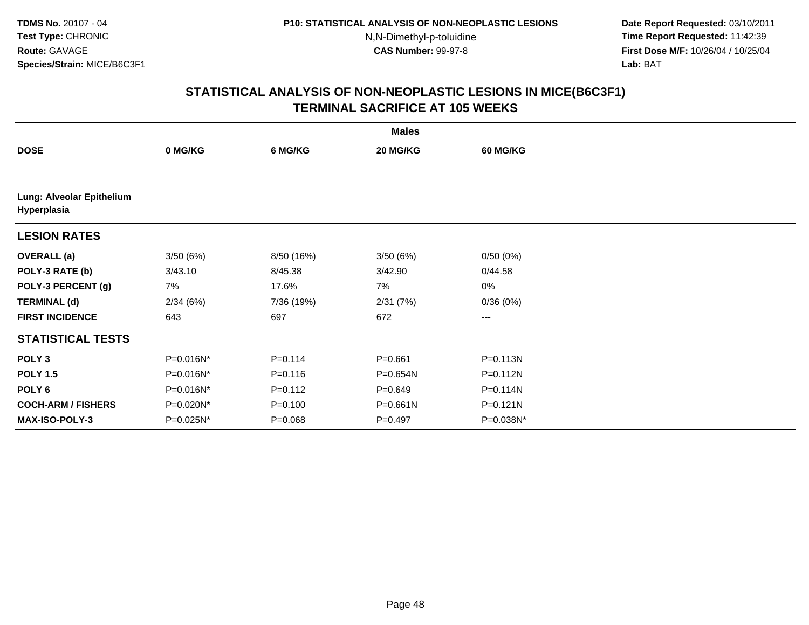**Date Report Requested:** 03/10/2011 **Time Report Requested:** 11:42:39 **First Dose M/F:** 10/26/04 / 10/25/04 Lab: BAT **Lab:** BAT

|                                          |           |             | <b>Males</b> |                        |  |
|------------------------------------------|-----------|-------------|--------------|------------------------|--|
| <b>DOSE</b>                              | 0 MG/KG   | 6 MG/KG     | 20 MG/KG     | <b>60 MG/KG</b>        |  |
|                                          |           |             |              |                        |  |
| Lung: Alveolar Epithelium<br>Hyperplasia |           |             |              |                        |  |
| <b>LESION RATES</b>                      |           |             |              |                        |  |
| <b>OVERALL</b> (a)                       | 3/50(6%)  | 8/50 (16%)  | 3/50(6%)     | 0/50(0%)               |  |
| POLY-3 RATE (b)                          | 3/43.10   | 8/45.38     | 3/42.90      | 0/44.58                |  |
| POLY-3 PERCENT (g)                       | 7%        | 17.6%       | 7%           | $0\%$                  |  |
| <b>TERMINAL (d)</b>                      | 2/34(6%)  | 7/36 (19%)  | 2/31(7%)     | 0/36(0%)               |  |
| <b>FIRST INCIDENCE</b>                   | 643       | 697         | 672          | $\qquad \qquad \cdots$ |  |
| <b>STATISTICAL TESTS</b>                 |           |             |              |                        |  |
| POLY <sub>3</sub>                        | P=0.016N* | $P = 0.114$ | $P = 0.661$  | P=0.113N               |  |
| <b>POLY 1.5</b>                          | P=0.016N* | $P = 0.116$ | P=0.654N     | P=0.112N               |  |
| POLY <sub>6</sub>                        | P=0.016N* | $P = 0.112$ | $P = 0.649$  | P=0.114N               |  |
| <b>COCH-ARM / FISHERS</b>                | P=0.020N* | $P = 0.100$ | $P = 0.661N$ | P=0.121N               |  |
| <b>MAX-ISO-POLY-3</b>                    | P=0.025N* | $P = 0.068$ | $P = 0.497$  | P=0.038N*              |  |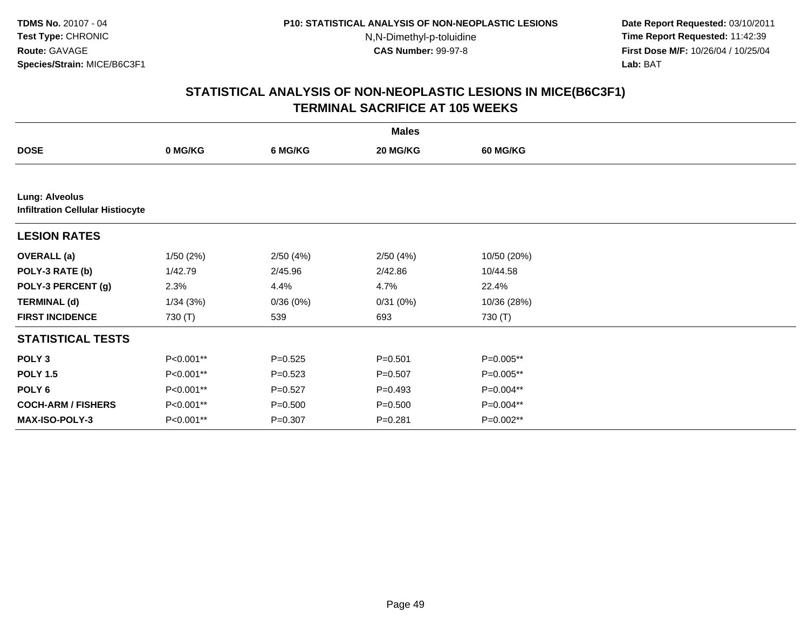**Date Report Requested:** 03/10/2011 **Time Report Requested:** 11:42:39 **First Dose M/F:** 10/26/04 / 10/25/04 Lab: BAT **Lab:** BAT

|                                                                  |           |             | <b>Males</b> |                 |  |
|------------------------------------------------------------------|-----------|-------------|--------------|-----------------|--|
| <b>DOSE</b>                                                      | 0 MG/KG   | 6 MG/KG     | 20 MG/KG     | <b>60 MG/KG</b> |  |
|                                                                  |           |             |              |                 |  |
| <b>Lung: Alveolus</b><br><b>Infiltration Cellular Histiocyte</b> |           |             |              |                 |  |
| <b>LESION RATES</b>                                              |           |             |              |                 |  |
| <b>OVERALL</b> (a)                                               | 1/50(2%)  | 2/50(4%)    | 2/50(4%)     | 10/50 (20%)     |  |
| POLY-3 RATE (b)                                                  | 1/42.79   | 2/45.96     | 2/42.86      | 10/44.58        |  |
| POLY-3 PERCENT (g)                                               | 2.3%      | 4.4%        | 4.7%         | 22.4%           |  |
| <b>TERMINAL (d)</b>                                              | 1/34(3%)  | 0/36(0%)    | 0/31(0%)     | 10/36 (28%)     |  |
| <b>FIRST INCIDENCE</b>                                           | 730 (T)   | 539         | 693          | 730 (T)         |  |
| <b>STATISTICAL TESTS</b>                                         |           |             |              |                 |  |
| POLY <sub>3</sub>                                                | P<0.001** | $P = 0.525$ | $P = 0.501$  | P=0.005**       |  |
| <b>POLY 1.5</b>                                                  | P<0.001** | $P = 0.523$ | $P = 0.507$  | P=0.005**       |  |
| POLY 6                                                           | P<0.001** | $P = 0.527$ | $P=0.493$    | P=0.004**       |  |
| <b>COCH-ARM / FISHERS</b>                                        | P<0.001** | $P = 0.500$ | $P = 0.500$  | P=0.004**       |  |
| <b>MAX-ISO-POLY-3</b>                                            | P<0.001** | $P = 0.307$ | $P = 0.281$  | P=0.002**       |  |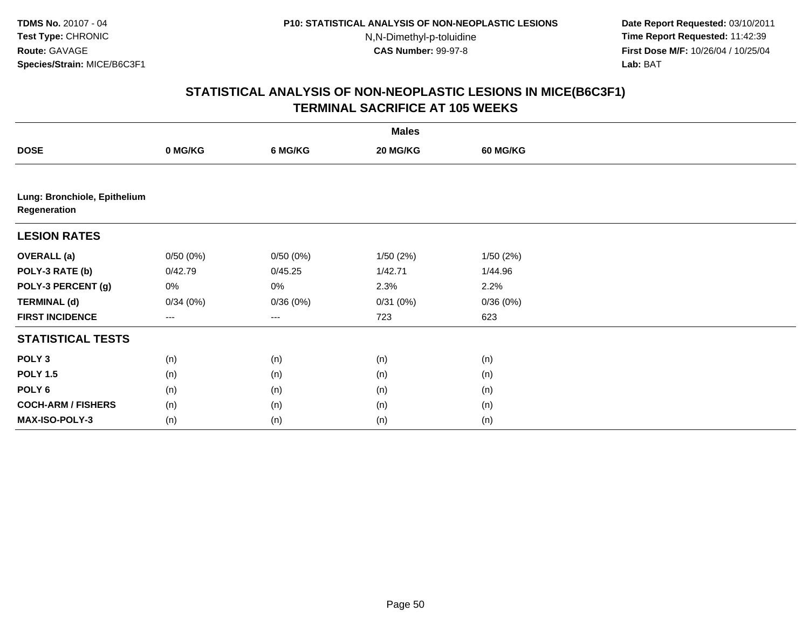**Date Report Requested:** 03/10/2011 **Time Report Requested:** 11:42:39 **First Dose M/F:** 10/26/04 / 10/25/04 Lab: BAT **Lab:** BAT

|                                              | <b>Males</b>      |          |          |                 |  |  |  |  |
|----------------------------------------------|-------------------|----------|----------|-----------------|--|--|--|--|
| <b>DOSE</b>                                  | 0 MG/KG           | 6 MG/KG  | 20 MG/KG | <b>60 MG/KG</b> |  |  |  |  |
|                                              |                   |          |          |                 |  |  |  |  |
| Lung: Bronchiole, Epithelium<br>Regeneration |                   |          |          |                 |  |  |  |  |
| <b>LESION RATES</b>                          |                   |          |          |                 |  |  |  |  |
| <b>OVERALL</b> (a)                           | 0/50(0%)          | 0/50(0%) | 1/50(2%) | 1/50(2%)        |  |  |  |  |
| POLY-3 RATE (b)                              | 0/42.79           | 0/45.25  | 1/42.71  | 1/44.96         |  |  |  |  |
| POLY-3 PERCENT (g)                           | 0%                | 0%       | 2.3%     | 2.2%            |  |  |  |  |
| <b>TERMINAL (d)</b>                          | 0/34(0%)          | 0/36(0%) | 0/31(0%) | 0/36(0%)        |  |  |  |  |
| <b>FIRST INCIDENCE</b>                       | $\qquad \qquad -$ | ---      | 723      | 623             |  |  |  |  |
| <b>STATISTICAL TESTS</b>                     |                   |          |          |                 |  |  |  |  |
| POLY <sub>3</sub>                            | (n)               | (n)      | (n)      | (n)             |  |  |  |  |
| <b>POLY 1.5</b>                              | (n)               | (n)      | (n)      | (n)             |  |  |  |  |
| POLY <sub>6</sub>                            | (n)               | (n)      | (n)      | (n)             |  |  |  |  |
| <b>COCH-ARM / FISHERS</b>                    | (n)               | (n)      | (n)      | (n)             |  |  |  |  |
| <b>MAX-ISO-POLY-3</b>                        | (n)               | (n)      | (n)      | (n)             |  |  |  |  |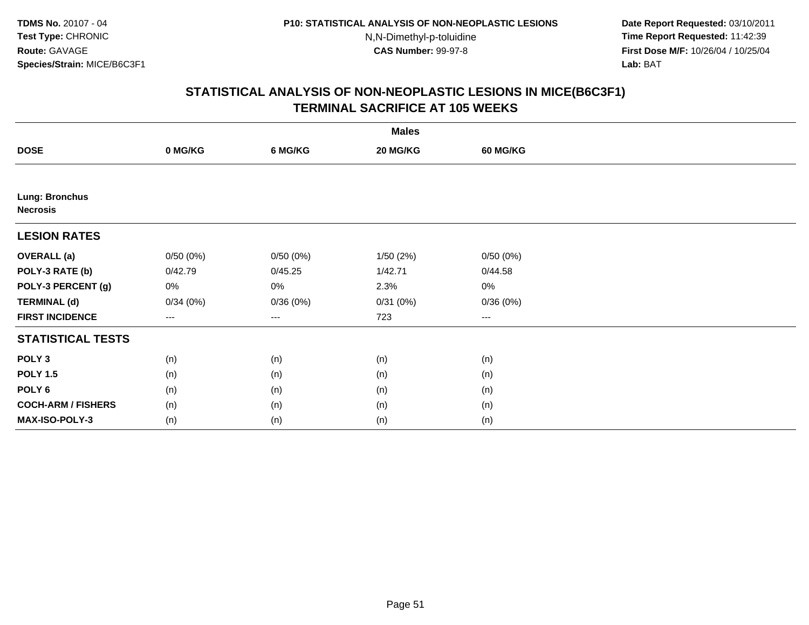**Date Report Requested:** 03/10/2011 **Time Report Requested:** 11:42:39 **First Dose M/F:** 10/26/04 / 10/25/04 Lab: BAT **Lab:** BAT

|                                          |                        |          | <b>Males</b> |                 |  |
|------------------------------------------|------------------------|----------|--------------|-----------------|--|
| <b>DOSE</b>                              | 0 MG/KG                | 6 MG/KG  | 20 MG/KG     | <b>60 MG/KG</b> |  |
|                                          |                        |          |              |                 |  |
| <b>Lung: Bronchus</b><br><b>Necrosis</b> |                        |          |              |                 |  |
| <b>LESION RATES</b>                      |                        |          |              |                 |  |
| <b>OVERALL</b> (a)                       | 0/50(0%)               | 0/50(0%) | 1/50(2%)     | 0/50(0%)        |  |
| POLY-3 RATE (b)                          | 0/42.79                | 0/45.25  | 1/42.71      | 0/44.58         |  |
| POLY-3 PERCENT (g)                       | 0%                     | 0%       | 2.3%         | 0%              |  |
| <b>TERMINAL (d)</b>                      | 0/34(0%)               | 0/36(0%) | 0/31(0%)     | 0/36(0%)        |  |
| <b>FIRST INCIDENCE</b>                   | $\qquad \qquad \cdots$ | $\cdots$ | 723          | $\cdots$        |  |
| <b>STATISTICAL TESTS</b>                 |                        |          |              |                 |  |
| POLY <sub>3</sub>                        | (n)                    | (n)      | (n)          | (n)             |  |
| <b>POLY 1.5</b>                          | (n)                    | (n)      | (n)          | (n)             |  |
| POLY <sub>6</sub>                        | (n)                    | (n)      | (n)          | (n)             |  |
| <b>COCH-ARM / FISHERS</b>                | (n)                    | (n)      | (n)          | (n)             |  |
| MAX-ISO-POLY-3                           | (n)                    | (n)      | (n)          | (n)             |  |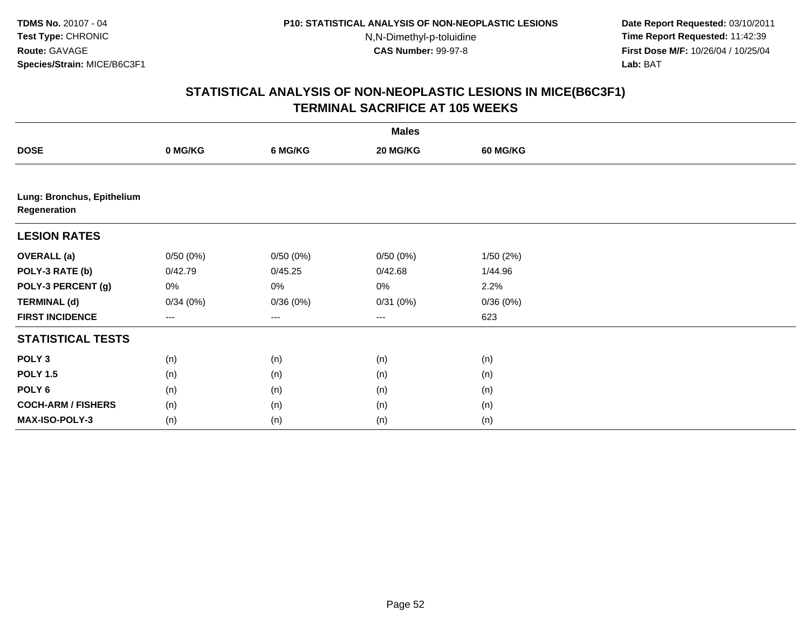**Date Report Requested:** 03/10/2011 **Time Report Requested:** 11:42:39 **First Dose M/F:** 10/26/04 / 10/25/04 Lab: BAT **Lab:** BAT

|                                            | <b>Males</b>      |          |                   |                 |  |  |  |  |
|--------------------------------------------|-------------------|----------|-------------------|-----------------|--|--|--|--|
| <b>DOSE</b>                                | 0 MG/KG           | 6 MG/KG  | 20 MG/KG          | <b>60 MG/KG</b> |  |  |  |  |
|                                            |                   |          |                   |                 |  |  |  |  |
| Lung: Bronchus, Epithelium<br>Regeneration |                   |          |                   |                 |  |  |  |  |
| <b>LESION RATES</b>                        |                   |          |                   |                 |  |  |  |  |
| <b>OVERALL</b> (a)                         | 0/50(0%)          | 0/50(0%) | 0/50(0%)          | 1/50(2%)        |  |  |  |  |
| POLY-3 RATE (b)                            | 0/42.79           | 0/45.25  | 0/42.68           | 1/44.96         |  |  |  |  |
| POLY-3 PERCENT (g)                         | 0%                | 0%       | 0%                | 2.2%            |  |  |  |  |
| <b>TERMINAL (d)</b>                        | 0/34(0%)          | 0/36(0%) | 0/31(0%)          | 0/36(0%)        |  |  |  |  |
| <b>FIRST INCIDENCE</b>                     | $\qquad \qquad -$ | $---$    | $\qquad \qquad -$ | 623             |  |  |  |  |
| <b>STATISTICAL TESTS</b>                   |                   |          |                   |                 |  |  |  |  |
| POLY <sub>3</sub>                          | (n)               | (n)      | (n)               | (n)             |  |  |  |  |
| <b>POLY 1.5</b>                            | (n)               | (n)      | (n)               | (n)             |  |  |  |  |
| POLY 6                                     | (n)               | (n)      | (n)               | (n)             |  |  |  |  |
| <b>COCH-ARM / FISHERS</b>                  | (n)               | (n)      | (n)               | (n)             |  |  |  |  |
| MAX-ISO-POLY-3                             | (n)               | (n)      | (n)               | (n)             |  |  |  |  |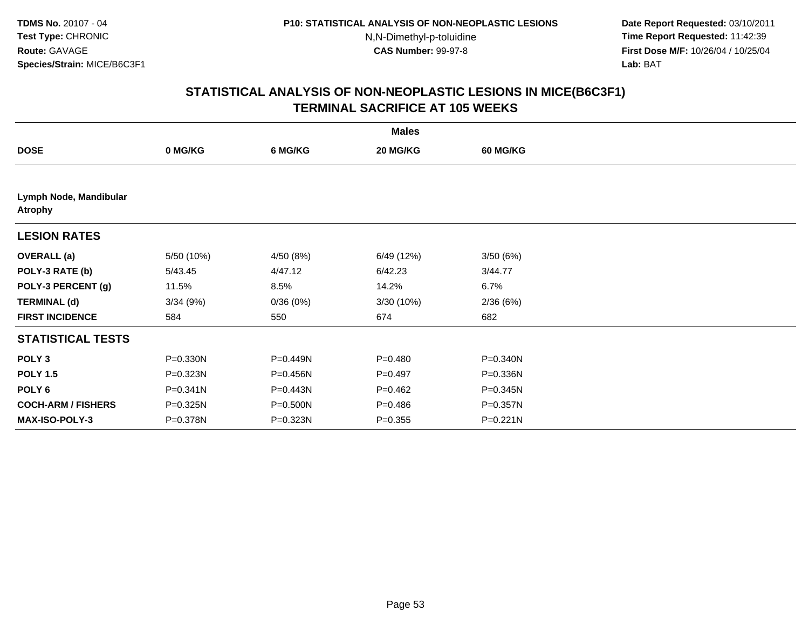**Date Report Requested:** 03/10/2011 **Time Report Requested:** 11:42:39 **First Dose M/F:** 10/26/04 / 10/25/04 Lab: BAT **Lab:** BAT

|                                          |              |           | <b>Males</b> |                 |  |
|------------------------------------------|--------------|-----------|--------------|-----------------|--|
| <b>DOSE</b>                              | 0 MG/KG      | 6 MG/KG   | 20 MG/KG     | <b>60 MG/KG</b> |  |
|                                          |              |           |              |                 |  |
| Lymph Node, Mandibular<br><b>Atrophy</b> |              |           |              |                 |  |
| <b>LESION RATES</b>                      |              |           |              |                 |  |
| <b>OVERALL</b> (a)                       | 5/50 (10%)   | 4/50 (8%) | 6/49 (12%)   | 3/50(6%)        |  |
| POLY-3 RATE (b)                          | 5/43.45      | 4/47.12   | 6/42.23      | 3/44.77         |  |
| POLY-3 PERCENT (g)                       | 11.5%        | 8.5%      | 14.2%        | 6.7%            |  |
| <b>TERMINAL (d)</b>                      | 3/34(9%)     | 0/36(0%)  | 3/30 (10%)   | 2/36(6%)        |  |
| <b>FIRST INCIDENCE</b>                   | 584          | 550       | 674          | 682             |  |
| <b>STATISTICAL TESTS</b>                 |              |           |              |                 |  |
| POLY <sub>3</sub>                        | P=0.330N     | P=0.449N  | $P = 0.480$  | P=0.340N        |  |
| <b>POLY 1.5</b>                          | P=0.323N     | P=0.456N  | $P=0.497$    | P=0.336N        |  |
| POLY <sub>6</sub>                        | $P = 0.341N$ | P=0.443N  | $P=0.462$    | P=0.345N        |  |
| <b>COCH-ARM / FISHERS</b>                | P=0.325N     | P=0.500N  | $P = 0.486$  | P=0.357N        |  |
| <b>MAX-ISO-POLY-3</b>                    | P=0.378N     | P=0.323N  | $P = 0.355$  | P=0.221N        |  |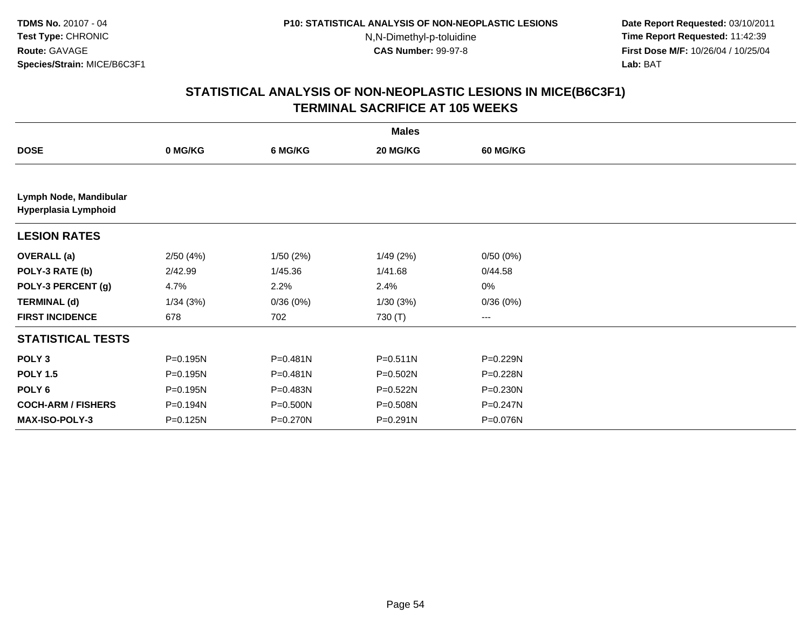**Date Report Requested:** 03/10/2011 **Time Report Requested:** 11:42:39 **First Dose M/F:** 10/26/04 / 10/25/04 Lab: BAT **Lab:** BAT

|                                                |          |          | <b>Males</b> |                 |  |
|------------------------------------------------|----------|----------|--------------|-----------------|--|
| <b>DOSE</b>                                    | 0 MG/KG  | 6 MG/KG  | 20 MG/KG     | <b>60 MG/KG</b> |  |
|                                                |          |          |              |                 |  |
| Lymph Node, Mandibular<br>Hyperplasia Lymphoid |          |          |              |                 |  |
| <b>LESION RATES</b>                            |          |          |              |                 |  |
| <b>OVERALL (a)</b>                             | 2/50(4%) | 1/50(2%) | 1/49(2%)     | 0/50(0%)        |  |
| POLY-3 RATE (b)                                | 2/42.99  | 1/45.36  | 1/41.68      | 0/44.58         |  |
| POLY-3 PERCENT (g)                             | 4.7%     | 2.2%     | 2.4%         | $0\%$           |  |
| <b>TERMINAL (d)</b>                            | 1/34(3%) | 0/36(0%) | 1/30(3%)     | 0/36(0%)        |  |
| <b>FIRST INCIDENCE</b>                         | 678      | 702      | 730 (T)      | ---             |  |
| <b>STATISTICAL TESTS</b>                       |          |          |              |                 |  |
| POLY <sub>3</sub>                              | P=0.195N | P=0.481N | $P = 0.511N$ | P=0.229N        |  |
| <b>POLY 1.5</b>                                | P=0.195N | P=0.481N | P=0.502N     | P=0.228N        |  |
| POLY 6                                         | P=0.195N | P=0.483N | P=0.522N     | $P = 0.230N$    |  |
| <b>COCH-ARM / FISHERS</b>                      | P=0.194N | P=0.500N | P=0.508N     | P=0.247N        |  |
| MAX-ISO-POLY-3                                 | P=0.125N | P=0.270N | P=0.291N     | P=0.076N        |  |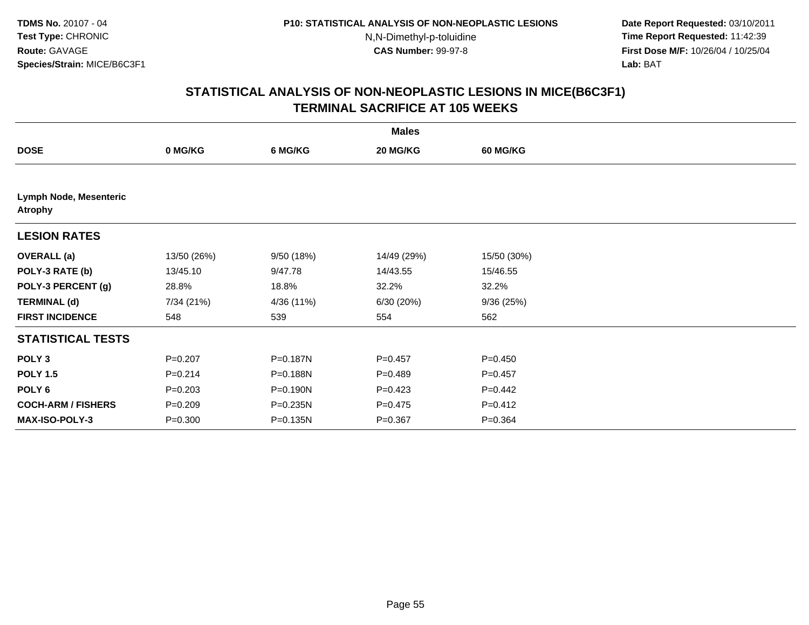**Date Report Requested:** 03/10/2011 **Time Report Requested:** 11:42:39 **First Dose M/F:** 10/26/04 / 10/25/04 Lab: BAT **Lab:** BAT

| <b>Males</b>                             |             |            |             |                 |  |  |  |
|------------------------------------------|-------------|------------|-------------|-----------------|--|--|--|
| <b>DOSE</b>                              | 0 MG/KG     | 6 MG/KG    | 20 MG/KG    | <b>60 MG/KG</b> |  |  |  |
|                                          |             |            |             |                 |  |  |  |
| Lymph Node, Mesenteric<br><b>Atrophy</b> |             |            |             |                 |  |  |  |
| <b>LESION RATES</b>                      |             |            |             |                 |  |  |  |
| <b>OVERALL</b> (a)                       | 13/50 (26%) | 9/50 (18%) | 14/49 (29%) | 15/50 (30%)     |  |  |  |
| POLY-3 RATE (b)                          | 13/45.10    | 9/47.78    | 14/43.55    | 15/46.55        |  |  |  |
| POLY-3 PERCENT (g)                       | 28.8%       | 18.8%      | 32.2%       | 32.2%           |  |  |  |
| <b>TERMINAL (d)</b>                      | 7/34 (21%)  | 4/36 (11%) | 6/30(20%)   | 9/36(25%)       |  |  |  |
| <b>FIRST INCIDENCE</b>                   | 548         | 539        | 554         | 562             |  |  |  |
| <b>STATISTICAL TESTS</b>                 |             |            |             |                 |  |  |  |
| POLY <sub>3</sub>                        | $P = 0.207$ | P=0.187N   | $P=0.457$   | $P = 0.450$     |  |  |  |
| <b>POLY 1.5</b>                          | $P = 0.214$ | P=0.188N   | $P=0.489$   | $P=0.457$       |  |  |  |
| POLY <sub>6</sub>                        | $P = 0.203$ | P=0.190N   | $P = 0.423$ | $P=0.442$       |  |  |  |
| <b>COCH-ARM / FISHERS</b>                | $P = 0.209$ | P=0.235N   | $P = 0.475$ | $P = 0.412$     |  |  |  |
| <b>MAX-ISO-POLY-3</b>                    | $P = 0.300$ | P=0.135N   | $P = 0.367$ | $P = 0.364$     |  |  |  |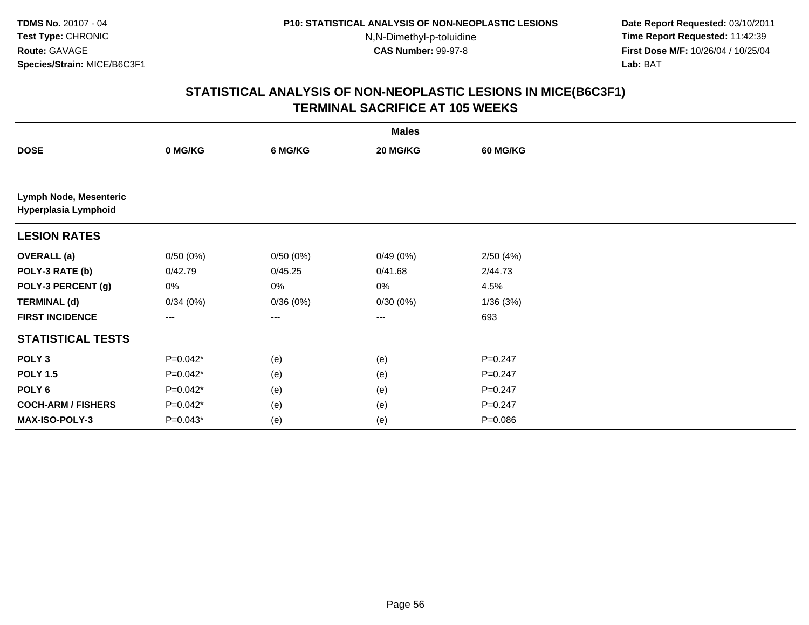**Date Report Requested:** 03/10/2011 **Time Report Requested:** 11:42:39 **First Dose M/F:** 10/26/04 / 10/25/04 Lab: BAT **Lab:** BAT

|                                                |            |          | <b>Males</b> |                 |  |
|------------------------------------------------|------------|----------|--------------|-----------------|--|
| <b>DOSE</b>                                    | 0 MG/KG    | 6 MG/KG  | 20 MG/KG     | <b>60 MG/KG</b> |  |
|                                                |            |          |              |                 |  |
| Lymph Node, Mesenteric<br>Hyperplasia Lymphoid |            |          |              |                 |  |
| <b>LESION RATES</b>                            |            |          |              |                 |  |
| <b>OVERALL</b> (a)                             | 0/50(0%)   | 0/50(0%) | 0/49(0%)     | 2/50(4%)        |  |
| POLY-3 RATE (b)                                | 0/42.79    | 0/45.25  | 0/41.68      | 2/44.73         |  |
| POLY-3 PERCENT (g)                             | 0%         | 0%       | 0%           | 4.5%            |  |
| <b>TERMINAL (d)</b>                            | 0/34(0%)   | 0/36(0%) | 0/30(0%)     | 1/36(3%)        |  |
| <b>FIRST INCIDENCE</b>                         | ---        | $--$     | $--$         | 693             |  |
| <b>STATISTICAL TESTS</b>                       |            |          |              |                 |  |
| POLY <sub>3</sub>                              | $P=0.042*$ | (e)      | (e)          | $P=0.247$       |  |
| <b>POLY 1.5</b>                                | $P=0.042*$ | (e)      | (e)          | $P=0.247$       |  |
| POLY 6                                         | $P=0.042*$ | (e)      | (e)          | $P = 0.247$     |  |
| <b>COCH-ARM / FISHERS</b>                      | $P=0.042*$ | (e)      | (e)          | $P = 0.247$     |  |
| MAX-ISO-POLY-3                                 | $P=0.043*$ | (e)      | (e)          | $P = 0.086$     |  |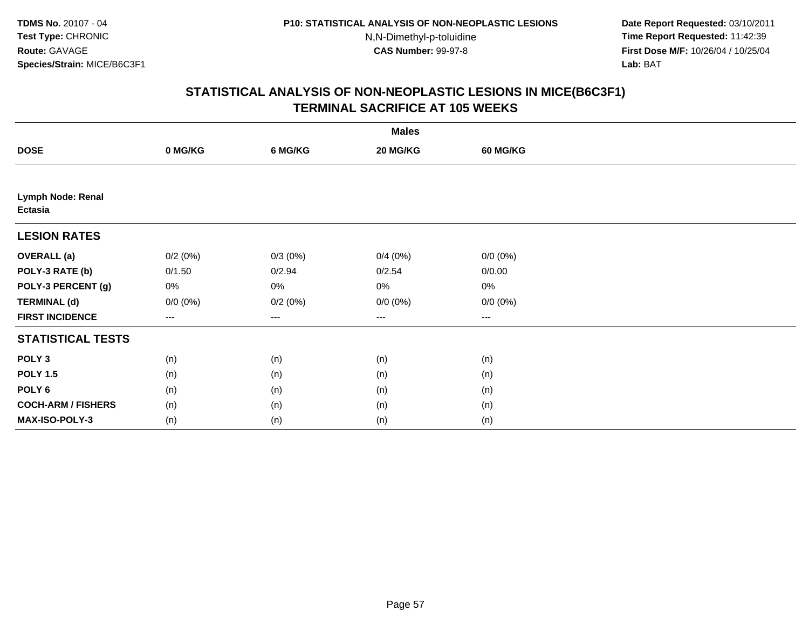**Date Report Requested:** 03/10/2011 **Time Report Requested:** 11:42:39 **First Dose M/F:** 10/26/04 / 10/25/04 Lab: BAT **Lab:** BAT

|                                            | <b>Males</b> |                   |             |             |  |  |  |  |
|--------------------------------------------|--------------|-------------------|-------------|-------------|--|--|--|--|
| <b>DOSE</b>                                | 0 MG/KG      | 6 MG/KG           | 20 MG/KG    | 60 MG/KG    |  |  |  |  |
|                                            |              |                   |             |             |  |  |  |  |
| <b>Lymph Node: Renal</b><br><b>Ectasia</b> |              |                   |             |             |  |  |  |  |
| <b>LESION RATES</b>                        |              |                   |             |             |  |  |  |  |
| <b>OVERALL</b> (a)                         | 0/2(0%)      | $0/3(0\%)$        | 0/4(0%)     | $0/0 (0\%)$ |  |  |  |  |
| POLY-3 RATE (b)                            | 0/1.50       | 0/2.94            | 0/2.54      | 0/0.00      |  |  |  |  |
| POLY-3 PERCENT (g)                         | 0%           | 0%                | 0%          | 0%          |  |  |  |  |
| <b>TERMINAL (d)</b>                        | $0/0 (0\%)$  | 0/2(0%)           | $0/0 (0\%)$ | $0/0 (0\%)$ |  |  |  |  |
| <b>FIRST INCIDENCE</b>                     | ---          | $\qquad \qquad -$ | $\cdots$    | $\cdots$    |  |  |  |  |
| <b>STATISTICAL TESTS</b>                   |              |                   |             |             |  |  |  |  |
| POLY <sub>3</sub>                          | (n)          | (n)               | (n)         | (n)         |  |  |  |  |
| <b>POLY 1.5</b>                            | (n)          | (n)               | (n)         | (n)         |  |  |  |  |
| POLY <sub>6</sub>                          | (n)          | (n)               | (n)         | (n)         |  |  |  |  |
| <b>COCH-ARM / FISHERS</b>                  | (n)          | (n)               | (n)         | (n)         |  |  |  |  |
| MAX-ISO-POLY-3                             | (n)          | (n)               | (n)         | (n)         |  |  |  |  |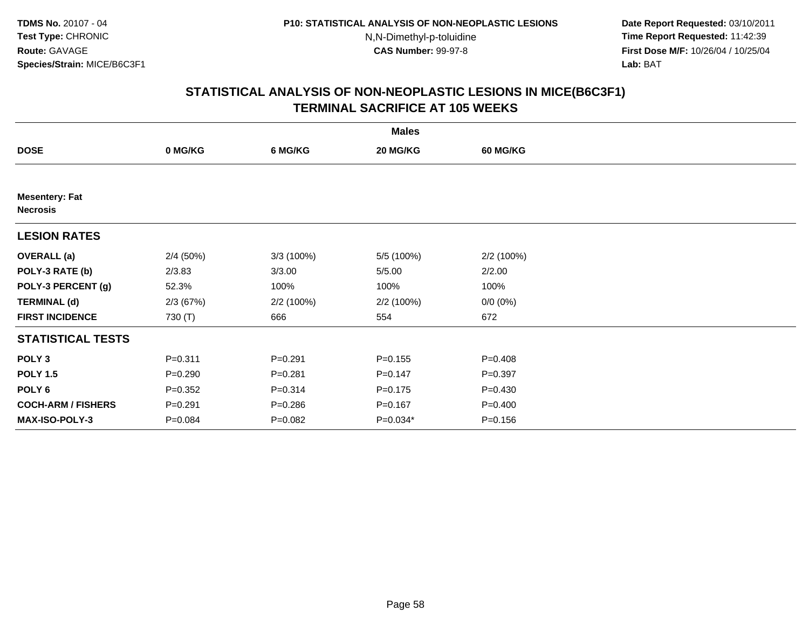**Date Report Requested:** 03/10/2011 **Time Report Requested:** 11:42:39 **First Dose M/F:** 10/26/04 / 10/25/04 Lab: BAT **Lab:** BAT

|                                          |             |             | <b>Males</b> |                 |  |
|------------------------------------------|-------------|-------------|--------------|-----------------|--|
| <b>DOSE</b>                              | 0 MG/KG     | 6 MG/KG     | 20 MG/KG     | <b>60 MG/KG</b> |  |
|                                          |             |             |              |                 |  |
| <b>Mesentery: Fat</b><br><b>Necrosis</b> |             |             |              |                 |  |
| <b>LESION RATES</b>                      |             |             |              |                 |  |
| <b>OVERALL</b> (a)                       | 2/4(50%)    | 3/3 (100%)  | 5/5 (100%)   | 2/2 (100%)      |  |
| POLY-3 RATE (b)                          | 2/3.83      | 3/3.00      | 5/5.00       | 2/2.00          |  |
| POLY-3 PERCENT (g)                       | 52.3%       | 100%        | 100%         | 100%            |  |
| <b>TERMINAL (d)</b>                      | 2/3(67%)    | 2/2 (100%)  | 2/2 (100%)   | $0/0 (0\%)$     |  |
| <b>FIRST INCIDENCE</b>                   | 730 (T)     | 666         | 554          | 672             |  |
| <b>STATISTICAL TESTS</b>                 |             |             |              |                 |  |
| POLY <sub>3</sub>                        | $P = 0.311$ | $P = 0.291$ | $P = 0.155$  | $P = 0.408$     |  |
| <b>POLY 1.5</b>                          | $P = 0.290$ | $P = 0.281$ | $P = 0.147$  | $P = 0.397$     |  |
| POLY <sub>6</sub>                        | $P=0.352$   | $P = 0.314$ | $P = 0.175$  | $P = 0.430$     |  |
| <b>COCH-ARM / FISHERS</b>                | $P = 0.291$ | $P = 0.286$ | $P = 0.167$  | $P = 0.400$     |  |
| MAX-ISO-POLY-3                           | $P = 0.084$ | $P = 0.082$ | $P=0.034*$   | $P = 0.156$     |  |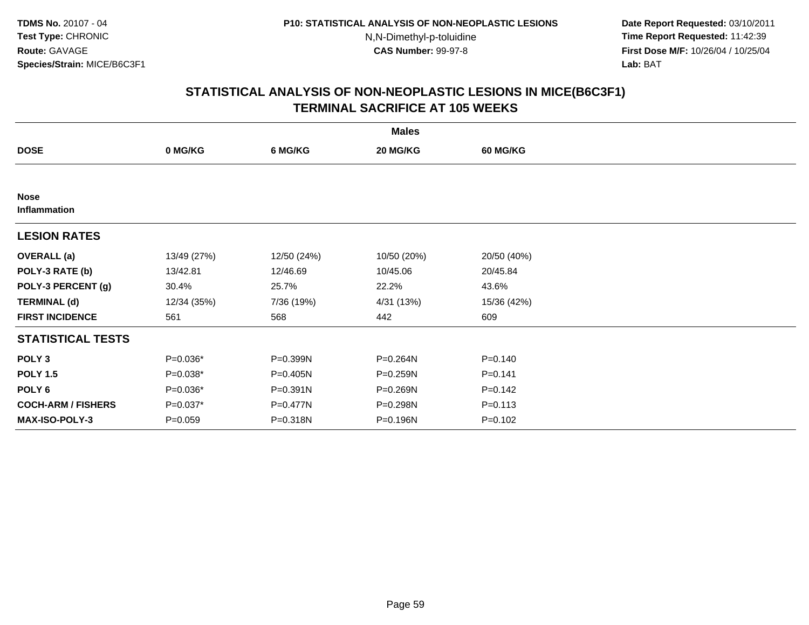**Date Report Requested:** 03/10/2011 **Time Report Requested:** 11:42:39 **First Dose M/F:** 10/26/04 / 10/25/04 Lab: BAT **Lab:** BAT

|                             | <b>Males</b> |              |             |                 |  |  |  |  |
|-----------------------------|--------------|--------------|-------------|-----------------|--|--|--|--|
| <b>DOSE</b>                 | 0 MG/KG      | 6 MG/KG      | 20 MG/KG    | <b>60 MG/KG</b> |  |  |  |  |
|                             |              |              |             |                 |  |  |  |  |
| <b>Nose</b><br>Inflammation |              |              |             |                 |  |  |  |  |
| <b>LESION RATES</b>         |              |              |             |                 |  |  |  |  |
| <b>OVERALL</b> (a)          | 13/49 (27%)  | 12/50 (24%)  | 10/50 (20%) | 20/50 (40%)     |  |  |  |  |
| POLY-3 RATE (b)             | 13/42.81     | 12/46.69     | 10/45.06    | 20/45.84        |  |  |  |  |
| POLY-3 PERCENT (g)          | 30.4%        | 25.7%        | 22.2%       | 43.6%           |  |  |  |  |
| <b>TERMINAL (d)</b>         | 12/34 (35%)  | 7/36 (19%)   | 4/31 (13%)  | 15/36 (42%)     |  |  |  |  |
| <b>FIRST INCIDENCE</b>      | 561          | 568          | 442         | 609             |  |  |  |  |
| <b>STATISTICAL TESTS</b>    |              |              |             |                 |  |  |  |  |
| POLY <sub>3</sub>           | P=0.036*     | P=0.399N     | P=0.264N    | $P = 0.140$     |  |  |  |  |
| <b>POLY 1.5</b>             | $P=0.038*$   | P=0.405N     | P=0.259N    | $P = 0.141$     |  |  |  |  |
| POLY 6                      | P=0.036*     | $P = 0.391N$ | P=0.269N    | $P = 0.142$     |  |  |  |  |
| <b>COCH-ARM / FISHERS</b>   | P=0.037*     | P=0.477N     | P=0.298N    | $P = 0.113$     |  |  |  |  |
| <b>MAX-ISO-POLY-3</b>       | $P = 0.059$  | P=0.318N     | P=0.196N    | $P = 0.102$     |  |  |  |  |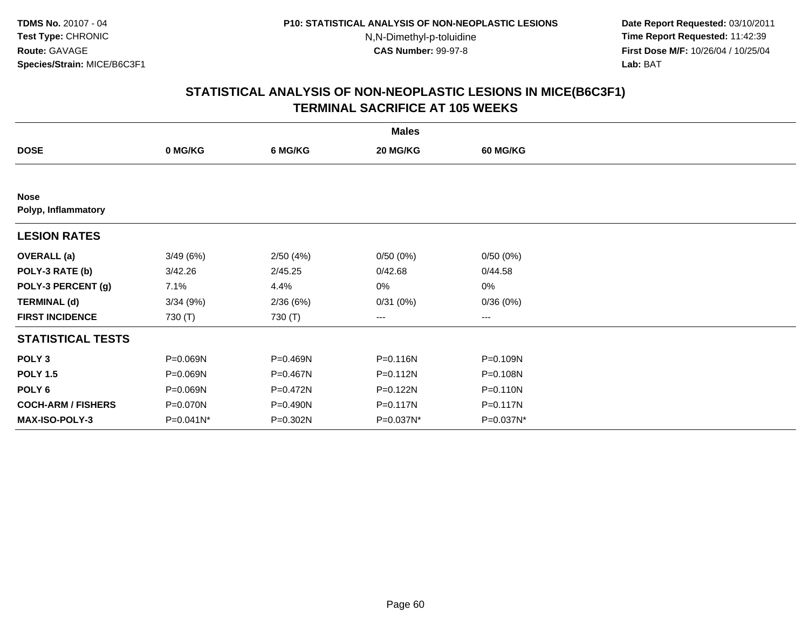**Date Report Requested:** 03/10/2011 **Time Report Requested:** 11:42:39 **First Dose M/F:** 10/26/04 / 10/25/04 Lab: BAT **Lab:** BAT

|                                    |              |          | <b>Males</b> |                   |  |
|------------------------------------|--------------|----------|--------------|-------------------|--|
| <b>DOSE</b>                        | 0 MG/KG      | 6 MG/KG  | 20 MG/KG     | 60 MG/KG          |  |
|                                    |              |          |              |                   |  |
| <b>Nose</b><br>Polyp, Inflammatory |              |          |              |                   |  |
| <b>LESION RATES</b>                |              |          |              |                   |  |
| <b>OVERALL</b> (a)                 | 3/49(6%)     | 2/50(4%) | 0/50(0%)     | 0/50(0%)          |  |
| POLY-3 RATE (b)                    | 3/42.26      | 2/45.25  | 0/42.68      | 0/44.58           |  |
| POLY-3 PERCENT (g)                 | 7.1%         | 4.4%     | 0%           | 0%                |  |
| <b>TERMINAL (d)</b>                | 3/34(9%)     | 2/36(6%) | 0/31(0%)     | 0/36(0%)          |  |
| <b>FIRST INCIDENCE</b>             | 730 (T)      | 730 (T)  | ---          | $\qquad \qquad -$ |  |
| <b>STATISTICAL TESTS</b>           |              |          |              |                   |  |
| POLY <sub>3</sub>                  | P=0.069N     | P=0.469N | P=0.116N     | P=0.109N          |  |
| <b>POLY 1.5</b>                    | P=0.069N     | P=0.467N | $P = 0.112N$ | $P = 0.108N$      |  |
| POLY <sub>6</sub>                  | P=0.069N     | P=0.472N | P=0.122N     | $P = 0.110N$      |  |
| <b>COCH-ARM / FISHERS</b>          | P=0.070N     | P=0.490N | P=0.117N     | P=0.117N          |  |
| <b>MAX-ISO-POLY-3</b>              | $P=0.041N^*$ | P=0.302N | P=0.037N*    | P=0.037N*         |  |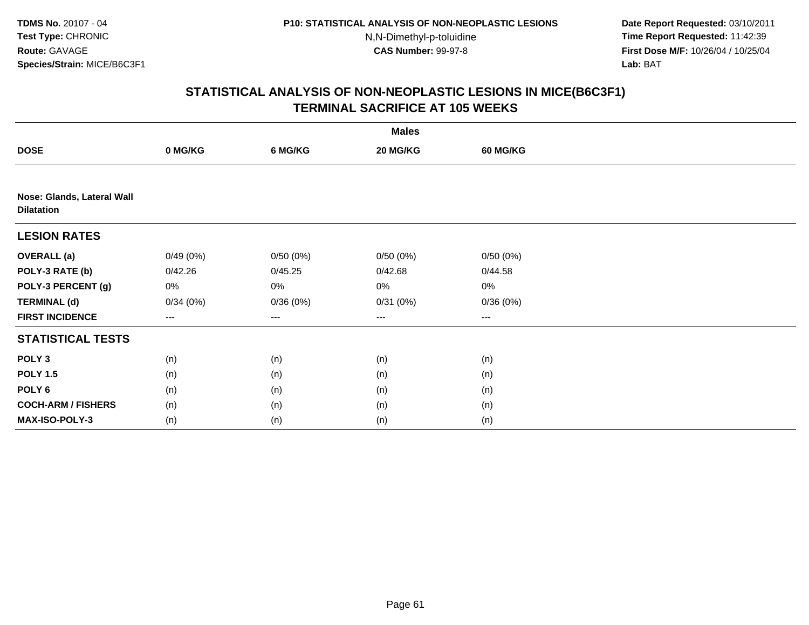**Date Report Requested:** 03/10/2011 **Time Report Requested:** 11:42:39 **First Dose M/F:** 10/26/04 / 10/25/04 Lab: BAT **Lab:** BAT

|                                                 | <b>Males</b>      |          |                   |          |  |  |  |
|-------------------------------------------------|-------------------|----------|-------------------|----------|--|--|--|
| <b>DOSE</b>                                     | 0 MG/KG           | 6 MG/KG  | 20 MG/KG          | 60 MG/KG |  |  |  |
|                                                 |                   |          |                   |          |  |  |  |
| Nose: Glands, Lateral Wall<br><b>Dilatation</b> |                   |          |                   |          |  |  |  |
| <b>LESION RATES</b>                             |                   |          |                   |          |  |  |  |
| <b>OVERALL</b> (a)                              | 0/49(0%)          | 0/50(0%) | 0/50(0%)          | 0/50(0%) |  |  |  |
| POLY-3 RATE (b)                                 | 0/42.26           | 0/45.25  | 0/42.68           | 0/44.58  |  |  |  |
| POLY-3 PERCENT (g)                              | 0%                | 0%       | 0%                | $0\%$    |  |  |  |
| <b>TERMINAL (d)</b>                             | 0/34(0%)          | 0/36(0%) | 0/31(0%)          | 0/36(0%) |  |  |  |
| <b>FIRST INCIDENCE</b>                          | $\qquad \qquad -$ | ---      | $\qquad \qquad -$ | $---$    |  |  |  |
| <b>STATISTICAL TESTS</b>                        |                   |          |                   |          |  |  |  |
| POLY <sub>3</sub>                               | (n)               | (n)      | (n)               | (n)      |  |  |  |
| <b>POLY 1.5</b>                                 | (n)               | (n)      | (n)               | (n)      |  |  |  |
| POLY <sub>6</sub>                               | (n)               | (n)      | (n)               | (n)      |  |  |  |
| <b>COCH-ARM / FISHERS</b>                       | (n)               | (n)      | (n)               | (n)      |  |  |  |
| <b>MAX-ISO-POLY-3</b>                           | (n)               | (n)      | (n)               | (n)      |  |  |  |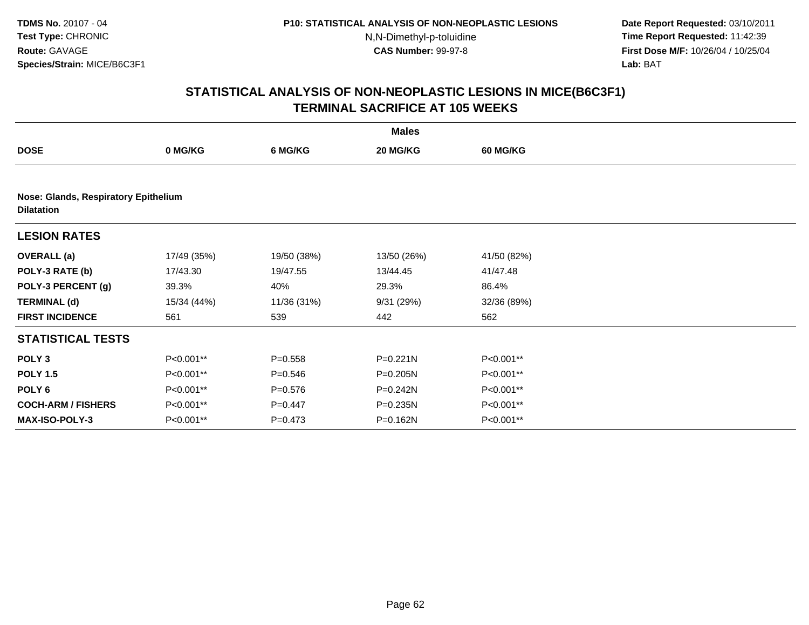**Date Report Requested:** 03/10/2011 **Time Report Requested:** 11:42:39 **First Dose M/F:** 10/26/04 / 10/25/04 Lab: BAT **Lab:** BAT

|                           | <b>Males</b>                         |             |              |                 |  |  |  |  |  |
|---------------------------|--------------------------------------|-------------|--------------|-----------------|--|--|--|--|--|
| <b>DOSE</b>               | 0 MG/KG                              | 6 MG/KG     | 20 MG/KG     | <b>60 MG/KG</b> |  |  |  |  |  |
|                           |                                      |             |              |                 |  |  |  |  |  |
| <b>Dilatation</b>         | Nose: Glands, Respiratory Epithelium |             |              |                 |  |  |  |  |  |
| <b>LESION RATES</b>       |                                      |             |              |                 |  |  |  |  |  |
| <b>OVERALL</b> (a)        | 17/49 (35%)                          | 19/50 (38%) | 13/50 (26%)  | 41/50 (82%)     |  |  |  |  |  |
| POLY-3 RATE (b)           | 17/43.30                             | 19/47.55    | 13/44.45     | 41/47.48        |  |  |  |  |  |
| POLY-3 PERCENT (g)        | 39.3%                                | 40%         | 29.3%        | 86.4%           |  |  |  |  |  |
| <b>TERMINAL (d)</b>       | 15/34 (44%)                          | 11/36 (31%) | 9/31(29%)    | 32/36 (89%)     |  |  |  |  |  |
| <b>FIRST INCIDENCE</b>    | 561                                  | 539         | 442          | 562             |  |  |  |  |  |
| <b>STATISTICAL TESTS</b>  |                                      |             |              |                 |  |  |  |  |  |
| POLY <sub>3</sub>         | P<0.001**                            | $P = 0.558$ | $P = 0.221N$ | P<0.001**       |  |  |  |  |  |
| <b>POLY 1.5</b>           | P<0.001**                            | $P = 0.546$ | P=0.205N     | P<0.001**       |  |  |  |  |  |
| POLY 6                    | P<0.001**                            | $P = 0.576$ | P=0.242N     | P<0.001**       |  |  |  |  |  |
| <b>COCH-ARM / FISHERS</b> | P<0.001**                            | $P=0.447$   | P=0.235N     | P<0.001**       |  |  |  |  |  |
| <b>MAX-ISO-POLY-3</b>     | P<0.001**                            | $P = 0.473$ | P=0.162N     | P<0.001**       |  |  |  |  |  |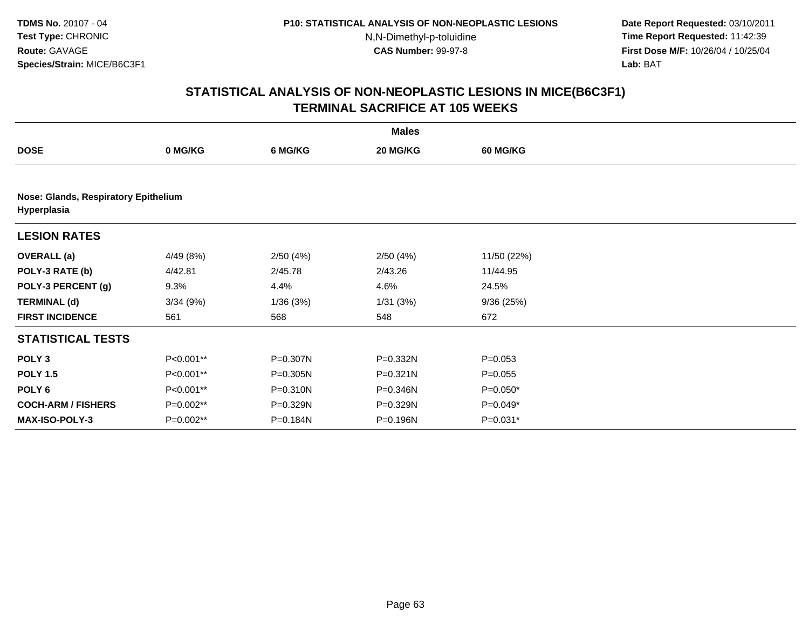**Date Report Requested:** 03/10/2011 **Time Report Requested:** 11:42:39 **First Dose M/F:** 10/26/04 / 10/25/04 Lab: BAT **Lab:** BAT

|                                                     |           |          | <b>Males</b> |                 |  |
|-----------------------------------------------------|-----------|----------|--------------|-----------------|--|
| <b>DOSE</b>                                         | 0 MG/KG   | 6 MG/KG  | 20 MG/KG     | <b>60 MG/KG</b> |  |
|                                                     |           |          |              |                 |  |
| Nose: Glands, Respiratory Epithelium<br>Hyperplasia |           |          |              |                 |  |
| <b>LESION RATES</b>                                 |           |          |              |                 |  |
| <b>OVERALL</b> (a)                                  | 4/49 (8%) | 2/50(4%) | 2/50(4%)     | 11/50 (22%)     |  |
| POLY-3 RATE (b)                                     | 4/42.81   | 2/45.78  | 2/43.26      | 11/44.95        |  |
| POLY-3 PERCENT (g)                                  | 9.3%      | 4.4%     | 4.6%         | 24.5%           |  |
| <b>TERMINAL (d)</b>                                 | 3/34(9%)  | 1/36(3%) | 1/31(3%)     | 9/36(25%)       |  |
| <b>FIRST INCIDENCE</b>                              | 561       | 568      | 548          | 672             |  |
| <b>STATISTICAL TESTS</b>                            |           |          |              |                 |  |
| POLY <sub>3</sub>                                   | P<0.001** | P=0.307N | P=0.332N     | $P = 0.053$     |  |
| <b>POLY 1.5</b>                                     | P<0.001** | P=0.305N | $P = 0.321N$ | $P=0.055$       |  |
| POLY 6                                              | P<0.001** | P=0.310N | P=0.346N     | $P=0.050*$      |  |
| <b>COCH-ARM / FISHERS</b>                           | P=0.002** | P=0.329N | P=0.329N     | $P=0.049*$      |  |
| MAX-ISO-POLY-3                                      | P=0.002** | P=0.184N | P=0.196N     | $P=0.031*$      |  |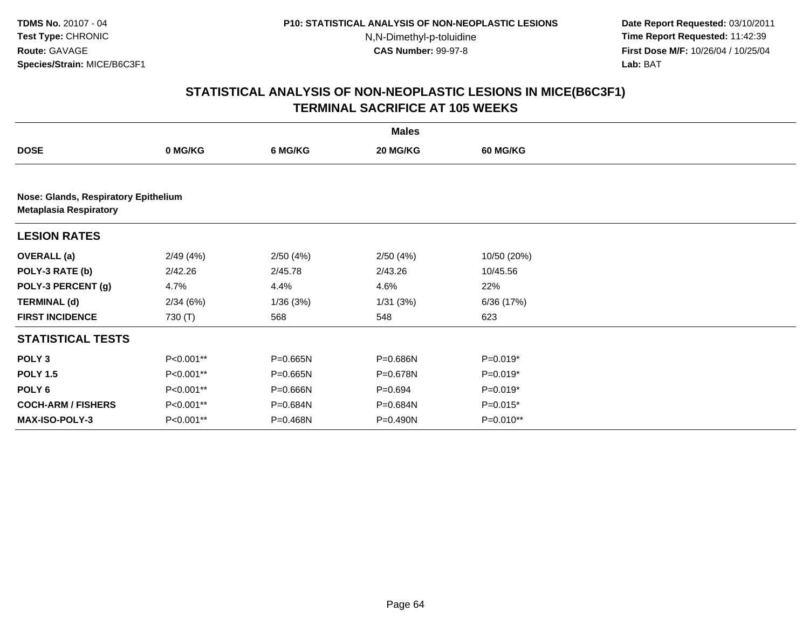**Date Report Requested:** 03/10/2011 **Time Report Requested:** 11:42:39 **First Dose M/F:** 10/26/04 / 10/25/04 Lab: BAT **Lab:** BAT

|                               |                                      |          | <b>Males</b> |             |  |  |  |  |  |
|-------------------------------|--------------------------------------|----------|--------------|-------------|--|--|--|--|--|
| <b>DOSE</b>                   | 0 MG/KG                              | 6 MG/KG  | 20 MG/KG     | 60 MG/KG    |  |  |  |  |  |
|                               |                                      |          |              |             |  |  |  |  |  |
| <b>Metaplasia Respiratory</b> | Nose: Glands, Respiratory Epithelium |          |              |             |  |  |  |  |  |
| <b>LESION RATES</b>           |                                      |          |              |             |  |  |  |  |  |
| <b>OVERALL</b> (a)            | 2/49(4%)                             | 2/50(4%) | 2/50(4%)     | 10/50 (20%) |  |  |  |  |  |
| POLY-3 RATE (b)               | 2/42.26                              | 2/45.78  | 2/43.26      | 10/45.56    |  |  |  |  |  |
| POLY-3 PERCENT (g)            | 4.7%                                 | 4.4%     | 4.6%         | 22%         |  |  |  |  |  |
| <b>TERMINAL (d)</b>           | 2/34(6%)                             | 1/36(3%) | 1/31(3%)     | 6/36(17%)   |  |  |  |  |  |
| <b>FIRST INCIDENCE</b>        | 730 (T)                              | 568      | 548          | 623         |  |  |  |  |  |
| <b>STATISTICAL TESTS</b>      |                                      |          |              |             |  |  |  |  |  |
| POLY <sub>3</sub>             | P<0.001**                            | P=0.665N | P=0.686N     | P=0.019*    |  |  |  |  |  |
| <b>POLY 1.5</b>               | P<0.001**                            | P=0.665N | P=0.678N     | P=0.019*    |  |  |  |  |  |
| POLY <sub>6</sub>             | P<0.001**                            | P=0.666N | $P=0.694$    | P=0.019*    |  |  |  |  |  |
| <b>COCH-ARM / FISHERS</b>     | P<0.001**                            | P=0.684N | P=0.684N     | P=0.015*    |  |  |  |  |  |
| <b>MAX-ISO-POLY-3</b>         | P<0.001**                            | P=0.468N | P=0.490N     | $P=0.010**$ |  |  |  |  |  |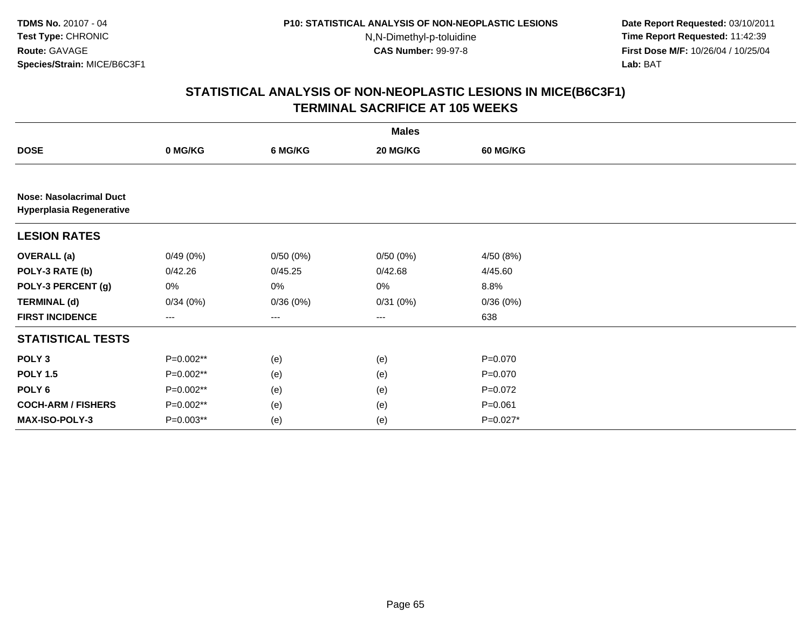**Date Report Requested:** 03/10/2011 **Time Report Requested:** 11:42:39 **First Dose M/F:** 10/26/04 / 10/25/04 Lab: BAT **Lab:** BAT

|                                                                   |           |          | <b>Males</b> |                 |  |  |  |  |  |
|-------------------------------------------------------------------|-----------|----------|--------------|-----------------|--|--|--|--|--|
| <b>DOSE</b>                                                       | 0 MG/KG   | 6 MG/KG  | 20 MG/KG     | <b>60 MG/KG</b> |  |  |  |  |  |
|                                                                   |           |          |              |                 |  |  |  |  |  |
| <b>Nose: Nasolacrimal Duct</b><br><b>Hyperplasia Regenerative</b> |           |          |              |                 |  |  |  |  |  |
| <b>LESION RATES</b>                                               |           |          |              |                 |  |  |  |  |  |
| <b>OVERALL</b> (a)                                                | 0/49(0%)  | 0/50(0%) | 0/50(0%)     | 4/50 (8%)       |  |  |  |  |  |
| POLY-3 RATE (b)                                                   | 0/42.26   | 0/45.25  | 0/42.68      | 4/45.60         |  |  |  |  |  |
| POLY-3 PERCENT (g)                                                | 0%        | 0%       | 0%           | 8.8%            |  |  |  |  |  |
| <b>TERMINAL (d)</b>                                               | 0/34(0%)  | 0/36(0%) | 0/31(0%)     | 0/36(0%)        |  |  |  |  |  |
| <b>FIRST INCIDENCE</b>                                            | ---       | $--$     | $--$         | 638             |  |  |  |  |  |
| <b>STATISTICAL TESTS</b>                                          |           |          |              |                 |  |  |  |  |  |
| POLY <sub>3</sub>                                                 | P=0.002** | (e)      | (e)          | $P=0.070$       |  |  |  |  |  |
| <b>POLY 1.5</b>                                                   | P=0.002** | (e)      | (e)          | $P=0.070$       |  |  |  |  |  |
| POLY 6                                                            | P=0.002** | (e)      | (e)          | $P=0.072$       |  |  |  |  |  |
| <b>COCH-ARM / FISHERS</b>                                         | P=0.002** | (e)      | (e)          | $P = 0.061$     |  |  |  |  |  |
| MAX-ISO-POLY-3                                                    | P=0.003** | (e)      | (e)          | P=0.027*        |  |  |  |  |  |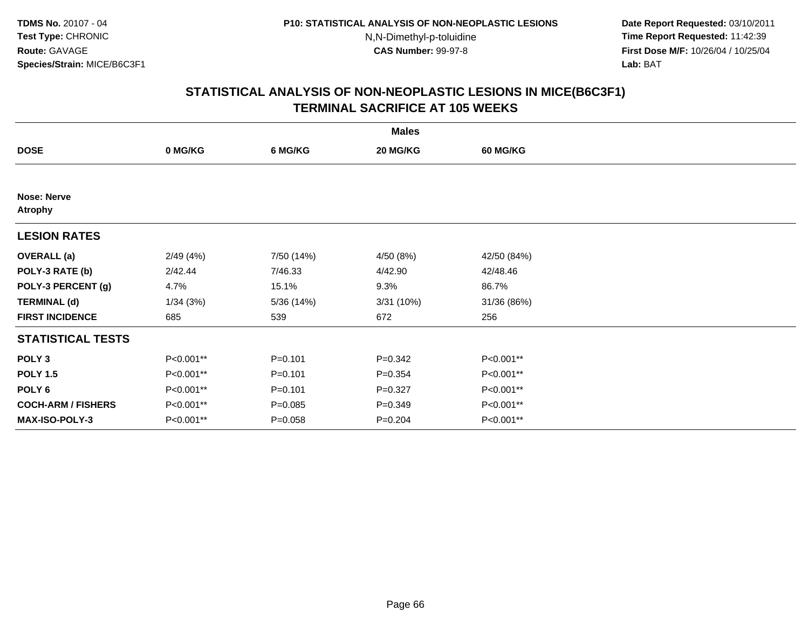**Date Report Requested:** 03/10/2011 **Time Report Requested:** 11:42:39 **First Dose M/F:** 10/26/04 / 10/25/04 Lab: BAT **Lab:** BAT

|                                      | <b>Males</b> |             |             |             |  |  |  |  |
|--------------------------------------|--------------|-------------|-------------|-------------|--|--|--|--|
| <b>DOSE</b>                          | 0 MG/KG      | 6 MG/KG     | 20 MG/KG    | 60 MG/KG    |  |  |  |  |
|                                      |              |             |             |             |  |  |  |  |
| <b>Nose: Nerve</b><br><b>Atrophy</b> |              |             |             |             |  |  |  |  |
| <b>LESION RATES</b>                  |              |             |             |             |  |  |  |  |
| <b>OVERALL</b> (a)                   | 2/49(4%)     | 7/50 (14%)  | 4/50 (8%)   | 42/50 (84%) |  |  |  |  |
| POLY-3 RATE (b)                      | 2/42.44      | 7/46.33     | 4/42.90     | 42/48.46    |  |  |  |  |
| POLY-3 PERCENT (g)                   | 4.7%         | 15.1%       | 9.3%        | 86.7%       |  |  |  |  |
| <b>TERMINAL (d)</b>                  | 1/34(3%)     | 5/36(14%)   | 3/31 (10%)  | 31/36 (86%) |  |  |  |  |
| <b>FIRST INCIDENCE</b>               | 685          | 539         | 672         | 256         |  |  |  |  |
| <b>STATISTICAL TESTS</b>             |              |             |             |             |  |  |  |  |
| POLY <sub>3</sub>                    | P<0.001**    | $P = 0.101$ | $P = 0.342$ | P<0.001**   |  |  |  |  |
| <b>POLY 1.5</b>                      | P<0.001**    | $P = 0.101$ | $P = 0.354$ | P<0.001**   |  |  |  |  |
| POLY <sub>6</sub>                    | P<0.001**    | $P = 0.101$ | $P = 0.327$ | P<0.001**   |  |  |  |  |
| <b>COCH-ARM / FISHERS</b>            | P<0.001**    | $P = 0.085$ | $P = 0.349$ | P<0.001**   |  |  |  |  |
| MAX-ISO-POLY-3                       | P<0.001**    | $P = 0.058$ | $P = 0.204$ | P<0.001**   |  |  |  |  |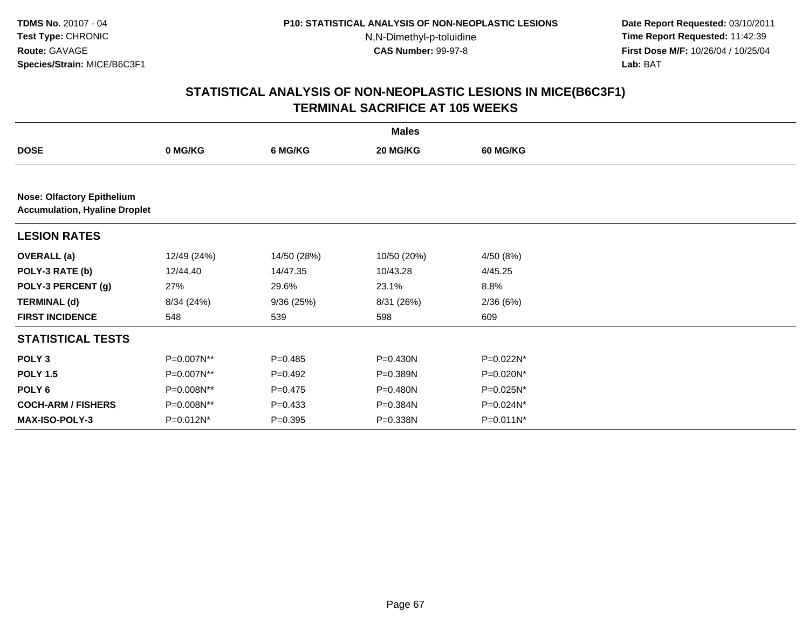**Date Report Requested:** 03/10/2011 **Time Report Requested:** 11:42:39 **First Dose M/F:** 10/26/04 / 10/25/04 Lab: BAT **Lab:** BAT

|                                   |                                      |             | <b>Males</b> |                 |  |  |  |  |  |
|-----------------------------------|--------------------------------------|-------------|--------------|-----------------|--|--|--|--|--|
| <b>DOSE</b>                       | 0 MG/KG                              | 6 MG/KG     | 20 MG/KG     | <b>60 MG/KG</b> |  |  |  |  |  |
|                                   |                                      |             |              |                 |  |  |  |  |  |
| <b>Nose: Olfactory Epithelium</b> | <b>Accumulation, Hyaline Droplet</b> |             |              |                 |  |  |  |  |  |
| <b>LESION RATES</b>               |                                      |             |              |                 |  |  |  |  |  |
| <b>OVERALL</b> (a)                | 12/49 (24%)                          | 14/50 (28%) | 10/50 (20%)  | 4/50 (8%)       |  |  |  |  |  |
| POLY-3 RATE (b)                   | 12/44.40                             | 14/47.35    | 10/43.28     | 4/45.25         |  |  |  |  |  |
| POLY-3 PERCENT (g)                | 27%                                  | 29.6%       | 23.1%        | 8.8%            |  |  |  |  |  |
| <b>TERMINAL (d)</b>               | 8/34 (24%)                           | 9/36(25%)   | 8/31 (26%)   | 2/36(6%)        |  |  |  |  |  |
| <b>FIRST INCIDENCE</b>            | 548                                  | 539         | 598          | 609             |  |  |  |  |  |
| <b>STATISTICAL TESTS</b>          |                                      |             |              |                 |  |  |  |  |  |
| POLY <sub>3</sub>                 | P=0.007N**                           | $P = 0.485$ | P=0.430N     | P=0.022N*       |  |  |  |  |  |
| <b>POLY 1.5</b>                   | P=0.007N**                           | $P=0.492$   | P=0.389N     | $P=0.020N^*$    |  |  |  |  |  |
| POLY <sub>6</sub>                 | P=0.008N**                           | $P=0.475$   | P=0.480N     | P=0.025N*       |  |  |  |  |  |
| <b>COCH-ARM / FISHERS</b>         | P=0.008N**                           | $P = 0.433$ | $P = 0.384N$ | P=0.024N*       |  |  |  |  |  |
| <b>MAX-ISO-POLY-3</b>             | P=0.012N*                            | $P = 0.395$ | P=0.338N     | $P = 0.011N^*$  |  |  |  |  |  |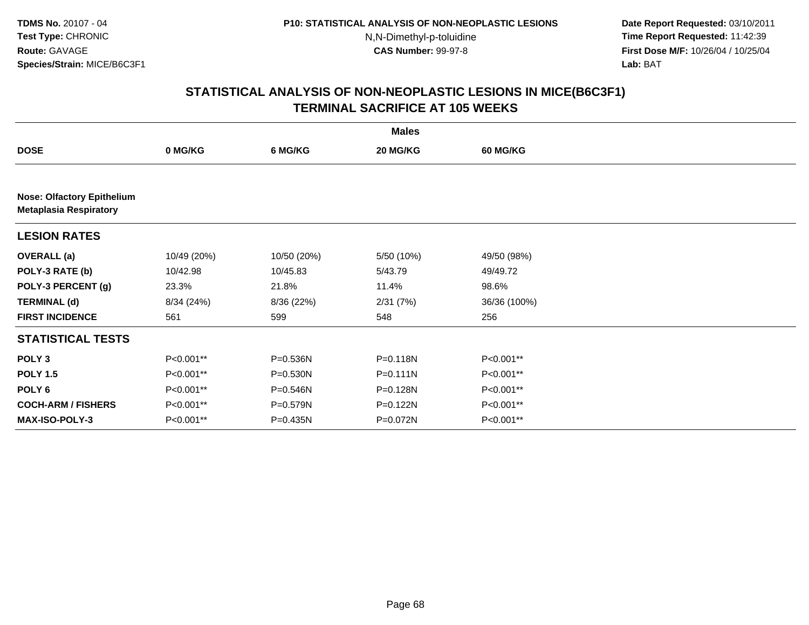**Date Report Requested:** 03/10/2011 **Time Report Requested:** 11:42:39 **First Dose M/F:** 10/26/04 / 10/25/04 Lab: BAT **Lab:** BAT

|                                                                    | <b>Males</b> |             |              |                 |  |  |  |  |
|--------------------------------------------------------------------|--------------|-------------|--------------|-----------------|--|--|--|--|
| <b>DOSE</b>                                                        | 0 MG/KG      | 6 MG/KG     | 20 MG/KG     | <b>60 MG/KG</b> |  |  |  |  |
|                                                                    |              |             |              |                 |  |  |  |  |
| <b>Nose: Olfactory Epithelium</b><br><b>Metaplasia Respiratory</b> |              |             |              |                 |  |  |  |  |
| <b>LESION RATES</b>                                                |              |             |              |                 |  |  |  |  |
| <b>OVERALL</b> (a)                                                 | 10/49 (20%)  | 10/50 (20%) | 5/50 (10%)   | 49/50 (98%)     |  |  |  |  |
| POLY-3 RATE (b)                                                    | 10/42.98     | 10/45.83    | 5/43.79      | 49/49.72        |  |  |  |  |
| POLY-3 PERCENT (g)                                                 | 23.3%        | 21.8%       | 11.4%        | 98.6%           |  |  |  |  |
| <b>TERMINAL (d)</b>                                                | 8/34(24%)    | 8/36 (22%)  | 2/31(7%)     | 36/36 (100%)    |  |  |  |  |
| <b>FIRST INCIDENCE</b>                                             | 561          | 599         | 548          | 256             |  |  |  |  |
| <b>STATISTICAL TESTS</b>                                           |              |             |              |                 |  |  |  |  |
| POLY <sub>3</sub>                                                  | P<0.001**    | P=0.536N    | P=0.118N     | P<0.001**       |  |  |  |  |
| <b>POLY 1.5</b>                                                    | P<0.001**    | P=0.530N    | $P = 0.111N$ | P<0.001**       |  |  |  |  |
| POLY 6                                                             | P<0.001**    | P=0.546N    | P=0.128N     | P<0.001**       |  |  |  |  |
| <b>COCH-ARM / FISHERS</b>                                          | P<0.001**    | P=0.579N    | P=0.122N     | P<0.001**       |  |  |  |  |
| <b>MAX-ISO-POLY-3</b>                                              | P<0.001**    | P=0.435N    | P=0.072N     | P<0.001**       |  |  |  |  |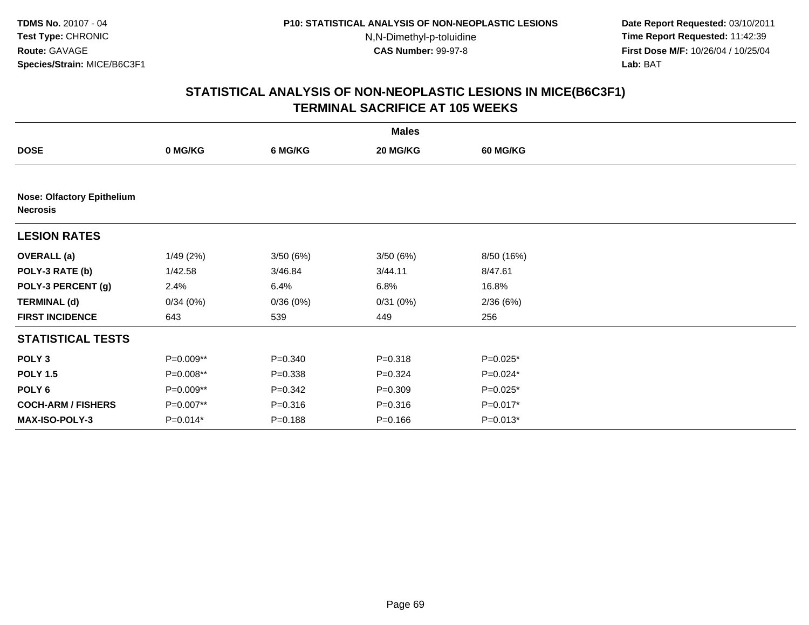**Date Report Requested:** 03/10/2011 **Time Report Requested:** 11:42:39 **First Dose M/F:** 10/26/04 / 10/25/04 Lab: BAT **Lab:** BAT

|                                                      |           |             | <b>Males</b> |            |  |  |  |  |  |
|------------------------------------------------------|-----------|-------------|--------------|------------|--|--|--|--|--|
| <b>DOSE</b>                                          | 0 MG/KG   | 6 MG/KG     | 20 MG/KG     | 60 MG/KG   |  |  |  |  |  |
|                                                      |           |             |              |            |  |  |  |  |  |
| <b>Nose: Olfactory Epithelium</b><br><b>Necrosis</b> |           |             |              |            |  |  |  |  |  |
| <b>LESION RATES</b>                                  |           |             |              |            |  |  |  |  |  |
| <b>OVERALL</b> (a)                                   | 1/49(2%)  | 3/50(6%)    | 3/50(6%)     | 8/50 (16%) |  |  |  |  |  |
| POLY-3 RATE (b)                                      | 1/42.58   | 3/46.84     | 3/44.11      | 8/47.61    |  |  |  |  |  |
| POLY-3 PERCENT (g)                                   | 2.4%      | 6.4%        | 6.8%         | 16.8%      |  |  |  |  |  |
| <b>TERMINAL (d)</b>                                  | 0/34(0%)  | 0/36(0%)    | 0/31(0%)     | 2/36(6%)   |  |  |  |  |  |
| <b>FIRST INCIDENCE</b>                               | 643       | 539         | 449          | 256        |  |  |  |  |  |
| <b>STATISTICAL TESTS</b>                             |           |             |              |            |  |  |  |  |  |
| POLY <sub>3</sub>                                    | P=0.009** | $P = 0.340$ | $P = 0.318$  | P=0.025*   |  |  |  |  |  |
| <b>POLY 1.5</b>                                      | P=0.008** | $P = 0.338$ | $P = 0.324$  | P=0.024*   |  |  |  |  |  |
| POLY 6                                               | P=0.009** | $P = 0.342$ | $P = 0.309$  | P=0.025*   |  |  |  |  |  |
| <b>COCH-ARM / FISHERS</b>                            | P=0.007** | $P = 0.316$ | $P = 0.316$  | P=0.017*   |  |  |  |  |  |
| <b>MAX-ISO-POLY-3</b>                                | P=0.014*  | $P = 0.188$ | $P = 0.166$  | $P=0.013*$ |  |  |  |  |  |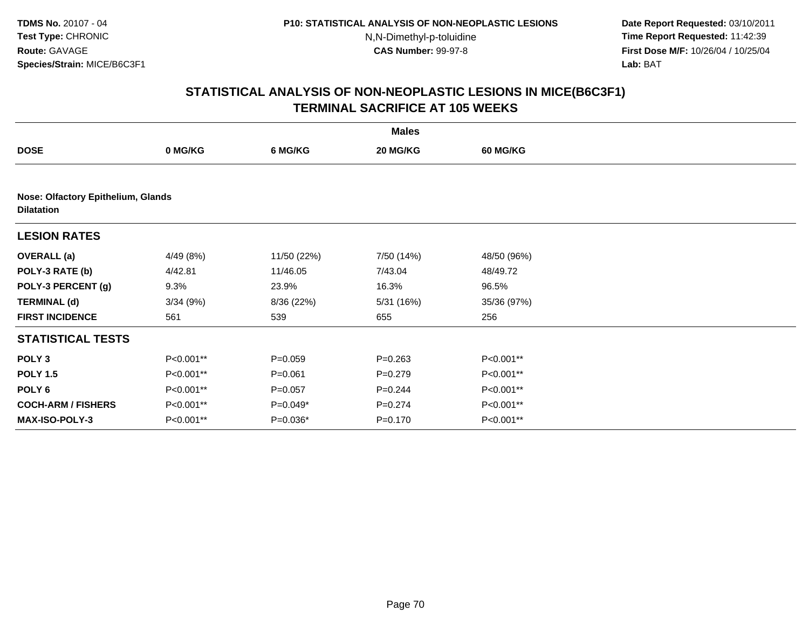**Date Report Requested:** 03/10/2011 **Time Report Requested:** 11:42:39 **First Dose M/F:** 10/26/04 / 10/25/04 Lab: BAT **Lab:** BAT

|                                                         |           |             | <b>Males</b> |                 |  |
|---------------------------------------------------------|-----------|-------------|--------------|-----------------|--|
| <b>DOSE</b>                                             | 0 MG/KG   | 6 MG/KG     | 20 MG/KG     | <b>60 MG/KG</b> |  |
|                                                         |           |             |              |                 |  |
| Nose: Olfactory Epithelium, Glands<br><b>Dilatation</b> |           |             |              |                 |  |
| <b>LESION RATES</b>                                     |           |             |              |                 |  |
| <b>OVERALL</b> (a)                                      | 4/49 (8%) | 11/50 (22%) | 7/50 (14%)   | 48/50 (96%)     |  |
| POLY-3 RATE (b)                                         | 4/42.81   | 11/46.05    | 7/43.04      | 48/49.72        |  |
| POLY-3 PERCENT (g)                                      | 9.3%      | 23.9%       | 16.3%        | 96.5%           |  |
| <b>TERMINAL (d)</b>                                     | 3/34(9%)  | 8/36 (22%)  | 5/31(16%)    | 35/36 (97%)     |  |
| <b>FIRST INCIDENCE</b>                                  | 561       | 539         | 655          | 256             |  |
| <b>STATISTICAL TESTS</b>                                |           |             |              |                 |  |
| POLY <sub>3</sub>                                       | P<0.001** | $P = 0.059$ | $P = 0.263$  | P<0.001**       |  |
| <b>POLY 1.5</b>                                         | P<0.001** | $P = 0.061$ | $P = 0.279$  | P<0.001**       |  |
| POLY 6                                                  | P<0.001** | $P = 0.057$ | $P = 0.244$  | P<0.001**       |  |
| <b>COCH-ARM / FISHERS</b>                               | P<0.001** | P=0.049*    | $P = 0.274$  | P<0.001**       |  |
| <b>MAX-ISO-POLY-3</b>                                   | P<0.001** | P=0.036*    | $P = 0.170$  | P<0.001**       |  |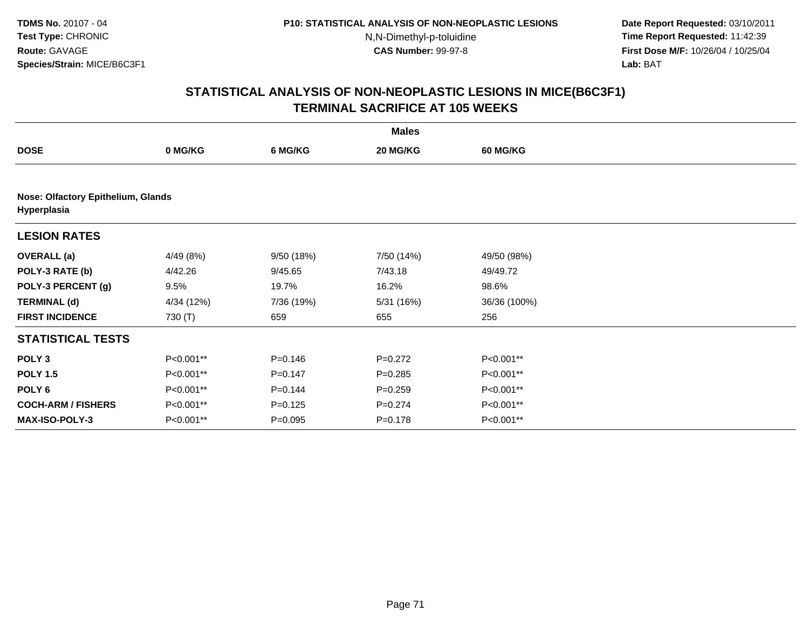**Date Report Requested:** 03/10/2011 **Time Report Requested:** 11:42:39 **First Dose M/F:** 10/26/04 / 10/25/04 Lab: BAT **Lab:** BAT

|                           |                                    |             | <b>Males</b> |                 |  |  |  |  |  |
|---------------------------|------------------------------------|-------------|--------------|-----------------|--|--|--|--|--|
| <b>DOSE</b>               | 0 MG/KG                            | 6 MG/KG     | 20 MG/KG     | <b>60 MG/KG</b> |  |  |  |  |  |
|                           |                                    |             |              |                 |  |  |  |  |  |
| Hyperplasia               | Nose: Olfactory Epithelium, Glands |             |              |                 |  |  |  |  |  |
| <b>LESION RATES</b>       |                                    |             |              |                 |  |  |  |  |  |
| <b>OVERALL</b> (a)        | 4/49 (8%)                          | 9/50(18%)   | 7/50 (14%)   | 49/50 (98%)     |  |  |  |  |  |
| POLY-3 RATE (b)           | 4/42.26                            | 9/45.65     | 7/43.18      | 49/49.72        |  |  |  |  |  |
| POLY-3 PERCENT (g)        | 9.5%                               | 19.7%       | 16.2%        | 98.6%           |  |  |  |  |  |
| <b>TERMINAL (d)</b>       | 4/34 (12%)                         | 7/36 (19%)  | 5/31(16%)    | 36/36 (100%)    |  |  |  |  |  |
| <b>FIRST INCIDENCE</b>    | 730 (T)                            | 659         | 655          | 256             |  |  |  |  |  |
| <b>STATISTICAL TESTS</b>  |                                    |             |              |                 |  |  |  |  |  |
| POLY <sub>3</sub>         | P<0.001**                          | $P = 0.146$ | $P = 0.272$  | P<0.001**       |  |  |  |  |  |
| <b>POLY 1.5</b>           | P<0.001**                          | $P = 0.147$ | $P = 0.285$  | P<0.001**       |  |  |  |  |  |
| POLY 6                    | P<0.001**                          | $P = 0.144$ | $P = 0.259$  | P<0.001**       |  |  |  |  |  |
| <b>COCH-ARM / FISHERS</b> | P<0.001**                          | $P=0.125$   | $P = 0.274$  | P<0.001**       |  |  |  |  |  |
| <b>MAX-ISO-POLY-3</b>     | P<0.001**                          | $P = 0.095$ | $P = 0.178$  | P<0.001**       |  |  |  |  |  |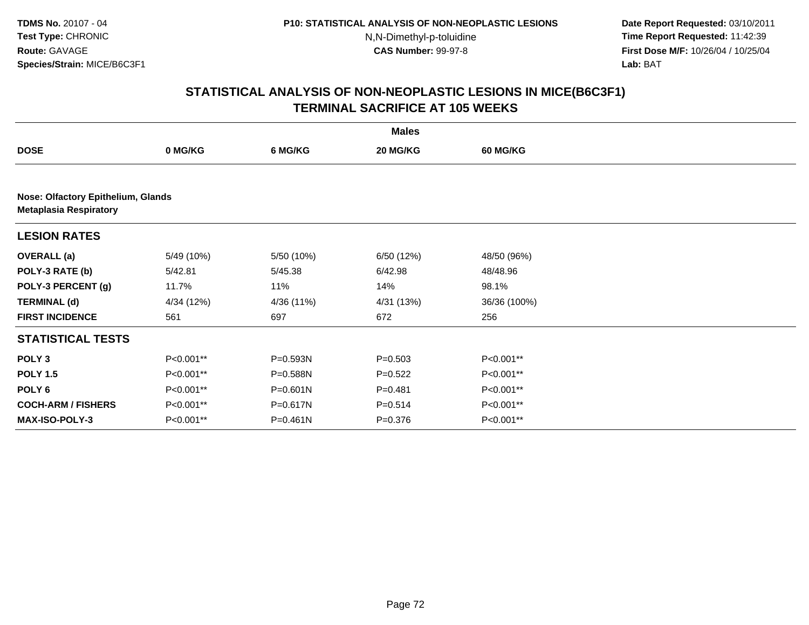**Date Report Requested:** 03/10/2011 **Time Report Requested:** 11:42:39 **First Dose M/F:** 10/26/04 / 10/25/04 Lab: BAT **Lab:** BAT

|                               |                                    |              | <b>Males</b> |                 |  |  |  |  |  |
|-------------------------------|------------------------------------|--------------|--------------|-----------------|--|--|--|--|--|
| <b>DOSE</b>                   | 0 MG/KG                            | 6 MG/KG      | 20 MG/KG     | <b>60 MG/KG</b> |  |  |  |  |  |
|                               |                                    |              |              |                 |  |  |  |  |  |
| <b>Metaplasia Respiratory</b> | Nose: Olfactory Epithelium, Glands |              |              |                 |  |  |  |  |  |
| <b>LESION RATES</b>           |                                    |              |              |                 |  |  |  |  |  |
| <b>OVERALL</b> (a)            | 5/49 (10%)                         | 5/50 (10%)   | 6/50 (12%)   | 48/50 (96%)     |  |  |  |  |  |
| POLY-3 RATE (b)               | 5/42.81                            | 5/45.38      | 6/42.98      | 48/48.96        |  |  |  |  |  |
| POLY-3 PERCENT (g)            | 11.7%                              | 11%          | 14%          | 98.1%           |  |  |  |  |  |
| <b>TERMINAL (d)</b>           | 4/34 (12%)                         | 4/36 (11%)   | 4/31 (13%)   | 36/36 (100%)    |  |  |  |  |  |
| <b>FIRST INCIDENCE</b>        | 561                                | 697          | 672          | 256             |  |  |  |  |  |
| <b>STATISTICAL TESTS</b>      |                                    |              |              |                 |  |  |  |  |  |
| POLY <sub>3</sub>             | P<0.001**                          | $P = 0.593N$ | $P = 0.503$  | P<0.001**       |  |  |  |  |  |
| <b>POLY 1.5</b>               | P<0.001**                          | P=0.588N     | $P=0.522$    | P<0.001**       |  |  |  |  |  |
| POLY 6                        | P<0.001**                          | $P = 0.601N$ | $P = 0.481$  | P<0.001**       |  |  |  |  |  |
| <b>COCH-ARM / FISHERS</b>     | P<0.001**                          | P=0.617N     | $P = 0.514$  | P<0.001**       |  |  |  |  |  |
| MAX-ISO-POLY-3                | P<0.001**                          | $P = 0.461N$ | $P = 0.376$  | P<0.001**       |  |  |  |  |  |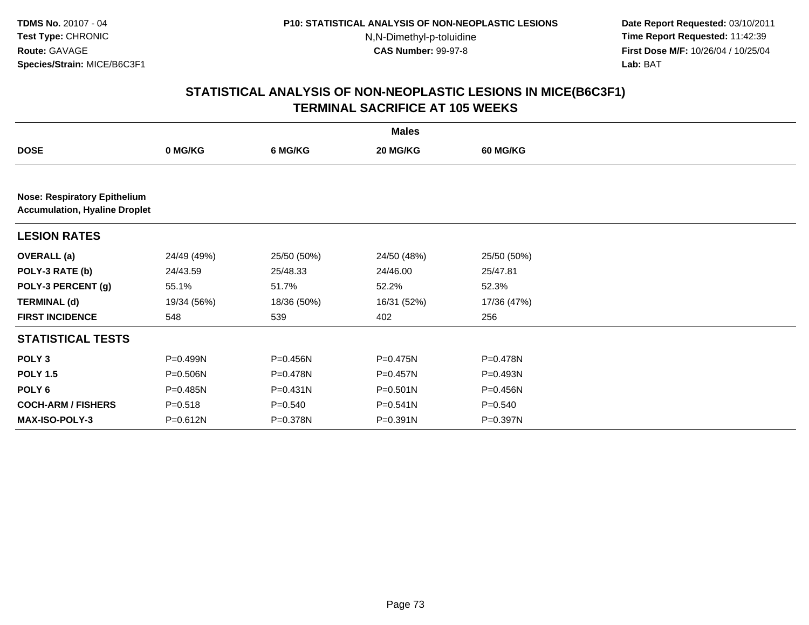**Date Report Requested:** 03/10/2011 **Time Report Requested:** 11:42:39 **First Dose M/F:** 10/26/04 / 10/25/04 Lab: BAT **Lab:** BAT

|                                                                             |              |              | <b>Males</b> |                 |  |  |  |
|-----------------------------------------------------------------------------|--------------|--------------|--------------|-----------------|--|--|--|
| <b>DOSE</b>                                                                 | 0 MG/KG      | 6 MG/KG      | 20 MG/KG     | <b>60 MG/KG</b> |  |  |  |
|                                                                             |              |              |              |                 |  |  |  |
| <b>Nose: Respiratory Epithelium</b><br><b>Accumulation, Hyaline Droplet</b> |              |              |              |                 |  |  |  |
| <b>LESION RATES</b>                                                         |              |              |              |                 |  |  |  |
| <b>OVERALL</b> (a)                                                          | 24/49 (49%)  | 25/50 (50%)  | 24/50 (48%)  | 25/50 (50%)     |  |  |  |
| POLY-3 RATE (b)                                                             | 24/43.59     | 25/48.33     | 24/46.00     | 25/47.81        |  |  |  |
| POLY-3 PERCENT (g)                                                          | 55.1%        | 51.7%        | 52.2%        | 52.3%           |  |  |  |
| <b>TERMINAL (d)</b>                                                         | 19/34 (56%)  | 18/36 (50%)  | 16/31 (52%)  | 17/36 (47%)     |  |  |  |
| <b>FIRST INCIDENCE</b>                                                      | 548          | 539          | 402          | 256             |  |  |  |
| <b>STATISTICAL TESTS</b>                                                    |              |              |              |                 |  |  |  |
| POLY <sub>3</sub>                                                           | P=0.499N     | P=0.456N     | $P = 0.475N$ | $P = 0.478N$    |  |  |  |
| <b>POLY 1.5</b>                                                             | P=0.506N     | P=0.478N     | $P = 0.457N$ | $P = 0.493N$    |  |  |  |
| POLY <sub>6</sub>                                                           | $P = 0.485N$ | $P = 0.431N$ | $P = 0.501N$ | P=0.456N        |  |  |  |
| <b>COCH-ARM / FISHERS</b>                                                   | $P = 0.518$  | $P = 0.540$  | P=0.541N     | $P = 0.540$     |  |  |  |
| <b>MAX-ISO-POLY-3</b>                                                       | $P = 0.612N$ | P=0.378N     | P=0.391N     | P=0.397N        |  |  |  |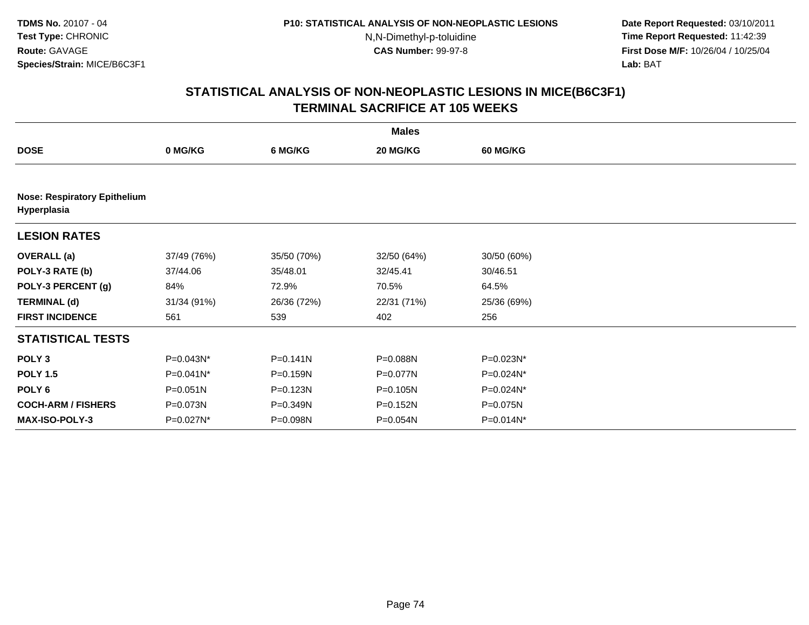**Date Report Requested:** 03/10/2011 **Time Report Requested:** 11:42:39 **First Dose M/F:** 10/26/04 / 10/25/04 Lab: BAT **Lab:** BAT

|                                                    | <b>Males</b> |              |             |              |  |  |  |  |
|----------------------------------------------------|--------------|--------------|-------------|--------------|--|--|--|--|
| <b>DOSE</b>                                        | 0 MG/KG      | 6 MG/KG      | 20 MG/KG    | 60 MG/KG     |  |  |  |  |
|                                                    |              |              |             |              |  |  |  |  |
| <b>Nose: Respiratory Epithelium</b><br>Hyperplasia |              |              |             |              |  |  |  |  |
| <b>LESION RATES</b>                                |              |              |             |              |  |  |  |  |
| <b>OVERALL</b> (a)                                 | 37/49 (76%)  | 35/50 (70%)  | 32/50 (64%) | 30/50 (60%)  |  |  |  |  |
| POLY-3 RATE (b)                                    | 37/44.06     | 35/48.01     | 32/45.41    | 30/46.51     |  |  |  |  |
| POLY-3 PERCENT (g)                                 | 84%          | 72.9%        | 70.5%       | 64.5%        |  |  |  |  |
| <b>TERMINAL (d)</b>                                | 31/34 (91%)  | 26/36 (72%)  | 22/31 (71%) | 25/36 (69%)  |  |  |  |  |
| <b>FIRST INCIDENCE</b>                             | 561          | 539          | 402         | 256          |  |  |  |  |
| <b>STATISTICAL TESTS</b>                           |              |              |             |              |  |  |  |  |
| POLY <sub>3</sub>                                  | P=0.043N*    | $P = 0.141N$ | P=0.088N    | P=0.023N*    |  |  |  |  |
| <b>POLY 1.5</b>                                    | P=0.041N*    | P=0.159N     | P=0.077N    | P=0.024N*    |  |  |  |  |
| POLY <sub>6</sub>                                  | $P = 0.051N$ | P=0.123N     | P=0.105N    | P=0.024N*    |  |  |  |  |
| <b>COCH-ARM / FISHERS</b>                          | P=0.073N     | P=0.349N     | P=0.152N    | P=0.075N     |  |  |  |  |
| <b>MAX-ISO-POLY-3</b>                              | P=0.027N*    | P=0.098N     | P=0.054N    | $P=0.014N^*$ |  |  |  |  |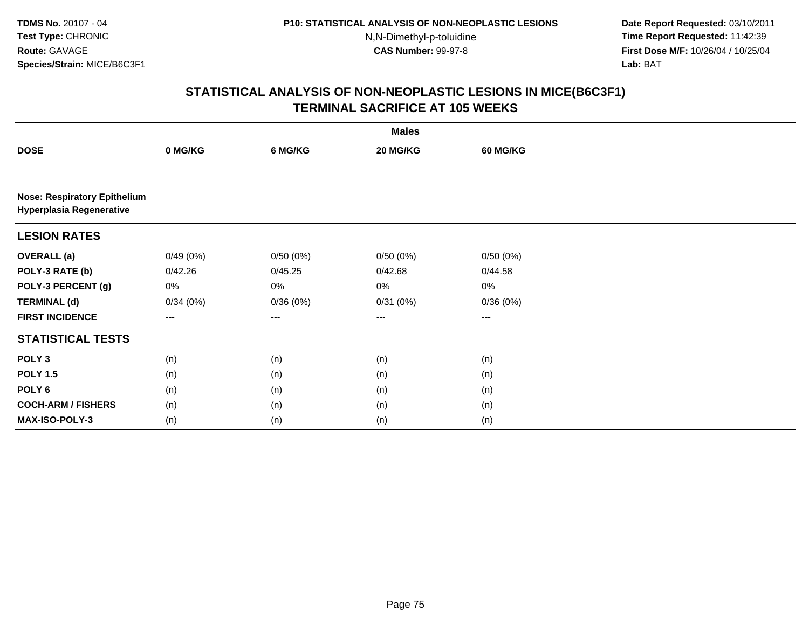**Date Report Requested:** 03/10/2011 **Time Report Requested:** 11:42:39 **First Dose M/F:** 10/26/04 / 10/25/04 Lab: BAT **Lab:** BAT

|                                                                        |          |                   | <b>Males</b> |                 |  |
|------------------------------------------------------------------------|----------|-------------------|--------------|-----------------|--|
| <b>DOSE</b>                                                            | 0 MG/KG  | 6 MG/KG           | 20 MG/KG     | <b>60 MG/KG</b> |  |
|                                                                        |          |                   |              |                 |  |
| <b>Nose: Respiratory Epithelium</b><br><b>Hyperplasia Regenerative</b> |          |                   |              |                 |  |
| <b>LESION RATES</b>                                                    |          |                   |              |                 |  |
| <b>OVERALL</b> (a)                                                     | 0/49(0%) | 0/50(0%)          | 0/50(0%)     | 0/50(0%)        |  |
| POLY-3 RATE (b)                                                        | 0/42.26  | 0/45.25           | 0/42.68      | 0/44.58         |  |
| POLY-3 PERCENT (g)                                                     | 0%       | 0%                | 0%           | $0\%$           |  |
| <b>TERMINAL (d)</b>                                                    | 0/34(0%) | 0/36(0%)          | 0/31(0%)     | 0/36(0%)        |  |
| <b>FIRST INCIDENCE</b>                                                 | $---$    | $\qquad \qquad -$ | ---          | $---$           |  |
| <b>STATISTICAL TESTS</b>                                               |          |                   |              |                 |  |
| POLY <sub>3</sub>                                                      | (n)      | (n)               | (n)          | (n)             |  |
| <b>POLY 1.5</b>                                                        | (n)      | (n)               | (n)          | (n)             |  |
| POLY 6                                                                 | (n)      | (n)               | (n)          | (n)             |  |
| <b>COCH-ARM / FISHERS</b>                                              | (n)      | (n)               | (n)          | (n)             |  |
| MAX-ISO-POLY-3                                                         | (n)      | (n)               | (n)          | (n)             |  |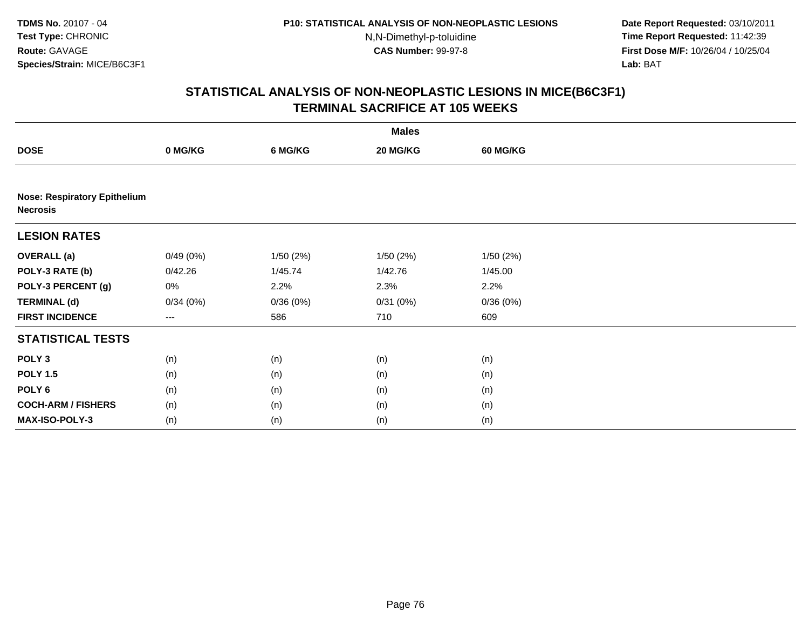**Date Report Requested:** 03/10/2011 **Time Report Requested:** 11:42:39 **First Dose M/F:** 10/26/04 / 10/25/04 Lab: BAT **Lab:** BAT

|                                                        |                   |          | <b>Males</b> |                 |  |
|--------------------------------------------------------|-------------------|----------|--------------|-----------------|--|
| <b>DOSE</b>                                            | 0 MG/KG           | 6 MG/KG  | 20 MG/KG     | <b>60 MG/KG</b> |  |
|                                                        |                   |          |              |                 |  |
| <b>Nose: Respiratory Epithelium</b><br><b>Necrosis</b> |                   |          |              |                 |  |
| <b>LESION RATES</b>                                    |                   |          |              |                 |  |
| <b>OVERALL</b> (a)                                     | 0/49(0%)          | 1/50(2%) | 1/50(2%)     | 1/50(2%)        |  |
| POLY-3 RATE (b)                                        | 0/42.26           | 1/45.74  | 1/42.76      | 1/45.00         |  |
| POLY-3 PERCENT (g)                                     | 0%                | 2.2%     | 2.3%         | 2.2%            |  |
| <b>TERMINAL (d)</b>                                    | 0/34(0%)          | 0/36(0%) | 0/31(0%)     | 0/36(0%)        |  |
| <b>FIRST INCIDENCE</b>                                 | $\qquad \qquad -$ | 586      | 710          | 609             |  |
| <b>STATISTICAL TESTS</b>                               |                   |          |              |                 |  |
| POLY <sub>3</sub>                                      | (n)               | (n)      | (n)          | (n)             |  |
| <b>POLY 1.5</b>                                        | (n)               | (n)      | (n)          | (n)             |  |
| POLY <sub>6</sub>                                      | (n)               | (n)      | (n)          | (n)             |  |
| <b>COCH-ARM / FISHERS</b>                              | (n)               | (n)      | (n)          | (n)             |  |
| MAX-ISO-POLY-3                                         | (n)               | (n)      | (n)          | (n)             |  |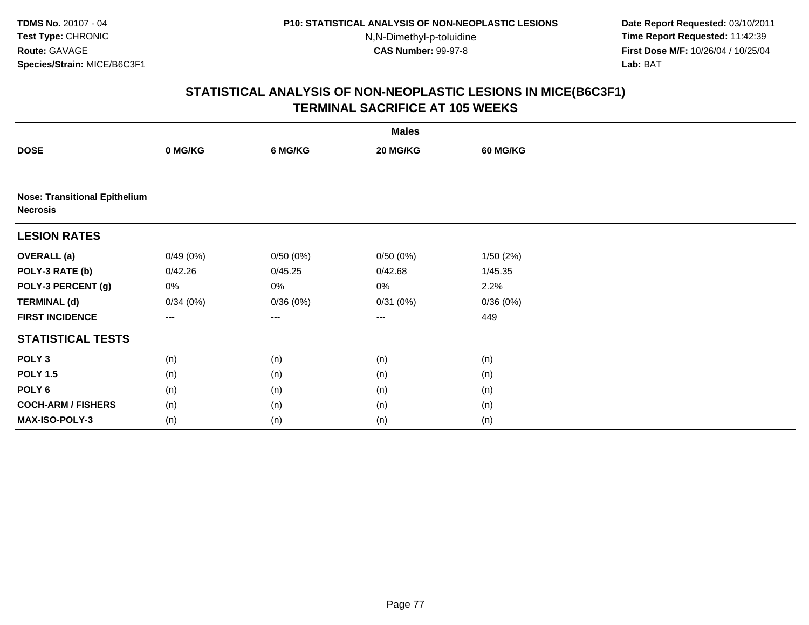**Date Report Requested:** 03/10/2011 **Time Report Requested:** 11:42:39 **First Dose M/F:** 10/26/04 / 10/25/04 Lab: BAT **Lab:** BAT

|                                                         |          |          | <b>Males</b> |                 |  |
|---------------------------------------------------------|----------|----------|--------------|-----------------|--|
| <b>DOSE</b>                                             | 0 MG/KG  | 6 MG/KG  | 20 MG/KG     | <b>60 MG/KG</b> |  |
|                                                         |          |          |              |                 |  |
| <b>Nose: Transitional Epithelium</b><br><b>Necrosis</b> |          |          |              |                 |  |
| <b>LESION RATES</b>                                     |          |          |              |                 |  |
| <b>OVERALL</b> (a)                                      | 0/49(0%) | 0/50(0%) | 0/50(0%)     | 1/50(2%)        |  |
| POLY-3 RATE (b)                                         | 0/42.26  | 0/45.25  | 0/42.68      | 1/45.35         |  |
| POLY-3 PERCENT (g)                                      | 0%       | 0%       | 0%           | 2.2%            |  |
| <b>TERMINAL (d)</b>                                     | 0/34(0%) | 0/36(0%) | 0/31(0%)     | 0/36(0%)        |  |
| <b>FIRST INCIDENCE</b>                                  | ---      | ---      | ---          | 449             |  |
| <b>STATISTICAL TESTS</b>                                |          |          |              |                 |  |
| POLY <sub>3</sub>                                       | (n)      | (n)      | (n)          | (n)             |  |
| <b>POLY 1.5</b>                                         | (n)      | (n)      | (n)          | (n)             |  |
| POLY <sub>6</sub>                                       | (n)      | (n)      | (n)          | (n)             |  |
| <b>COCH-ARM / FISHERS</b>                               | (n)      | (n)      | (n)          | (n)             |  |
| MAX-ISO-POLY-3                                          | (n)      | (n)      | (n)          | (n)             |  |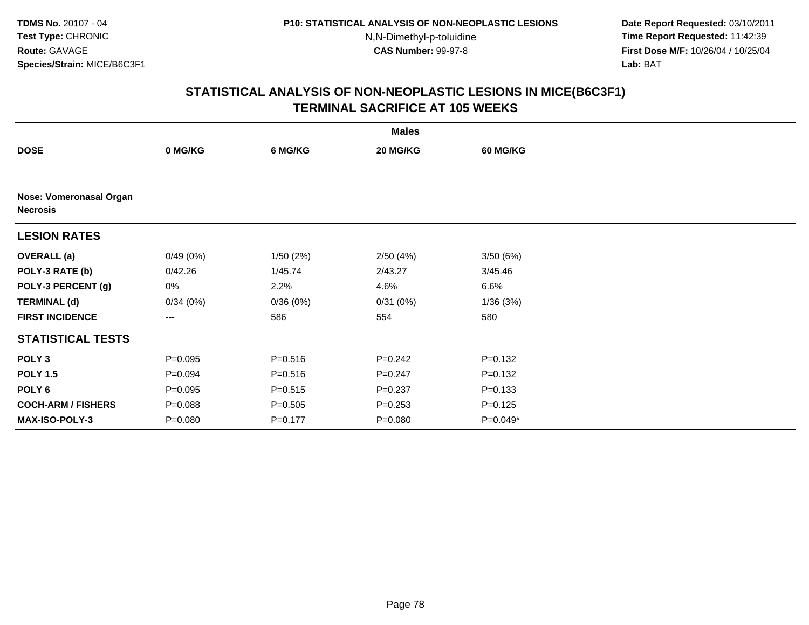**Date Report Requested:** 03/10/2011 **Time Report Requested:** 11:42:39 **First Dose M/F:** 10/26/04 / 10/25/04 Lab: BAT **Lab:** BAT

|                                            |             |             | <b>Males</b> |             |  |
|--------------------------------------------|-------------|-------------|--------------|-------------|--|
| <b>DOSE</b>                                | 0 MG/KG     | 6 MG/KG     | 20 MG/KG     | 60 MG/KG    |  |
|                                            |             |             |              |             |  |
| Nose: Vomeronasal Organ<br><b>Necrosis</b> |             |             |              |             |  |
| <b>LESION RATES</b>                        |             |             |              |             |  |
| <b>OVERALL</b> (a)                         | 0/49(0%)    | 1/50(2%)    | 2/50(4%)     | 3/50(6%)    |  |
| POLY-3 RATE (b)                            | 0/42.26     | 1/45.74     | 2/43.27      | 3/45.46     |  |
| POLY-3 PERCENT (g)                         | 0%          | 2.2%        | 4.6%         | 6.6%        |  |
| <b>TERMINAL (d)</b>                        | 0/34(0%)    | 0/36(0%)    | 0/31(0%)     | 1/36(3%)    |  |
| <b>FIRST INCIDENCE</b>                     | ---         | 586         | 554          | 580         |  |
| <b>STATISTICAL TESTS</b>                   |             |             |              |             |  |
| POLY <sub>3</sub>                          | $P = 0.095$ | $P = 0.516$ | $P = 0.242$  | $P = 0.132$ |  |
| <b>POLY 1.5</b>                            | $P = 0.094$ | $P = 0.516$ | $P = 0.247$  | $P = 0.132$ |  |
| POLY <sub>6</sub>                          | $P = 0.095$ | $P = 0.515$ | $P = 0.237$  | $P = 0.133$ |  |
| <b>COCH-ARM / FISHERS</b>                  | $P = 0.088$ | $P = 0.505$ | $P = 0.253$  | $P = 0.125$ |  |
| <b>MAX-ISO-POLY-3</b>                      | $P = 0.080$ | $P = 0.177$ | $P = 0.080$  | P=0.049*    |  |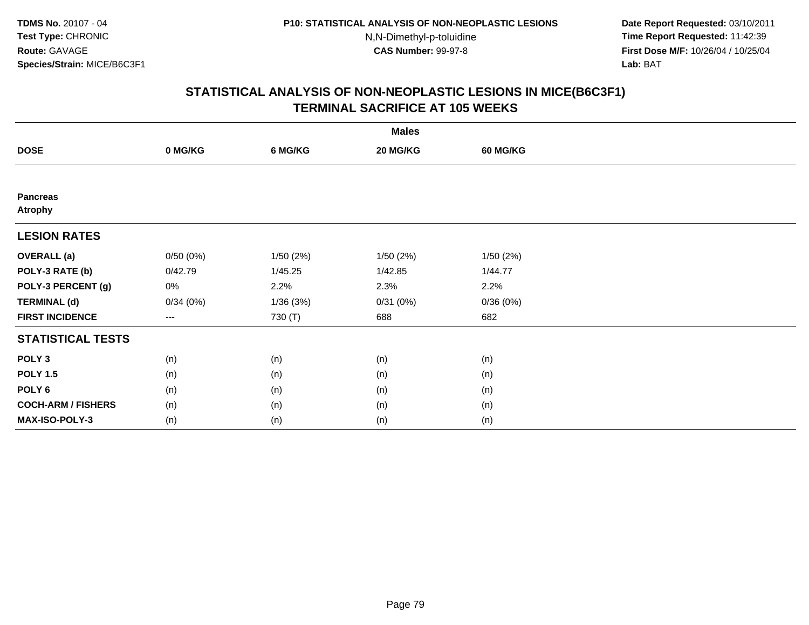**Date Report Requested:** 03/10/2011 **Time Report Requested:** 11:42:39 **First Dose M/F:** 10/26/04 / 10/25/04 Lab: BAT **Lab:** BAT

|                                   |          |          | <b>Males</b> |                 |  |
|-----------------------------------|----------|----------|--------------|-----------------|--|
| <b>DOSE</b>                       | 0 MG/KG  | 6 MG/KG  | 20 MG/KG     | <b>60 MG/KG</b> |  |
|                                   |          |          |              |                 |  |
| <b>Pancreas</b><br><b>Atrophy</b> |          |          |              |                 |  |
| <b>LESION RATES</b>               |          |          |              |                 |  |
| <b>OVERALL</b> (a)                | 0/50(0%) | 1/50(2%) | 1/50(2%)     | 1/50(2%)        |  |
| POLY-3 RATE (b)                   | 0/42.79  | 1/45.25  | 1/42.85      | 1/44.77         |  |
| POLY-3 PERCENT (g)                | 0%       | 2.2%     | 2.3%         | 2.2%            |  |
| <b>TERMINAL (d)</b>               | 0/34(0%) | 1/36(3%) | 0/31(0%)     | 0/36(0%)        |  |
| <b>FIRST INCIDENCE</b>            | $---$    | 730 (T)  | 688          | 682             |  |
| <b>STATISTICAL TESTS</b>          |          |          |              |                 |  |
| POLY <sub>3</sub>                 | (n)      | (n)      | (n)          | (n)             |  |
| <b>POLY 1.5</b>                   | (n)      | (n)      | (n)          | (n)             |  |
| POLY <sub>6</sub>                 | (n)      | (n)      | (n)          | (n)             |  |
| <b>COCH-ARM / FISHERS</b>         | (n)      | (n)      | (n)          | (n)             |  |
| <b>MAX-ISO-POLY-3</b>             | (n)      | (n)      | (n)          | (n)             |  |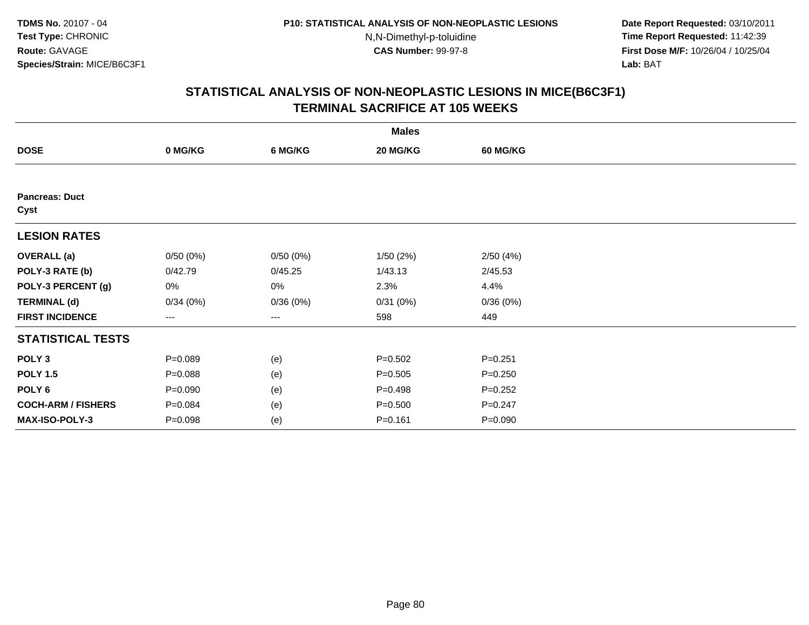**Date Report Requested:** 03/10/2011 **Time Report Requested:** 11:42:39 **First Dose M/F:** 10/26/04 / 10/25/04 Lab: BAT **Lab:** BAT

|                               |             |          | <b>Males</b> |                 |  |
|-------------------------------|-------------|----------|--------------|-----------------|--|
| <b>DOSE</b>                   | 0 MG/KG     | 6 MG/KG  | 20 MG/KG     | <b>60 MG/KG</b> |  |
|                               |             |          |              |                 |  |
| <b>Pancreas: Duct</b><br>Cyst |             |          |              |                 |  |
| <b>LESION RATES</b>           |             |          |              |                 |  |
| <b>OVERALL</b> (a)            | 0/50(0%)    | 0/50(0%) | 1/50(2%)     | 2/50(4%)        |  |
| POLY-3 RATE (b)               | 0/42.79     | 0/45.25  | 1/43.13      | 2/45.53         |  |
| POLY-3 PERCENT (g)            | 0%          | 0%       | 2.3%         | 4.4%            |  |
| <b>TERMINAL (d)</b>           | 0/34(0%)    | 0/36(0%) | 0/31(0%)     | 0/36(0%)        |  |
| <b>FIRST INCIDENCE</b>        | $--$        | ---      | 598          | 449             |  |
| <b>STATISTICAL TESTS</b>      |             |          |              |                 |  |
| POLY <sub>3</sub>             | $P = 0.089$ | (e)      | $P = 0.502$  | $P = 0.251$     |  |
| <b>POLY 1.5</b>               | $P = 0.088$ | (e)      | $P = 0.505$  | $P = 0.250$     |  |
| POLY <sub>6</sub>             | $P = 0.090$ | (e)      | $P = 0.498$  | $P=0.252$       |  |
| <b>COCH-ARM / FISHERS</b>     | $P = 0.084$ | (e)      | $P = 0.500$  | $P = 0.247$     |  |
| MAX-ISO-POLY-3                | $P = 0.098$ | (e)      | $P = 0.161$  | $P = 0.090$     |  |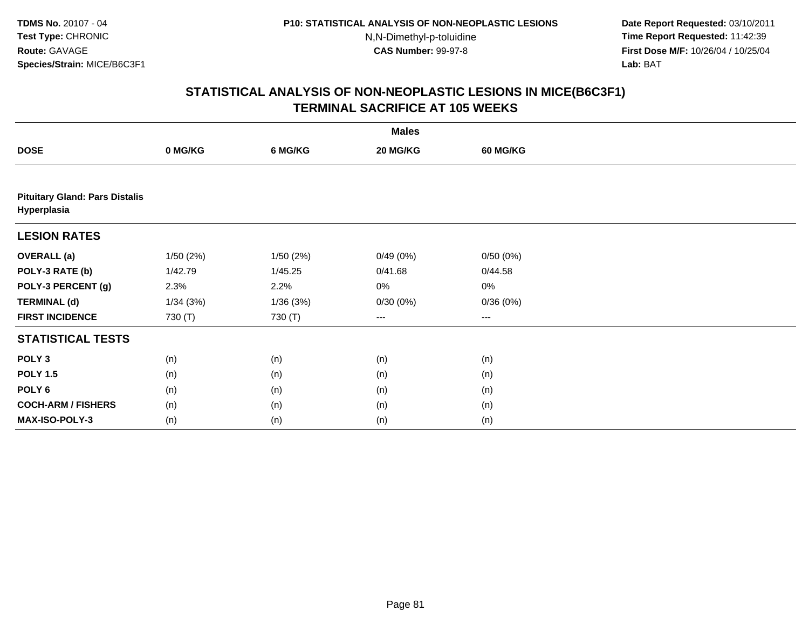**Date Report Requested:** 03/10/2011 **Time Report Requested:** 11:42:39 **First Dose M/F:** 10/26/04 / 10/25/04 Lab: BAT **Lab:** BAT

|                                                      |          |           | <b>Males</b> |          |  |
|------------------------------------------------------|----------|-----------|--------------|----------|--|
| <b>DOSE</b>                                          | 0 MG/KG  | 6 MG/KG   | 20 MG/KG     | 60 MG/KG |  |
|                                                      |          |           |              |          |  |
| <b>Pituitary Gland: Pars Distalis</b><br>Hyperplasia |          |           |              |          |  |
| <b>LESION RATES</b>                                  |          |           |              |          |  |
| <b>OVERALL</b> (a)                                   | 1/50(2%) | 1/50 (2%) | 0/49(0%)     | 0/50(0%) |  |
| POLY-3 RATE (b)                                      | 1/42.79  | 1/45.25   | 0/41.68      | 0/44.58  |  |
| POLY-3 PERCENT (g)                                   | 2.3%     | 2.2%      | 0%           | 0%       |  |
| <b>TERMINAL (d)</b>                                  | 1/34(3%) | 1/36(3%)  | 0/30(0%)     | 0/36(0%) |  |
| <b>FIRST INCIDENCE</b>                               | 730 (T)  | 730 (T)   | $---$        | ---      |  |
| <b>STATISTICAL TESTS</b>                             |          |           |              |          |  |
| POLY <sub>3</sub>                                    | (n)      | (n)       | (n)          | (n)      |  |
| <b>POLY 1.5</b>                                      | (n)      | (n)       | (n)          | (n)      |  |
| POLY <sub>6</sub>                                    | (n)      | (n)       | (n)          | (n)      |  |
| <b>COCH-ARM / FISHERS</b>                            | (n)      | (n)       | (n)          | (n)      |  |
| MAX-ISO-POLY-3                                       | (n)      | (n)       | (n)          | (n)      |  |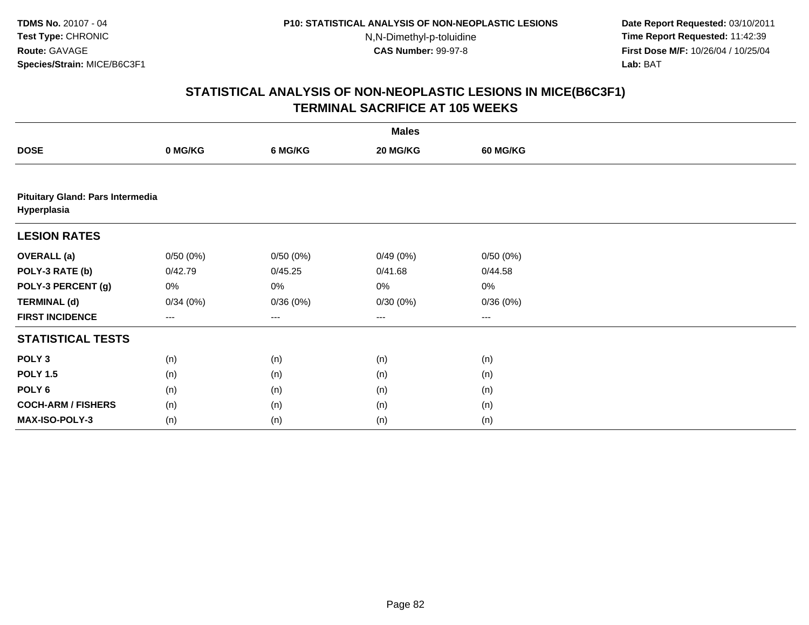**Date Report Requested:** 03/10/2011 **Time Report Requested:** 11:42:39 **First Dose M/F:** 10/26/04 / 10/25/04 Lab: BAT **Lab:** BAT

|                                                 |          |          | <b>Males</b> |          |  |
|-------------------------------------------------|----------|----------|--------------|----------|--|
| <b>DOSE</b>                                     | 0 MG/KG  | 6 MG/KG  | 20 MG/KG     | 60 MG/KG |  |
|                                                 |          |          |              |          |  |
| Pituitary Gland: Pars Intermedia<br>Hyperplasia |          |          |              |          |  |
| <b>LESION RATES</b>                             |          |          |              |          |  |
| <b>OVERALL (a)</b>                              | 0/50(0%) | 0/50(0%) | 0/49(0%)     | 0/50(0%) |  |
| POLY-3 RATE (b)                                 | 0/42.79  | 0/45.25  | 0/41.68      | 0/44.58  |  |
| POLY-3 PERCENT (g)                              | 0%       | 0%       | 0%           | $0\%$    |  |
| <b>TERMINAL (d)</b>                             | 0/34(0%) | 0/36(0%) | 0/30(0%)     | 0/36(0%) |  |
| <b>FIRST INCIDENCE</b>                          | $\cdots$ | ---      | ---          | ---      |  |
| <b>STATISTICAL TESTS</b>                        |          |          |              |          |  |
| POLY <sub>3</sub>                               | (n)      | (n)      | (n)          | (n)      |  |
| <b>POLY 1.5</b>                                 | (n)      | (n)      | (n)          | (n)      |  |
| POLY 6                                          | (n)      | (n)      | (n)          | (n)      |  |
| <b>COCH-ARM / FISHERS</b>                       | (n)      | (n)      | (n)          | (n)      |  |
| MAX-ISO-POLY-3                                  | (n)      | (n)      | (n)          | (n)      |  |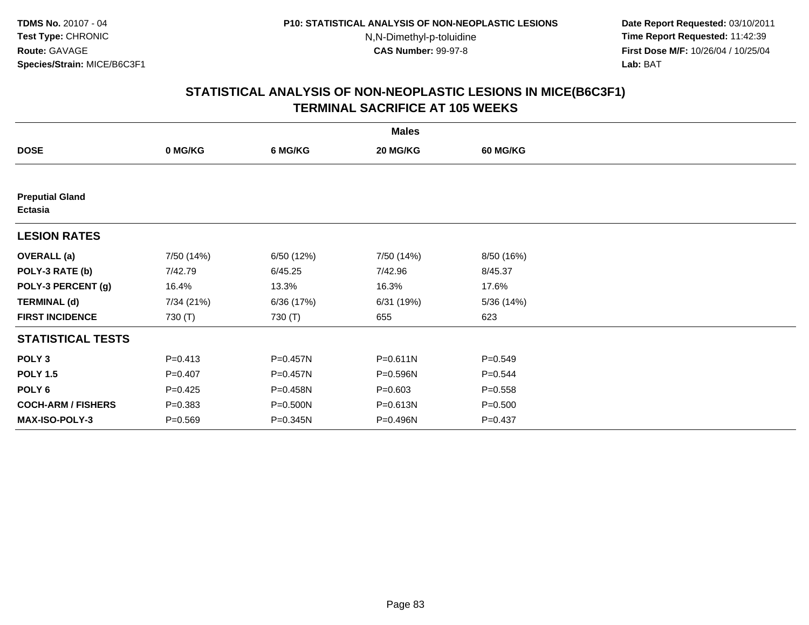**Date Report Requested:** 03/10/2011 **Time Report Requested:** 11:42:39 **First Dose M/F:** 10/26/04 / 10/25/04 Lab: BAT **Lab:** BAT

|                                          |             |              | <b>Males</b> |                 |  |
|------------------------------------------|-------------|--------------|--------------|-----------------|--|
| <b>DOSE</b>                              | 0 MG/KG     | 6 MG/KG      | 20 MG/KG     | <b>60 MG/KG</b> |  |
|                                          |             |              |              |                 |  |
| <b>Preputial Gland</b><br><b>Ectasia</b> |             |              |              |                 |  |
| <b>LESION RATES</b>                      |             |              |              |                 |  |
| <b>OVERALL</b> (a)                       | 7/50 (14%)  | 6/50 (12%)   | 7/50 (14%)   | 8/50 (16%)      |  |
| POLY-3 RATE (b)                          | 7/42.79     | 6/45.25      | 7/42.96      | 8/45.37         |  |
| POLY-3 PERCENT (g)                       | 16.4%       | 13.3%        | 16.3%        | 17.6%           |  |
| <b>TERMINAL (d)</b>                      | 7/34 (21%)  | 6/36 (17%)   | 6/31 (19%)   | 5/36 (14%)      |  |
| <b>FIRST INCIDENCE</b>                   | 730 (T)     | 730 (T)      | 655          | 623             |  |
| <b>STATISTICAL TESTS</b>                 |             |              |              |                 |  |
| POLY <sub>3</sub>                        | $P = 0.413$ | $P = 0.457N$ | $P = 0.611N$ | $P = 0.549$     |  |
| <b>POLY 1.5</b>                          | $P = 0.407$ | P=0.457N     | P=0.596N     | $P = 0.544$     |  |
| POLY 6                                   | $P = 0.425$ | P=0.458N     | $P = 0.603$  | $P = 0.558$     |  |
| <b>COCH-ARM / FISHERS</b>                | $P = 0.383$ | P=0.500N     | P=0.613N     | $P = 0.500$     |  |
| <b>MAX-ISO-POLY-3</b>                    | $P = 0.569$ | P=0.345N     | P=0.496N     | $P = 0.437$     |  |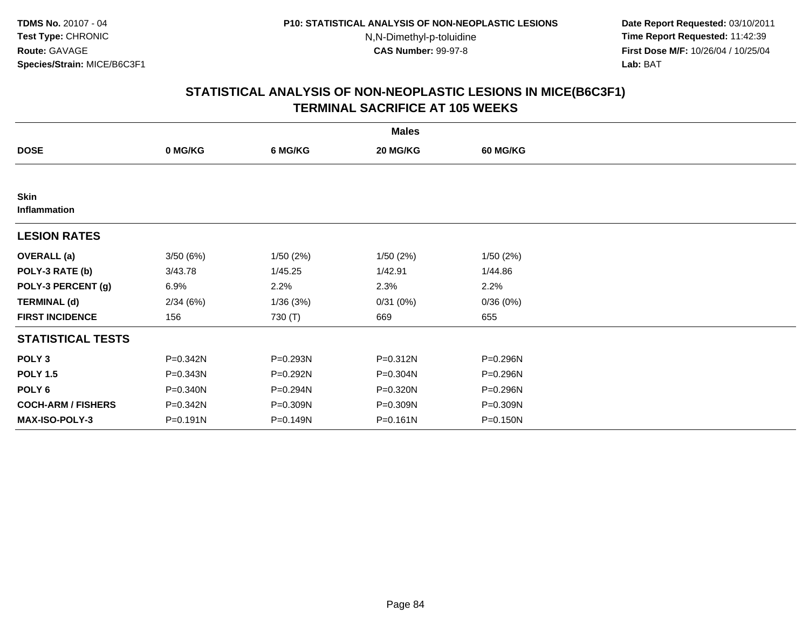**Date Report Requested:** 03/10/2011 **Time Report Requested:** 11:42:39 **First Dose M/F:** 10/26/04 / 10/25/04 Lab: BAT **Lab:** BAT

|                             |          |          | <b>Males</b> |                 |  |
|-----------------------------|----------|----------|--------------|-----------------|--|
| <b>DOSE</b>                 | 0 MG/KG  | 6 MG/KG  | 20 MG/KG     | <b>60 MG/KG</b> |  |
|                             |          |          |              |                 |  |
| <b>Skin</b><br>Inflammation |          |          |              |                 |  |
| <b>LESION RATES</b>         |          |          |              |                 |  |
| <b>OVERALL</b> (a)          | 3/50(6%) | 1/50(2%) | 1/50(2%)     | 1/50(2%)        |  |
| POLY-3 RATE (b)             | 3/43.78  | 1/45.25  | 1/42.91      | 1/44.86         |  |
| POLY-3 PERCENT (g)          | 6.9%     | 2.2%     | 2.3%         | 2.2%            |  |
| <b>TERMINAL (d)</b>         | 2/34(6%) | 1/36(3%) | 0/31(0%)     | 0/36(0%)        |  |
| <b>FIRST INCIDENCE</b>      | 156      | 730 (T)  | 669          | 655             |  |
| <b>STATISTICAL TESTS</b>    |          |          |              |                 |  |
| POLY <sub>3</sub>           | P=0.342N | P=0.293N | P=0.312N     | P=0.296N        |  |
| <b>POLY 1.5</b>             | P=0.343N | P=0.292N | P=0.304N     | P=0.296N        |  |
| POLY 6                      | P=0.340N | P=0.294N | P=0.320N     | P=0.296N        |  |
| <b>COCH-ARM / FISHERS</b>   | P=0.342N | P=0.309N | P=0.309N     | P=0.309N        |  |
| MAX-ISO-POLY-3              | P=0.191N | P=0.149N | $P = 0.161N$ | $P = 0.150N$    |  |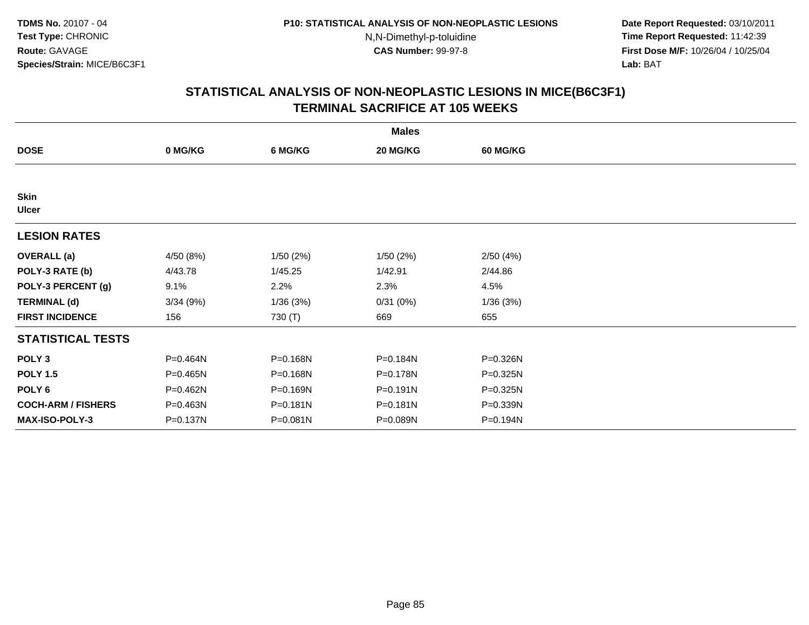**Date Report Requested:** 03/10/2011 **Time Report Requested:** 11:42:39 **First Dose M/F:** 10/26/04 / 10/25/04 Lab: BAT **Lab:** BAT

|                             |           |          | <b>Males</b> |                 |  |
|-----------------------------|-----------|----------|--------------|-----------------|--|
| <b>DOSE</b>                 | 0 MG/KG   | 6 MG/KG  | 20 MG/KG     | <b>60 MG/KG</b> |  |
|                             |           |          |              |                 |  |
| <b>Skin</b><br><b>Ulcer</b> |           |          |              |                 |  |
| <b>LESION RATES</b>         |           |          |              |                 |  |
| <b>OVERALL</b> (a)          | 4/50 (8%) | 1/50(2%) | 1/50(2%)     | 2/50(4%)        |  |
| POLY-3 RATE (b)             | 4/43.78   | 1/45.25  | 1/42.91      | 2/44.86         |  |
| POLY-3 PERCENT (g)          | 9.1%      | 2.2%     | 2.3%         | 4.5%            |  |
| <b>TERMINAL (d)</b>         | 3/34(9%)  | 1/36(3%) | 0/31(0%)     | 1/36(3%)        |  |
| <b>FIRST INCIDENCE</b>      | 156       | 730 (T)  | 669          | 655             |  |
| <b>STATISTICAL TESTS</b>    |           |          |              |                 |  |
| POLY <sub>3</sub>           | P=0.464N  | P=0.168N | P=0.184N     | P=0.326N        |  |
| <b>POLY 1.5</b>             | P=0.465N  | P=0.168N | P=0.178N     | P=0.325N        |  |
| POLY <sub>6</sub>           | P=0.462N  | P=0.169N | $P = 0.191N$ | P=0.325N        |  |
| <b>COCH-ARM / FISHERS</b>   | P=0.463N  | P=0.181N | P=0.181N     | P=0.339N        |  |
| <b>MAX-ISO-POLY-3</b>       | P=0.137N  | P=0.081N | P=0.089N     | P=0.194N        |  |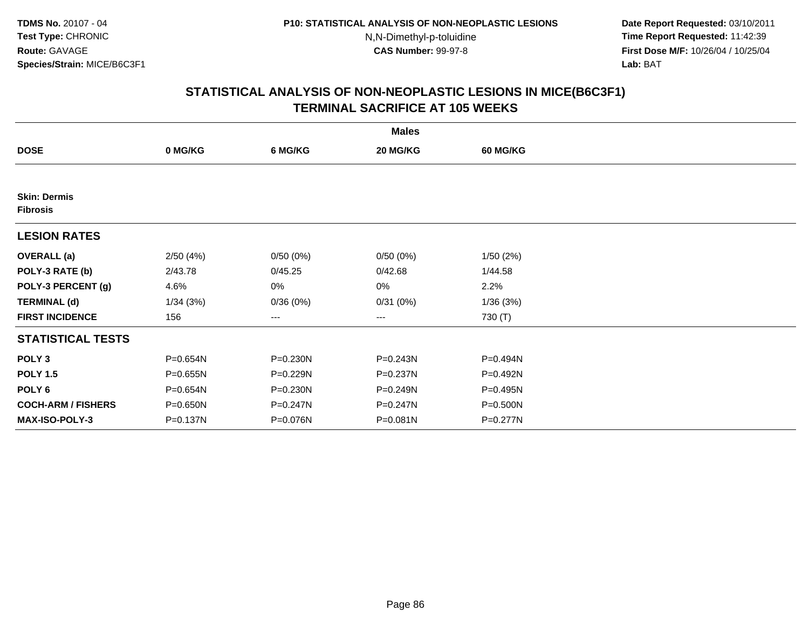**Date Report Requested:** 03/10/2011 **Time Report Requested:** 11:42:39 **First Dose M/F:** 10/26/04 / 10/25/04 Lab: BAT **Lab:** BAT

|                                        |          |          | <b>Males</b> |                 |  |
|----------------------------------------|----------|----------|--------------|-----------------|--|
| <b>DOSE</b>                            | 0 MG/KG  | 6 MG/KG  | 20 MG/KG     | <b>60 MG/KG</b> |  |
|                                        |          |          |              |                 |  |
| <b>Skin: Dermis</b><br><b>Fibrosis</b> |          |          |              |                 |  |
| <b>LESION RATES</b>                    |          |          |              |                 |  |
| <b>OVERALL</b> (a)                     | 2/50(4%) | 0/50(0%) | 0/50(0%)     | 1/50(2%)        |  |
| POLY-3 RATE (b)                        | 2/43.78  | 0/45.25  | 0/42.68      | 1/44.58         |  |
| POLY-3 PERCENT (g)                     | 4.6%     | 0%       | 0%           | 2.2%            |  |
| <b>TERMINAL (d)</b>                    | 1/34(3%) | 0/36(0%) | 0/31(0%)     | 1/36(3%)        |  |
| <b>FIRST INCIDENCE</b>                 | 156      | ---      | ---          | 730 (T)         |  |
| <b>STATISTICAL TESTS</b>               |          |          |              |                 |  |
| POLY <sub>3</sub>                      | P=0.654N | P=0.230N | P=0.243N     | P=0.494N        |  |
| <b>POLY 1.5</b>                        | P=0.655N | P=0.229N | P=0.237N     | P=0.492N        |  |
| POLY <sub>6</sub>                      | P=0.654N | P=0.230N | P=0.249N     | P=0.495N        |  |
| <b>COCH-ARM / FISHERS</b>              | P=0.650N | P=0.247N | P=0.247N     | P=0.500N        |  |
| <b>MAX-ISO-POLY-3</b>                  | P=0.137N | P=0.076N | P=0.081N     | P=0.277N        |  |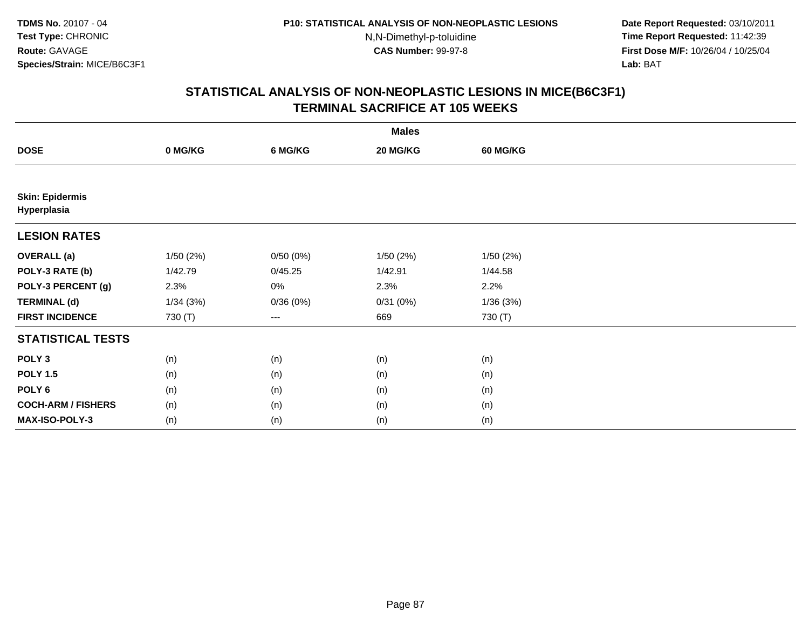**Date Report Requested:** 03/10/2011 **Time Report Requested:** 11:42:39 **First Dose M/F:** 10/26/04 / 10/25/04 Lab: BAT **Lab:** BAT

|                                       |           |          | <b>Males</b> |                 |  |
|---------------------------------------|-----------|----------|--------------|-----------------|--|
| <b>DOSE</b>                           | 0 MG/KG   | 6 MG/KG  | 20 MG/KG     | <b>60 MG/KG</b> |  |
|                                       |           |          |              |                 |  |
| <b>Skin: Epidermis</b><br>Hyperplasia |           |          |              |                 |  |
| <b>LESION RATES</b>                   |           |          |              |                 |  |
| <b>OVERALL</b> (a)                    | 1/50 (2%) | 0/50(0%) | 1/50(2%)     | 1/50(2%)        |  |
| POLY-3 RATE (b)                       | 1/42.79   | 0/45.25  | 1/42.91      | 1/44.58         |  |
| POLY-3 PERCENT (g)                    | 2.3%      | 0%       | 2.3%         | 2.2%            |  |
| <b>TERMINAL (d)</b>                   | 1/34(3%)  | 0/36(0%) | 0/31(0%)     | 1/36(3%)        |  |
| <b>FIRST INCIDENCE</b>                | 730 (T)   | $---$    | 669          | 730 (T)         |  |
| <b>STATISTICAL TESTS</b>              |           |          |              |                 |  |
| POLY <sub>3</sub>                     | (n)       | (n)      | (n)          | (n)             |  |
| <b>POLY 1.5</b>                       | (n)       | (n)      | (n)          | (n)             |  |
| POLY <sub>6</sub>                     | (n)       | (n)      | (n)          | (n)             |  |
| <b>COCH-ARM / FISHERS</b>             | (n)       | (n)      | (n)          | (n)             |  |
| MAX-ISO-POLY-3                        | (n)       | (n)      | (n)          | (n)             |  |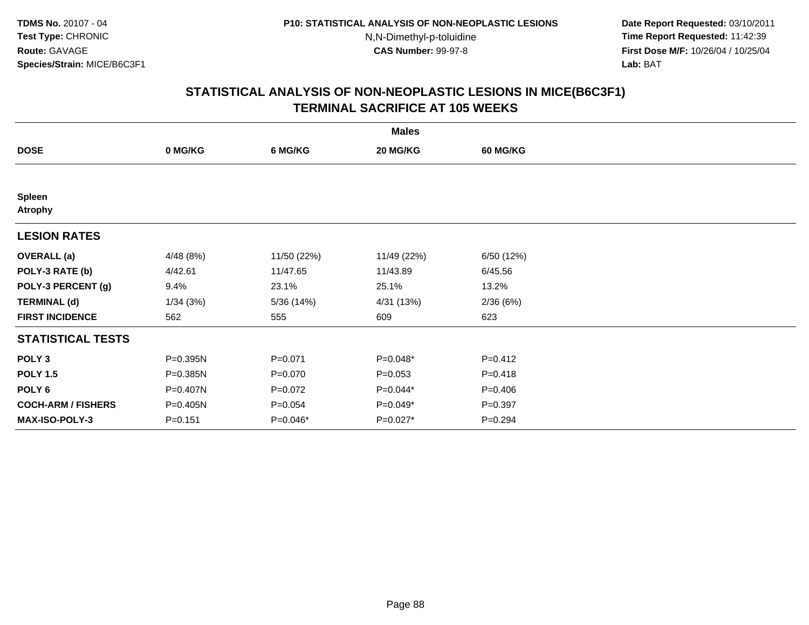**Date Report Requested:** 03/10/2011 **Time Report Requested:** 11:42:39 **First Dose M/F:** 10/26/04 / 10/25/04 Lab: BAT **Lab:** BAT

| <b>Males</b>                    |             |             |             |                 |  |  |  |
|---------------------------------|-------------|-------------|-------------|-----------------|--|--|--|
| <b>DOSE</b>                     | 0 MG/KG     | 6 MG/KG     | 20 MG/KG    | <b>60 MG/KG</b> |  |  |  |
|                                 |             |             |             |                 |  |  |  |
| <b>Spleen</b><br><b>Atrophy</b> |             |             |             |                 |  |  |  |
| <b>LESION RATES</b>             |             |             |             |                 |  |  |  |
| <b>OVERALL</b> (a)              | 4/48(8%)    | 11/50 (22%) | 11/49 (22%) | 6/50 (12%)      |  |  |  |
| POLY-3 RATE (b)                 | 4/42.61     | 11/47.65    | 11/43.89    | 6/45.56         |  |  |  |
| POLY-3 PERCENT (g)              | 9.4%        | 23.1%       | 25.1%       | 13.2%           |  |  |  |
| <b>TERMINAL (d)</b>             | 1/34(3%)    | 5/36 (14%)  | 4/31 (13%)  | 2/36(6%)        |  |  |  |
| <b>FIRST INCIDENCE</b>          | 562         | 555         | 609         | 623             |  |  |  |
| <b>STATISTICAL TESTS</b>        |             |             |             |                 |  |  |  |
| POLY <sub>3</sub>               | P=0.395N    | $P = 0.071$ | $P=0.048*$  | $P=0.412$       |  |  |  |
| <b>POLY 1.5</b>                 | P=0.385N    | $P=0.070$   | $P = 0.053$ | $P = 0.418$     |  |  |  |
| POLY 6                          | P=0.407N    | $P=0.072$   | P=0.044*    | $P=0.406$       |  |  |  |
| <b>COCH-ARM / FISHERS</b>       | P=0.405N    | $P = 0.054$ | P=0.049*    | $P = 0.397$     |  |  |  |
| MAX-ISO-POLY-3                  | $P = 0.151$ | P=0.046*    | P=0.027*    | $P=0.294$       |  |  |  |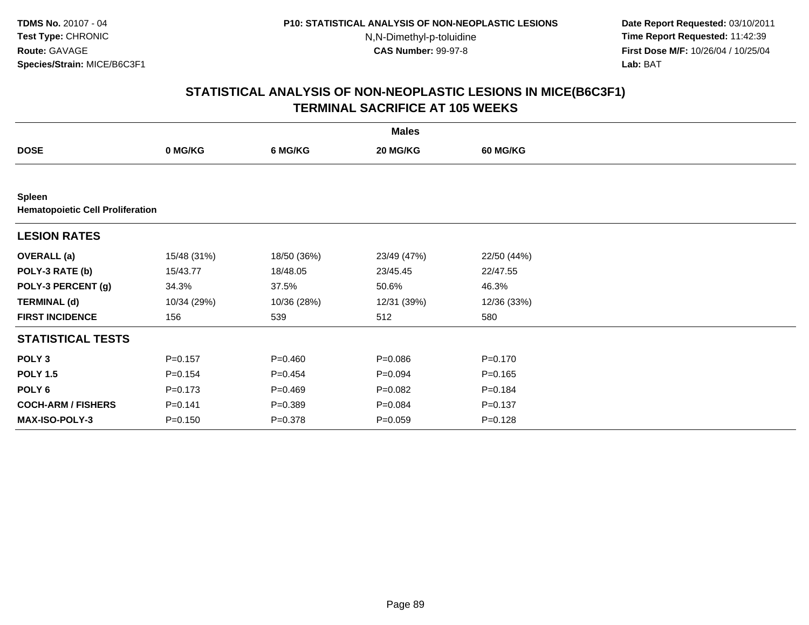**Date Report Requested:** 03/10/2011 **Time Report Requested:** 11:42:39 **First Dose M/F:** 10/26/04 / 10/25/04 Lab: BAT **Lab:** BAT

|                                                          | <b>Males</b> |             |             |                 |  |  |  |  |
|----------------------------------------------------------|--------------|-------------|-------------|-----------------|--|--|--|--|
| <b>DOSE</b>                                              | 0 MG/KG      | 6 MG/KG     | 20 MG/KG    | <b>60 MG/KG</b> |  |  |  |  |
|                                                          |              |             |             |                 |  |  |  |  |
| <b>Spleen</b><br><b>Hematopoietic Cell Proliferation</b> |              |             |             |                 |  |  |  |  |
| <b>LESION RATES</b>                                      |              |             |             |                 |  |  |  |  |
| <b>OVERALL</b> (a)                                       | 15/48 (31%)  | 18/50 (36%) | 23/49 (47%) | 22/50 (44%)     |  |  |  |  |
| POLY-3 RATE (b)                                          | 15/43.77     | 18/48.05    | 23/45.45    | 22/47.55        |  |  |  |  |
| POLY-3 PERCENT (g)                                       | 34.3%        | 37.5%       | 50.6%       | 46.3%           |  |  |  |  |
| <b>TERMINAL (d)</b>                                      | 10/34 (29%)  | 10/36 (28%) | 12/31 (39%) | 12/36 (33%)     |  |  |  |  |
| <b>FIRST INCIDENCE</b>                                   | 156          | 539         | 512         | 580             |  |  |  |  |
| <b>STATISTICAL TESTS</b>                                 |              |             |             |                 |  |  |  |  |
| POLY <sub>3</sub>                                        | $P = 0.157$  | $P = 0.460$ | $P = 0.086$ | $P = 0.170$     |  |  |  |  |
| <b>POLY 1.5</b>                                          | $P = 0.154$  | $P = 0.454$ | $P = 0.094$ | $P = 0.165$     |  |  |  |  |
| POLY <sub>6</sub>                                        | $P = 0.173$  | $P=0.469$   | $P = 0.082$ | $P = 0.184$     |  |  |  |  |
| <b>COCH-ARM / FISHERS</b>                                | $P = 0.141$  | $P = 0.389$ | $P = 0.084$ | $P = 0.137$     |  |  |  |  |
| <b>MAX-ISO-POLY-3</b>                                    | $P = 0.150$  | $P = 0.378$ | $P = 0.059$ | $P = 0.128$     |  |  |  |  |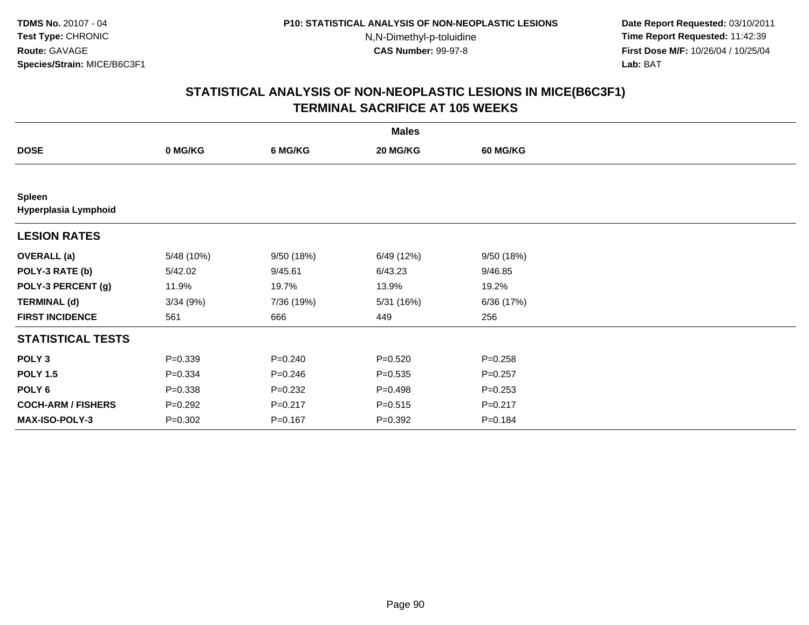**Date Report Requested:** 03/10/2011 **Time Report Requested:** 11:42:39 **First Dose M/F:** 10/26/04 / 10/25/04 Lab: BAT **Lab:** BAT

|                                       |             |             | <b>Males</b> |                 |  |
|---------------------------------------|-------------|-------------|--------------|-----------------|--|
| <b>DOSE</b>                           | 0 MG/KG     | 6 MG/KG     | 20 MG/KG     | <b>60 MG/KG</b> |  |
|                                       |             |             |              |                 |  |
| <b>Spleen</b><br>Hyperplasia Lymphoid |             |             |              |                 |  |
| <b>LESION RATES</b>                   |             |             |              |                 |  |
| <b>OVERALL</b> (a)                    | 5/48 (10%)  | 9/50 (18%)  | 6/49 (12%)   | 9/50 (18%)      |  |
| POLY-3 RATE (b)                       | 5/42.02     | 9/45.61     | 6/43.23      | 9/46.85         |  |
| POLY-3 PERCENT (g)                    | 11.9%       | 19.7%       | 13.9%        | 19.2%           |  |
| <b>TERMINAL (d)</b>                   | 3/34(9%)    | 7/36 (19%)  | 5/31 (16%)   | 6/36 (17%)      |  |
| <b>FIRST INCIDENCE</b>                | 561         | 666         | 449          | 256             |  |
| <b>STATISTICAL TESTS</b>              |             |             |              |                 |  |
| POLY <sub>3</sub>                     | $P = 0.339$ | $P = 0.240$ | $P = 0.520$  | $P = 0.258$     |  |
| <b>POLY 1.5</b>                       | $P = 0.334$ | $P = 0.246$ | $P = 0.535$  | $P=0.257$       |  |
| POLY 6                                | $P = 0.338$ | $P = 0.232$ | $P = 0.498$  | $P = 0.253$     |  |
| <b>COCH-ARM / FISHERS</b>             | $P=0.292$   | $P = 0.217$ | $P = 0.515$  | $P = 0.217$     |  |
| MAX-ISO-POLY-3                        | $P = 0.302$ | $P = 0.167$ | $P = 0.392$  | $P = 0.184$     |  |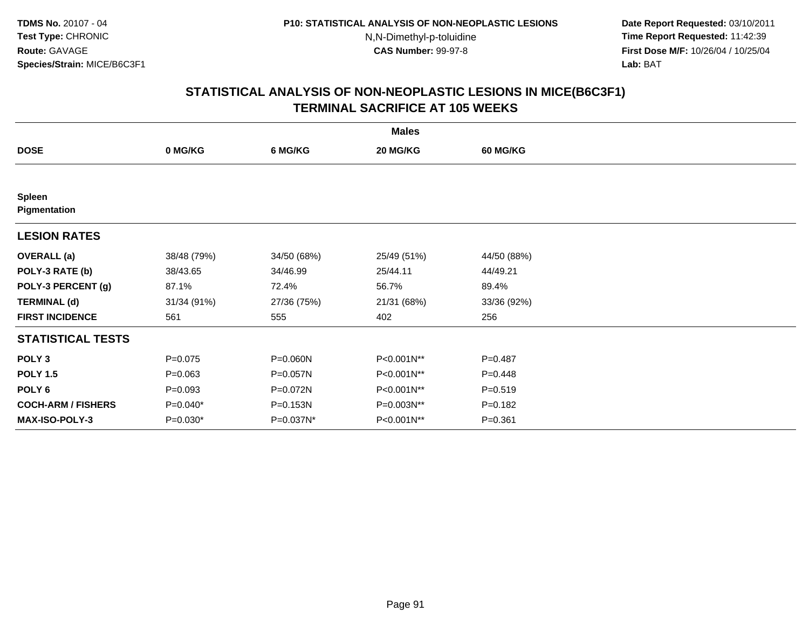**Date Report Requested:** 03/10/2011 **Time Report Requested:** 11:42:39 **First Dose M/F:** 10/26/04 / 10/25/04 Lab: BAT **Lab:** BAT

| <b>Males</b>                  |             |             |             |                 |  |  |  |
|-------------------------------|-------------|-------------|-------------|-----------------|--|--|--|
| <b>DOSE</b>                   | 0 MG/KG     | 6 MG/KG     | 20 MG/KG    | <b>60 MG/KG</b> |  |  |  |
|                               |             |             |             |                 |  |  |  |
| <b>Spleen</b><br>Pigmentation |             |             |             |                 |  |  |  |
| <b>LESION RATES</b>           |             |             |             |                 |  |  |  |
| <b>OVERALL</b> (a)            | 38/48 (79%) | 34/50 (68%) | 25/49 (51%) | 44/50 (88%)     |  |  |  |
| POLY-3 RATE (b)               | 38/43.65    | 34/46.99    | 25/44.11    | 44/49.21        |  |  |  |
| POLY-3 PERCENT (g)            | 87.1%       | 72.4%       | 56.7%       | 89.4%           |  |  |  |
| <b>TERMINAL (d)</b>           | 31/34 (91%) | 27/36 (75%) | 21/31 (68%) | 33/36 (92%)     |  |  |  |
| <b>FIRST INCIDENCE</b>        | 561         | 555         | 402         | 256             |  |  |  |
| <b>STATISTICAL TESTS</b>      |             |             |             |                 |  |  |  |
| POLY <sub>3</sub>             | $P=0.075$   | P=0.060N    | P<0.001N**  | $P=0.487$       |  |  |  |
| <b>POLY 1.5</b>               | $P = 0.063$ | P=0.057N    | P<0.001N**  | $P=0.448$       |  |  |  |
| POLY <sub>6</sub>             | $P = 0.093$ | P=0.072N    | P<0.001N**  | $P = 0.519$     |  |  |  |
| <b>COCH-ARM / FISHERS</b>     | $P=0.040*$  | P=0.153N    | P=0.003N**  | $P = 0.182$     |  |  |  |
| <b>MAX-ISO-POLY-3</b>         | $P=0.030*$  | P=0.037N*   | P<0.001N**  | $P = 0.361$     |  |  |  |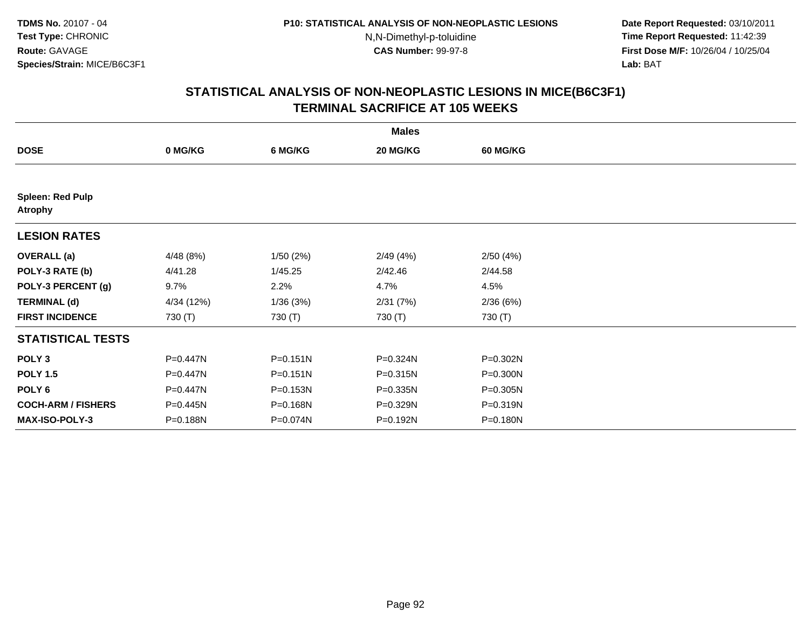**Date Report Requested:** 03/10/2011 **Time Report Requested:** 11:42:39 **First Dose M/F:** 10/26/04 / 10/25/04 Lab: BAT **Lab:** BAT

|                                           |            |              | <b>Males</b> |                 |  |
|-------------------------------------------|------------|--------------|--------------|-----------------|--|
| <b>DOSE</b>                               | 0 MG/KG    | 6 MG/KG      | 20 MG/KG     | <b>60 MG/KG</b> |  |
|                                           |            |              |              |                 |  |
| <b>Spleen: Red Pulp</b><br><b>Atrophy</b> |            |              |              |                 |  |
| <b>LESION RATES</b>                       |            |              |              |                 |  |
| <b>OVERALL</b> (a)                        | 4/48 (8%)  | 1/50(2%)     | 2/49(4%)     | 2/50(4%)        |  |
| POLY-3 RATE (b)                           | 4/41.28    | 1/45.25      | 2/42.46      | 2/44.58         |  |
| POLY-3 PERCENT (g)                        | 9.7%       | 2.2%         | 4.7%         | 4.5%            |  |
| <b>TERMINAL (d)</b>                       | 4/34 (12%) | 1/36(3%)     | 2/31(7%)     | 2/36(6%)        |  |
| <b>FIRST INCIDENCE</b>                    | 730 (T)    | 730 (T)      | 730 (T)      | 730 (T)         |  |
| <b>STATISTICAL TESTS</b>                  |            |              |              |                 |  |
| POLY <sub>3</sub>                         | P=0.447N   | $P = 0.151N$ | P=0.324N     | P=0.302N        |  |
| <b>POLY 1.5</b>                           | P=0.447N   | $P = 0.151N$ | P=0.315N     | P=0.300N        |  |
| POLY <sub>6</sub>                         | P=0.447N   | P=0.153N     | P=0.335N     | P=0.305N        |  |
| <b>COCH-ARM / FISHERS</b>                 | P=0.445N   | P=0.168N     | P=0.329N     | P=0.319N        |  |
| <b>MAX-ISO-POLY-3</b>                     | P=0.188N   | P=0.074N     | P=0.192N     | P=0.180N        |  |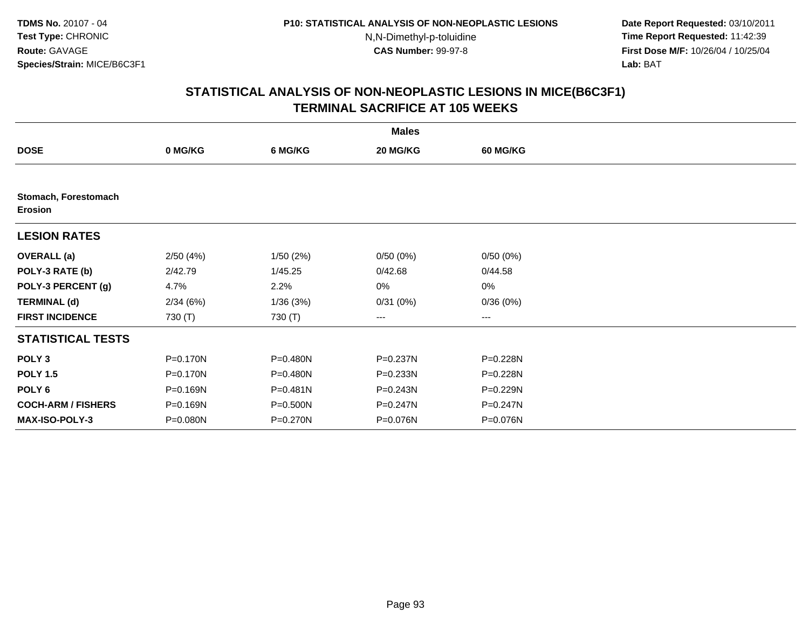**Date Report Requested:** 03/10/2011 **Time Report Requested:** 11:42:39 **First Dose M/F:** 10/26/04 / 10/25/04 Lab: BAT **Lab:** BAT

|                                        |          |              | <b>Males</b> |                 |  |
|----------------------------------------|----------|--------------|--------------|-----------------|--|
| <b>DOSE</b>                            | 0 MG/KG  | 6 MG/KG      | 20 MG/KG     | <b>60 MG/KG</b> |  |
|                                        |          |              |              |                 |  |
| Stomach, Forestomach<br><b>Erosion</b> |          |              |              |                 |  |
| <b>LESION RATES</b>                    |          |              |              |                 |  |
| <b>OVERALL</b> (a)                     | 2/50(4%) | 1/50(2%)     | 0/50(0%)     | 0/50(0%)        |  |
| POLY-3 RATE (b)                        | 2/42.79  | 1/45.25      | 0/42.68      | 0/44.58         |  |
| POLY-3 PERCENT (g)                     | 4.7%     | 2.2%         | 0%           | 0%              |  |
| <b>TERMINAL (d)</b>                    | 2/34(6%) | 1/36(3%)     | 0/31(0%)     | 0/36(0%)        |  |
| <b>FIRST INCIDENCE</b>                 | 730 (T)  | 730 (T)      | $--$         | ---             |  |
| <b>STATISTICAL TESTS</b>               |          |              |              |                 |  |
| POLY <sub>3</sub>                      | P=0.170N | P=0.480N     | P=0.237N     | P=0.228N        |  |
| <b>POLY 1.5</b>                        | P=0.170N | P=0.480N     | P=0.233N     | P=0.228N        |  |
| POLY 6                                 | P=0.169N | $P = 0.481N$ | $P = 0.243N$ | P=0.229N        |  |
| <b>COCH-ARM / FISHERS</b>              | P=0.169N | P=0.500N     | P=0.247N     | $P = 0.247N$    |  |
| <b>MAX-ISO-POLY-3</b>                  | P=0.080N | P=0.270N     | P=0.076N     | P=0.076N        |  |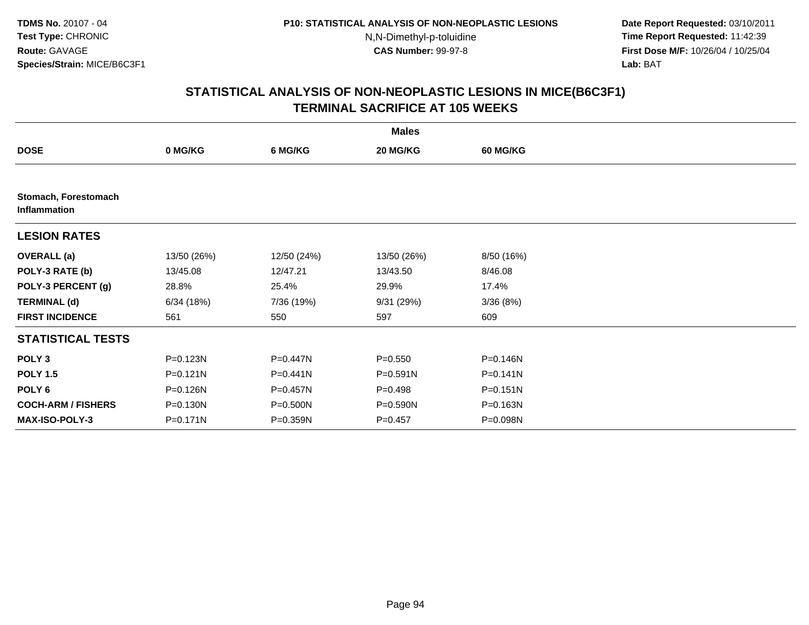**Date Report Requested:** 03/10/2011 **Time Report Requested:** 11:42:39 **First Dose M/F:** 10/26/04 / 10/25/04 Lab: BAT **Lab:** BAT

|                                      | <b>Males</b> |             |              |                 |  |  |  |  |
|--------------------------------------|--------------|-------------|--------------|-----------------|--|--|--|--|
| <b>DOSE</b>                          | 0 MG/KG      | 6 MG/KG     | 20 MG/KG     | <b>60 MG/KG</b> |  |  |  |  |
|                                      |              |             |              |                 |  |  |  |  |
| Stomach, Forestomach<br>Inflammation |              |             |              |                 |  |  |  |  |
| <b>LESION RATES</b>                  |              |             |              |                 |  |  |  |  |
| <b>OVERALL</b> (a)                   | 13/50 (26%)  | 12/50 (24%) | 13/50 (26%)  | 8/50 (16%)      |  |  |  |  |
| POLY-3 RATE (b)                      | 13/45.08     | 12/47.21    | 13/43.50     | 8/46.08         |  |  |  |  |
| POLY-3 PERCENT (g)                   | 28.8%        | 25.4%       | 29.9%        | 17.4%           |  |  |  |  |
| <b>TERMINAL (d)</b>                  | 6/34(18%)    | 7/36 (19%)  | 9/31(29%)    | 3/36(8%)        |  |  |  |  |
| <b>FIRST INCIDENCE</b>               | 561          | 550         | 597          | 609             |  |  |  |  |
| <b>STATISTICAL TESTS</b>             |              |             |              |                 |  |  |  |  |
| POLY <sub>3</sub>                    | P=0.123N     | P=0.447N    | $P = 0.550$  | P=0.146N        |  |  |  |  |
| <b>POLY 1.5</b>                      | $P = 0.121N$ | P=0.441N    | $P = 0.591N$ | $P = 0.141N$    |  |  |  |  |
| POLY <sub>6</sub>                    | P=0.126N     | P=0.457N    | $P = 0.498$  | P=0.151N        |  |  |  |  |
| <b>COCH-ARM / FISHERS</b>            | P=0.130N     | P=0.500N    | $P = 0.590N$ | P=0.163N        |  |  |  |  |
| <b>MAX-ISO-POLY-3</b>                | P=0.171N     | P=0.359N    | $P = 0.457$  | P=0.098N        |  |  |  |  |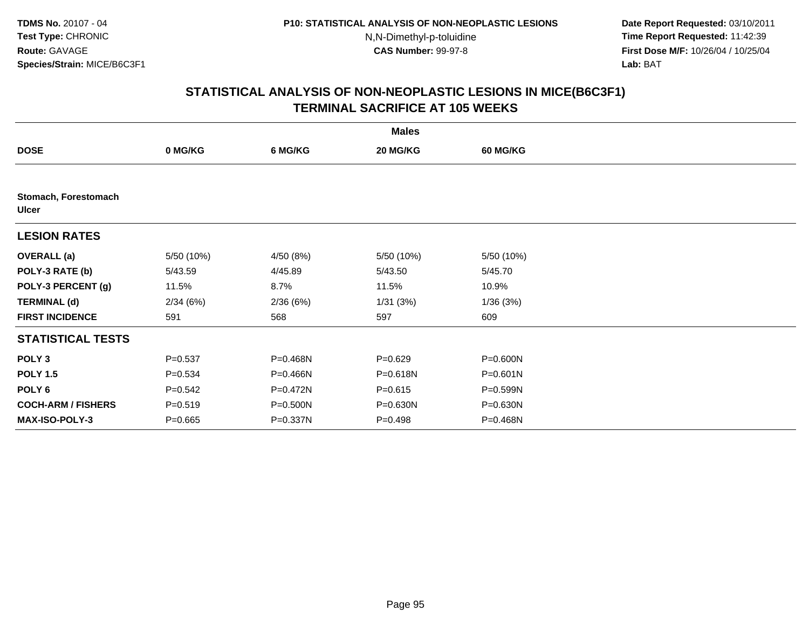**Date Report Requested:** 03/10/2011 **Time Report Requested:** 11:42:39 **First Dose M/F:** 10/26/04 / 10/25/04 Lab: BAT **Lab:** BAT

|                                      |             |           | <b>Males</b> |                 |  |
|--------------------------------------|-------------|-----------|--------------|-----------------|--|
| <b>DOSE</b>                          | 0 MG/KG     | 6 MG/KG   | 20 MG/KG     | <b>60 MG/KG</b> |  |
|                                      |             |           |              |                 |  |
| Stomach, Forestomach<br><b>Ulcer</b> |             |           |              |                 |  |
| <b>LESION RATES</b>                  |             |           |              |                 |  |
| <b>OVERALL</b> (a)                   | 5/50 (10%)  | 4/50 (8%) | 5/50 (10%)   | 5/50 (10%)      |  |
| POLY-3 RATE (b)                      | 5/43.59     | 4/45.89   | 5/43.50      | 5/45.70         |  |
| POLY-3 PERCENT (g)                   | 11.5%       | 8.7%      | 11.5%        | 10.9%           |  |
| <b>TERMINAL (d)</b>                  | 2/34(6%)    | 2/36(6%)  | 1/31(3%)     | 1/36(3%)        |  |
| <b>FIRST INCIDENCE</b>               | 591         | 568       | 597          | 609             |  |
| <b>STATISTICAL TESTS</b>             |             |           |              |                 |  |
| POLY <sub>3</sub>                    | $P = 0.537$ | P=0.468N  | $P=0.629$    | P=0.600N        |  |
| <b>POLY 1.5</b>                      | $P = 0.534$ | P=0.466N  | P=0.618N     | $P = 0.601N$    |  |
| POLY <sub>6</sub>                    | $P = 0.542$ | P=0.472N  | $P = 0.615$  | P=0.599N        |  |
| <b>COCH-ARM / FISHERS</b>            | $P = 0.519$ | P=0.500N  | P=0.630N     | P=0.630N        |  |
| MAX-ISO-POLY-3                       | $P=0.665$   | P=0.337N  | $P=0.498$    | P=0.468N        |  |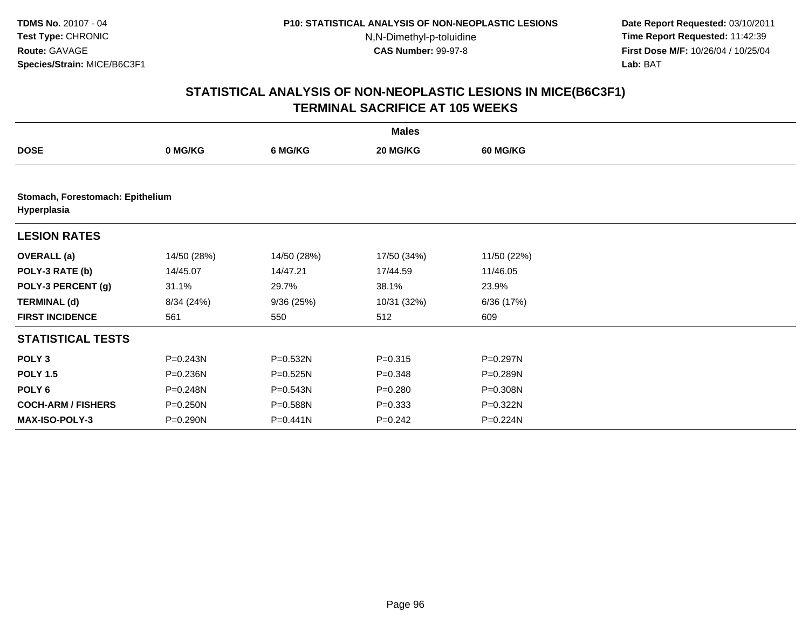**Date Report Requested:** 03/10/2011 **Time Report Requested:** 11:42:39 **First Dose M/F:** 10/26/04 / 10/25/04 Lab: BAT **Lab:** BAT

|                                                 | <b>Males</b> |             |             |                 |  |  |  |  |
|-------------------------------------------------|--------------|-------------|-------------|-----------------|--|--|--|--|
| <b>DOSE</b>                                     | 0 MG/KG      | 6 MG/KG     | 20 MG/KG    | <b>60 MG/KG</b> |  |  |  |  |
|                                                 |              |             |             |                 |  |  |  |  |
| Stomach, Forestomach: Epithelium<br>Hyperplasia |              |             |             |                 |  |  |  |  |
| <b>LESION RATES</b>                             |              |             |             |                 |  |  |  |  |
| <b>OVERALL</b> (a)                              | 14/50 (28%)  | 14/50 (28%) | 17/50 (34%) | 11/50 (22%)     |  |  |  |  |
| POLY-3 RATE (b)                                 | 14/45.07     | 14/47.21    | 17/44.59    | 11/46.05        |  |  |  |  |
| POLY-3 PERCENT (g)                              | 31.1%        | 29.7%       | 38.1%       | 23.9%           |  |  |  |  |
| <b>TERMINAL (d)</b>                             | 8/34 (24%)   | 9/36(25%)   | 10/31 (32%) | 6/36(17%)       |  |  |  |  |
| <b>FIRST INCIDENCE</b>                          | 561          | 550         | 512         | 609             |  |  |  |  |
| <b>STATISTICAL TESTS</b>                        |              |             |             |                 |  |  |  |  |
| POLY <sub>3</sub>                               | P=0.243N     | P=0.532N    | $P = 0.315$ | P=0.297N        |  |  |  |  |
| <b>POLY 1.5</b>                                 | P=0.236N     | P=0.525N    | $P = 0.348$ | P=0.289N        |  |  |  |  |
| POLY 6                                          | P=0.248N     | P=0.543N    | $P = 0.280$ | P=0.308N        |  |  |  |  |
| <b>COCH-ARM / FISHERS</b>                       | P=0.250N     | P=0.588N    | $P = 0.333$ | P=0.322N        |  |  |  |  |
| <b>MAX-ISO-POLY-3</b>                           | P=0.290N     | P=0.441N    | $P = 0.242$ | P=0.224N        |  |  |  |  |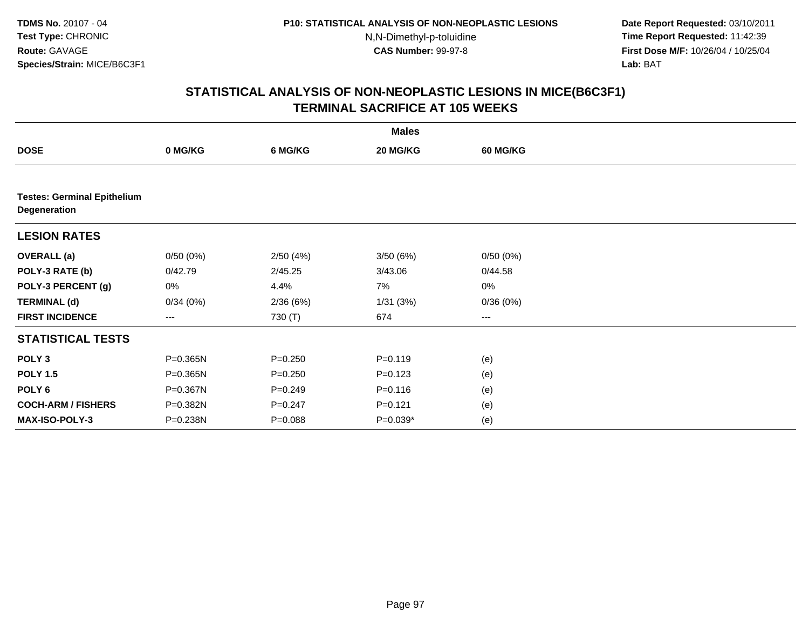**Date Report Requested:** 03/10/2011 **Time Report Requested:** 11:42:39 **First Dose M/F:** 10/26/04 / 10/25/04 Lab: BAT **Lab:** BAT

|                                                    | <b>Males</b> |             |             |          |  |  |  |  |
|----------------------------------------------------|--------------|-------------|-------------|----------|--|--|--|--|
| <b>DOSE</b>                                        | 0 MG/KG      | 6 MG/KG     | 20 MG/KG    | 60 MG/KG |  |  |  |  |
|                                                    |              |             |             |          |  |  |  |  |
| <b>Testes: Germinal Epithelium</b><br>Degeneration |              |             |             |          |  |  |  |  |
| <b>LESION RATES</b>                                |              |             |             |          |  |  |  |  |
| <b>OVERALL</b> (a)                                 | 0/50(0%)     | 2/50(4%)    | 3/50(6%)    | 0/50(0%) |  |  |  |  |
| POLY-3 RATE (b)                                    | 0/42.79      | 2/45.25     | 3/43.06     | 0/44.58  |  |  |  |  |
| POLY-3 PERCENT (g)                                 | 0%           | 4.4%        | 7%          | $0\%$    |  |  |  |  |
| <b>TERMINAL (d)</b>                                | 0/34(0%)     | 2/36(6%)    | 1/31(3%)    | 0/36(0%) |  |  |  |  |
| <b>FIRST INCIDENCE</b>                             | ---          | 730 (T)     | 674         | $\cdots$ |  |  |  |  |
| <b>STATISTICAL TESTS</b>                           |              |             |             |          |  |  |  |  |
| POLY <sub>3</sub>                                  | P=0.365N     | $P = 0.250$ | $P = 0.119$ | (e)      |  |  |  |  |
| <b>POLY 1.5</b>                                    | P=0.365N     | $P = 0.250$ | $P = 0.123$ | (e)      |  |  |  |  |
| POLY 6                                             | P=0.367N     | $P = 0.249$ | $P = 0.116$ | (e)      |  |  |  |  |
| <b>COCH-ARM / FISHERS</b>                          | P=0.382N     | $P = 0.247$ | $P = 0.121$ | (e)      |  |  |  |  |
| MAX-ISO-POLY-3                                     | P=0.238N     | $P = 0.088$ | P=0.039*    | (e)      |  |  |  |  |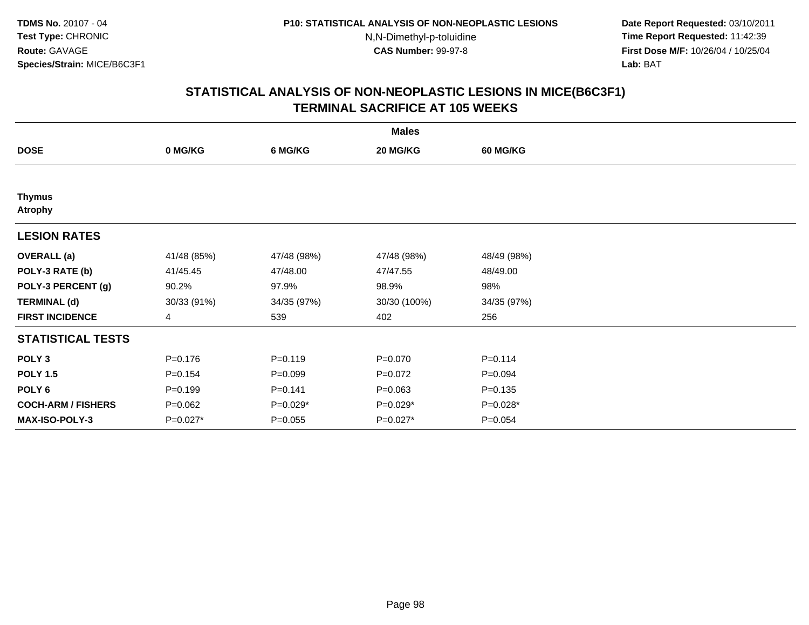**Date Report Requested:** 03/10/2011 **Time Report Requested:** 11:42:39 **First Dose M/F:** 10/26/04 / 10/25/04 Lab: BAT **Lab:** BAT

| <b>Males</b>                    |                |             |              |                 |  |  |  |
|---------------------------------|----------------|-------------|--------------|-----------------|--|--|--|
| <b>DOSE</b>                     | 0 MG/KG        | 6 MG/KG     | 20 MG/KG     | <b>60 MG/KG</b> |  |  |  |
|                                 |                |             |              |                 |  |  |  |
| <b>Thymus</b><br><b>Atrophy</b> |                |             |              |                 |  |  |  |
| <b>LESION RATES</b>             |                |             |              |                 |  |  |  |
| <b>OVERALL</b> (a)              | 41/48 (85%)    | 47/48 (98%) | 47/48 (98%)  | 48/49 (98%)     |  |  |  |
| POLY-3 RATE (b)                 | 41/45.45       | 47/48.00    | 47/47.55     | 48/49.00        |  |  |  |
| POLY-3 PERCENT (g)              | 90.2%          | 97.9%       | 98.9%        | 98%             |  |  |  |
| <b>TERMINAL (d)</b>             | 30/33 (91%)    | 34/35 (97%) | 30/30 (100%) | 34/35 (97%)     |  |  |  |
| <b>FIRST INCIDENCE</b>          | $\overline{4}$ | 539         | 402          | 256             |  |  |  |
| <b>STATISTICAL TESTS</b>        |                |             |              |                 |  |  |  |
| POLY <sub>3</sub>               | $P = 0.176$    | $P=0.119$   | $P = 0.070$  | $P = 0.114$     |  |  |  |
| <b>POLY 1.5</b>                 | $P=0.154$      | $P = 0.099$ | $P=0.072$    | $P = 0.094$     |  |  |  |
| POLY 6                          | $P = 0.199$    | $P = 0.141$ | $P = 0.063$  | $P = 0.135$     |  |  |  |
| <b>COCH-ARM / FISHERS</b>       | $P = 0.062$    | $P=0.029*$  | P=0.029*     | P=0.028*        |  |  |  |
| <b>MAX-ISO-POLY-3</b>           | $P=0.027*$     | $P = 0.055$ | P=0.027*     | $P = 0.054$     |  |  |  |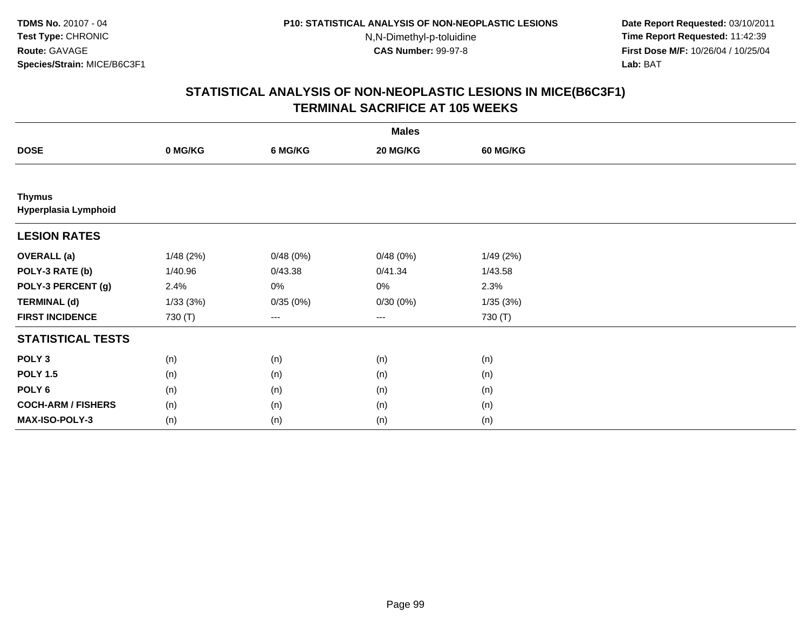**Date Report Requested:** 03/10/2011 **Time Report Requested:** 11:42:39 **First Dose M/F:** 10/26/04 / 10/25/04 Lab: BAT **Lab:** BAT

| <b>Males</b>                          |          |          |          |                 |  |  |  |
|---------------------------------------|----------|----------|----------|-----------------|--|--|--|
| <b>DOSE</b>                           | 0 MG/KG  | 6 MG/KG  | 20 MG/KG | <b>60 MG/KG</b> |  |  |  |
|                                       |          |          |          |                 |  |  |  |
| <b>Thymus</b><br>Hyperplasia Lymphoid |          |          |          |                 |  |  |  |
| <b>LESION RATES</b>                   |          |          |          |                 |  |  |  |
| <b>OVERALL</b> (a)                    | 1/48(2%) | 0/48(0%) | 0/48(0%) | 1/49(2%)        |  |  |  |
| POLY-3 RATE (b)                       | 1/40.96  | 0/43.38  | 0/41.34  | 1/43.58         |  |  |  |
| POLY-3 PERCENT (g)                    | 2.4%     | 0%       | 0%       | 2.3%            |  |  |  |
| <b>TERMINAL (d)</b>                   | 1/33(3%) | 0/35(0%) | 0/30(0%) | 1/35(3%)        |  |  |  |
| <b>FIRST INCIDENCE</b>                | 730 (T)  | ---      | $--$     | 730 (T)         |  |  |  |
| <b>STATISTICAL TESTS</b>              |          |          |          |                 |  |  |  |
| POLY <sub>3</sub>                     | (n)      | (n)      | (n)      | (n)             |  |  |  |
| <b>POLY 1.5</b>                       | (n)      | (n)      | (n)      | (n)             |  |  |  |
| POLY <sub>6</sub>                     | (n)      | (n)      | (n)      | (n)             |  |  |  |
| <b>COCH-ARM / FISHERS</b>             | (n)      | (n)      | (n)      | (n)             |  |  |  |
| MAX-ISO-POLY-3                        | (n)      | (n)      | (n)      | (n)             |  |  |  |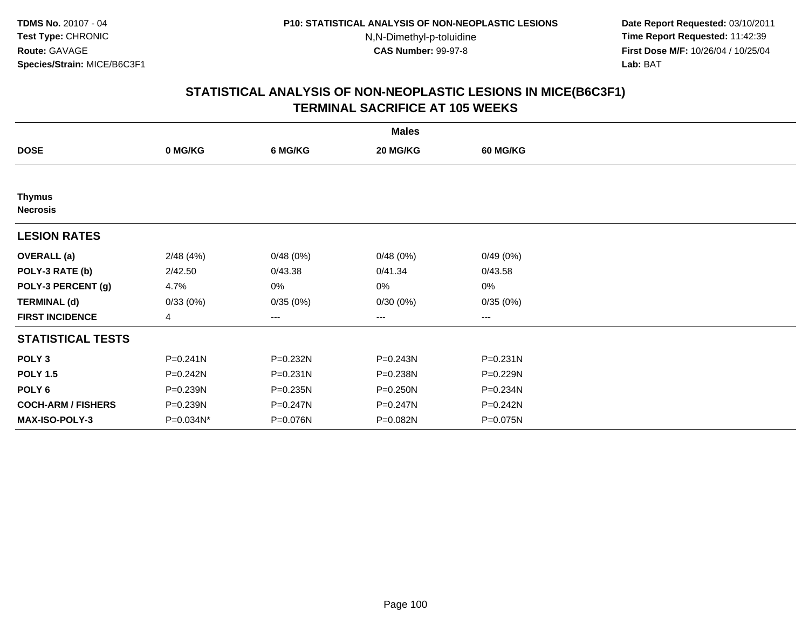**Date Report Requested:** 03/10/2011 **Time Report Requested:** 11:42:39 **First Dose M/F:** 10/26/04 / 10/25/04 Lab: BAT **Lab:** BAT

| <b>Males</b>                     |           |              |              |                   |  |  |  |
|----------------------------------|-----------|--------------|--------------|-------------------|--|--|--|
| <b>DOSE</b>                      | 0 MG/KG   | 6 MG/KG      | 20 MG/KG     | <b>60 MG/KG</b>   |  |  |  |
|                                  |           |              |              |                   |  |  |  |
| <b>Thymus</b><br><b>Necrosis</b> |           |              |              |                   |  |  |  |
| <b>LESION RATES</b>              |           |              |              |                   |  |  |  |
| <b>OVERALL</b> (a)               | 2/48(4%)  | 0/48(0%)     | 0/48(0%)     | 0/49(0%)          |  |  |  |
| POLY-3 RATE (b)                  | 2/42.50   | 0/43.38      | 0/41.34      | 0/43.58           |  |  |  |
| POLY-3 PERCENT (g)               | 4.7%      | 0%           | 0%           | 0%                |  |  |  |
| <b>TERMINAL (d)</b>              | 0/33(0%)  | 0/35(0%)     | 0/30(0%)     | 0/35(0%)          |  |  |  |
| <b>FIRST INCIDENCE</b>           | 4         | $---$        | ---          | $\qquad \qquad -$ |  |  |  |
| <b>STATISTICAL TESTS</b>         |           |              |              |                   |  |  |  |
| POLY <sub>3</sub>                | P=0.241N  | P=0.232N     | P=0.243N     | $P = 0.231N$      |  |  |  |
| <b>POLY 1.5</b>                  | P=0.242N  | $P = 0.231N$ | P=0.238N     | P=0.229N          |  |  |  |
| POLY <sub>6</sub>                | P=0.239N  | $P = 0.235N$ | $P = 0.250N$ | P=0.234N          |  |  |  |
| <b>COCH-ARM / FISHERS</b>        | P=0.239N  | P=0.247N     | P=0.247N     | $P = 0.242N$      |  |  |  |
| <b>MAX-ISO-POLY-3</b>            | P=0.034N* | P=0.076N     | P=0.082N     | P=0.075N          |  |  |  |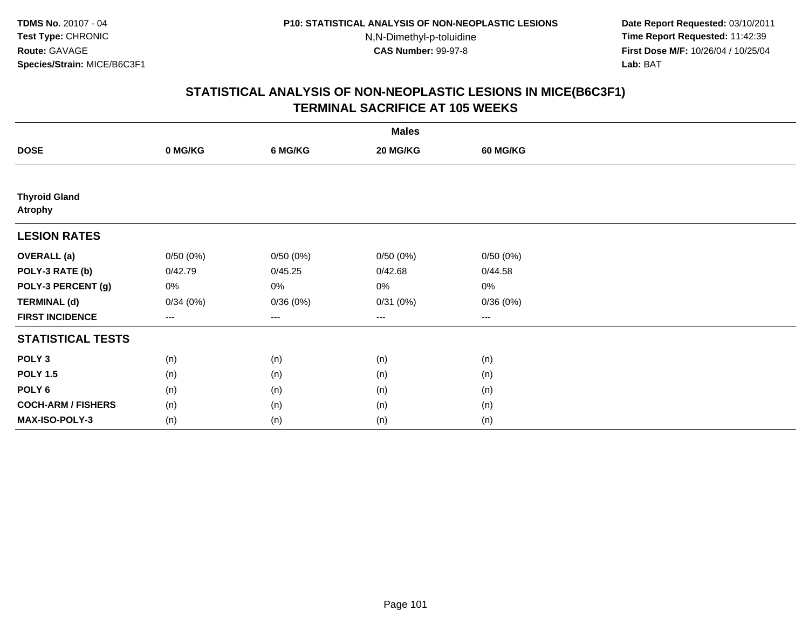**Date Report Requested:** 03/10/2011 **Time Report Requested:** 11:42:39 **First Dose M/F:** 10/26/04 / 10/25/04 Lab: BAT **Lab:** BAT

| <b>Males</b>                           |                        |          |          |                   |  |  |  |
|----------------------------------------|------------------------|----------|----------|-------------------|--|--|--|
| <b>DOSE</b>                            | 0 MG/KG                | 6 MG/KG  | 20 MG/KG | <b>60 MG/KG</b>   |  |  |  |
|                                        |                        |          |          |                   |  |  |  |
| <b>Thyroid Gland</b><br><b>Atrophy</b> |                        |          |          |                   |  |  |  |
| <b>LESION RATES</b>                    |                        |          |          |                   |  |  |  |
| <b>OVERALL</b> (a)                     | 0/50(0%)               | 0/50(0%) | 0/50(0%) | 0/50(0%)          |  |  |  |
| POLY-3 RATE (b)                        | 0/42.79                | 0/45.25  | 0/42.68  | 0/44.58           |  |  |  |
| POLY-3 PERCENT (g)                     | 0%                     | 0%       | 0%       | 0%                |  |  |  |
| <b>TERMINAL (d)</b>                    | 0/34(0%)               | 0/36(0%) | 0/31(0%) | 0/36(0%)          |  |  |  |
| <b>FIRST INCIDENCE</b>                 | $\qquad \qquad \cdots$ | $---$    | $---$    | $\qquad \qquad -$ |  |  |  |
| <b>STATISTICAL TESTS</b>               |                        |          |          |                   |  |  |  |
| POLY <sub>3</sub>                      | (n)                    | (n)      | (n)      | (n)               |  |  |  |
| <b>POLY 1.5</b>                        | (n)                    | (n)      | (n)      | (n)               |  |  |  |
| POLY <sub>6</sub>                      | (n)                    | (n)      | (n)      | (n)               |  |  |  |
| <b>COCH-ARM / FISHERS</b>              | (n)                    | (n)      | (n)      | (n)               |  |  |  |
| MAX-ISO-POLY-3                         | (n)                    | (n)      | (n)      | (n)               |  |  |  |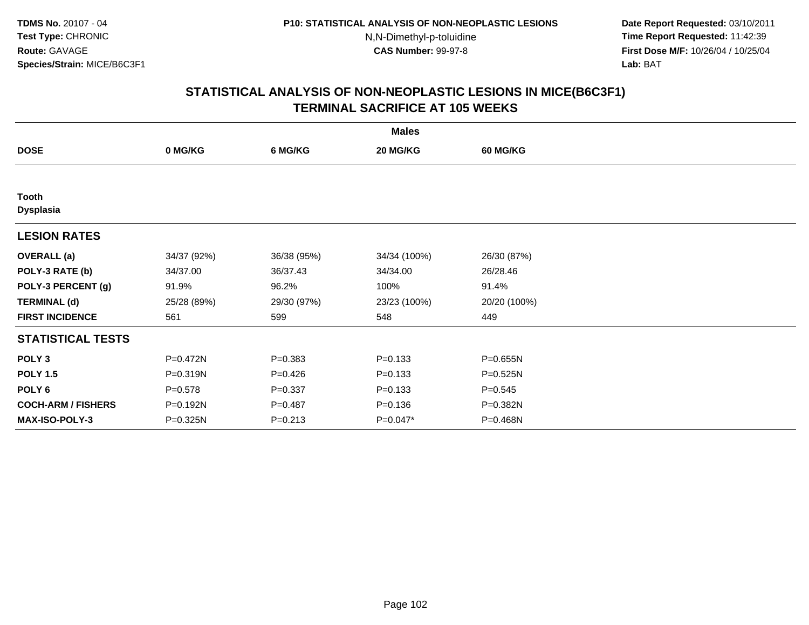**Date Report Requested:** 03/10/2011 **Time Report Requested:** 11:42:39 **First Dose M/F:** 10/26/04 / 10/25/04 Lab: BAT **Lab:** BAT

| <b>Males</b>                     |             |             |              |                 |  |  |  |
|----------------------------------|-------------|-------------|--------------|-----------------|--|--|--|
| <b>DOSE</b>                      | 0 MG/KG     | 6 MG/KG     | 20 MG/KG     | <b>60 MG/KG</b> |  |  |  |
|                                  |             |             |              |                 |  |  |  |
| <b>Tooth</b><br><b>Dysplasia</b> |             |             |              |                 |  |  |  |
| <b>LESION RATES</b>              |             |             |              |                 |  |  |  |
| <b>OVERALL</b> (a)               | 34/37 (92%) | 36/38 (95%) | 34/34 (100%) | 26/30 (87%)     |  |  |  |
| POLY-3 RATE (b)                  | 34/37.00    | 36/37.43    | 34/34.00     | 26/28.46        |  |  |  |
| POLY-3 PERCENT (g)               | 91.9%       | 96.2%       | 100%         | 91.4%           |  |  |  |
| <b>TERMINAL (d)</b>              | 25/28 (89%) | 29/30 (97%) | 23/23 (100%) | 20/20 (100%)    |  |  |  |
| <b>FIRST INCIDENCE</b>           | 561         | 599         | 548          | 449             |  |  |  |
| <b>STATISTICAL TESTS</b>         |             |             |              |                 |  |  |  |
| POLY <sub>3</sub>                | P=0.472N    | $P = 0.383$ | $P = 0.133$  | P=0.655N        |  |  |  |
| <b>POLY 1.5</b>                  | P=0.319N    | $P=0.426$   | $P = 0.133$  | P=0.525N        |  |  |  |
| POLY 6                           | $P = 0.578$ | $P = 0.337$ | $P = 0.133$  | $P = 0.545$     |  |  |  |
| <b>COCH-ARM / FISHERS</b>        | P=0.192N    | $P = 0.487$ | $P = 0.136$  | P=0.382N        |  |  |  |
| <b>MAX-ISO-POLY-3</b>            | P=0.325N    | $P = 0.213$ | P=0.047*     | P=0.468N        |  |  |  |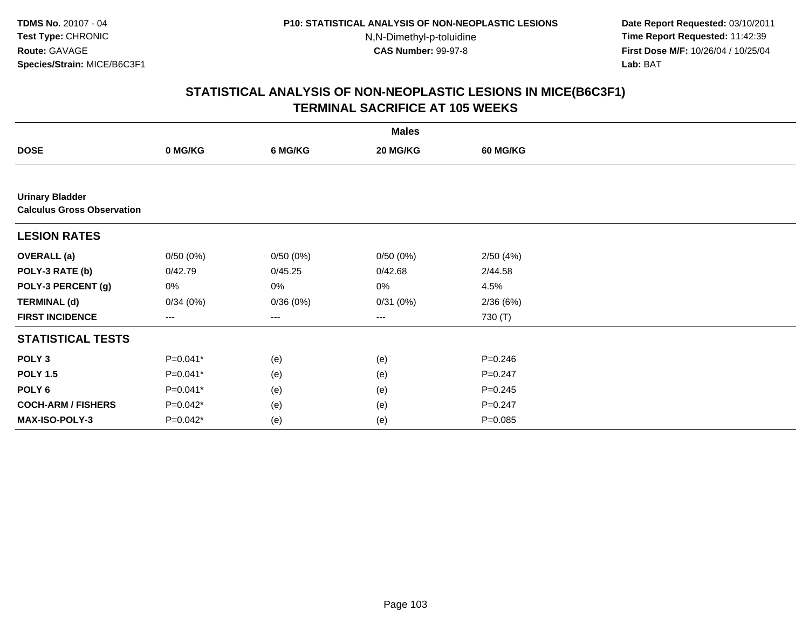**Date Report Requested:** 03/10/2011 **Time Report Requested:** 11:42:39 **First Dose M/F:** 10/26/04 / 10/25/04 Lab: BAT **Lab:** BAT

|                                                             | <b>Males</b> |          |                        |             |  |  |  |  |
|-------------------------------------------------------------|--------------|----------|------------------------|-------------|--|--|--|--|
| <b>DOSE</b>                                                 | 0 MG/KG      | 6 MG/KG  | 20 MG/KG               | 60 MG/KG    |  |  |  |  |
|                                                             |              |          |                        |             |  |  |  |  |
| <b>Urinary Bladder</b><br><b>Calculus Gross Observation</b> |              |          |                        |             |  |  |  |  |
| <b>LESION RATES</b>                                         |              |          |                        |             |  |  |  |  |
| <b>OVERALL</b> (a)                                          | 0/50(0%)     | 0/50(0%) | 0/50(0%)               | 2/50(4%)    |  |  |  |  |
| POLY-3 RATE (b)                                             | 0/42.79      | 0/45.25  | 0/42.68                | 2/44.58     |  |  |  |  |
| POLY-3 PERCENT (g)                                          | 0%           | 0%       | 0%                     | 4.5%        |  |  |  |  |
| <b>TERMINAL (d)</b>                                         | 0/34(0%)     | 0/36(0%) | 0/31(0%)               | 2/36(6%)    |  |  |  |  |
| <b>FIRST INCIDENCE</b>                                      | ---          | ---      | $\qquad \qquad \cdots$ | 730 $(T)$   |  |  |  |  |
| <b>STATISTICAL TESTS</b>                                    |              |          |                        |             |  |  |  |  |
| POLY <sub>3</sub>                                           | P=0.041*     | (e)      | (e)                    | $P = 0.246$ |  |  |  |  |
| <b>POLY 1.5</b>                                             | $P=0.041*$   | (e)      | (e)                    | $P = 0.247$ |  |  |  |  |
| POLY <sub>6</sub>                                           | P=0.041*     | (e)      | (e)                    | $P = 0.245$ |  |  |  |  |
| <b>COCH-ARM / FISHERS</b>                                   | $P=0.042*$   | (e)      | (e)                    | $P = 0.247$ |  |  |  |  |
| <b>MAX-ISO-POLY-3</b>                                       | $P=0.042*$   | (e)      | (e)                    | $P = 0.085$ |  |  |  |  |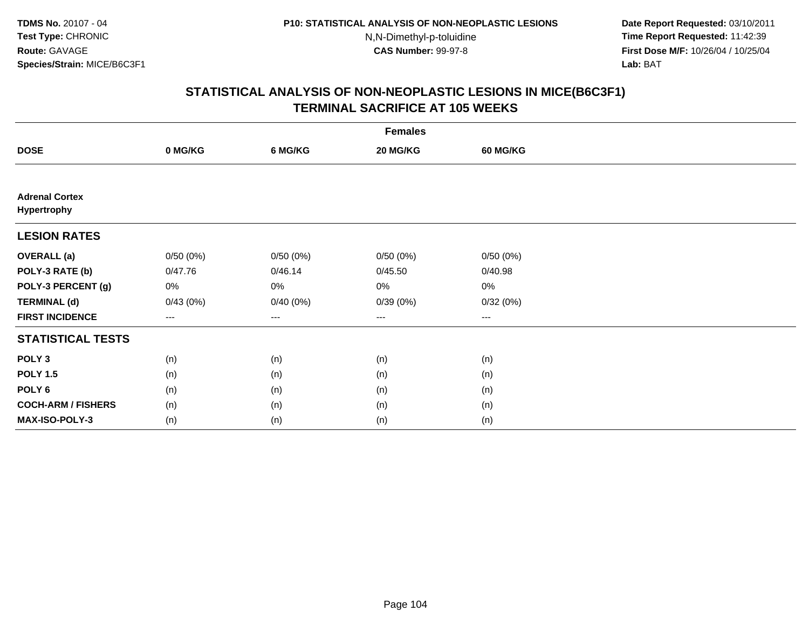**Date Report Requested:** 03/10/2011 **Time Report Requested:** 11:42:39 **First Dose M/F:** 10/26/04 / 10/25/04 Lab: BAT **Lab:** BAT

| <b>Females</b>                       |                        |                   |          |                 |  |  |  |
|--------------------------------------|------------------------|-------------------|----------|-----------------|--|--|--|
| <b>DOSE</b>                          | 0 MG/KG                | 6 MG/KG           | 20 MG/KG | <b>60 MG/KG</b> |  |  |  |
|                                      |                        |                   |          |                 |  |  |  |
| <b>Adrenal Cortex</b><br>Hypertrophy |                        |                   |          |                 |  |  |  |
| <b>LESION RATES</b>                  |                        |                   |          |                 |  |  |  |
| <b>OVERALL</b> (a)                   | 0/50(0%)               | 0/50(0%)          | 0/50(0%) | 0/50(0%)        |  |  |  |
| POLY-3 RATE (b)                      | 0/47.76                | 0/46.14           | 0/45.50  | 0/40.98         |  |  |  |
| POLY-3 PERCENT (g)                   | 0%                     | 0%                | 0%       | 0%              |  |  |  |
| <b>TERMINAL (d)</b>                  | 0/43(0%)               | 0/40(0%)          | 0/39(0%) | 0/32(0%)        |  |  |  |
| <b>FIRST INCIDENCE</b>               | $\qquad \qquad \cdots$ | $\qquad \qquad -$ | ---      | $\cdots$        |  |  |  |
| <b>STATISTICAL TESTS</b>             |                        |                   |          |                 |  |  |  |
| POLY <sub>3</sub>                    | (n)                    | (n)               | (n)      | (n)             |  |  |  |
| <b>POLY 1.5</b>                      | (n)                    | (n)               | (n)      | (n)             |  |  |  |
| POLY <sub>6</sub>                    | (n)                    | (n)               | (n)      | (n)             |  |  |  |
| <b>COCH-ARM / FISHERS</b>            | (n)                    | (n)               | (n)      | (n)             |  |  |  |
| MAX-ISO-POLY-3                       | (n)                    | (n)               | (n)      | (n)             |  |  |  |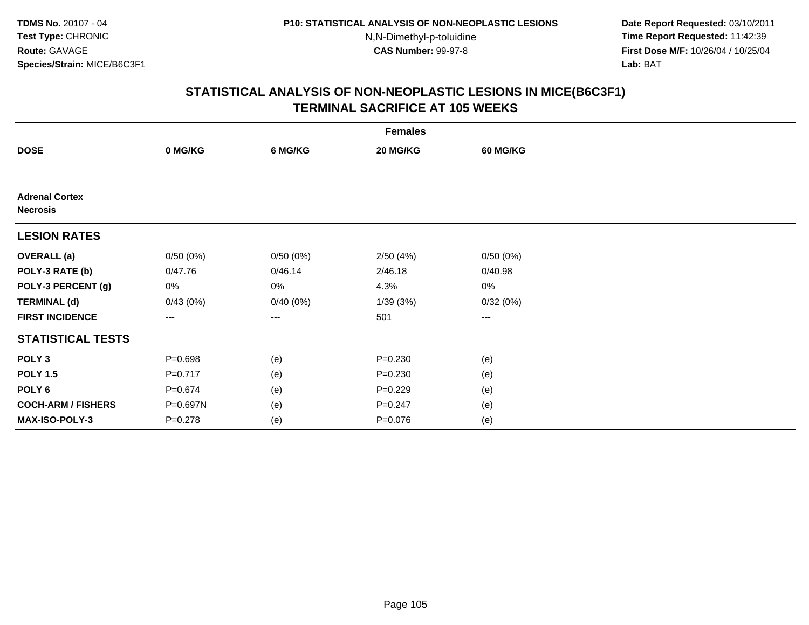**Date Report Requested:** 03/10/2011 **Time Report Requested:** 11:42:39 **First Dose M/F:** 10/26/04 / 10/25/04 Lab: BAT **Lab:** BAT

|                                          | <b>Females</b> |          |             |                        |  |  |  |  |
|------------------------------------------|----------------|----------|-------------|------------------------|--|--|--|--|
| <b>DOSE</b>                              | 0 MG/KG        | 6 MG/KG  | 20 MG/KG    | <b>60 MG/KG</b>        |  |  |  |  |
|                                          |                |          |             |                        |  |  |  |  |
| <b>Adrenal Cortex</b><br><b>Necrosis</b> |                |          |             |                        |  |  |  |  |
| <b>LESION RATES</b>                      |                |          |             |                        |  |  |  |  |
| <b>OVERALL</b> (a)                       | 0/50(0%)       | 0/50(0%) | 2/50(4%)    | 0/50(0%)               |  |  |  |  |
| POLY-3 RATE (b)                          | 0/47.76        | 0/46.14  | 2/46.18     | 0/40.98                |  |  |  |  |
| POLY-3 PERCENT (g)                       | 0%             | 0%       | 4.3%        | 0%                     |  |  |  |  |
| <b>TERMINAL (d)</b>                      | 0/43(0%)       | 0/40(0%) | 1/39(3%)    | 0/32(0%)               |  |  |  |  |
| <b>FIRST INCIDENCE</b>                   | ---            | ---      | 501         | $\qquad \qquad \cdots$ |  |  |  |  |
| <b>STATISTICAL TESTS</b>                 |                |          |             |                        |  |  |  |  |
| POLY <sub>3</sub>                        | $P = 0.698$    | (e)      | $P = 0.230$ | (e)                    |  |  |  |  |
| <b>POLY 1.5</b>                          | $P=0.717$      | (e)      | $P = 0.230$ | (e)                    |  |  |  |  |
| POLY 6                                   | $P = 0.674$    | (e)      | $P=0.229$   | (e)                    |  |  |  |  |
| <b>COCH-ARM / FISHERS</b>                | P=0.697N       | (e)      | $P = 0.247$ | (e)                    |  |  |  |  |
| MAX-ISO-POLY-3                           | $P = 0.278$    | (e)      | $P = 0.076$ | (e)                    |  |  |  |  |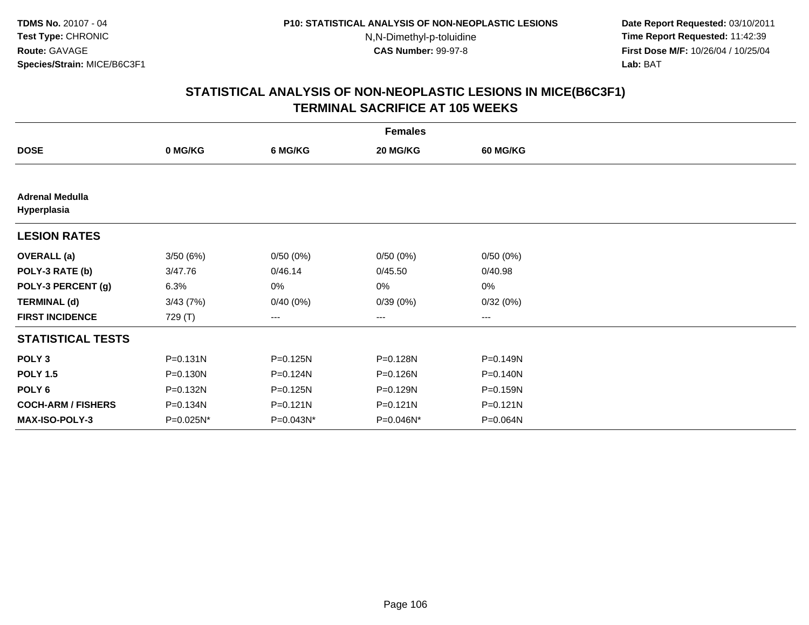**Date Report Requested:** 03/10/2011 **Time Report Requested:** 11:42:39 **First Dose M/F:** 10/26/04 / 10/25/04 Lab: BAT **Lab:** BAT

| <b>Females</b>                        |              |           |           |                   |  |  |  |
|---------------------------------------|--------------|-----------|-----------|-------------------|--|--|--|
| <b>DOSE</b>                           | 0 MG/KG      | 6 MG/KG   | 20 MG/KG  | <b>60 MG/KG</b>   |  |  |  |
|                                       |              |           |           |                   |  |  |  |
| <b>Adrenal Medulla</b><br>Hyperplasia |              |           |           |                   |  |  |  |
| <b>LESION RATES</b>                   |              |           |           |                   |  |  |  |
| <b>OVERALL</b> (a)                    | 3/50(6%)     | 0/50(0%)  | 0/50(0%)  | 0/50(0%)          |  |  |  |
| POLY-3 RATE (b)                       | 3/47.76      | 0/46.14   | 0/45.50   | 0/40.98           |  |  |  |
| POLY-3 PERCENT (g)                    | 6.3%         | 0%        | 0%        | 0%                |  |  |  |
| <b>TERMINAL (d)</b>                   | 3/43(7%)     | 0/40(0%)  | 0/39(0%)  | 0/32(0%)          |  |  |  |
| <b>FIRST INCIDENCE</b>                | 729 (T)      | $--$      | ---       | $\qquad \qquad -$ |  |  |  |
| <b>STATISTICAL TESTS</b>              |              |           |           |                   |  |  |  |
| POLY <sub>3</sub>                     | $P = 0.131N$ | P=0.125N  | P=0.128N  | $P = 0.149N$      |  |  |  |
| <b>POLY 1.5</b>                       | $P = 0.130N$ | P=0.124N  | P=0.126N  | $P = 0.140N$      |  |  |  |
| POLY <sub>6</sub>                     | P=0.132N     | P=0.125N  | P=0.129N  | P=0.159N          |  |  |  |
| <b>COCH-ARM / FISHERS</b>             | P=0.134N     | P=0.121N  | P=0.121N  | $P = 0.121N$      |  |  |  |
| <b>MAX-ISO-POLY-3</b>                 | P=0.025N*    | P=0.043N* | P=0.046N* | P=0.064N          |  |  |  |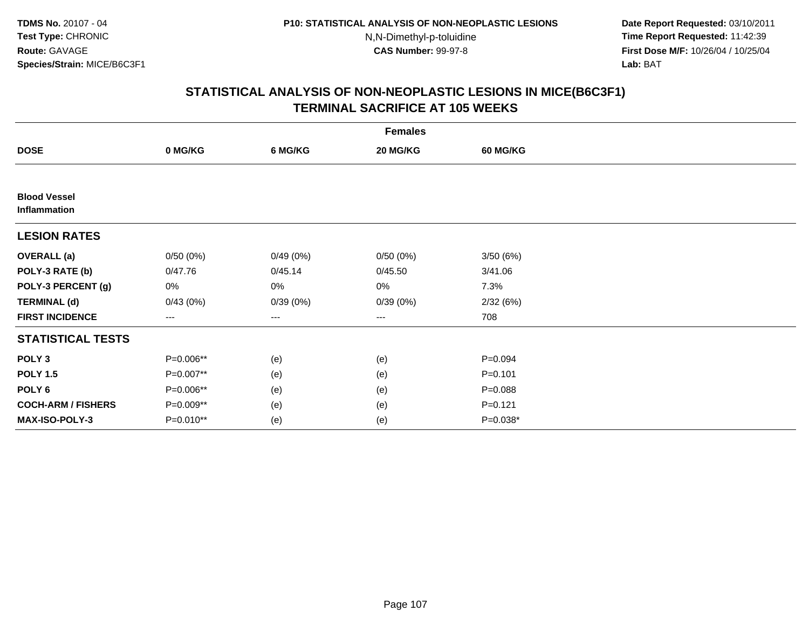**Date Report Requested:** 03/10/2011 **Time Report Requested:** 11:42:39 **First Dose M/F:** 10/26/04 / 10/25/04 Lab: BAT **Lab:** BAT

| <b>Females</b>                      |                   |                   |          |                 |  |  |  |
|-------------------------------------|-------------------|-------------------|----------|-----------------|--|--|--|
| <b>DOSE</b>                         | 0 MG/KG           | 6 MG/KG           | 20 MG/KG | <b>60 MG/KG</b> |  |  |  |
|                                     |                   |                   |          |                 |  |  |  |
| <b>Blood Vessel</b><br>Inflammation |                   |                   |          |                 |  |  |  |
| <b>LESION RATES</b>                 |                   |                   |          |                 |  |  |  |
| <b>OVERALL</b> (a)                  | 0/50(0%)          | 0/49(0%)          | 0/50(0%) | 3/50(6%)        |  |  |  |
| POLY-3 RATE (b)                     | 0/47.76           | 0/45.14           | 0/45.50  | 3/41.06         |  |  |  |
| POLY-3 PERCENT (g)                  | 0%                | 0%                | 0%       | 7.3%            |  |  |  |
| <b>TERMINAL (d)</b>                 | 0/43(0%)          | 0/39(0%)          | 0/39(0%) | 2/32(6%)        |  |  |  |
| <b>FIRST INCIDENCE</b>              | $\qquad \qquad -$ | $\qquad \qquad -$ | $---$    | 708             |  |  |  |
| <b>STATISTICAL TESTS</b>            |                   |                   |          |                 |  |  |  |
| POLY <sub>3</sub>                   | P=0.006**         | (e)               | (e)      | $P = 0.094$     |  |  |  |
| <b>POLY 1.5</b>                     | P=0.007**         | (e)               | (e)      | $P = 0.101$     |  |  |  |
| POLY <sub>6</sub>                   | P=0.006**         | (e)               | (e)      | $P = 0.088$     |  |  |  |
| <b>COCH-ARM / FISHERS</b>           | P=0.009**         | (e)               | (e)      | $P = 0.121$     |  |  |  |
| <b>MAX-ISO-POLY-3</b>               | P=0.010**         | (e)               | (e)      | $P=0.038*$      |  |  |  |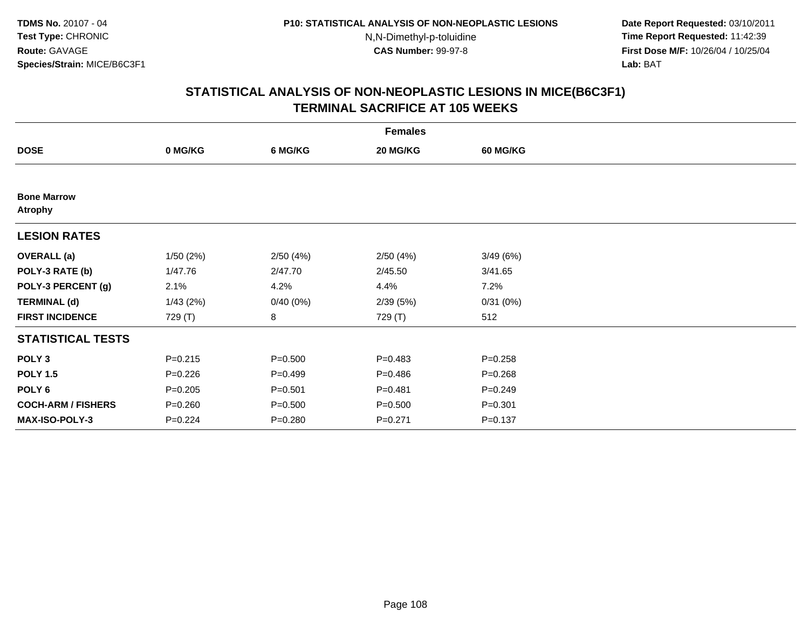**Date Report Requested:** 03/10/2011 **Time Report Requested:** 11:42:39 **First Dose M/F:** 10/26/04 / 10/25/04 Lab: BAT **Lab:** BAT

|                                      | <b>Females</b> |             |             |                 |  |  |  |  |
|--------------------------------------|----------------|-------------|-------------|-----------------|--|--|--|--|
| <b>DOSE</b>                          | 0 MG/KG        | 6 MG/KG     | 20 MG/KG    | <b>60 MG/KG</b> |  |  |  |  |
|                                      |                |             |             |                 |  |  |  |  |
| <b>Bone Marrow</b><br><b>Atrophy</b> |                |             |             |                 |  |  |  |  |
| <b>LESION RATES</b>                  |                |             |             |                 |  |  |  |  |
| <b>OVERALL</b> (a)                   | 1/50(2%)       | 2/50(4%)    | 2/50(4%)    | 3/49(6%)        |  |  |  |  |
| POLY-3 RATE (b)                      | 1/47.76        | 2/47.70     | 2/45.50     | 3/41.65         |  |  |  |  |
| POLY-3 PERCENT (g)                   | 2.1%           | 4.2%        | 4.4%        | 7.2%            |  |  |  |  |
| <b>TERMINAL (d)</b>                  | 1/43(2%)       | 0/40(0%)    | 2/39(5%)    | 0/31(0%)        |  |  |  |  |
| <b>FIRST INCIDENCE</b>               | 729 (T)        | 8           | 729 (T)     | 512             |  |  |  |  |
| <b>STATISTICAL TESTS</b>             |                |             |             |                 |  |  |  |  |
| POLY <sub>3</sub>                    | $P = 0.215$    | $P = 0.500$ | $P=0.483$   | $P = 0.258$     |  |  |  |  |
| <b>POLY 1.5</b>                      | $P = 0.226$    | $P=0.499$   | $P = 0.486$ | $P = 0.268$     |  |  |  |  |
| POLY 6                               | $P = 0.205$    | $P = 0.501$ | $P = 0.481$ | $P = 0.249$     |  |  |  |  |
| <b>COCH-ARM / FISHERS</b>            | $P = 0.260$    | $P = 0.500$ | $P = 0.500$ | $P = 0.301$     |  |  |  |  |
| MAX-ISO-POLY-3                       | $P = 0.224$    | $P = 0.280$ | $P = 0.271$ | $P = 0.137$     |  |  |  |  |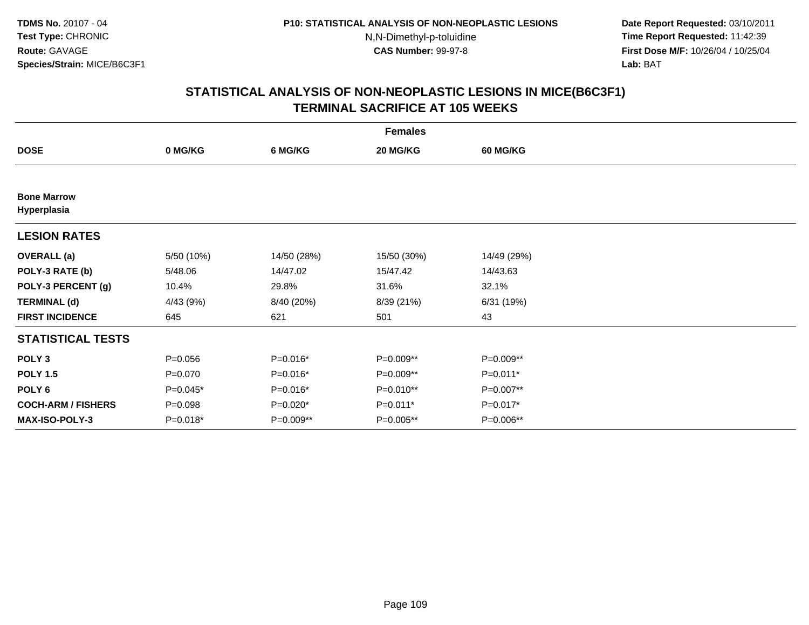**Date Report Requested:** 03/10/2011 **Time Report Requested:** 11:42:39 **First Dose M/F:** 10/26/04 / 10/25/04 Lab: BAT **Lab:** BAT

|                                   | <b>Females</b> |             |             |                 |  |  |  |  |
|-----------------------------------|----------------|-------------|-------------|-----------------|--|--|--|--|
| <b>DOSE</b>                       | 0 MG/KG        | 6 MG/KG     | 20 MG/KG    | <b>60 MG/KG</b> |  |  |  |  |
|                                   |                |             |             |                 |  |  |  |  |
| <b>Bone Marrow</b><br>Hyperplasia |                |             |             |                 |  |  |  |  |
| <b>LESION RATES</b>               |                |             |             |                 |  |  |  |  |
| <b>OVERALL</b> (a)                | 5/50 (10%)     | 14/50 (28%) | 15/50 (30%) | 14/49 (29%)     |  |  |  |  |
| POLY-3 RATE (b)                   | 5/48.06        | 14/47.02    | 15/47.42    | 14/43.63        |  |  |  |  |
| POLY-3 PERCENT (g)                | 10.4%          | 29.8%       | 31.6%       | 32.1%           |  |  |  |  |
| <b>TERMINAL (d)</b>               | 4/43 (9%)      | 8/40 (20%)  | 8/39 (21%)  | 6/31 (19%)      |  |  |  |  |
| <b>FIRST INCIDENCE</b>            | 645            | 621         | 501         | 43              |  |  |  |  |
| <b>STATISTICAL TESTS</b>          |                |             |             |                 |  |  |  |  |
| POLY <sub>3</sub>                 | $P = 0.056$    | $P=0.016*$  | P=0.009**   | $P=0.009**$     |  |  |  |  |
| <b>POLY 1.5</b>                   | $P = 0.070$    | P=0.016*    | P=0.009**   | $P=0.011*$      |  |  |  |  |
| POLY <sub>6</sub>                 | P=0.045*       | P=0.016*    | P=0.010**   | P=0.007**       |  |  |  |  |
| <b>COCH-ARM / FISHERS</b>         | $P = 0.098$    | P=0.020*    | P=0.011*    | P=0.017*        |  |  |  |  |
| <b>MAX-ISO-POLY-3</b>             | P=0.018*       | P=0.009**   | P=0.005**   | P=0.006**       |  |  |  |  |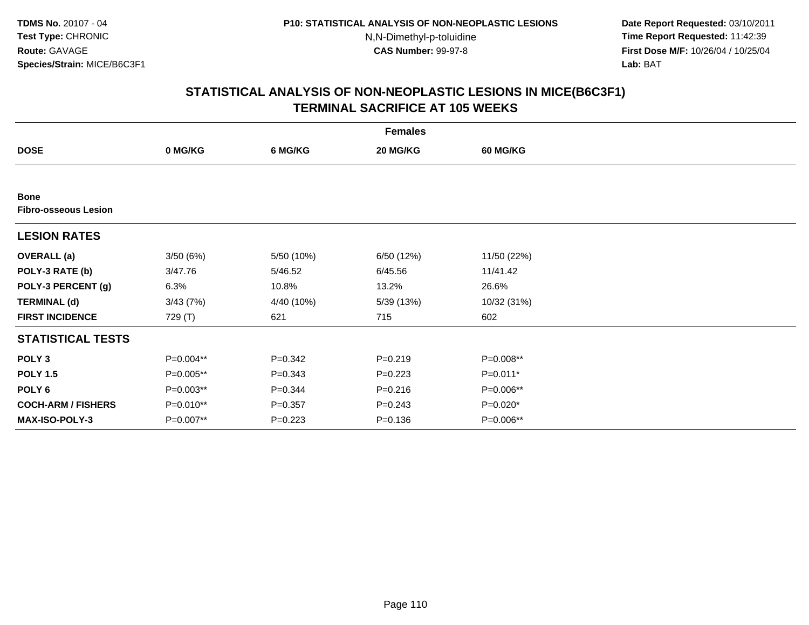**Date Report Requested:** 03/10/2011 **Time Report Requested:** 11:42:39 **First Dose M/F:** 10/26/04 / 10/25/04 Lab: BAT **Lab:** BAT

|                                            | <b>Females</b> |             |             |                 |  |  |  |  |
|--------------------------------------------|----------------|-------------|-------------|-----------------|--|--|--|--|
| <b>DOSE</b>                                | 0 MG/KG        | 6 MG/KG     | 20 MG/KG    | <b>60 MG/KG</b> |  |  |  |  |
|                                            |                |             |             |                 |  |  |  |  |
| <b>Bone</b><br><b>Fibro-osseous Lesion</b> |                |             |             |                 |  |  |  |  |
| <b>LESION RATES</b>                        |                |             |             |                 |  |  |  |  |
| <b>OVERALL</b> (a)                         | 3/50(6%)       | 5/50 (10%)  | 6/50 (12%)  | 11/50 (22%)     |  |  |  |  |
| POLY-3 RATE (b)                            | 3/47.76        | 5/46.52     | 6/45.56     | 11/41.42        |  |  |  |  |
| POLY-3 PERCENT (g)                         | 6.3%           | 10.8%       | 13.2%       | 26.6%           |  |  |  |  |
| <b>TERMINAL (d)</b>                        | 3/43(7%)       | 4/40 (10%)  | 5/39 (13%)  | 10/32 (31%)     |  |  |  |  |
| <b>FIRST INCIDENCE</b>                     | 729 (T)        | 621         | 715         | 602             |  |  |  |  |
| <b>STATISTICAL TESTS</b>                   |                |             |             |                 |  |  |  |  |
| POLY <sub>3</sub>                          | $P=0.004**$    | $P = 0.342$ | $P = 0.219$ | P=0.008**       |  |  |  |  |
| <b>POLY 1.5</b>                            | P=0.005**      | $P = 0.343$ | $P = 0.223$ | P=0.011*        |  |  |  |  |
| POLY <sub>6</sub>                          | $P=0.003**$    | $P = 0.344$ | $P = 0.216$ | P=0.006**       |  |  |  |  |
| <b>COCH-ARM / FISHERS</b>                  | P=0.010**      | $P = 0.357$ | $P = 0.243$ | P=0.020*        |  |  |  |  |
| <b>MAX-ISO-POLY-3</b>                      | P=0.007**      | $P=0.223$   | $P = 0.136$ | P=0.006**       |  |  |  |  |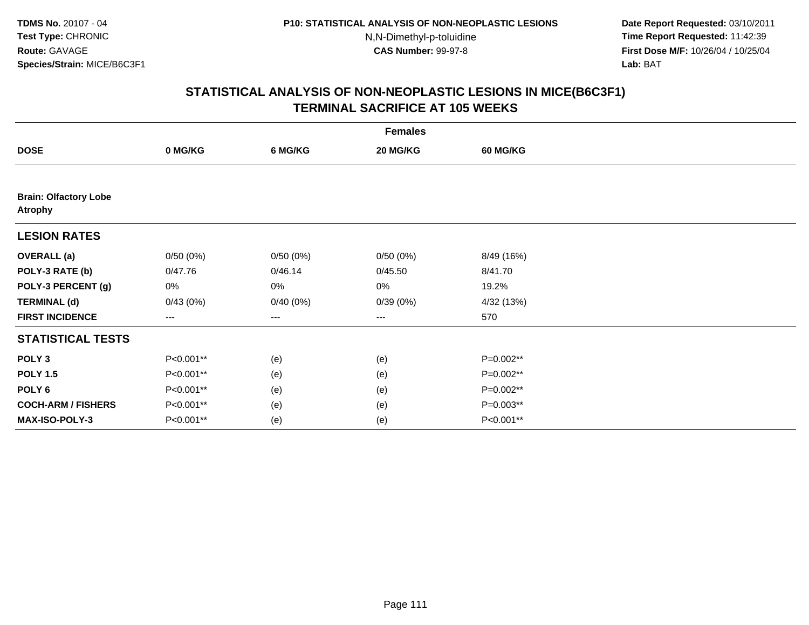**Date Report Requested:** 03/10/2011 **Time Report Requested:** 11:42:39 **First Dose M/F:** 10/26/04 / 10/25/04 Lab: BAT **Lab:** BAT

|                                                | <b>Females</b>    |          |                   |                 |  |  |  |  |
|------------------------------------------------|-------------------|----------|-------------------|-----------------|--|--|--|--|
| <b>DOSE</b>                                    | 0 MG/KG           | 6 MG/KG  | 20 MG/KG          | <b>60 MG/KG</b> |  |  |  |  |
|                                                |                   |          |                   |                 |  |  |  |  |
| <b>Brain: Olfactory Lobe</b><br><b>Atrophy</b> |                   |          |                   |                 |  |  |  |  |
| <b>LESION RATES</b>                            |                   |          |                   |                 |  |  |  |  |
| <b>OVERALL</b> (a)                             | 0/50(0%)          | 0/50(0%) | 0/50(0%)          | 8/49 (16%)      |  |  |  |  |
| POLY-3 RATE (b)                                | 0/47.76           | 0/46.14  | 0/45.50           | 8/41.70         |  |  |  |  |
| POLY-3 PERCENT (g)                             | 0%                | 0%       | 0%                | 19.2%           |  |  |  |  |
| <b>TERMINAL (d)</b>                            | 0/43(0%)          | 0/40(0%) | 0/39(0%)          | 4/32 (13%)      |  |  |  |  |
| <b>FIRST INCIDENCE</b>                         | $\qquad \qquad -$ | ---      | $\qquad \qquad -$ | 570             |  |  |  |  |
| <b>STATISTICAL TESTS</b>                       |                   |          |                   |                 |  |  |  |  |
| POLY <sub>3</sub>                              | P<0.001**         | (e)      | (e)               | P=0.002**       |  |  |  |  |
| <b>POLY 1.5</b>                                | P<0.001**         | (e)      | (e)               | P=0.002**       |  |  |  |  |
| POLY <sub>6</sub>                              | P<0.001**         | (e)      | (e)               | P=0.002**       |  |  |  |  |
| <b>COCH-ARM / FISHERS</b>                      | P<0.001**         | (e)      | (e)               | P=0.003**       |  |  |  |  |
| <b>MAX-ISO-POLY-3</b>                          | P<0.001**         | (e)      | (e)               | P<0.001**       |  |  |  |  |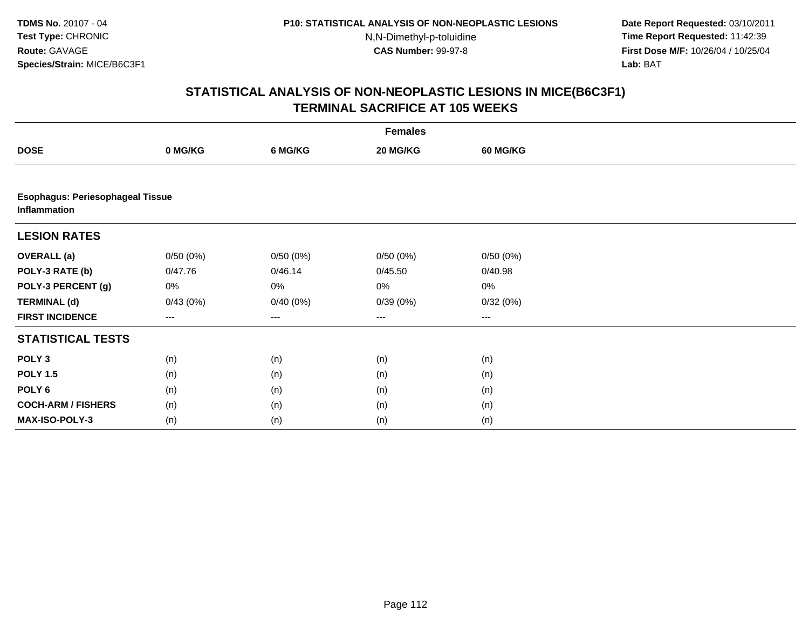**Date Report Requested:** 03/10/2011 **Time Report Requested:** 11:42:39 **First Dose M/F:** 10/26/04 / 10/25/04 Lab: BAT **Lab:** BAT

|                                                         | <b>Females</b>    |          |          |                 |  |  |  |  |
|---------------------------------------------------------|-------------------|----------|----------|-----------------|--|--|--|--|
| <b>DOSE</b>                                             | 0 MG/KG           | 6 MG/KG  | 20 MG/KG | <b>60 MG/KG</b> |  |  |  |  |
|                                                         |                   |          |          |                 |  |  |  |  |
| <b>Esophagus: Periesophageal Tissue</b><br>Inflammation |                   |          |          |                 |  |  |  |  |
| <b>LESION RATES</b>                                     |                   |          |          |                 |  |  |  |  |
| <b>OVERALL (a)</b>                                      | 0/50(0%)          | 0/50(0%) | 0/50(0%) | 0/50(0%)        |  |  |  |  |
| POLY-3 RATE (b)                                         | 0/47.76           | 0/46.14  | 0/45.50  | 0/40.98         |  |  |  |  |
| POLY-3 PERCENT (g)                                      | 0%                | 0%       | 0%       | 0%              |  |  |  |  |
| <b>TERMINAL (d)</b>                                     | 0/43(0%)          | 0/40(0%) | 0/39(0%) | 0/32(0%)        |  |  |  |  |
| <b>FIRST INCIDENCE</b>                                  | $\qquad \qquad -$ | $\cdots$ | $\cdots$ | ---             |  |  |  |  |
| <b>STATISTICAL TESTS</b>                                |                   |          |          |                 |  |  |  |  |
| POLY <sub>3</sub>                                       | (n)               | (n)      | (n)      | (n)             |  |  |  |  |
| <b>POLY 1.5</b>                                         | (n)               | (n)      | (n)      | (n)             |  |  |  |  |
| POLY 6                                                  | (n)               | (n)      | (n)      | (n)             |  |  |  |  |
| <b>COCH-ARM / FISHERS</b>                               | (n)               | (n)      | (n)      | (n)             |  |  |  |  |
| <b>MAX-ISO-POLY-3</b>                                   | (n)               | (n)      | (n)      | (n)             |  |  |  |  |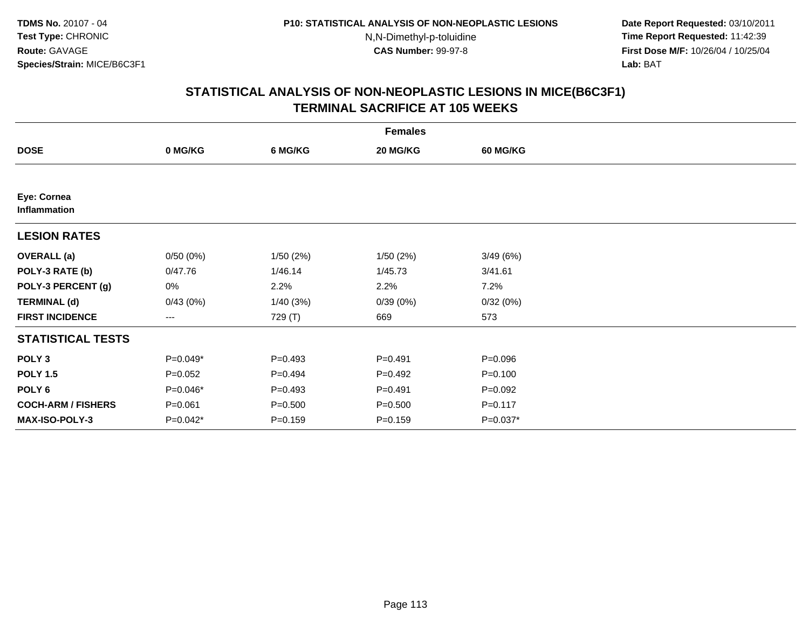**Date Report Requested:** 03/10/2011 **Time Report Requested:** 11:42:39 **First Dose M/F:** 10/26/04 / 10/25/04 Lab: BAT **Lab:** BAT

|                             | <b>Females</b> |             |             |                 |  |  |  |  |
|-----------------------------|----------------|-------------|-------------|-----------------|--|--|--|--|
| <b>DOSE</b>                 | 0 MG/KG        | 6 MG/KG     | 20 MG/KG    | <b>60 MG/KG</b> |  |  |  |  |
|                             |                |             |             |                 |  |  |  |  |
| Eye: Cornea<br>Inflammation |                |             |             |                 |  |  |  |  |
| <b>LESION RATES</b>         |                |             |             |                 |  |  |  |  |
| <b>OVERALL</b> (a)          | 0/50(0%)       | 1/50(2%)    | 1/50(2%)    | 3/49(6%)        |  |  |  |  |
| POLY-3 RATE (b)             | 0/47.76        | 1/46.14     | 1/45.73     | 3/41.61         |  |  |  |  |
| POLY-3 PERCENT (g)          | 0%             | 2.2%        | 2.2%        | 7.2%            |  |  |  |  |
| <b>TERMINAL (d)</b>         | 0/43(0%)       | 1/40(3%)    | 0/39(0%)    | 0/32(0%)        |  |  |  |  |
| <b>FIRST INCIDENCE</b>      | $--$           | 729 (T)     | 669         | 573             |  |  |  |  |
| <b>STATISTICAL TESTS</b>    |                |             |             |                 |  |  |  |  |
| POLY <sub>3</sub>           | $P=0.049*$     | $P=0.493$   | $P=0.491$   | $P = 0.096$     |  |  |  |  |
| <b>POLY 1.5</b>             | $P=0.052$      | $P=0.494$   | $P=0.492$   | $P = 0.100$     |  |  |  |  |
| POLY <sub>6</sub>           | $P=0.046*$     | $P=0.493$   | $P = 0.491$ | $P=0.092$       |  |  |  |  |
| <b>COCH-ARM / FISHERS</b>   | $P = 0.061$    | $P = 0.500$ | $P = 0.500$ | $P = 0.117$     |  |  |  |  |
| MAX-ISO-POLY-3              | $P=0.042*$     | $P = 0.159$ | $P = 0.159$ | $P=0.037*$      |  |  |  |  |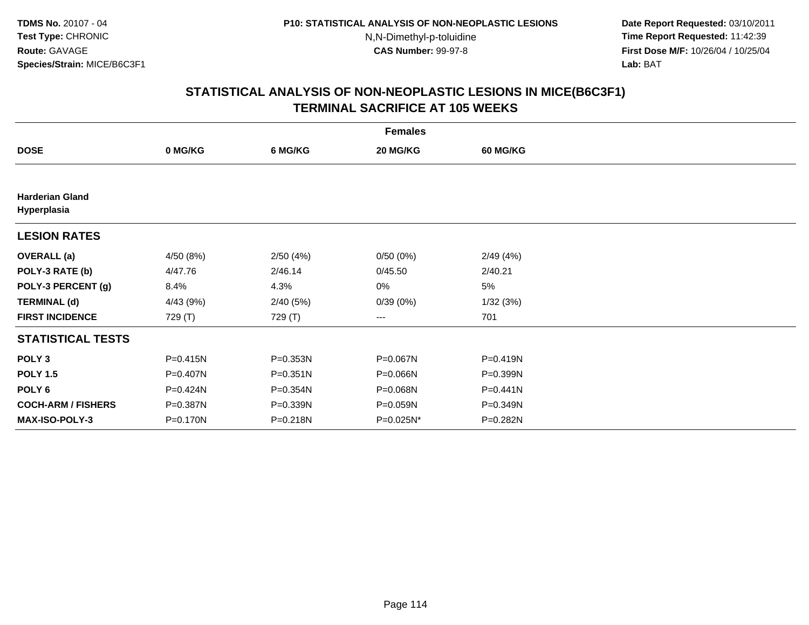**Date Report Requested:** 03/10/2011 **Time Report Requested:** 11:42:39 **First Dose M/F:** 10/26/04 / 10/25/04 Lab: BAT **Lab:** BAT

|                                       | <b>Females</b> |          |           |                 |  |  |  |  |
|---------------------------------------|----------------|----------|-----------|-----------------|--|--|--|--|
| <b>DOSE</b>                           | 0 MG/KG        | 6 MG/KG  | 20 MG/KG  | <b>60 MG/KG</b> |  |  |  |  |
|                                       |                |          |           |                 |  |  |  |  |
| <b>Harderian Gland</b><br>Hyperplasia |                |          |           |                 |  |  |  |  |
| <b>LESION RATES</b>                   |                |          |           |                 |  |  |  |  |
| <b>OVERALL</b> (a)                    | 4/50 (8%)      | 2/50(4%) | 0/50(0%)  | 2/49(4%)        |  |  |  |  |
| POLY-3 RATE (b)                       | 4/47.76        | 2/46.14  | 0/45.50   | 2/40.21         |  |  |  |  |
| POLY-3 PERCENT (g)                    | 8.4%           | 4.3%     | 0%        | 5%              |  |  |  |  |
| <b>TERMINAL (d)</b>                   | 4/43 (9%)      | 2/40(5%) | 0/39(0%)  | 1/32(3%)        |  |  |  |  |
| <b>FIRST INCIDENCE</b>                | 729 (T)        | 729 (T)  | ---       | 701             |  |  |  |  |
| <b>STATISTICAL TESTS</b>              |                |          |           |                 |  |  |  |  |
| POLY <sub>3</sub>                     | $P = 0.415N$   | P=0.353N | P=0.067N  | P=0.419N        |  |  |  |  |
| <b>POLY 1.5</b>                       | P=0.407N       | P=0.351N | P=0.066N  | P=0.399N        |  |  |  |  |
| POLY <sub>6</sub>                     | P=0.424N       | P=0.354N | P=0.068N  | $P = 0.441N$    |  |  |  |  |
| <b>COCH-ARM / FISHERS</b>             | P=0.387N       | P=0.339N | P=0.059N  | P=0.349N        |  |  |  |  |
| <b>MAX-ISO-POLY-3</b>                 | P=0.170N       | P=0.218N | P=0.025N* | P=0.282N        |  |  |  |  |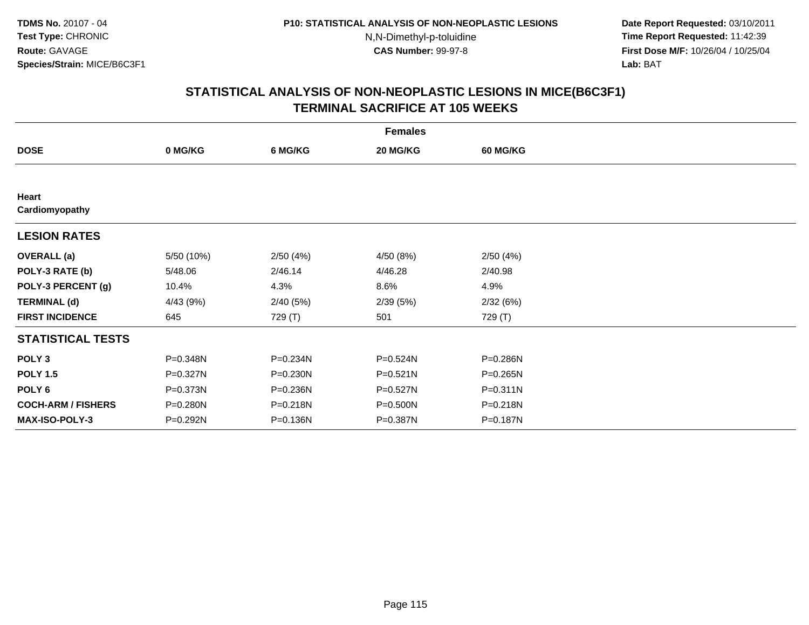**Date Report Requested:** 03/10/2011 **Time Report Requested:** 11:42:39 **First Dose M/F:** 10/26/04 / 10/25/04 Lab: BAT **Lab:** BAT

|                           | <b>Females</b> |          |           |                 |  |  |  |  |
|---------------------------|----------------|----------|-----------|-----------------|--|--|--|--|
| <b>DOSE</b>               | 0 MG/KG        | 6 MG/KG  | 20 MG/KG  | <b>60 MG/KG</b> |  |  |  |  |
|                           |                |          |           |                 |  |  |  |  |
| Heart<br>Cardiomyopathy   |                |          |           |                 |  |  |  |  |
|                           |                |          |           |                 |  |  |  |  |
| <b>LESION RATES</b>       |                |          |           |                 |  |  |  |  |
| <b>OVERALL</b> (a)        | 5/50 (10%)     | 2/50(4%) | 4/50 (8%) | 2/50(4%)        |  |  |  |  |
| POLY-3 RATE (b)           | 5/48.06        | 2/46.14  | 4/46.28   | 2/40.98         |  |  |  |  |
| POLY-3 PERCENT (g)        | 10.4%          | 4.3%     | 8.6%      | 4.9%            |  |  |  |  |
| <b>TERMINAL (d)</b>       | 4/43(9%)       | 2/40(5%) | 2/39(5%)  | 2/32(6%)        |  |  |  |  |
| <b>FIRST INCIDENCE</b>    | 645            | 729 (T)  | 501       | 729 (T)         |  |  |  |  |
| <b>STATISTICAL TESTS</b>  |                |          |           |                 |  |  |  |  |
| POLY <sub>3</sub>         | P=0.348N       | P=0.234N | P=0.524N  | P=0.286N        |  |  |  |  |
| <b>POLY 1.5</b>           | P=0.327N       | P=0.230N | P=0.521N  | P=0.265N        |  |  |  |  |
| POLY <sub>6</sub>         | P=0.373N       | P=0.236N | P=0.527N  | $P = 0.311N$    |  |  |  |  |
| <b>COCH-ARM / FISHERS</b> | P=0.280N       | P=0.218N | P=0.500N  | P=0.218N        |  |  |  |  |
| <b>MAX-ISO-POLY-3</b>     | P=0.292N       | P=0.136N | P=0.387N  | P=0.187N        |  |  |  |  |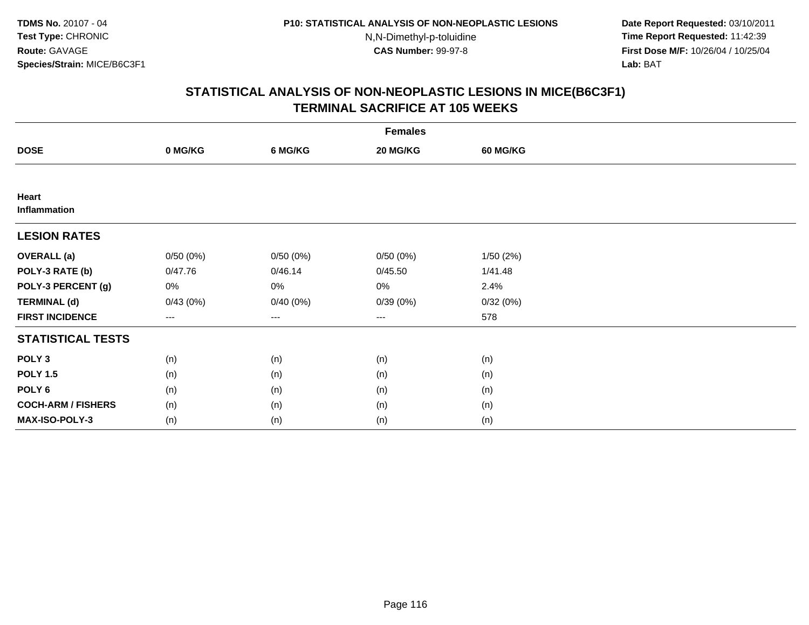**Date Report Requested:** 03/10/2011 **Time Report Requested:** 11:42:39 **First Dose M/F:** 10/26/04 / 10/25/04 Lab: BAT **Lab:** BAT

|                           | <b>Females</b> |          |                        |                 |  |  |  |  |
|---------------------------|----------------|----------|------------------------|-----------------|--|--|--|--|
| <b>DOSE</b>               | 0 MG/KG        | 6 MG/KG  | 20 MG/KG               | <b>60 MG/KG</b> |  |  |  |  |
|                           |                |          |                        |                 |  |  |  |  |
| Heart<br>Inflammation     |                |          |                        |                 |  |  |  |  |
| <b>LESION RATES</b>       |                |          |                        |                 |  |  |  |  |
| <b>OVERALL (a)</b>        | 0/50(0%)       | 0/50(0%) | 0/50(0%)               | 1/50(2%)        |  |  |  |  |
| POLY-3 RATE (b)           | 0/47.76        | 0/46.14  | 0/45.50                | 1/41.48         |  |  |  |  |
| POLY-3 PERCENT (g)        | 0%             | 0%       | 0%                     | 2.4%            |  |  |  |  |
| <b>TERMINAL (d)</b>       | 0/43(0%)       | 0/40(0%) | 0/39(0%)               | 0/32(0%)        |  |  |  |  |
| <b>FIRST INCIDENCE</b>    | ---            | $---$    | $\qquad \qquad \cdots$ | 578             |  |  |  |  |
| <b>STATISTICAL TESTS</b>  |                |          |                        |                 |  |  |  |  |
| POLY <sub>3</sub>         | (n)            | (n)      | (n)                    | (n)             |  |  |  |  |
| <b>POLY 1.5</b>           | (n)            | (n)      | (n)                    | (n)             |  |  |  |  |
| POLY <sub>6</sub>         | (n)            | (n)      | (n)                    | (n)             |  |  |  |  |
| <b>COCH-ARM / FISHERS</b> | (n)            | (n)      | (n)                    | (n)             |  |  |  |  |
| MAX-ISO-POLY-3            | (n)            | (n)      | (n)                    | (n)             |  |  |  |  |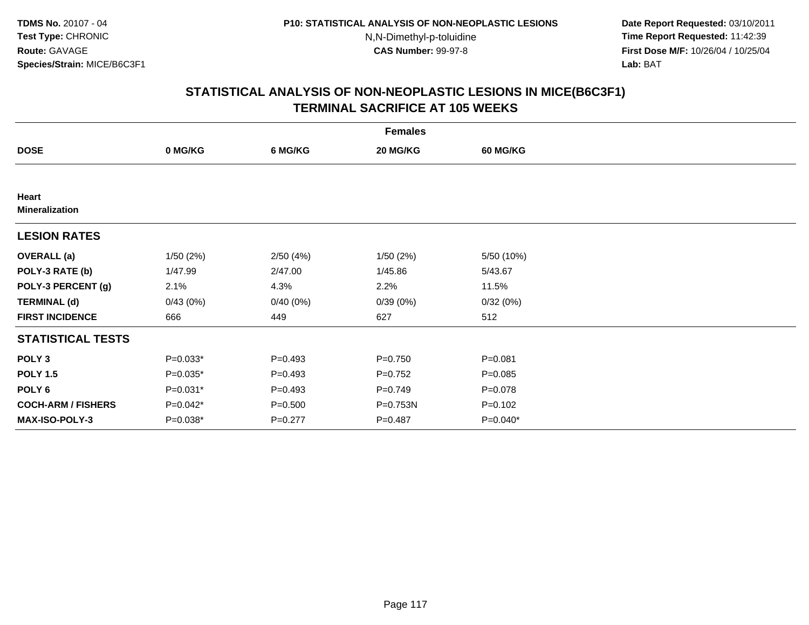**Date Report Requested:** 03/10/2011 **Time Report Requested:** 11:42:39 **First Dose M/F:** 10/26/04 / 10/25/04 Lab: BAT **Lab:** BAT

|                                | <b>Females</b> |             |             |                 |  |  |  |  |
|--------------------------------|----------------|-------------|-------------|-----------------|--|--|--|--|
| <b>DOSE</b>                    | 0 MG/KG        | 6 MG/KG     | 20 MG/KG    | <b>60 MG/KG</b> |  |  |  |  |
|                                |                |             |             |                 |  |  |  |  |
| Heart<br><b>Mineralization</b> |                |             |             |                 |  |  |  |  |
| <b>LESION RATES</b>            |                |             |             |                 |  |  |  |  |
| <b>OVERALL</b> (a)             | 1/50(2%)       | 2/50(4%)    | 1/50(2%)    | 5/50 (10%)      |  |  |  |  |
| POLY-3 RATE (b)                | 1/47.99        | 2/47.00     | 1/45.86     | 5/43.67         |  |  |  |  |
| POLY-3 PERCENT (g)             | 2.1%           | 4.3%        | 2.2%        | 11.5%           |  |  |  |  |
| <b>TERMINAL (d)</b>            | 0/43(0%)       | 0/40(0%)    | 0/39(0%)    | 0/32(0%)        |  |  |  |  |
| <b>FIRST INCIDENCE</b>         | 666            | 449         | 627         | 512             |  |  |  |  |
| <b>STATISTICAL TESTS</b>       |                |             |             |                 |  |  |  |  |
| POLY <sub>3</sub>              | $P=0.033*$     | $P=0.493$   | $P = 0.750$ | $P = 0.081$     |  |  |  |  |
| <b>POLY 1.5</b>                | P=0.035*       | $P=0.493$   | $P=0.752$   | $P = 0.085$     |  |  |  |  |
| POLY 6                         | P=0.031*       | $P=0.493$   | $P=0.749$   | $P = 0.078$     |  |  |  |  |
| <b>COCH-ARM / FISHERS</b>      | P=0.042*       | $P = 0.500$ | P=0.753N    | $P = 0.102$     |  |  |  |  |
| <b>MAX-ISO-POLY-3</b>          | P=0.038*       | $P=0.277$   | $P = 0.487$ | $P=0.040*$      |  |  |  |  |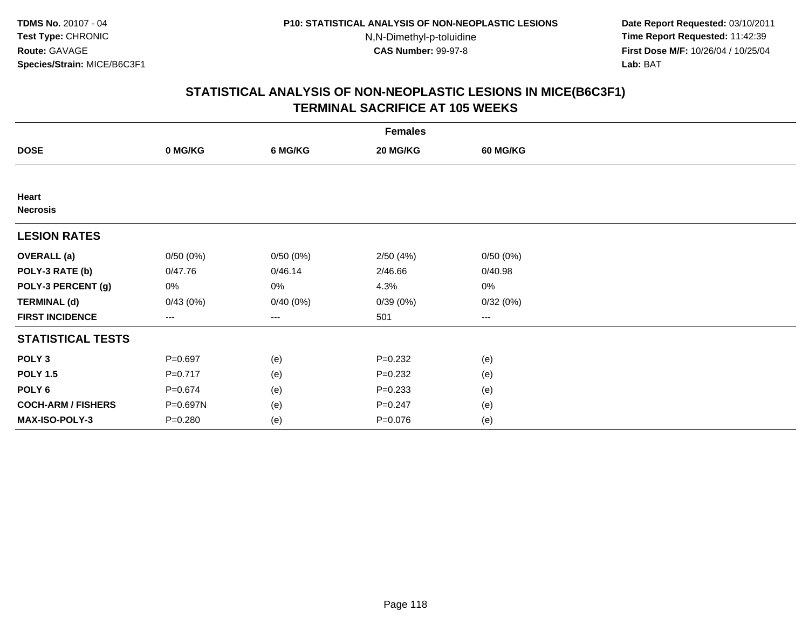**Date Report Requested:** 03/10/2011 **Time Report Requested:** 11:42:39 **First Dose M/F:** 10/26/04 / 10/25/04 Lab: BAT **Lab:** BAT

|                           | <b>Females</b>         |          |             |                 |  |  |  |  |
|---------------------------|------------------------|----------|-------------|-----------------|--|--|--|--|
| <b>DOSE</b>               | 0 MG/KG                | 6 MG/KG  | 20 MG/KG    | <b>60 MG/KG</b> |  |  |  |  |
|                           |                        |          |             |                 |  |  |  |  |
| Heart<br><b>Necrosis</b>  |                        |          |             |                 |  |  |  |  |
| <b>LESION RATES</b>       |                        |          |             |                 |  |  |  |  |
| <b>OVERALL</b> (a)        | 0/50(0%)               | 0/50(0%) | 2/50(4%)    | 0/50(0%)        |  |  |  |  |
| POLY-3 RATE (b)           | 0/47.76                | 0/46.14  | 2/46.66     | 0/40.98         |  |  |  |  |
| POLY-3 PERCENT (g)        | $0\%$                  | 0%       | 4.3%        | 0%              |  |  |  |  |
| <b>TERMINAL (d)</b>       | 0/43(0%)               | 0/40(0%) | 0/39(0%)    | 0/32(0%)        |  |  |  |  |
| <b>FIRST INCIDENCE</b>    | $\qquad \qquad \cdots$ | $---$    | 501         | $--$            |  |  |  |  |
| <b>STATISTICAL TESTS</b>  |                        |          |             |                 |  |  |  |  |
| POLY <sub>3</sub>         | $P = 0.697$            | (e)      | $P=0.232$   | (e)             |  |  |  |  |
| <b>POLY 1.5</b>           | $P=0.717$              | (e)      | $P = 0.232$ | (e)             |  |  |  |  |
| POLY <sub>6</sub>         | $P = 0.674$            | (e)      | $P = 0.233$ | (e)             |  |  |  |  |
| <b>COCH-ARM / FISHERS</b> | P=0.697N               | (e)      | $P = 0.247$ | (e)             |  |  |  |  |
| MAX-ISO-POLY-3            | $P = 0.280$            | (e)      | $P = 0.076$ | (e)             |  |  |  |  |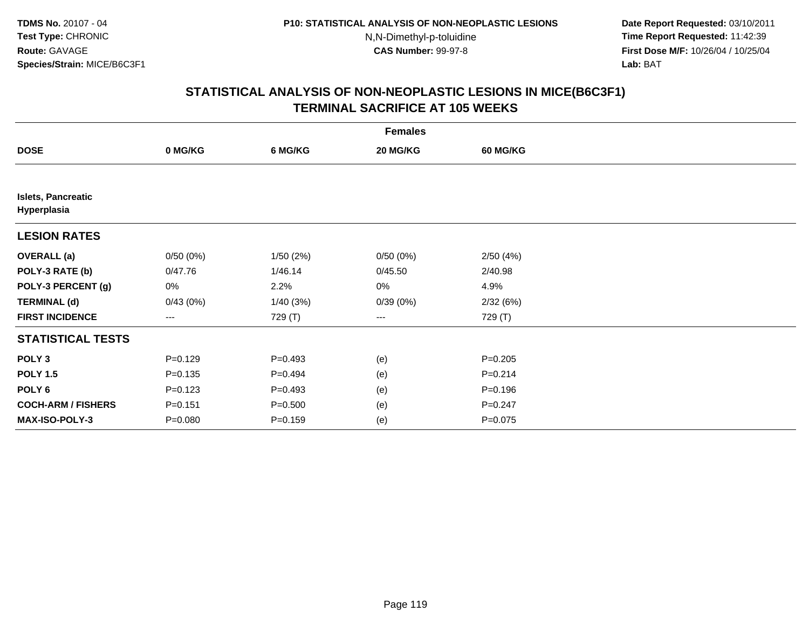**Date Report Requested:** 03/10/2011 **Time Report Requested:** 11:42:39 **First Dose M/F:** 10/26/04 / 10/25/04 Lab: BAT **Lab:** BAT

|                                          | <b>Females</b>         |             |          |                 |  |  |  |  |
|------------------------------------------|------------------------|-------------|----------|-----------------|--|--|--|--|
| <b>DOSE</b>                              | 0 MG/KG                | 6 MG/KG     | 20 MG/KG | <b>60 MG/KG</b> |  |  |  |  |
|                                          |                        |             |          |                 |  |  |  |  |
| <b>Islets, Pancreatic</b><br>Hyperplasia |                        |             |          |                 |  |  |  |  |
| <b>LESION RATES</b>                      |                        |             |          |                 |  |  |  |  |
| <b>OVERALL</b> (a)                       | 0/50(0%)               | 1/50(2%)    | 0/50(0%) | 2/50(4%)        |  |  |  |  |
| POLY-3 RATE (b)                          | 0/47.76                | 1/46.14     | 0/45.50  | 2/40.98         |  |  |  |  |
| POLY-3 PERCENT (g)                       | 0%                     | 2.2%        | 0%       | 4.9%            |  |  |  |  |
| <b>TERMINAL (d)</b>                      | 0/43(0%)               | 1/40(3%)    | 0/39(0%) | 2/32(6%)        |  |  |  |  |
| <b>FIRST INCIDENCE</b>                   | $\qquad \qquad \cdots$ | 729 (T)     | ---      | 729 (T)         |  |  |  |  |
| <b>STATISTICAL TESTS</b>                 |                        |             |          |                 |  |  |  |  |
| POLY <sub>3</sub>                        | $P=0.129$              | $P=0.493$   | (e)      | $P = 0.205$     |  |  |  |  |
| <b>POLY 1.5</b>                          | $P = 0.135$            | $P=0.494$   | (e)      | $P = 0.214$     |  |  |  |  |
| POLY <sub>6</sub>                        | $P = 0.123$            | $P=0.493$   | (e)      | $P = 0.196$     |  |  |  |  |
| <b>COCH-ARM / FISHERS</b>                | $P = 0.151$            | $P = 0.500$ | (e)      | $P = 0.247$     |  |  |  |  |
| MAX-ISO-POLY-3                           | $P = 0.080$            | $P = 0.159$ | (e)      | $P=0.075$       |  |  |  |  |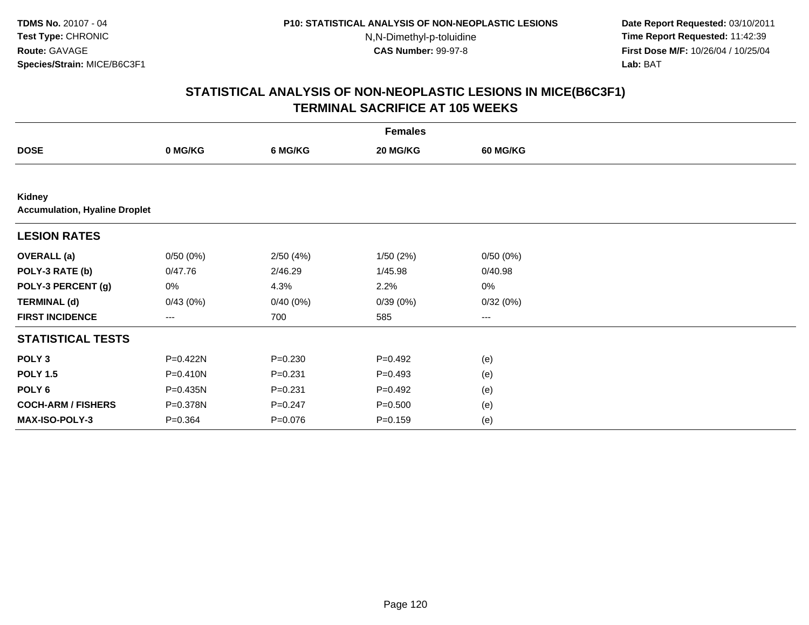**Date Report Requested:** 03/10/2011 **Time Report Requested:** 11:42:39 **First Dose M/F:** 10/26/04 / 10/25/04 Lab: BAT **Lab:** BAT

|                                                | <b>Females</b> |             |             |                        |  |  |  |  |
|------------------------------------------------|----------------|-------------|-------------|------------------------|--|--|--|--|
| <b>DOSE</b>                                    | 0 MG/KG        | 6 MG/KG     | 20 MG/KG    | <b>60 MG/KG</b>        |  |  |  |  |
|                                                |                |             |             |                        |  |  |  |  |
| Kidney<br><b>Accumulation, Hyaline Droplet</b> |                |             |             |                        |  |  |  |  |
| <b>LESION RATES</b>                            |                |             |             |                        |  |  |  |  |
| <b>OVERALL</b> (a)                             | 0/50(0%)       | 2/50(4%)    | 1/50(2%)    | 0/50(0%)               |  |  |  |  |
| POLY-3 RATE (b)                                | 0/47.76        | 2/46.29     | 1/45.98     | 0/40.98                |  |  |  |  |
| POLY-3 PERCENT (g)                             | 0%             | 4.3%        | 2.2%        | $0\%$                  |  |  |  |  |
| <b>TERMINAL (d)</b>                            | 0/43(0%)       | 0/40(0%)    | 0/39(0%)    | 0/32(0%)               |  |  |  |  |
| <b>FIRST INCIDENCE</b>                         | $--$           | 700         | 585         | $\qquad \qquad \cdots$ |  |  |  |  |
| <b>STATISTICAL TESTS</b>                       |                |             |             |                        |  |  |  |  |
| POLY <sub>3</sub>                              | P=0.422N       | $P = 0.230$ | $P=0.492$   | (e)                    |  |  |  |  |
| <b>POLY 1.5</b>                                | P=0.410N       | $P = 0.231$ | $P=0.493$   | (e)                    |  |  |  |  |
| POLY <sub>6</sub>                              | P=0.435N       | $P = 0.231$ | $P = 0.492$ | (e)                    |  |  |  |  |
| <b>COCH-ARM / FISHERS</b>                      | P=0.378N       | $P = 0.247$ | $P = 0.500$ | (e)                    |  |  |  |  |
| <b>MAX-ISO-POLY-3</b>                          | $P = 0.364$    | $P = 0.076$ | $P = 0.159$ | (e)                    |  |  |  |  |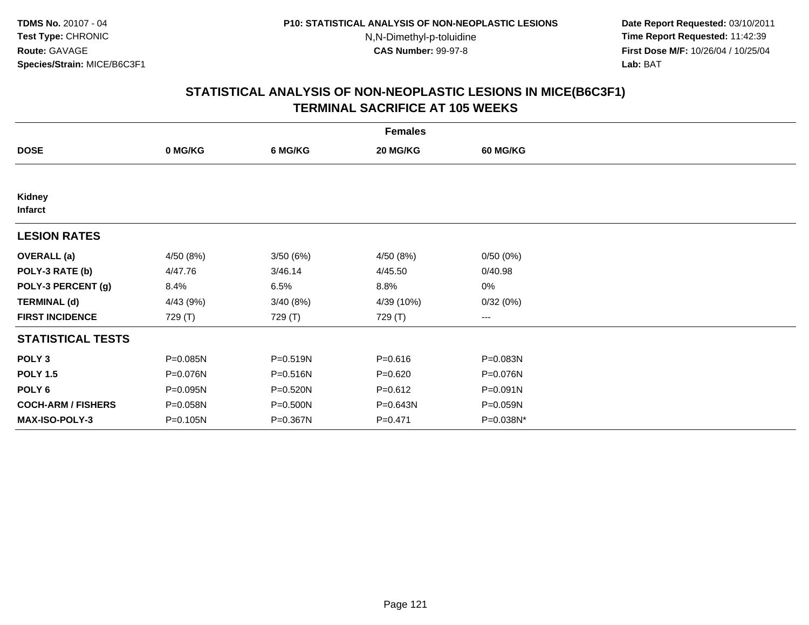**Date Report Requested:** 03/10/2011 **Time Report Requested:** 11:42:39 **First Dose M/F:** 10/26/04 / 10/25/04 Lab: BAT **Lab:** BAT

| <b>Females</b>            |           |          |             |                 |  |  |  |
|---------------------------|-----------|----------|-------------|-----------------|--|--|--|
| <b>DOSE</b>               | 0 MG/KG   | 6 MG/KG  | 20 MG/KG    | <b>60 MG/KG</b> |  |  |  |
|                           |           |          |             |                 |  |  |  |
| Kidney<br><b>Infarct</b>  |           |          |             |                 |  |  |  |
| <b>LESION RATES</b>       |           |          |             |                 |  |  |  |
| <b>OVERALL</b> (a)        | 4/50 (8%) | 3/50(6%) | 4/50 (8%)   | 0/50(0%)        |  |  |  |
| POLY-3 RATE (b)           | 4/47.76   | 3/46.14  | 4/45.50     | 0/40.98         |  |  |  |
| POLY-3 PERCENT (g)        | 8.4%      | 6.5%     | 8.8%        | 0%              |  |  |  |
| <b>TERMINAL (d)</b>       | 4/43 (9%) | 3/40(8%) | 4/39 (10%)  | 0/32(0%)        |  |  |  |
| <b>FIRST INCIDENCE</b>    | 729 (T)   | 729 (T)  | 729 (T)     | $--$            |  |  |  |
| <b>STATISTICAL TESTS</b>  |           |          |             |                 |  |  |  |
| POLY <sub>3</sub>         | P=0.085N  | P=0.519N | $P = 0.616$ | P=0.083N        |  |  |  |
| <b>POLY 1.5</b>           | P=0.076N  | P=0.516N | $P = 0.620$ | P=0.076N        |  |  |  |
| POLY 6                    | P=0.095N  | P=0.520N | $P = 0.612$ | $P = 0.091N$    |  |  |  |
| <b>COCH-ARM / FISHERS</b> | P=0.058N  | P=0.500N | P=0.643N    | P=0.059N        |  |  |  |
| <b>MAX-ISO-POLY-3</b>     | P=0.105N  | P=0.367N | $P = 0.471$ | P=0.038N*       |  |  |  |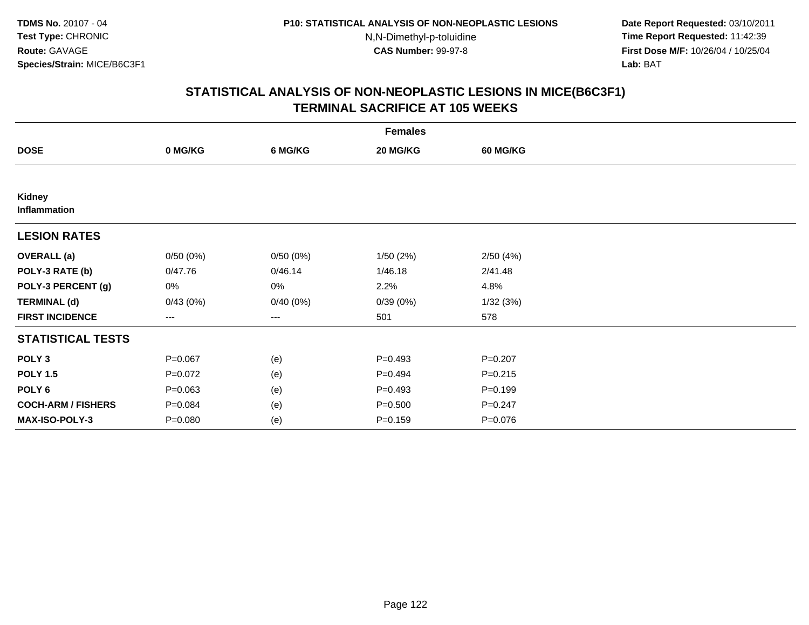**Date Report Requested:** 03/10/2011 **Time Report Requested:** 11:42:39 **First Dose M/F:** 10/26/04 / 10/25/04 Lab: BAT **Lab:** BAT

| <b>Females</b>            |                   |          |             |                 |  |  |  |
|---------------------------|-------------------|----------|-------------|-----------------|--|--|--|
| <b>DOSE</b>               | 0 MG/KG           | 6 MG/KG  | 20 MG/KG    | <b>60 MG/KG</b> |  |  |  |
|                           |                   |          |             |                 |  |  |  |
| Kidney<br>Inflammation    |                   |          |             |                 |  |  |  |
| <b>LESION RATES</b>       |                   |          |             |                 |  |  |  |
| <b>OVERALL</b> (a)        | 0/50(0%)          | 0/50(0%) | 1/50(2%)    | 2/50(4%)        |  |  |  |
| POLY-3 RATE (b)           | 0/47.76           | 0/46.14  | 1/46.18     | 2/41.48         |  |  |  |
| POLY-3 PERCENT (g)        | 0%                | $0\%$    | 2.2%        | 4.8%            |  |  |  |
| <b>TERMINAL (d)</b>       | 0/43(0%)          | 0/40(0%) | 0/39(0%)    | 1/32(3%)        |  |  |  |
| <b>FIRST INCIDENCE</b>    | $\qquad \qquad -$ | ---      | 501         | 578             |  |  |  |
| <b>STATISTICAL TESTS</b>  |                   |          |             |                 |  |  |  |
| POLY <sub>3</sub>         | $P=0.067$         | (e)      | $P=0.493$   | $P = 0.207$     |  |  |  |
| <b>POLY 1.5</b>           | $P = 0.072$       | (e)      | $P=0.494$   | $P = 0.215$     |  |  |  |
| POLY <sub>6</sub>         | $P = 0.063$       | (e)      | $P=0.493$   | $P = 0.199$     |  |  |  |
| <b>COCH-ARM / FISHERS</b> | $P = 0.084$       | (e)      | $P = 0.500$ | $P = 0.247$     |  |  |  |
| MAX-ISO-POLY-3            | $P = 0.080$       | (e)      | $P = 0.159$ | $P = 0.076$     |  |  |  |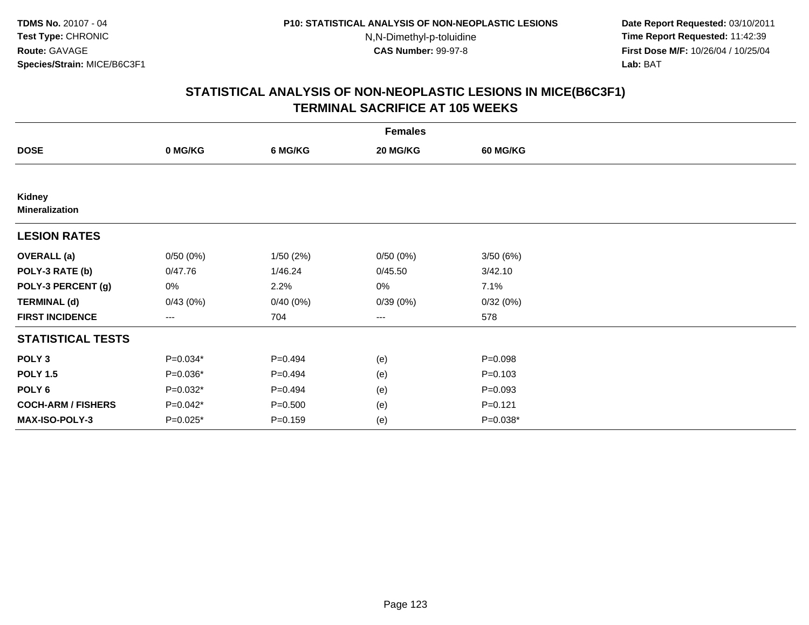**Date Report Requested:** 03/10/2011 **Time Report Requested:** 11:42:39 **First Dose M/F:** 10/26/04 / 10/25/04 Lab: BAT **Lab:** BAT

| <b>Females</b>                  |          |             |          |                 |  |  |  |
|---------------------------------|----------|-------------|----------|-----------------|--|--|--|
| <b>DOSE</b>                     | 0 MG/KG  | 6 MG/KG     | 20 MG/KG | <b>60 MG/KG</b> |  |  |  |
|                                 |          |             |          |                 |  |  |  |
| Kidney<br><b>Mineralization</b> |          |             |          |                 |  |  |  |
| <b>LESION RATES</b>             |          |             |          |                 |  |  |  |
| <b>OVERALL</b> (a)              | 0/50(0%) | 1/50(2%)    | 0/50(0%) | 3/50(6%)        |  |  |  |
| POLY-3 RATE (b)                 | 0/47.76  | 1/46.24     | 0/45.50  | 3/42.10         |  |  |  |
| POLY-3 PERCENT (g)              | 0%       | 2.2%        | 0%       | 7.1%            |  |  |  |
| <b>TERMINAL (d)</b>             | 0/43(0%) | 0/40(0%)    | 0/39(0%) | 0/32(0%)        |  |  |  |
| <b>FIRST INCIDENCE</b>          | $---$    | 704         | ---      | 578             |  |  |  |
| <b>STATISTICAL TESTS</b>        |          |             |          |                 |  |  |  |
| POLY <sub>3</sub>               | P=0.034* | $P=0.494$   | (e)      | $P = 0.098$     |  |  |  |
| <b>POLY 1.5</b>                 | P=0.036* | $P=0.494$   | (e)      | $P = 0.103$     |  |  |  |
| POLY <sub>6</sub>               | P=0.032* | $P=0.494$   | (e)      | $P = 0.093$     |  |  |  |
| <b>COCH-ARM / FISHERS</b>       | P=0.042* | $P = 0.500$ | (e)      | $P = 0.121$     |  |  |  |
| <b>MAX-ISO-POLY-3</b>           | P=0.025* | $P = 0.159$ | (e)      | $P=0.038*$      |  |  |  |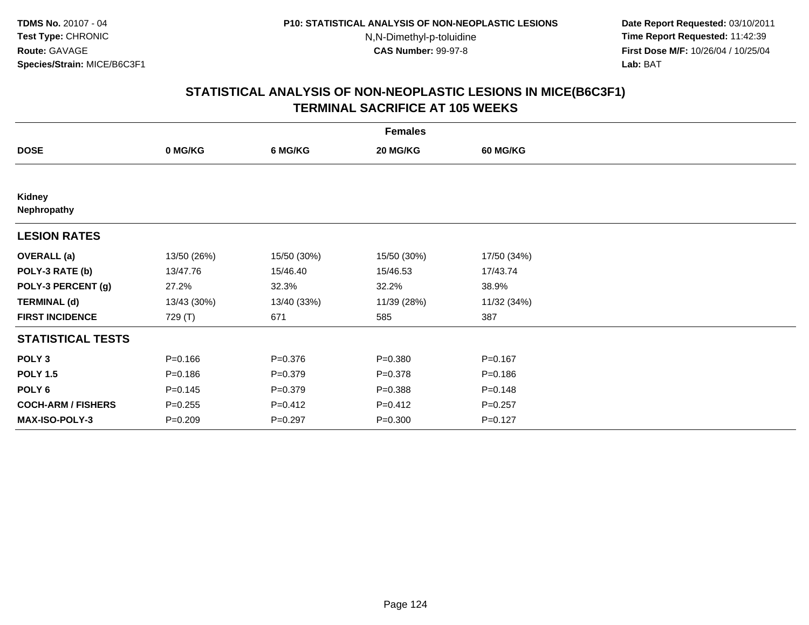**Date Report Requested:** 03/10/2011 **Time Report Requested:** 11:42:39 **First Dose M/F:** 10/26/04 / 10/25/04 Lab: BAT **Lab:** BAT

| <b>Females</b>            |             |             |             |                 |  |  |  |
|---------------------------|-------------|-------------|-------------|-----------------|--|--|--|
| <b>DOSE</b>               | 0 MG/KG     | 6 MG/KG     | 20 MG/KG    | <b>60 MG/KG</b> |  |  |  |
|                           |             |             |             |                 |  |  |  |
| Kidney<br>Nephropathy     |             |             |             |                 |  |  |  |
| <b>LESION RATES</b>       |             |             |             |                 |  |  |  |
| <b>OVERALL</b> (a)        | 13/50 (26%) | 15/50 (30%) | 15/50 (30%) | 17/50 (34%)     |  |  |  |
| POLY-3 RATE (b)           | 13/47.76    | 15/46.40    | 15/46.53    | 17/43.74        |  |  |  |
| POLY-3 PERCENT (g)        | 27.2%       | 32.3%       | 32.2%       | 38.9%           |  |  |  |
| <b>TERMINAL (d)</b>       | 13/43 (30%) | 13/40 (33%) | 11/39 (28%) | 11/32 (34%)     |  |  |  |
| <b>FIRST INCIDENCE</b>    | 729 (T)     | 671         | 585         | 387             |  |  |  |
| <b>STATISTICAL TESTS</b>  |             |             |             |                 |  |  |  |
| POLY <sub>3</sub>         | $P = 0.166$ | $P = 0.376$ | $P = 0.380$ | $P = 0.167$     |  |  |  |
| <b>POLY 1.5</b>           | $P = 0.186$ | $P = 0.379$ | $P = 0.378$ | $P = 0.186$     |  |  |  |
| POLY <sub>6</sub>         | $P = 0.145$ | $P = 0.379$ | $P = 0.388$ | $P = 0.148$     |  |  |  |
| <b>COCH-ARM / FISHERS</b> | $P = 0.255$ | $P=0.412$   | $P = 0.412$ | $P=0.257$       |  |  |  |
| MAX-ISO-POLY-3            | $P = 0.209$ | $P = 0.297$ | $P = 0.300$ | $P=0.127$       |  |  |  |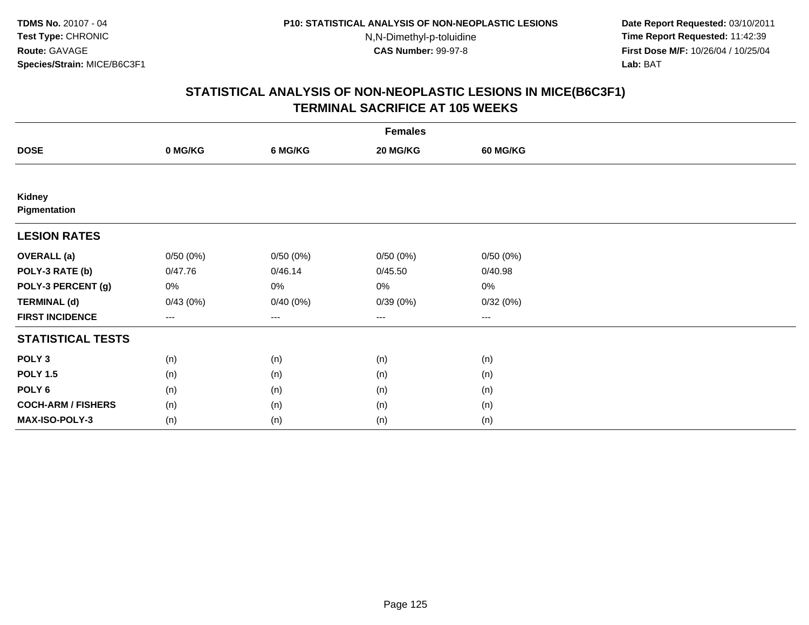**Date Report Requested:** 03/10/2011 **Time Report Requested:** 11:42:39 **First Dose M/F:** 10/26/04 / 10/25/04 Lab: BAT **Lab:** BAT

| <b>Females</b>            |          |          |          |                 |  |  |  |
|---------------------------|----------|----------|----------|-----------------|--|--|--|
| <b>DOSE</b>               | 0 MG/KG  | 6 MG/KG  | 20 MG/KG | <b>60 MG/KG</b> |  |  |  |
|                           |          |          |          |                 |  |  |  |
| Kidney<br>Pigmentation    |          |          |          |                 |  |  |  |
| <b>LESION RATES</b>       |          |          |          |                 |  |  |  |
| <b>OVERALL</b> (a)        | 0/50(0%) | 0/50(0%) | 0/50(0%) | 0/50(0%)        |  |  |  |
| POLY-3 RATE (b)           | 0/47.76  | 0/46.14  | 0/45.50  | 0/40.98         |  |  |  |
| POLY-3 PERCENT (g)        | 0%       | $0\%$    | $0\%$    | 0%              |  |  |  |
| <b>TERMINAL (d)</b>       | 0/43(0%) | 0/40(0%) | 0/39(0%) | 0/32(0%)        |  |  |  |
| <b>FIRST INCIDENCE</b>    | $--$     | ---      | ---      | $---$           |  |  |  |
| <b>STATISTICAL TESTS</b>  |          |          |          |                 |  |  |  |
| POLY <sub>3</sub>         | (n)      | (n)      | (n)      | (n)             |  |  |  |
| <b>POLY 1.5</b>           | (n)      | (n)      | (n)      | (n)             |  |  |  |
| POLY <sub>6</sub>         | (n)      | (n)      | (n)      | (n)             |  |  |  |
| <b>COCH-ARM / FISHERS</b> | (n)      | (n)      | (n)      | (n)             |  |  |  |
| <b>MAX-ISO-POLY-3</b>     | (n)      | (n)      | (n)      | (n)             |  |  |  |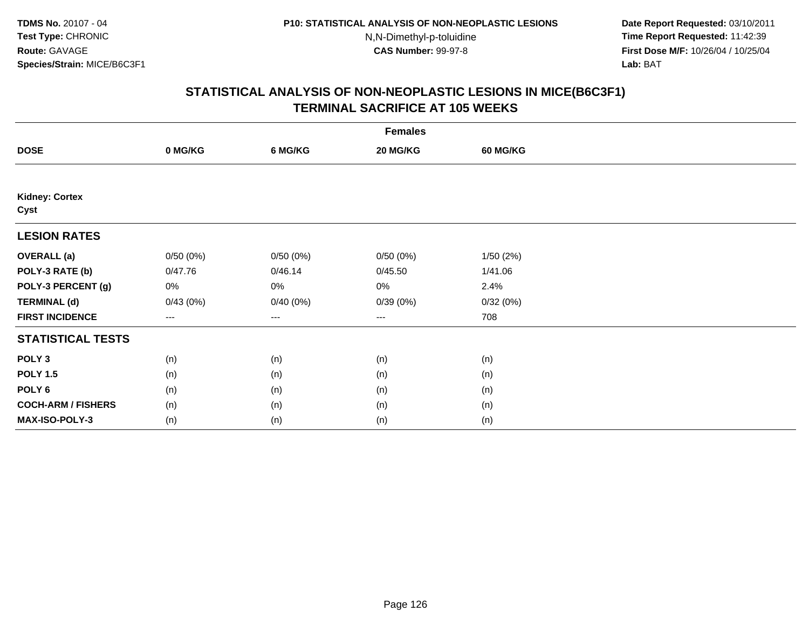**Date Report Requested:** 03/10/2011 **Time Report Requested:** 11:42:39 **First Dose M/F:** 10/26/04 / 10/25/04 Lab: BAT **Lab:** BAT

| <b>Females</b>                |                        |          |          |                 |  |  |  |
|-------------------------------|------------------------|----------|----------|-----------------|--|--|--|
| <b>DOSE</b>                   | 0 MG/KG                | 6 MG/KG  | 20 MG/KG | <b>60 MG/KG</b> |  |  |  |
|                               |                        |          |          |                 |  |  |  |
| <b>Kidney: Cortex</b><br>Cyst |                        |          |          |                 |  |  |  |
| <b>LESION RATES</b>           |                        |          |          |                 |  |  |  |
| <b>OVERALL</b> (a)            | 0/50(0%)               | 0/50(0%) | 0/50(0%) | 1/50(2%)        |  |  |  |
| POLY-3 RATE (b)               | 0/47.76                | 0/46.14  | 0/45.50  | 1/41.06         |  |  |  |
| POLY-3 PERCENT (g)            | 0%                     | $0\%$    | 0%       | 2.4%            |  |  |  |
| <b>TERMINAL (d)</b>           | 0/43(0%)               | 0/40(0%) | 0/39(0%) | 0/32(0%)        |  |  |  |
| <b>FIRST INCIDENCE</b>        | $\qquad \qquad \cdots$ | $---$    | ---      | 708             |  |  |  |
| <b>STATISTICAL TESTS</b>      |                        |          |          |                 |  |  |  |
| POLY <sub>3</sub>             | (n)                    | (n)      | (n)      | (n)             |  |  |  |
| <b>POLY 1.5</b>               | (n)                    | (n)      | (n)      | (n)             |  |  |  |
| POLY <sub>6</sub>             | (n)                    | (n)      | (n)      | (n)             |  |  |  |
| <b>COCH-ARM / FISHERS</b>     | (n)                    | (n)      | (n)      | (n)             |  |  |  |
| MAX-ISO-POLY-3                | (n)                    | (n)      | (n)      | (n)             |  |  |  |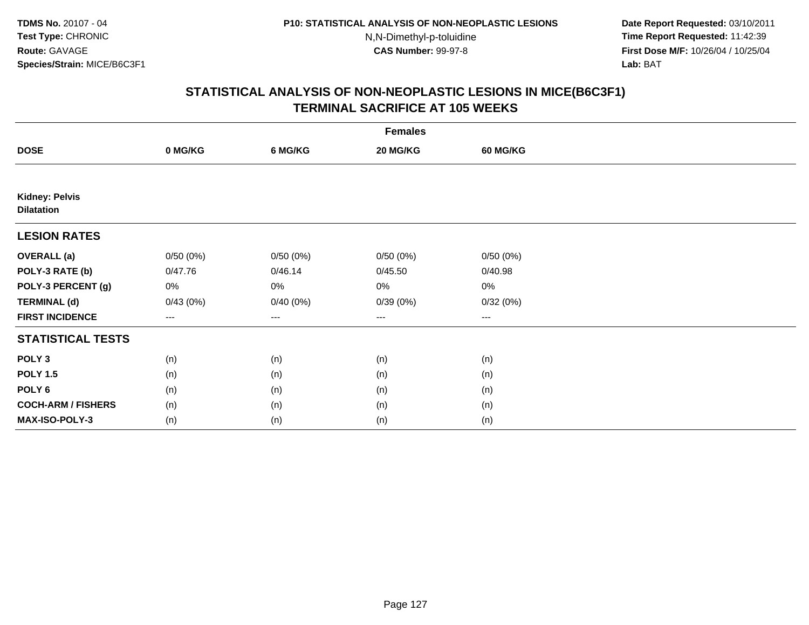**Date Report Requested:** 03/10/2011 **Time Report Requested:** 11:42:39 **First Dose M/F:** 10/26/04 / 10/25/04 Lab: BAT **Lab:** BAT

|                                            | <b>Females</b>    |          |          |                 |  |  |  |  |
|--------------------------------------------|-------------------|----------|----------|-----------------|--|--|--|--|
| <b>DOSE</b>                                | 0 MG/KG           | 6 MG/KG  | 20 MG/KG | <b>60 MG/KG</b> |  |  |  |  |
|                                            |                   |          |          |                 |  |  |  |  |
| <b>Kidney: Pelvis</b><br><b>Dilatation</b> |                   |          |          |                 |  |  |  |  |
| <b>LESION RATES</b>                        |                   |          |          |                 |  |  |  |  |
| <b>OVERALL</b> (a)                         | 0/50(0%)          | 0/50(0%) | 0/50(0%) | 0/50(0%)        |  |  |  |  |
| POLY-3 RATE (b)                            | 0/47.76           | 0/46.14  | 0/45.50  | 0/40.98         |  |  |  |  |
| POLY-3 PERCENT (g)                         | 0%                | $0\%$    | $0\%$    | 0%              |  |  |  |  |
| <b>TERMINAL (d)</b>                        | 0/43(0%)          | 0/40(0%) | 0/39(0%) | 0/32(0%)        |  |  |  |  |
| <b>FIRST INCIDENCE</b>                     | $\qquad \qquad -$ | ---      | ---      | $---$           |  |  |  |  |
| <b>STATISTICAL TESTS</b>                   |                   |          |          |                 |  |  |  |  |
| POLY <sub>3</sub>                          | (n)               | (n)      | (n)      | (n)             |  |  |  |  |
| <b>POLY 1.5</b>                            | (n)               | (n)      | (n)      | (n)             |  |  |  |  |
| POLY <sub>6</sub>                          | (n)               | (n)      | (n)      | (n)             |  |  |  |  |
| <b>COCH-ARM / FISHERS</b>                  | (n)               | (n)      | (n)      | (n)             |  |  |  |  |
| MAX-ISO-POLY-3                             | (n)               | (n)      | (n)      | (n)             |  |  |  |  |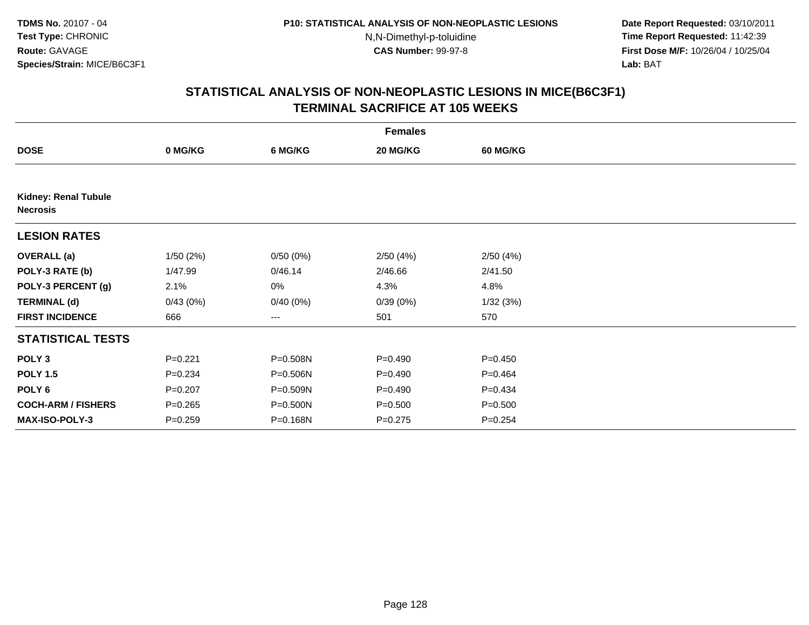**Date Report Requested:** 03/10/2011 **Time Report Requested:** 11:42:39 **First Dose M/F:** 10/26/04 / 10/25/04 Lab: BAT **Lab:** BAT

| <b>Females</b>                                 |             |          |             |                 |  |  |  |
|------------------------------------------------|-------------|----------|-------------|-----------------|--|--|--|
| <b>DOSE</b>                                    | 0 MG/KG     | 6 MG/KG  | 20 MG/KG    | <b>60 MG/KG</b> |  |  |  |
|                                                |             |          |             |                 |  |  |  |
| <b>Kidney: Renal Tubule</b><br><b>Necrosis</b> |             |          |             |                 |  |  |  |
| <b>LESION RATES</b>                            |             |          |             |                 |  |  |  |
| <b>OVERALL</b> (a)                             | 1/50(2%)    | 0/50(0%) | 2/50(4%)    | 2/50(4%)        |  |  |  |
| POLY-3 RATE (b)                                | 1/47.99     | 0/46.14  | 2/46.66     | 2/41.50         |  |  |  |
| POLY-3 PERCENT (g)                             | 2.1%        | 0%       | 4.3%        | 4.8%            |  |  |  |
| <b>TERMINAL (d)</b>                            | 0/43(0%)    | 0/40(0%) | 0/39(0%)    | 1/32(3%)        |  |  |  |
| <b>FIRST INCIDENCE</b>                         | 666         | ---      | 501         | 570             |  |  |  |
| <b>STATISTICAL TESTS</b>                       |             |          |             |                 |  |  |  |
| POLY <sub>3</sub>                              | $P = 0.221$ | P=0.508N | $P=0.490$   | $P=0.450$       |  |  |  |
| <b>POLY 1.5</b>                                | $P = 0.234$ | P=0.506N | $P=0.490$   | $P=0.464$       |  |  |  |
| POLY 6                                         | $P = 0.207$ | P=0.509N | $P=0.490$   | $P=0.434$       |  |  |  |
| <b>COCH-ARM / FISHERS</b>                      | $P = 0.265$ | P=0.500N | $P = 0.500$ | $P = 0.500$     |  |  |  |
| <b>MAX-ISO-POLY-3</b>                          | $P = 0.259$ | P=0.168N | $P=0.275$   | $P = 0.254$     |  |  |  |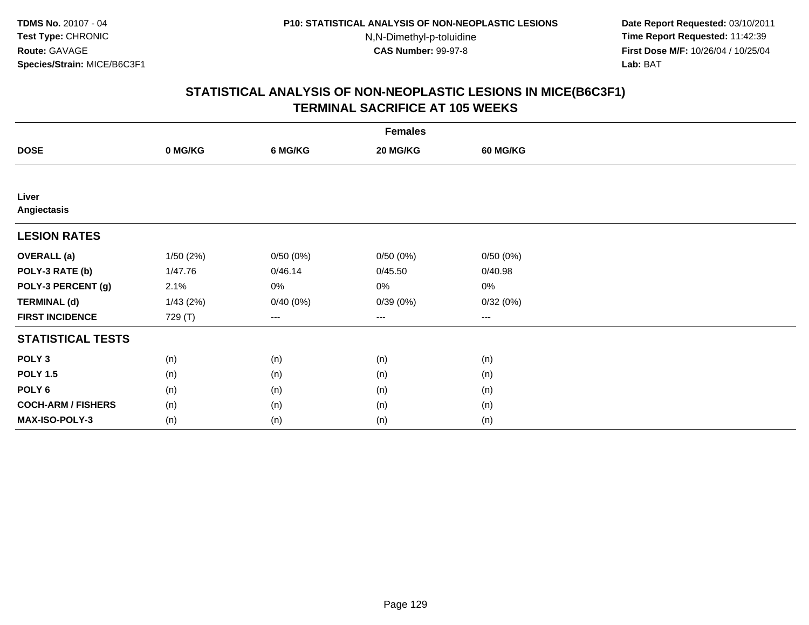**Date Report Requested:** 03/10/2011 **Time Report Requested:** 11:42:39 **First Dose M/F:** 10/26/04 / 10/25/04 Lab: BAT **Lab:** BAT

|                           | <b>Females</b> |          |          |                        |  |  |  |  |
|---------------------------|----------------|----------|----------|------------------------|--|--|--|--|
| <b>DOSE</b>               | 0 MG/KG        | 6 MG/KG  | 20 MG/KG | 60 MG/KG               |  |  |  |  |
|                           |                |          |          |                        |  |  |  |  |
| Liver<br>Angiectasis      |                |          |          |                        |  |  |  |  |
| <b>LESION RATES</b>       |                |          |          |                        |  |  |  |  |
| <b>OVERALL</b> (a)        | 1/50 (2%)      | 0/50(0%) | 0/50(0%) | 0/50(0%)               |  |  |  |  |
| POLY-3 RATE (b)           | 1/47.76        | 0/46.14  | 0/45.50  | 0/40.98                |  |  |  |  |
| POLY-3 PERCENT (g)        | 2.1%           | 0%       | 0%       | 0%                     |  |  |  |  |
| <b>TERMINAL (d)</b>       | 1/43(2%)       | 0/40(0%) | 0/39(0%) | 0/32(0%)               |  |  |  |  |
| <b>FIRST INCIDENCE</b>    | 729 (T)        | $---$    | $--$     | $\qquad \qquad \cdots$ |  |  |  |  |
| <b>STATISTICAL TESTS</b>  |                |          |          |                        |  |  |  |  |
| POLY <sub>3</sub>         | (n)            | (n)      | (n)      | (n)                    |  |  |  |  |
| <b>POLY 1.5</b>           | (n)            | (n)      | (n)      | (n)                    |  |  |  |  |
| POLY <sub>6</sub>         | (n)            | (n)      | (n)      | (n)                    |  |  |  |  |
| <b>COCH-ARM / FISHERS</b> | (n)            | (n)      | (n)      | (n)                    |  |  |  |  |
| MAX-ISO-POLY-3            | (n)            | (n)      | (n)      | (n)                    |  |  |  |  |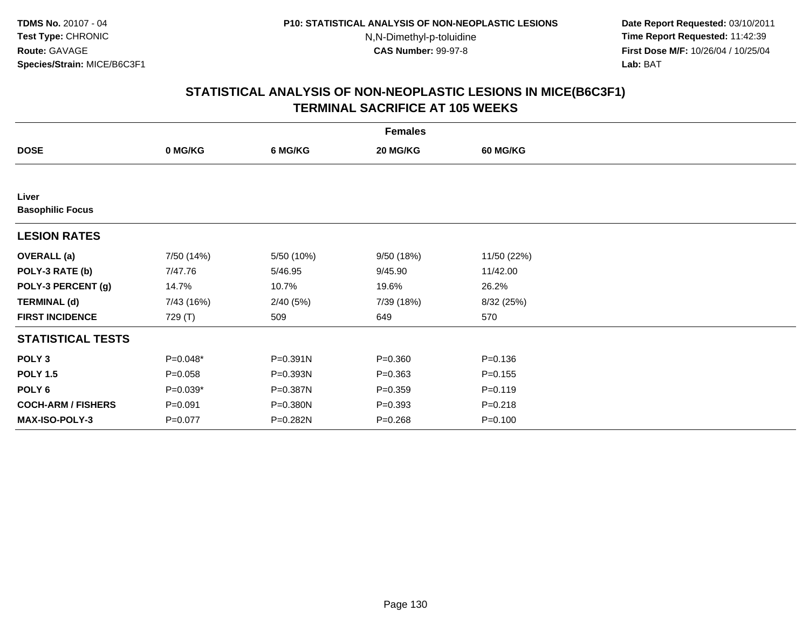**Date Report Requested:** 03/10/2011 **Time Report Requested:** 11:42:39 **First Dose M/F:** 10/26/04 / 10/25/04 Lab: BAT **Lab:** BAT

|                                  | <b>Females</b> |            |             |                 |  |  |  |  |
|----------------------------------|----------------|------------|-------------|-----------------|--|--|--|--|
| <b>DOSE</b>                      | 0 MG/KG        | 6 MG/KG    | 20 MG/KG    | <b>60 MG/KG</b> |  |  |  |  |
|                                  |                |            |             |                 |  |  |  |  |
| Liver<br><b>Basophilic Focus</b> |                |            |             |                 |  |  |  |  |
| <b>LESION RATES</b>              |                |            |             |                 |  |  |  |  |
| <b>OVERALL</b> (a)               | 7/50 (14%)     | 5/50 (10%) | 9/50 (18%)  | 11/50 (22%)     |  |  |  |  |
| POLY-3 RATE (b)                  | 7/47.76        | 5/46.95    | 9/45.90     | 11/42.00        |  |  |  |  |
| POLY-3 PERCENT (g)               | 14.7%          | 10.7%      | 19.6%       | 26.2%           |  |  |  |  |
| <b>TERMINAL (d)</b>              | 7/43 (16%)     | 2/40(5%)   | 7/39 (18%)  | 8/32 (25%)      |  |  |  |  |
| <b>FIRST INCIDENCE</b>           | 729 (T)        | 509        | 649         | 570             |  |  |  |  |
| <b>STATISTICAL TESTS</b>         |                |            |             |                 |  |  |  |  |
| POLY <sub>3</sub>                | P=0.048*       | P=0.391N   | $P = 0.360$ | $P = 0.136$     |  |  |  |  |
| <b>POLY 1.5</b>                  | $P = 0.058$    | P=0.393N   | $P = 0.363$ | $P = 0.155$     |  |  |  |  |
| POLY <sub>6</sub>                | $P=0.039*$     | P=0.387N   | $P = 0.359$ | $P = 0.119$     |  |  |  |  |
| <b>COCH-ARM / FISHERS</b>        | $P = 0.091$    | P=0.380N   | $P = 0.393$ | $P = 0.218$     |  |  |  |  |
| <b>MAX-ISO-POLY-3</b>            | $P=0.077$      | P=0.282N   | $P = 0.268$ | $P = 0.100$     |  |  |  |  |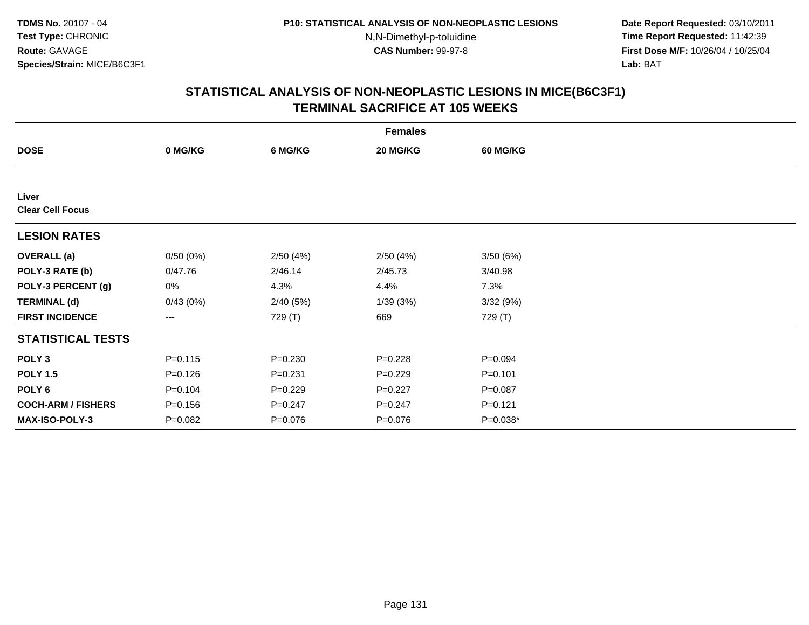**Date Report Requested:** 03/10/2011 **Time Report Requested:** 11:42:39 **First Dose M/F:** 10/26/04 / 10/25/04 Lab: BAT **Lab:** BAT

| <b>Females</b>                   |                   |             |             |                 |  |  |  |
|----------------------------------|-------------------|-------------|-------------|-----------------|--|--|--|
| <b>DOSE</b>                      | 0 MG/KG           | 6 MG/KG     | 20 MG/KG    | <b>60 MG/KG</b> |  |  |  |
|                                  |                   |             |             |                 |  |  |  |
| Liver<br><b>Clear Cell Focus</b> |                   |             |             |                 |  |  |  |
| <b>LESION RATES</b>              |                   |             |             |                 |  |  |  |
| <b>OVERALL</b> (a)               | 0/50(0%)          | 2/50(4%)    | 2/50(4%)    | 3/50(6%)        |  |  |  |
| POLY-3 RATE (b)                  | 0/47.76           | 2/46.14     | 2/45.73     | 3/40.98         |  |  |  |
| POLY-3 PERCENT (g)               | 0%                | 4.3%        | 4.4%        | 7.3%            |  |  |  |
| <b>TERMINAL (d)</b>              | 0/43(0%)          | 2/40(5%)    | 1/39(3%)    | 3/32(9%)        |  |  |  |
| <b>FIRST INCIDENCE</b>           | $\qquad \qquad -$ | 729 (T)     | 669         | 729 (T)         |  |  |  |
| <b>STATISTICAL TESTS</b>         |                   |             |             |                 |  |  |  |
| POLY <sub>3</sub>                | $P = 0.115$       | $P = 0.230$ | $P = 0.228$ | $P = 0.094$     |  |  |  |
| <b>POLY 1.5</b>                  | $P = 0.126$       | $P = 0.231$ | $P=0.229$   | $P = 0.101$     |  |  |  |
| POLY <sub>6</sub>                | $P = 0.104$       | $P=0.229$   | $P=0.227$   | $P = 0.087$     |  |  |  |
| <b>COCH-ARM / FISHERS</b>        | $P = 0.156$       | $P = 0.247$ | $P = 0.247$ | $P = 0.121$     |  |  |  |
| MAX-ISO-POLY-3                   | $P = 0.082$       | $P = 0.076$ | $P = 0.076$ | P=0.038*        |  |  |  |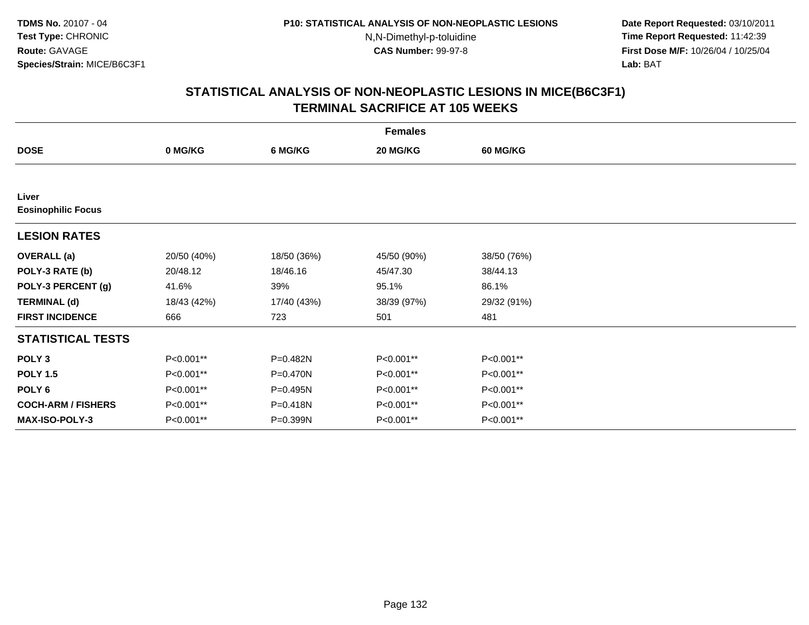**Date Report Requested:** 03/10/2011 **Time Report Requested:** 11:42:39 **First Dose M/F:** 10/26/04 / 10/25/04 Lab: BAT **Lab:** BAT

| <b>Females</b>                     |             |             |             |                 |  |  |  |
|------------------------------------|-------------|-------------|-------------|-----------------|--|--|--|
| <b>DOSE</b>                        | 0 MG/KG     | 6 MG/KG     | 20 MG/KG    | <b>60 MG/KG</b> |  |  |  |
|                                    |             |             |             |                 |  |  |  |
| Liver<br><b>Eosinophilic Focus</b> |             |             |             |                 |  |  |  |
| <b>LESION RATES</b>                |             |             |             |                 |  |  |  |
| <b>OVERALL</b> (a)                 | 20/50 (40%) | 18/50 (36%) | 45/50 (90%) | 38/50 (76%)     |  |  |  |
| POLY-3 RATE (b)                    | 20/48.12    | 18/46.16    | 45/47.30    | 38/44.13        |  |  |  |
| POLY-3 PERCENT (g)                 | 41.6%       | 39%         | 95.1%       | 86.1%           |  |  |  |
| <b>TERMINAL (d)</b>                | 18/43 (42%) | 17/40 (43%) | 38/39 (97%) | 29/32 (91%)     |  |  |  |
| <b>FIRST INCIDENCE</b>             | 666         | 723         | 501         | 481             |  |  |  |
| <b>STATISTICAL TESTS</b>           |             |             |             |                 |  |  |  |
| POLY <sub>3</sub>                  | P<0.001**   | P=0.482N    | P<0.001**   | P<0.001**       |  |  |  |
| <b>POLY 1.5</b>                    | P<0.001**   | P=0.470N    | P<0.001**   | P<0.001**       |  |  |  |
| POLY <sub>6</sub>                  | P<0.001**   | P=0.495N    | P<0.001**   | P<0.001**       |  |  |  |
| <b>COCH-ARM / FISHERS</b>          | P<0.001**   | P=0.418N    | P<0.001**   | P<0.001**       |  |  |  |
| <b>MAX-ISO-POLY-3</b>              | P<0.001**   | P=0.399N    | P<0.001**   | P<0.001**       |  |  |  |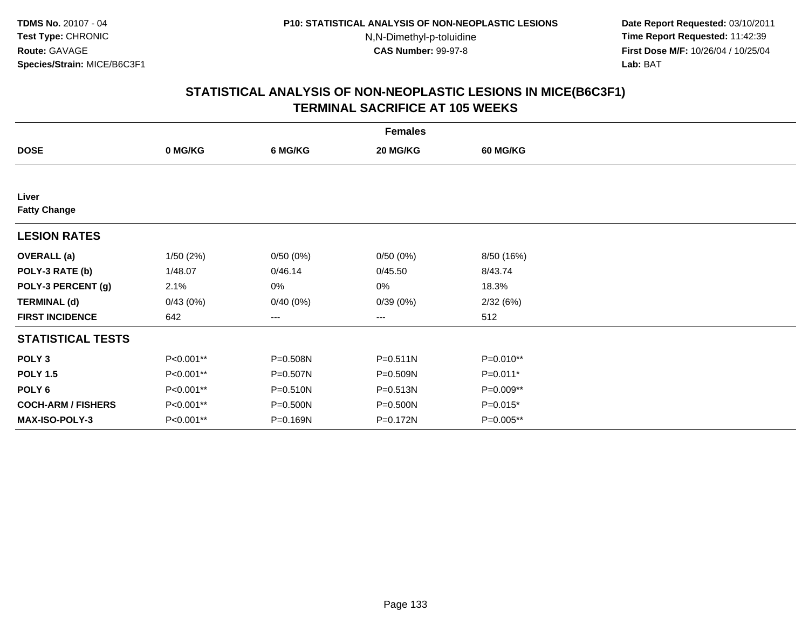**Date Report Requested:** 03/10/2011 **Time Report Requested:** 11:42:39 **First Dose M/F:** 10/26/04 / 10/25/04 Lab: BAT **Lab:** BAT

|                           | <b>Females</b> |          |              |                 |  |  |  |  |
|---------------------------|----------------|----------|--------------|-----------------|--|--|--|--|
| <b>DOSE</b>               | 0 MG/KG        | 6 MG/KG  | 20 MG/KG     | <b>60 MG/KG</b> |  |  |  |  |
|                           |                |          |              |                 |  |  |  |  |
| Liver                     |                |          |              |                 |  |  |  |  |
| <b>Fatty Change</b>       |                |          |              |                 |  |  |  |  |
| <b>LESION RATES</b>       |                |          |              |                 |  |  |  |  |
| <b>OVERALL</b> (a)        | 1/50(2%)       | 0/50(0%) | 0/50(0%)     | 8/50 (16%)      |  |  |  |  |
| POLY-3 RATE (b)           | 1/48.07        | 0/46.14  | 0/45.50      | 8/43.74         |  |  |  |  |
| POLY-3 PERCENT (g)        | 2.1%           | 0%       | 0%           | 18.3%           |  |  |  |  |
| <b>TERMINAL (d)</b>       | 0/43(0%)       | 0/40(0%) | 0/39(0%)     | 2/32(6%)        |  |  |  |  |
| <b>FIRST INCIDENCE</b>    | 642            | ---      | ---          | 512             |  |  |  |  |
| <b>STATISTICAL TESTS</b>  |                |          |              |                 |  |  |  |  |
| POLY <sub>3</sub>         | P<0.001**      | P=0.508N | $P = 0.511N$ | P=0.010**       |  |  |  |  |
| <b>POLY 1.5</b>           | P<0.001**      | P=0.507N | P=0.509N     | P=0.011*        |  |  |  |  |
| POLY <sub>6</sub>         | P<0.001**      | P=0.510N | P=0.513N     | P=0.009**       |  |  |  |  |
| <b>COCH-ARM / FISHERS</b> | P<0.001**      | P=0.500N | P=0.500N     | $P=0.015*$      |  |  |  |  |
| MAX-ISO-POLY-3            | P<0.001**      | P=0.169N | P=0.172N     | P=0.005**       |  |  |  |  |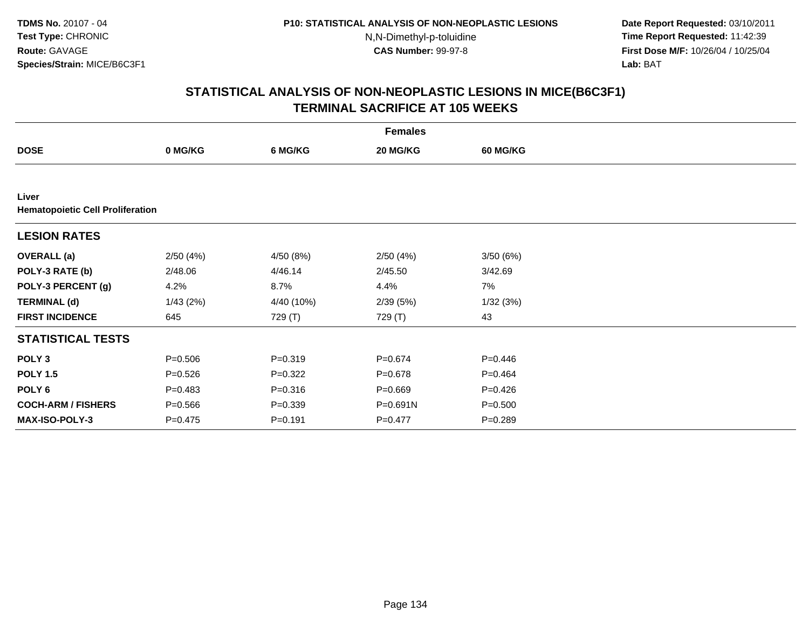**Date Report Requested:** 03/10/2011 **Time Report Requested:** 11:42:39 **First Dose M/F:** 10/26/04 / 10/25/04 Lab: BAT **Lab:** BAT

|                                                  | <b>Females</b> |             |             |                 |  |  |  |  |
|--------------------------------------------------|----------------|-------------|-------------|-----------------|--|--|--|--|
| <b>DOSE</b>                                      | 0 MG/KG        | 6 MG/KG     | 20 MG/KG    | <b>60 MG/KG</b> |  |  |  |  |
|                                                  |                |             |             |                 |  |  |  |  |
| Liver<br><b>Hematopoietic Cell Proliferation</b> |                |             |             |                 |  |  |  |  |
| <b>LESION RATES</b>                              |                |             |             |                 |  |  |  |  |
| <b>OVERALL</b> (a)                               | 2/50(4%)       | 4/50 (8%)   | 2/50(4%)    | 3/50(6%)        |  |  |  |  |
| POLY-3 RATE (b)                                  | 2/48.06        | 4/46.14     | 2/45.50     | 3/42.69         |  |  |  |  |
| POLY-3 PERCENT (g)                               | 4.2%           | 8.7%        | 4.4%        | 7%              |  |  |  |  |
| <b>TERMINAL (d)</b>                              | 1/43(2%)       | 4/40 (10%)  | 2/39(5%)    | 1/32(3%)        |  |  |  |  |
| <b>FIRST INCIDENCE</b>                           | 645            | 729 (T)     | 729 (T)     | 43              |  |  |  |  |
| <b>STATISTICAL TESTS</b>                         |                |             |             |                 |  |  |  |  |
| POLY <sub>3</sub>                                | $P = 0.506$    | $P = 0.319$ | $P=0.674$   | $P=0.446$       |  |  |  |  |
| <b>POLY 1.5</b>                                  | $P = 0.526$    | $P=0.322$   | $P = 0.678$ | $P=0.464$       |  |  |  |  |
| POLY <sub>6</sub>                                | $P = 0.483$    | $P = 0.316$ | $P = 0.669$ | $P=0.426$       |  |  |  |  |
| <b>COCH-ARM / FISHERS</b>                        | $P = 0.566$    | $P = 0.339$ | P=0.691N    | $P = 0.500$     |  |  |  |  |
| MAX-ISO-POLY-3                                   | P=0.475        | $P = 0.191$ | $P = 0.477$ | $P = 0.289$     |  |  |  |  |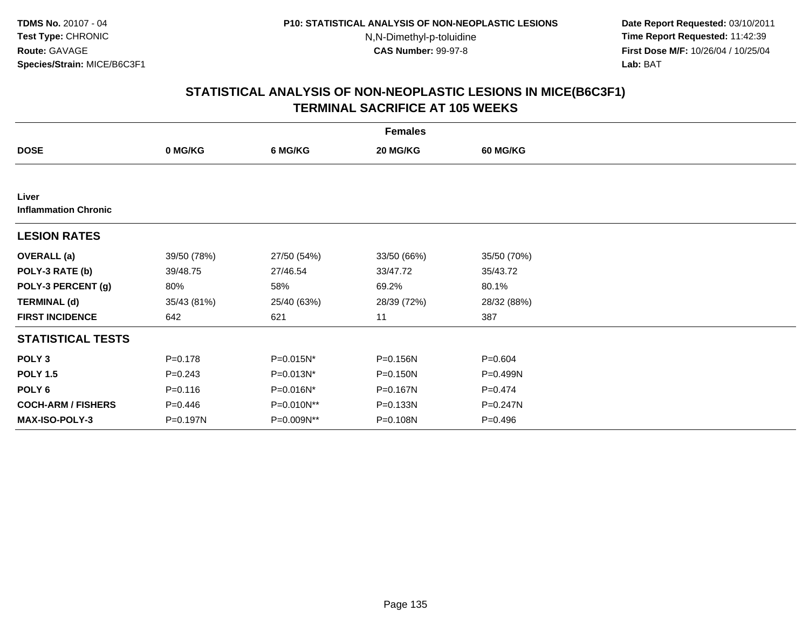**Date Report Requested:** 03/10/2011 **Time Report Requested:** 11:42:39 **First Dose M/F:** 10/26/04 / 10/25/04 Lab: BAT **Lab:** BAT

| <b>Females</b>                       |             |             |              |                 |  |  |  |
|--------------------------------------|-------------|-------------|--------------|-----------------|--|--|--|
| <b>DOSE</b>                          | 0 MG/KG     | 6 MG/KG     | 20 MG/KG     | <b>60 MG/KG</b> |  |  |  |
|                                      |             |             |              |                 |  |  |  |
| Liver<br><b>Inflammation Chronic</b> |             |             |              |                 |  |  |  |
| <b>LESION RATES</b>                  |             |             |              |                 |  |  |  |
| <b>OVERALL</b> (a)                   | 39/50 (78%) | 27/50 (54%) | 33/50 (66%)  | 35/50 (70%)     |  |  |  |
| POLY-3 RATE (b)                      | 39/48.75    | 27/46.54    | 33/47.72     | 35/43.72        |  |  |  |
| POLY-3 PERCENT (g)                   | 80%         | 58%         | 69.2%        | 80.1%           |  |  |  |
| <b>TERMINAL (d)</b>                  | 35/43 (81%) | 25/40 (63%) | 28/39 (72%)  | 28/32 (88%)     |  |  |  |
| <b>FIRST INCIDENCE</b>               | 642         | 621         | 11           | 387             |  |  |  |
| <b>STATISTICAL TESTS</b>             |             |             |              |                 |  |  |  |
| POLY <sub>3</sub>                    | $P = 0.178$ | P=0.015N*   | P=0.156N     | $P = 0.604$     |  |  |  |
| <b>POLY 1.5</b>                      | $P = 0.243$ | P=0.013N*   | $P = 0.150N$ | $P=0.499N$      |  |  |  |
| POLY <sub>6</sub>                    | $P = 0.116$ | P=0.016N*   | P=0.167N     | $P=0.474$       |  |  |  |
| <b>COCH-ARM / FISHERS</b>            | $P = 0.446$ | P=0.010N**  | P=0.133N     | $P = 0.247N$    |  |  |  |
| MAX-ISO-POLY-3                       | P=0.197N    | P=0.009N**  | P=0.108N     | $P = 0.496$     |  |  |  |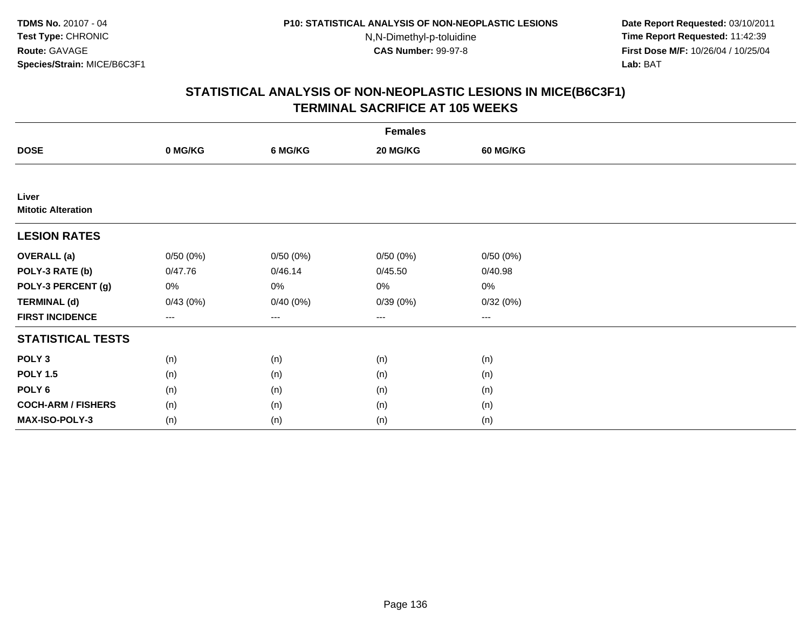**Date Report Requested:** 03/10/2011 **Time Report Requested:** 11:42:39 **First Dose M/F:** 10/26/04 / 10/25/04 Lab: BAT **Lab:** BAT

|                                    | <b>Females</b> |          |                        |                 |  |  |  |  |
|------------------------------------|----------------|----------|------------------------|-----------------|--|--|--|--|
| <b>DOSE</b>                        | 0 MG/KG        | 6 MG/KG  | 20 MG/KG               | <b>60 MG/KG</b> |  |  |  |  |
|                                    |                |          |                        |                 |  |  |  |  |
| Liver<br><b>Mitotic Alteration</b> |                |          |                        |                 |  |  |  |  |
| <b>LESION RATES</b>                |                |          |                        |                 |  |  |  |  |
| <b>OVERALL</b> (a)                 | 0/50(0%)       | 0/50(0%) | 0/50(0%)               | 0/50(0%)        |  |  |  |  |
| POLY-3 RATE (b)                    | 0/47.76        | 0/46.14  | 0/45.50                | 0/40.98         |  |  |  |  |
| POLY-3 PERCENT (g)                 | 0%             | 0%       | 0%                     | 0%              |  |  |  |  |
| <b>TERMINAL (d)</b>                | 0/43(0%)       | 0/40(0%) | 0/39(0%)               | 0/32(0%)        |  |  |  |  |
| <b>FIRST INCIDENCE</b>             | ---            | $---$    | $\qquad \qquad \cdots$ | $---$           |  |  |  |  |
| <b>STATISTICAL TESTS</b>           |                |          |                        |                 |  |  |  |  |
| POLY <sub>3</sub>                  | (n)            | (n)      | (n)                    | (n)             |  |  |  |  |
| <b>POLY 1.5</b>                    | (n)            | (n)      | (n)                    | (n)             |  |  |  |  |
| POLY <sub>6</sub>                  | (n)            | (n)      | (n)                    | (n)             |  |  |  |  |
| <b>COCH-ARM / FISHERS</b>          | (n)            | (n)      | (n)                    | (n)             |  |  |  |  |
| MAX-ISO-POLY-3                     | (n)            | (n)      | (n)                    | (n)             |  |  |  |  |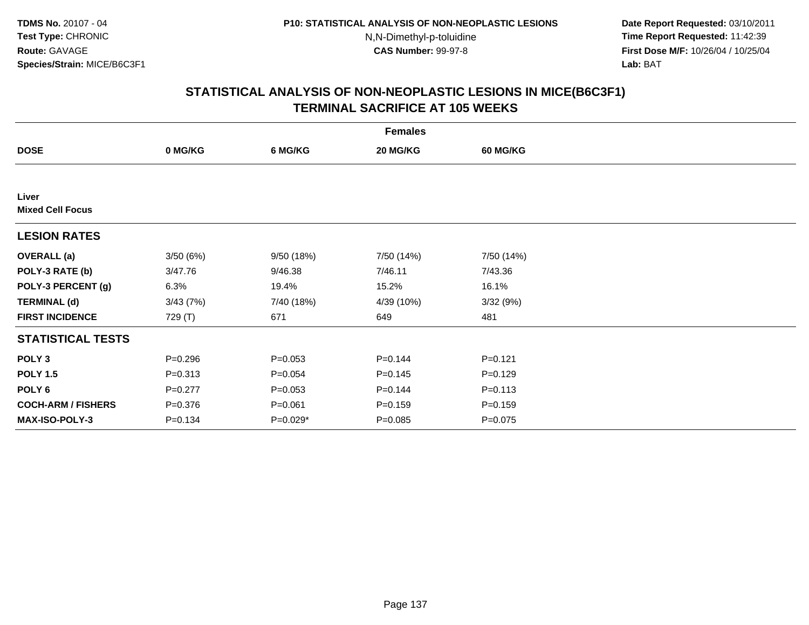**Date Report Requested:** 03/10/2011 **Time Report Requested:** 11:42:39 **First Dose M/F:** 10/26/04 / 10/25/04 Lab: BAT **Lab:** BAT

|                                  | <b>Females</b> |             |             |                 |  |  |  |  |
|----------------------------------|----------------|-------------|-------------|-----------------|--|--|--|--|
| <b>DOSE</b>                      | 0 MG/KG        | 6 MG/KG     | 20 MG/KG    | <b>60 MG/KG</b> |  |  |  |  |
|                                  |                |             |             |                 |  |  |  |  |
| Liver<br><b>Mixed Cell Focus</b> |                |             |             |                 |  |  |  |  |
| <b>LESION RATES</b>              |                |             |             |                 |  |  |  |  |
| <b>OVERALL</b> (a)               | 3/50(6%)       | 9/50 (18%)  | 7/50 (14%)  | 7/50 (14%)      |  |  |  |  |
| POLY-3 RATE (b)                  | 3/47.76        | 9/46.38     | 7/46.11     | 7/43.36         |  |  |  |  |
| POLY-3 PERCENT (g)               | 6.3%           | 19.4%       | 15.2%       | 16.1%           |  |  |  |  |
| <b>TERMINAL (d)</b>              | 3/43(7%)       | 7/40 (18%)  | 4/39 (10%)  | 3/32(9%)        |  |  |  |  |
| <b>FIRST INCIDENCE</b>           | 729 (T)        | 671         | 649         | 481             |  |  |  |  |
| <b>STATISTICAL TESTS</b>         |                |             |             |                 |  |  |  |  |
| POLY <sub>3</sub>                | $P = 0.296$    | $P = 0.053$ | $P = 0.144$ | $P=0.121$       |  |  |  |  |
| <b>POLY 1.5</b>                  | $P = 0.313$    | $P = 0.054$ | $P = 0.145$ | $P = 0.129$     |  |  |  |  |
| POLY <sub>6</sub>                | $P=0.277$      | $P = 0.053$ | $P = 0.144$ | $P = 0.113$     |  |  |  |  |
| <b>COCH-ARM / FISHERS</b>        | $P = 0.376$    | $P = 0.061$ | $P = 0.159$ | $P = 0.159$     |  |  |  |  |
| <b>MAX-ISO-POLY-3</b>            | $P = 0.134$    | $P=0.029*$  | $P = 0.085$ | $P=0.075$       |  |  |  |  |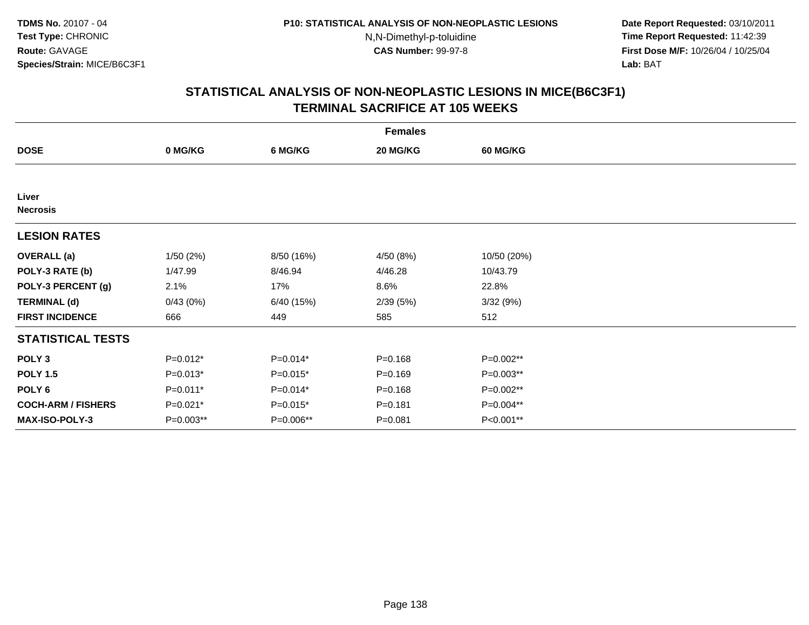**Date Report Requested:** 03/10/2011 **Time Report Requested:** 11:42:39 **First Dose M/F:** 10/26/04 / 10/25/04 Lab: BAT **Lab:** BAT

|                           | <b>Females</b> |            |             |                 |  |  |  |  |
|---------------------------|----------------|------------|-------------|-----------------|--|--|--|--|
| <b>DOSE</b>               | 0 MG/KG        | 6 MG/KG    | 20 MG/KG    | <b>60 MG/KG</b> |  |  |  |  |
|                           |                |            |             |                 |  |  |  |  |
| Liver<br><b>Necrosis</b>  |                |            |             |                 |  |  |  |  |
| <b>LESION RATES</b>       |                |            |             |                 |  |  |  |  |
| <b>OVERALL</b> (a)        | 1/50(2%)       | 8/50 (16%) | 4/50 (8%)   | 10/50 (20%)     |  |  |  |  |
| POLY-3 RATE (b)           | 1/47.99        | 8/46.94    | 4/46.28     | 10/43.79        |  |  |  |  |
| POLY-3 PERCENT (g)        | 2.1%           | 17%        | 8.6%        | 22.8%           |  |  |  |  |
| <b>TERMINAL (d)</b>       | 0/43(0%)       | 6/40 (15%) | 2/39(5%)    | 3/32(9%)        |  |  |  |  |
| <b>FIRST INCIDENCE</b>    | 666            | 449        | 585         | 512             |  |  |  |  |
| <b>STATISTICAL TESTS</b>  |                |            |             |                 |  |  |  |  |
| POLY <sub>3</sub>         | $P=0.012*$     | $P=0.014*$ | $P = 0.168$ | $P=0.002**$     |  |  |  |  |
| <b>POLY 1.5</b>           | $P=0.013*$     | $P=0.015*$ | $P = 0.169$ | P=0.003**       |  |  |  |  |
| POLY <sub>6</sub>         | $P=0.011*$     | $P=0.014*$ | $P = 0.168$ | P=0.002**       |  |  |  |  |
| <b>COCH-ARM / FISHERS</b> | $P=0.021*$     | $P=0.015*$ | $P = 0.181$ | P=0.004**       |  |  |  |  |
| MAX-ISO-POLY-3            | P=0.003**      | P=0.006**  | $P = 0.081$ | P<0.001**       |  |  |  |  |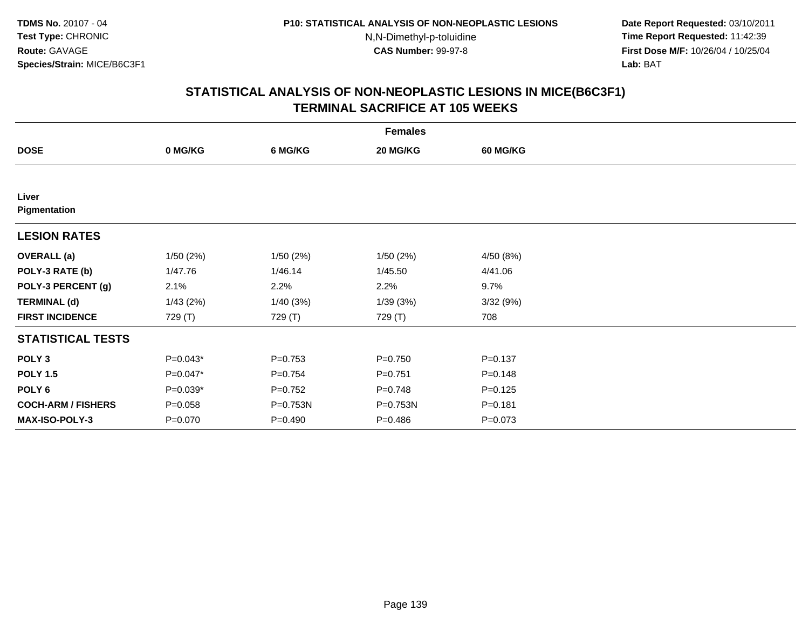**Date Report Requested:** 03/10/2011 **Time Report Requested:** 11:42:39 **First Dose M/F:** 10/26/04 / 10/25/04 Lab: BAT **Lab:** BAT

|                           | <b>Females</b> |             |             |                 |  |  |  |  |
|---------------------------|----------------|-------------|-------------|-----------------|--|--|--|--|
| <b>DOSE</b>               | 0 MG/KG        | 6 MG/KG     | 20 MG/KG    | <b>60 MG/KG</b> |  |  |  |  |
|                           |                |             |             |                 |  |  |  |  |
| Liver<br>Pigmentation     |                |             |             |                 |  |  |  |  |
| <b>LESION RATES</b>       |                |             |             |                 |  |  |  |  |
| <b>OVERALL</b> (a)        | 1/50(2%)       | 1/50(2%)    | 1/50(2%)    | 4/50 (8%)       |  |  |  |  |
| POLY-3 RATE (b)           | 1/47.76        | 1/46.14     | 1/45.50     | 4/41.06         |  |  |  |  |
| POLY-3 PERCENT (g)        | 2.1%           | 2.2%        | 2.2%        | 9.7%            |  |  |  |  |
| <b>TERMINAL (d)</b>       | 1/43(2%)       | 1/40(3%)    | 1/39(3%)    | 3/32(9%)        |  |  |  |  |
| <b>FIRST INCIDENCE</b>    | 729 (T)        | 729 (T)     | 729 (T)     | 708             |  |  |  |  |
| <b>STATISTICAL TESTS</b>  |                |             |             |                 |  |  |  |  |
| POLY <sub>3</sub>         | $P=0.043*$     | $P=0.753$   | $P = 0.750$ | $P = 0.137$     |  |  |  |  |
| <b>POLY 1.5</b>           | $P=0.047*$     | $P=0.754$   | $P=0.751$   | $P = 0.148$     |  |  |  |  |
| POLY <sub>6</sub>         | $P=0.039*$     | $P=0.752$   | $P = 0.748$ | $P = 0.125$     |  |  |  |  |
| <b>COCH-ARM / FISHERS</b> | $P = 0.058$    | P=0.753N    | P=0.753N    | $P = 0.181$     |  |  |  |  |
| MAX-ISO-POLY-3            | $P = 0.070$    | $P = 0.490$ | $P = 0.486$ | $P = 0.073$     |  |  |  |  |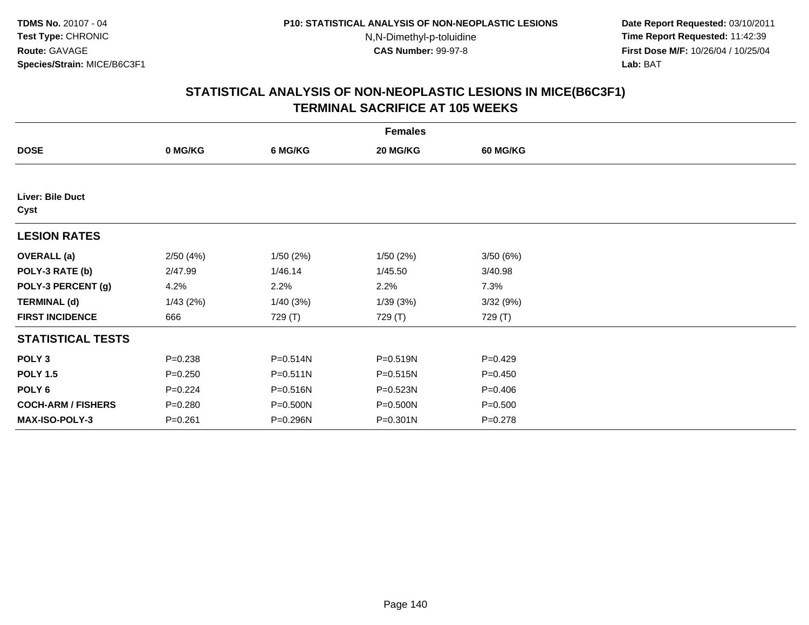**Date Report Requested:** 03/10/2011 **Time Report Requested:** 11:42:39 **First Dose M/F:** 10/26/04 / 10/25/04 Lab: BAT **Lab:** BAT

|                           | <b>Females</b> |              |              |                 |  |  |  |  |  |
|---------------------------|----------------|--------------|--------------|-----------------|--|--|--|--|--|
| <b>DOSE</b>               | 0 MG/KG        | 6 MG/KG      | 20 MG/KG     | <b>60 MG/KG</b> |  |  |  |  |  |
|                           |                |              |              |                 |  |  |  |  |  |
| Liver: Bile Duct<br>Cyst  |                |              |              |                 |  |  |  |  |  |
| <b>LESION RATES</b>       |                |              |              |                 |  |  |  |  |  |
| <b>OVERALL</b> (a)        | 2/50(4%)       | 1/50(2%)     | 1/50(2%)     | 3/50(6%)        |  |  |  |  |  |
| POLY-3 RATE (b)           | 2/47.99        | 1/46.14      | 1/45.50      | 3/40.98         |  |  |  |  |  |
| POLY-3 PERCENT (g)        | 4.2%           | 2.2%         | 2.2%         | 7.3%            |  |  |  |  |  |
| <b>TERMINAL (d)</b>       | 1/43(2%)       | 1/40(3%)     | 1/39(3%)     | 3/32(9%)        |  |  |  |  |  |
| <b>FIRST INCIDENCE</b>    | 666            | 729 (T)      | 729 (T)      | 729 (T)         |  |  |  |  |  |
| <b>STATISTICAL TESTS</b>  |                |              |              |                 |  |  |  |  |  |
| POLY <sub>3</sub>         | $P = 0.238$    | P=0.514N     | P=0.519N     | $P=0.429$       |  |  |  |  |  |
| <b>POLY 1.5</b>           | $P = 0.250$    | $P = 0.511N$ | P=0.515N     | $P = 0.450$     |  |  |  |  |  |
| POLY <sub>6</sub>         | $P=0.224$      | P=0.516N     | P=0.523N     | $P = 0.406$     |  |  |  |  |  |
| <b>COCH-ARM / FISHERS</b> | $P = 0.280$    | P=0.500N     | P=0.500N     | $P = 0.500$     |  |  |  |  |  |
| MAX-ISO-POLY-3            | $P = 0.261$    | P=0.296N     | $P = 0.301N$ | $P = 0.278$     |  |  |  |  |  |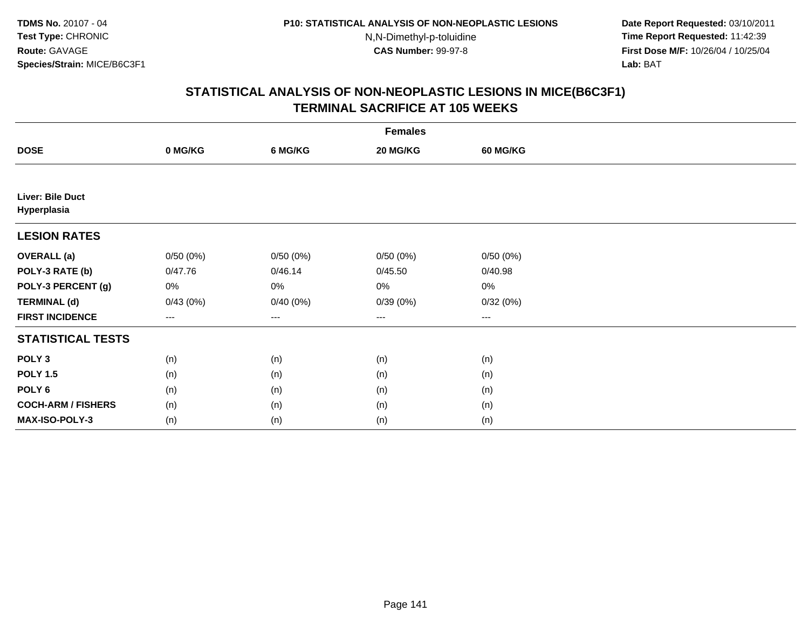**Date Report Requested:** 03/10/2011 **Time Report Requested:** 11:42:39 **First Dose M/F:** 10/26/04 / 10/25/04 Lab: BAT **Lab:** BAT

|                                 | <b>Females</b>         |          |          |                 |  |  |  |  |
|---------------------------------|------------------------|----------|----------|-----------------|--|--|--|--|
| <b>DOSE</b>                     | 0 MG/KG                | 6 MG/KG  | 20 MG/KG | <b>60 MG/KG</b> |  |  |  |  |
|                                 |                        |          |          |                 |  |  |  |  |
| Liver: Bile Duct<br>Hyperplasia |                        |          |          |                 |  |  |  |  |
| <b>LESION RATES</b>             |                        |          |          |                 |  |  |  |  |
| <b>OVERALL</b> (a)              | 0/50(0%)               | 0/50(0%) | 0/50(0%) | 0/50(0%)        |  |  |  |  |
| POLY-3 RATE (b)                 | 0/47.76                | 0/46.14  | 0/45.50  | 0/40.98         |  |  |  |  |
| POLY-3 PERCENT (g)              | 0%                     | 0%       | 0%       | 0%              |  |  |  |  |
| <b>TERMINAL (d)</b>             | 0/43(0%)               | 0/40(0%) | 0/39(0%) | 0/32(0%)        |  |  |  |  |
| <b>FIRST INCIDENCE</b>          | $\qquad \qquad \cdots$ | ---      | ---      | $\cdots$        |  |  |  |  |
| <b>STATISTICAL TESTS</b>        |                        |          |          |                 |  |  |  |  |
| POLY <sub>3</sub>               | (n)                    | (n)      | (n)      | (n)             |  |  |  |  |
| <b>POLY 1.5</b>                 | (n)                    | (n)      | (n)      | (n)             |  |  |  |  |
| POLY <sub>6</sub>               | (n)                    | (n)      | (n)      | (n)             |  |  |  |  |
| <b>COCH-ARM / FISHERS</b>       | (n)                    | (n)      | (n)      | (n)             |  |  |  |  |
| MAX-ISO-POLY-3                  | (n)                    | (n)      | (n)      | (n)             |  |  |  |  |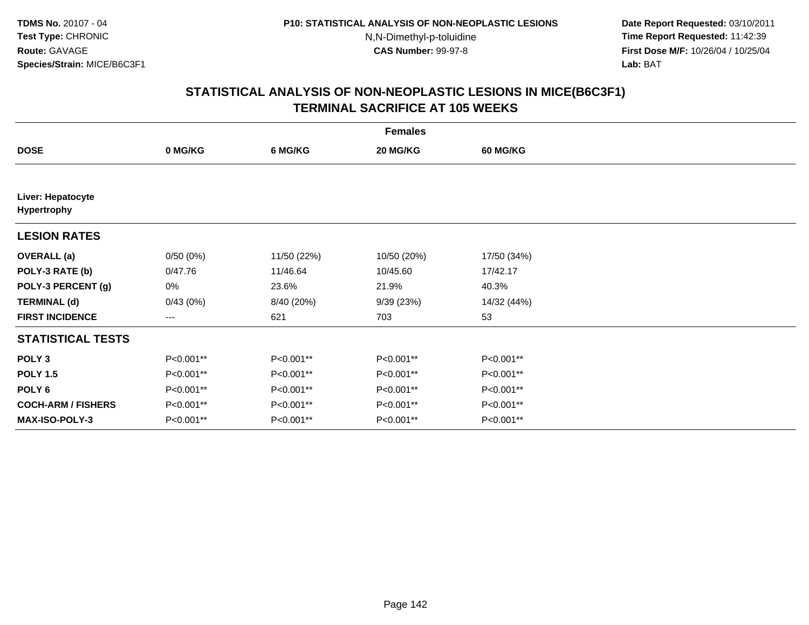**Date Report Requested:** 03/10/2011 **Time Report Requested:** 11:42:39 **First Dose M/F:** 10/26/04 / 10/25/04 Lab: BAT **Lab:** BAT

|                                  | <b>Females</b>         |             |             |                 |  |  |  |  |
|----------------------------------|------------------------|-------------|-------------|-----------------|--|--|--|--|
| <b>DOSE</b>                      | 0 MG/KG                | 6 MG/KG     | 20 MG/KG    | <b>60 MG/KG</b> |  |  |  |  |
|                                  |                        |             |             |                 |  |  |  |  |
| Liver: Hepatocyte<br>Hypertrophy |                        |             |             |                 |  |  |  |  |
| <b>LESION RATES</b>              |                        |             |             |                 |  |  |  |  |
| <b>OVERALL</b> (a)               | 0/50(0%)               | 11/50 (22%) | 10/50 (20%) | 17/50 (34%)     |  |  |  |  |
| POLY-3 RATE (b)                  | 0/47.76                | 11/46.64    | 10/45.60    | 17/42.17        |  |  |  |  |
| POLY-3 PERCENT (g)               | 0%                     | 23.6%       | 21.9%       | 40.3%           |  |  |  |  |
| <b>TERMINAL (d)</b>              | 0/43(0%)               | 8/40 (20%)  | 9/39(23%)   | 14/32 (44%)     |  |  |  |  |
| <b>FIRST INCIDENCE</b>           | $\qquad \qquad \cdots$ | 621         | 703         | 53              |  |  |  |  |
| <b>STATISTICAL TESTS</b>         |                        |             |             |                 |  |  |  |  |
| POLY <sub>3</sub>                | P<0.001**              | P<0.001**   | P<0.001**   | P<0.001**       |  |  |  |  |
| <b>POLY 1.5</b>                  | P<0.001**              | P<0.001**   | P<0.001**   | P<0.001**       |  |  |  |  |
| POLY <sub>6</sub>                | P<0.001**              | P<0.001**   | P<0.001**   | P<0.001**       |  |  |  |  |
| <b>COCH-ARM / FISHERS</b>        | P<0.001**              | P<0.001**   | P<0.001**   | P<0.001**       |  |  |  |  |
| <b>MAX-ISO-POLY-3</b>            | P<0.001**              | P<0.001**   | P<0.001**   | P<0.001**       |  |  |  |  |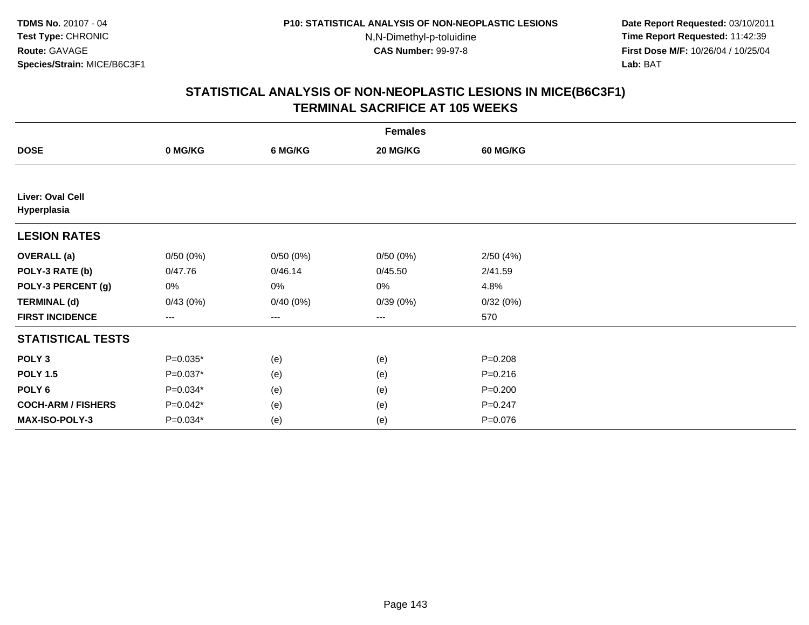**Date Report Requested:** 03/10/2011 **Time Report Requested:** 11:42:39 **First Dose M/F:** 10/26/04 / 10/25/04 Lab: BAT **Lab:** BAT

|                                 | <b>Females</b>         |          |          |                 |  |  |  |  |
|---------------------------------|------------------------|----------|----------|-----------------|--|--|--|--|
| <b>DOSE</b>                     | 0 MG/KG                | 6 MG/KG  | 20 MG/KG | <b>60 MG/KG</b> |  |  |  |  |
|                                 |                        |          |          |                 |  |  |  |  |
| Liver: Oval Cell<br>Hyperplasia |                        |          |          |                 |  |  |  |  |
| <b>LESION RATES</b>             |                        |          |          |                 |  |  |  |  |
| <b>OVERALL</b> (a)              | 0/50(0%)               | 0/50(0%) | 0/50(0%) | 2/50(4%)        |  |  |  |  |
| POLY-3 RATE (b)                 | 0/47.76                | 0/46.14  | 0/45.50  | 2/41.59         |  |  |  |  |
| POLY-3 PERCENT (g)              | 0%                     | $0\%$    | 0%       | 4.8%            |  |  |  |  |
| <b>TERMINAL (d)</b>             | 0/43(0%)               | 0/40(0%) | 0/39(0%) | 0/32(0%)        |  |  |  |  |
| <b>FIRST INCIDENCE</b>          | $\qquad \qquad \cdots$ | $--$     | ---      | 570             |  |  |  |  |
| <b>STATISTICAL TESTS</b>        |                        |          |          |                 |  |  |  |  |
| POLY <sub>3</sub>               | $P=0.035*$             | (e)      | (e)      | $P = 0.208$     |  |  |  |  |
| <b>POLY 1.5</b>                 | $P=0.037*$             | (e)      | (e)      | $P = 0.216$     |  |  |  |  |
| POLY <sub>6</sub>               | $P=0.034*$             | (e)      | (e)      | $P = 0.200$     |  |  |  |  |
| <b>COCH-ARM / FISHERS</b>       | $P=0.042*$             | (e)      | (e)      | $P = 0.247$     |  |  |  |  |
| MAX-ISO-POLY-3                  | $P=0.034*$             | (e)      | (e)      | $P = 0.076$     |  |  |  |  |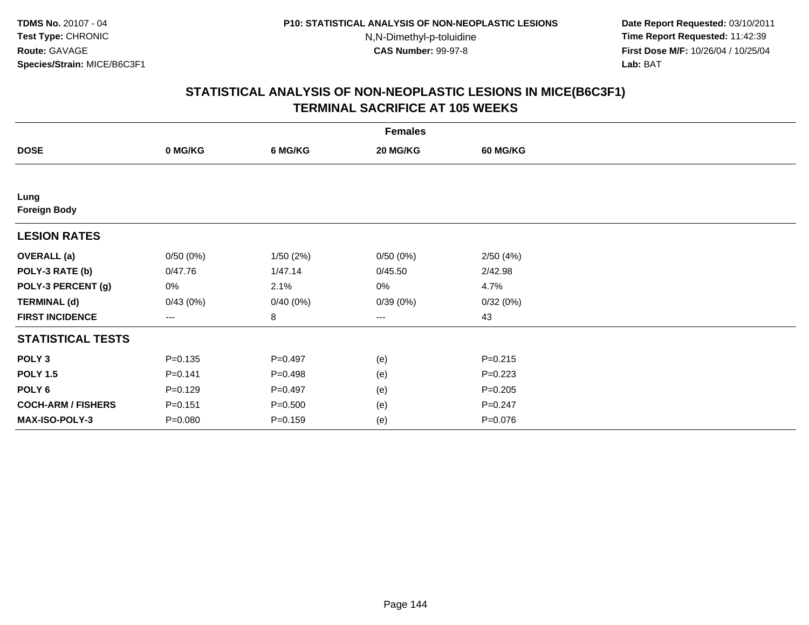**Date Report Requested:** 03/10/2011 **Time Report Requested:** 11:42:39 **First Dose M/F:** 10/26/04 / 10/25/04 Lab: BAT **Lab:** BAT

|                             | <b>Females</b> |             |          |                 |  |  |  |  |
|-----------------------------|----------------|-------------|----------|-----------------|--|--|--|--|
| <b>DOSE</b>                 | 0 MG/KG        | 6 MG/KG     | 20 MG/KG | <b>60 MG/KG</b> |  |  |  |  |
|                             |                |             |          |                 |  |  |  |  |
| Lung<br><b>Foreign Body</b> |                |             |          |                 |  |  |  |  |
| <b>LESION RATES</b>         |                |             |          |                 |  |  |  |  |
| <b>OVERALL</b> (a)          | 0/50(0%)       | 1/50(2%)    | 0/50(0%) | 2/50(4%)        |  |  |  |  |
| POLY-3 RATE (b)             | 0/47.76        | 1/47.14     | 0/45.50  | 2/42.98         |  |  |  |  |
| POLY-3 PERCENT (g)          | 0%             | 2.1%        | 0%       | 4.7%            |  |  |  |  |
| <b>TERMINAL (d)</b>         | 0/43(0%)       | 0/40(0%)    | 0/39(0%) | 0/32(0%)        |  |  |  |  |
| <b>FIRST INCIDENCE</b>      | $---$          | 8           | ---      | 43              |  |  |  |  |
| <b>STATISTICAL TESTS</b>    |                |             |          |                 |  |  |  |  |
| POLY <sub>3</sub>           | $P = 0.135$    | $P=0.497$   | (e)      | $P = 0.215$     |  |  |  |  |
| <b>POLY 1.5</b>             | $P=0.141$      | $P=0.498$   | (e)      | $P=0.223$       |  |  |  |  |
| POLY <sub>6</sub>           | $P=0.129$      | $P=0.497$   | (e)      | $P = 0.205$     |  |  |  |  |
| <b>COCH-ARM / FISHERS</b>   | $P = 0.151$    | $P = 0.500$ | (e)      | $P = 0.247$     |  |  |  |  |
| <b>MAX-ISO-POLY-3</b>       | $P = 0.080$    | $P = 0.159$ | (e)      | $P = 0.076$     |  |  |  |  |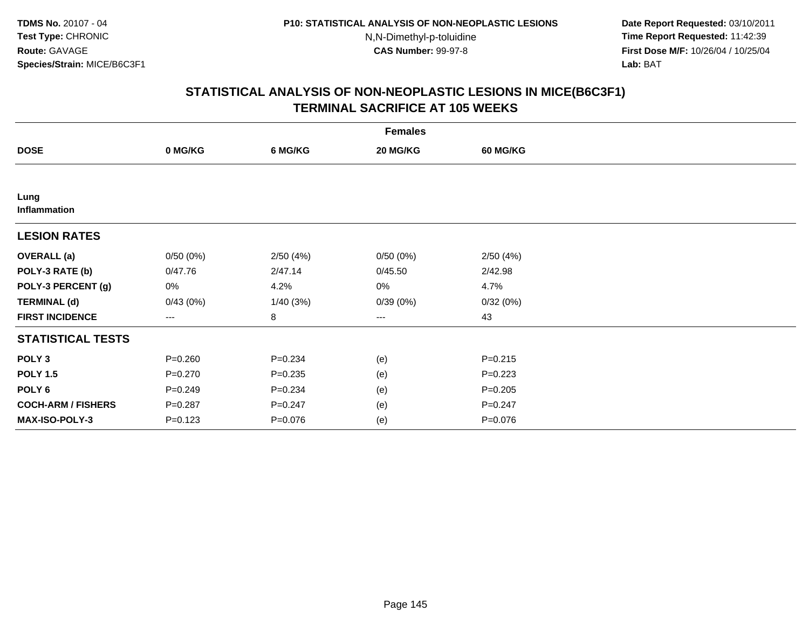**Date Report Requested:** 03/10/2011 **Time Report Requested:** 11:42:39 **First Dose M/F:** 10/26/04 / 10/25/04 Lab: BAT **Lab:** BAT

|                           | <b>Females</b>    |             |          |             |  |  |  |  |
|---------------------------|-------------------|-------------|----------|-------------|--|--|--|--|
| <b>DOSE</b>               | 0 MG/KG           | 6 MG/KG     | 20 MG/KG | 60 MG/KG    |  |  |  |  |
|                           |                   |             |          |             |  |  |  |  |
| Lung<br>Inflammation      |                   |             |          |             |  |  |  |  |
| <b>LESION RATES</b>       |                   |             |          |             |  |  |  |  |
| <b>OVERALL</b> (a)        | 0/50(0%)          | 2/50(4%)    | 0/50(0%) | 2/50(4%)    |  |  |  |  |
| POLY-3 RATE (b)           | 0/47.76           | 2/47.14     | 0/45.50  | 2/42.98     |  |  |  |  |
| POLY-3 PERCENT (g)        | 0%                | 4.2%        | 0%       | 4.7%        |  |  |  |  |
| <b>TERMINAL (d)</b>       | 0/43(0%)          | 1/40(3%)    | 0/39(0%) | 0/32(0%)    |  |  |  |  |
| <b>FIRST INCIDENCE</b>    | $\qquad \qquad -$ | $\bf 8$     | ---      | 43          |  |  |  |  |
| <b>STATISTICAL TESTS</b>  |                   |             |          |             |  |  |  |  |
| POLY <sub>3</sub>         | $P = 0.260$       | $P = 0.234$ | (e)      | $P = 0.215$ |  |  |  |  |
| <b>POLY 1.5</b>           | $P = 0.270$       | $P = 0.235$ | (e)      | $P = 0.223$ |  |  |  |  |
| POLY <sub>6</sub>         | $P = 0.249$       | $P = 0.234$ | (e)      | $P = 0.205$ |  |  |  |  |
| <b>COCH-ARM / FISHERS</b> | $P = 0.287$       | $P = 0.247$ | (e)      | $P = 0.247$ |  |  |  |  |
| MAX-ISO-POLY-3            | $P = 0.123$       | $P = 0.076$ | (e)      | $P = 0.076$ |  |  |  |  |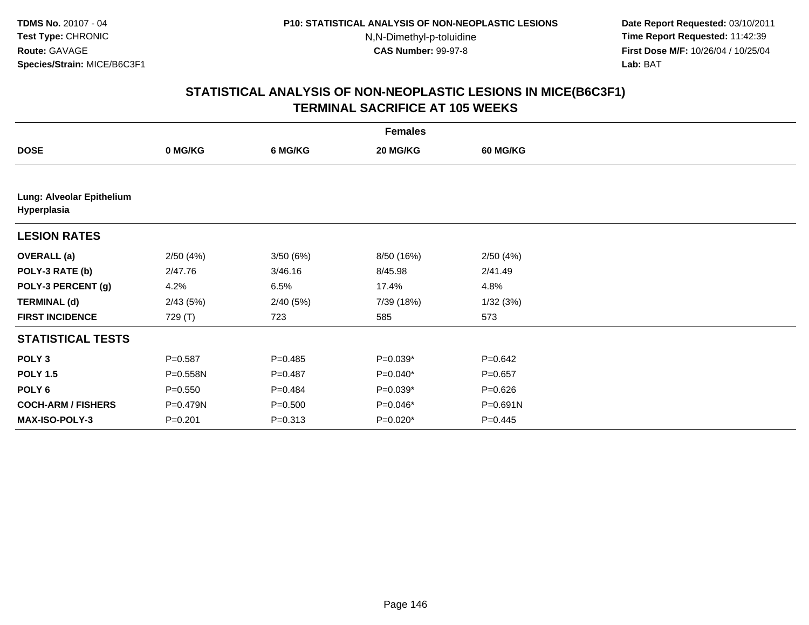**Date Report Requested:** 03/10/2011 **Time Report Requested:** 11:42:39 **First Dose M/F:** 10/26/04 / 10/25/04 Lab: BAT **Lab:** BAT

|                                          | <b>Females</b> |             |            |                 |  |  |  |  |
|------------------------------------------|----------------|-------------|------------|-----------------|--|--|--|--|
| <b>DOSE</b>                              | 0 MG/KG        | 6 MG/KG     | 20 MG/KG   | <b>60 MG/KG</b> |  |  |  |  |
|                                          |                |             |            |                 |  |  |  |  |
| Lung: Alveolar Epithelium<br>Hyperplasia |                |             |            |                 |  |  |  |  |
| <b>LESION RATES</b>                      |                |             |            |                 |  |  |  |  |
| <b>OVERALL</b> (a)                       | 2/50(4%)       | 3/50 (6%)   | 8/50 (16%) | 2/50(4%)        |  |  |  |  |
| POLY-3 RATE (b)                          | 2/47.76        | 3/46.16     | 8/45.98    | 2/41.49         |  |  |  |  |
| POLY-3 PERCENT (g)                       | 4.2%           | 6.5%        | 17.4%      | 4.8%            |  |  |  |  |
| <b>TERMINAL (d)</b>                      | 2/43(5%)       | 2/40(5%)    | 7/39 (18%) | 1/32(3%)        |  |  |  |  |
| <b>FIRST INCIDENCE</b>                   | 729 (T)        | 723         | 585        | 573             |  |  |  |  |
| <b>STATISTICAL TESTS</b>                 |                |             |            |                 |  |  |  |  |
| POLY <sub>3</sub>                        | $P = 0.587$    | $P = 0.485$ | P=0.039*   | $P = 0.642$     |  |  |  |  |
| <b>POLY 1.5</b>                          | P=0.558N       | $P = 0.487$ | P=0.040*   | $P = 0.657$     |  |  |  |  |
| POLY <sub>6</sub>                        | $P = 0.550$    | $P=0.484$   | $P=0.039*$ | $P = 0.626$     |  |  |  |  |
| <b>COCH-ARM / FISHERS</b>                | P=0.479N       | $P = 0.500$ | P=0.046*   | $P = 0.691N$    |  |  |  |  |
| <b>MAX-ISO-POLY-3</b>                    | $P = 0.201$    | $P = 0.313$ | $P=0.020*$ | $P=0.445$       |  |  |  |  |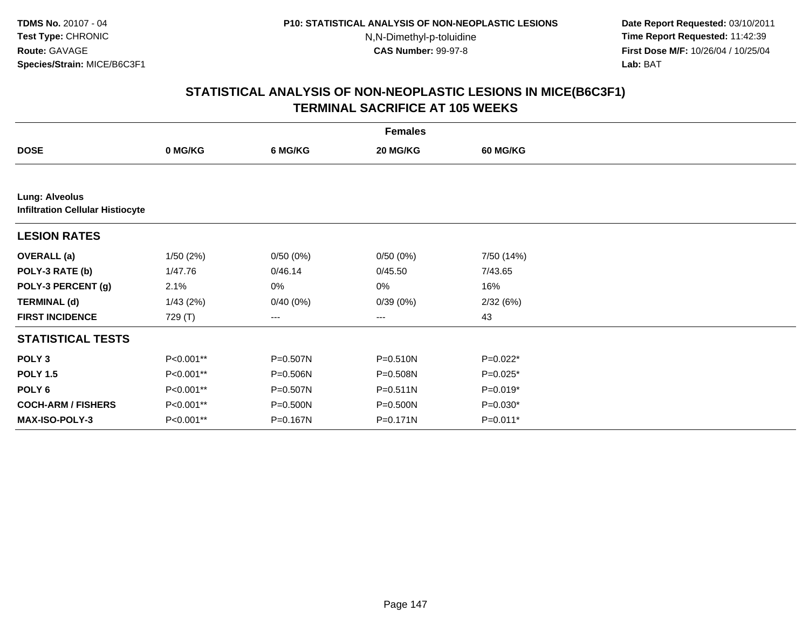**Date Report Requested:** 03/10/2011 **Time Report Requested:** 11:42:39 **First Dose M/F:** 10/26/04 / 10/25/04 Lab: BAT **Lab:** BAT

|                           | <b>Females</b>                          |          |                   |                 |  |  |  |  |  |
|---------------------------|-----------------------------------------|----------|-------------------|-----------------|--|--|--|--|--|
| <b>DOSE</b>               | 0 MG/KG                                 | 6 MG/KG  | 20 MG/KG          | <b>60 MG/KG</b> |  |  |  |  |  |
|                           |                                         |          |                   |                 |  |  |  |  |  |
| <b>Lung: Alveolus</b>     | <b>Infiltration Cellular Histiocyte</b> |          |                   |                 |  |  |  |  |  |
| <b>LESION RATES</b>       |                                         |          |                   |                 |  |  |  |  |  |
| <b>OVERALL</b> (a)        | 1/50(2%)                                | 0/50(0%) | 0/50(0%)          | 7/50 (14%)      |  |  |  |  |  |
| POLY-3 RATE (b)           | 1/47.76                                 | 0/46.14  | 0/45.50           | 7/43.65         |  |  |  |  |  |
| POLY-3 PERCENT (g)        | 2.1%                                    | 0%       | 0%                | 16%             |  |  |  |  |  |
| <b>TERMINAL (d)</b>       | 1/43(2%)                                | 0/40(0%) | 0/39(0%)          | 2/32(6%)        |  |  |  |  |  |
| <b>FIRST INCIDENCE</b>    | 729 (T)                                 | $---$    | $\qquad \qquad -$ | 43              |  |  |  |  |  |
| <b>STATISTICAL TESTS</b>  |                                         |          |                   |                 |  |  |  |  |  |
| POLY <sub>3</sub>         | P<0.001**                               | P=0.507N | P=0.510N          | $P=0.022*$      |  |  |  |  |  |
| <b>POLY 1.5</b>           | P<0.001**                               | P=0.506N | P=0.508N          | $P=0.025*$      |  |  |  |  |  |
| POLY <sub>6</sub>         | P<0.001**                               | P=0.507N | $P = 0.511N$      | $P=0.019*$      |  |  |  |  |  |
| <b>COCH-ARM / FISHERS</b> | P<0.001**                               | P=0.500N | P=0.500N          | $P=0.030*$      |  |  |  |  |  |
| <b>MAX-ISO-POLY-3</b>     | P<0.001**                               | P=0.167N | $P = 0.171N$      | $P=0.011*$      |  |  |  |  |  |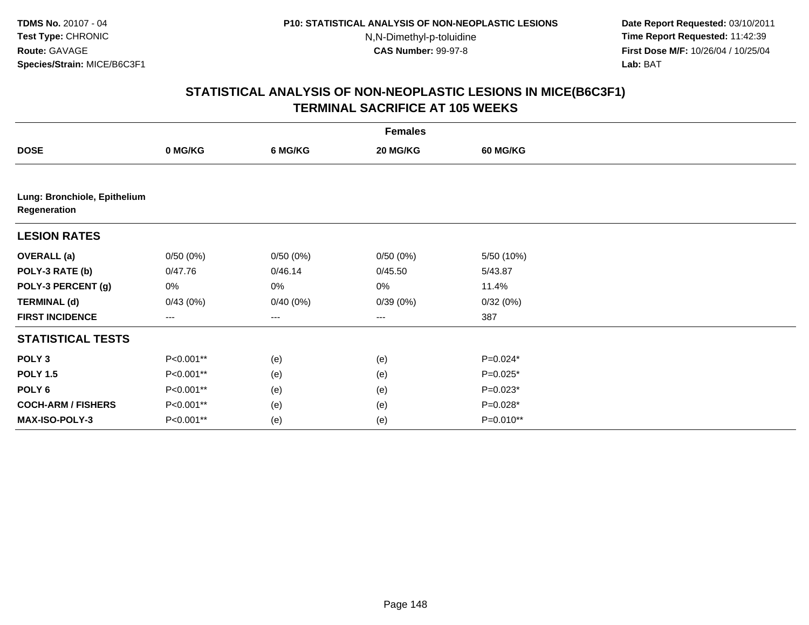**Date Report Requested:** 03/10/2011 **Time Report Requested:** 11:42:39 **First Dose M/F:** 10/26/04 / 10/25/04 Lab: BAT **Lab:** BAT

|                                              | <b>Females</b> |          |          |             |  |  |  |
|----------------------------------------------|----------------|----------|----------|-------------|--|--|--|
| <b>DOSE</b>                                  | 0 MG/KG        | 6 MG/KG  | 20 MG/KG | 60 MG/KG    |  |  |  |
|                                              |                |          |          |             |  |  |  |
| Lung: Bronchiole, Epithelium<br>Regeneration |                |          |          |             |  |  |  |
| <b>LESION RATES</b>                          |                |          |          |             |  |  |  |
| <b>OVERALL</b> (a)                           | 0/50(0%)       | 0/50(0%) | 0/50(0%) | 5/50 (10%)  |  |  |  |
| POLY-3 RATE (b)                              | 0/47.76        | 0/46.14  | 0/45.50  | 5/43.87     |  |  |  |
| POLY-3 PERCENT (g)                           | 0%             | 0%       | 0%       | 11.4%       |  |  |  |
| <b>TERMINAL (d)</b>                          | 0/43(0%)       | 0/40(0%) | 0/39(0%) | 0/32(0%)    |  |  |  |
| <b>FIRST INCIDENCE</b>                       | ---            | ---      | $---$    | 387         |  |  |  |
| <b>STATISTICAL TESTS</b>                     |                |          |          |             |  |  |  |
| POLY <sub>3</sub>                            | P<0.001**      | (e)      | (e)      | P=0.024*    |  |  |  |
| <b>POLY 1.5</b>                              | P<0.001**      | (e)      | (e)      | $P=0.025*$  |  |  |  |
| POLY <sub>6</sub>                            | P<0.001**      | (e)      | (e)      | $P=0.023*$  |  |  |  |
| <b>COCH-ARM / FISHERS</b>                    | P<0.001**      | (e)      | (e)      | $P=0.028*$  |  |  |  |
| MAX-ISO-POLY-3                               | P<0.001**      | (e)      | (e)      | $P=0.010**$ |  |  |  |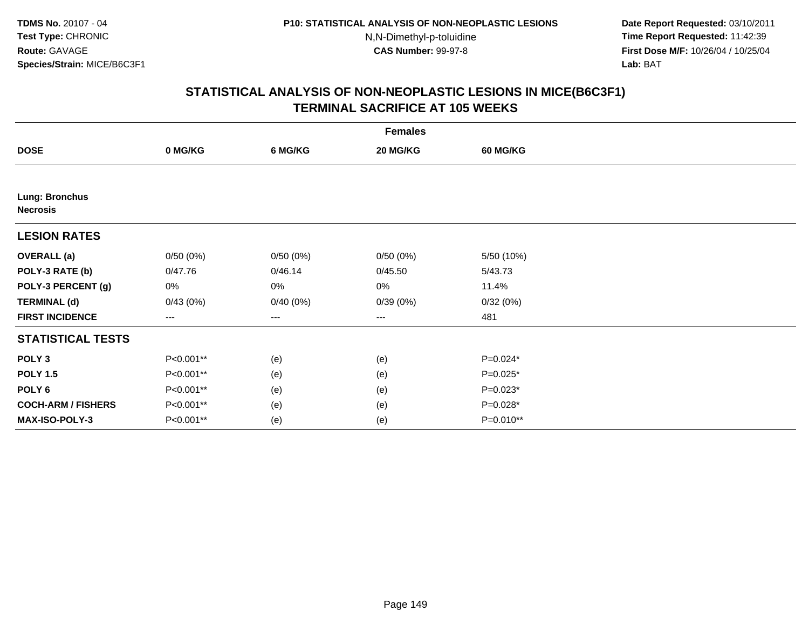**Date Report Requested:** 03/10/2011 **Time Report Requested:** 11:42:39 **First Dose M/F:** 10/26/04 / 10/25/04 Lab: BAT **Lab:** BAT

|                                          | <b>Females</b>         |          |          |                 |  |  |  |  |
|------------------------------------------|------------------------|----------|----------|-----------------|--|--|--|--|
| <b>DOSE</b>                              | 0 MG/KG                | 6 MG/KG  | 20 MG/KG | <b>60 MG/KG</b> |  |  |  |  |
|                                          |                        |          |          |                 |  |  |  |  |
| <b>Lung: Bronchus</b><br><b>Necrosis</b> |                        |          |          |                 |  |  |  |  |
| <b>LESION RATES</b>                      |                        |          |          |                 |  |  |  |  |
| <b>OVERALL</b> (a)                       | 0/50(0%)               | 0/50(0%) | 0/50(0%) | 5/50 (10%)      |  |  |  |  |
| POLY-3 RATE (b)                          | 0/47.76                | 0/46.14  | 0/45.50  | 5/43.73         |  |  |  |  |
| POLY-3 PERCENT (g)                       | 0%                     | $0\%$    | 0%       | 11.4%           |  |  |  |  |
| <b>TERMINAL (d)</b>                      | 0/43(0%)               | 0/40(0%) | 0/39(0%) | 0/32(0%)        |  |  |  |  |
| <b>FIRST INCIDENCE</b>                   | $\qquad \qquad \cdots$ | ---      | ---      | 481             |  |  |  |  |
| <b>STATISTICAL TESTS</b>                 |                        |          |          |                 |  |  |  |  |
| POLY <sub>3</sub>                        | P<0.001**              | (e)      | (e)      | $P=0.024*$      |  |  |  |  |
| <b>POLY 1.5</b>                          | P<0.001**              | (e)      | (e)      | $P=0.025*$      |  |  |  |  |
| POLY <sub>6</sub>                        | P<0.001**              | (e)      | (e)      | $P=0.023*$      |  |  |  |  |
| <b>COCH-ARM / FISHERS</b>                | P<0.001**              | (e)      | (e)      | $P=0.028*$      |  |  |  |  |
| MAX-ISO-POLY-3                           | P<0.001**              | (e)      | (e)      | P=0.010**       |  |  |  |  |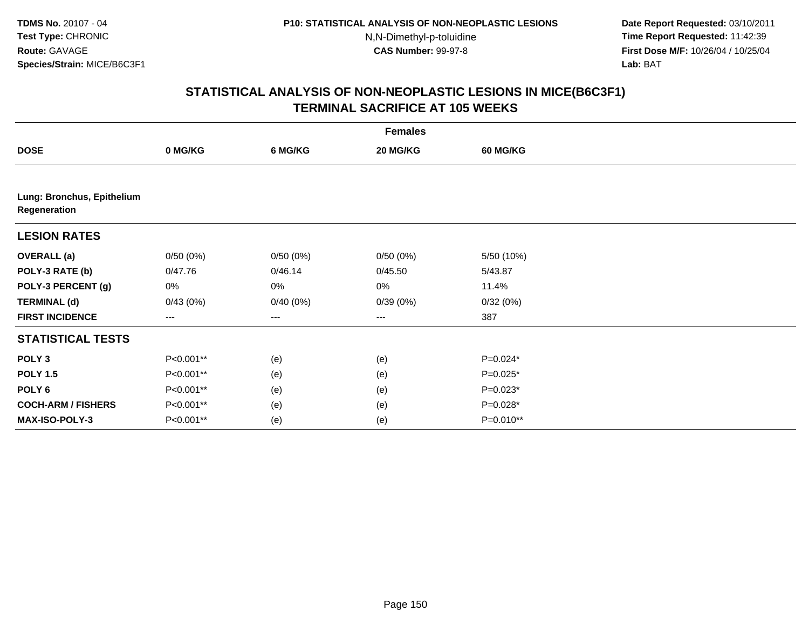**Date Report Requested:** 03/10/2011 **Time Report Requested:** 11:42:39 **First Dose M/F:** 10/26/04 / 10/25/04 Lab: BAT **Lab:** BAT

|                                            | <b>Females</b> |          |          |            |  |  |  |
|--------------------------------------------|----------------|----------|----------|------------|--|--|--|
| <b>DOSE</b>                                | 0 MG/KG        | 6 MG/KG  | 20 MG/KG | 60 MG/KG   |  |  |  |
|                                            |                |          |          |            |  |  |  |
| Lung: Bronchus, Epithelium<br>Regeneration |                |          |          |            |  |  |  |
| <b>LESION RATES</b>                        |                |          |          |            |  |  |  |
| <b>OVERALL</b> (a)                         | 0/50(0%)       | 0/50(0%) | 0/50(0%) | 5/50 (10%) |  |  |  |
| POLY-3 RATE (b)                            | 0/47.76        | 0/46.14  | 0/45.50  | 5/43.87    |  |  |  |
| POLY-3 PERCENT (g)                         | 0%             | 0%       | 0%       | 11.4%      |  |  |  |
| <b>TERMINAL (d)</b>                        | 0/43(0%)       | 0/40(0%) | 0/39(0%) | 0/32(0%)   |  |  |  |
| <b>FIRST INCIDENCE</b>                     | $---$          | ---      | $---$    | 387        |  |  |  |
| <b>STATISTICAL TESTS</b>                   |                |          |          |            |  |  |  |
| POLY <sub>3</sub>                          | P<0.001**      | (e)      | (e)      | P=0.024*   |  |  |  |
| <b>POLY 1.5</b>                            | P<0.001**      | (e)      | (e)      | $P=0.025*$ |  |  |  |
| POLY 6                                     | P<0.001**      | (e)      | (e)      | $P=0.023*$ |  |  |  |
| <b>COCH-ARM / FISHERS</b>                  | P<0.001**      | (e)      | (e)      | P=0.028*   |  |  |  |
| MAX-ISO-POLY-3                             | P<0.001**      | (e)      | (e)      | P=0.010**  |  |  |  |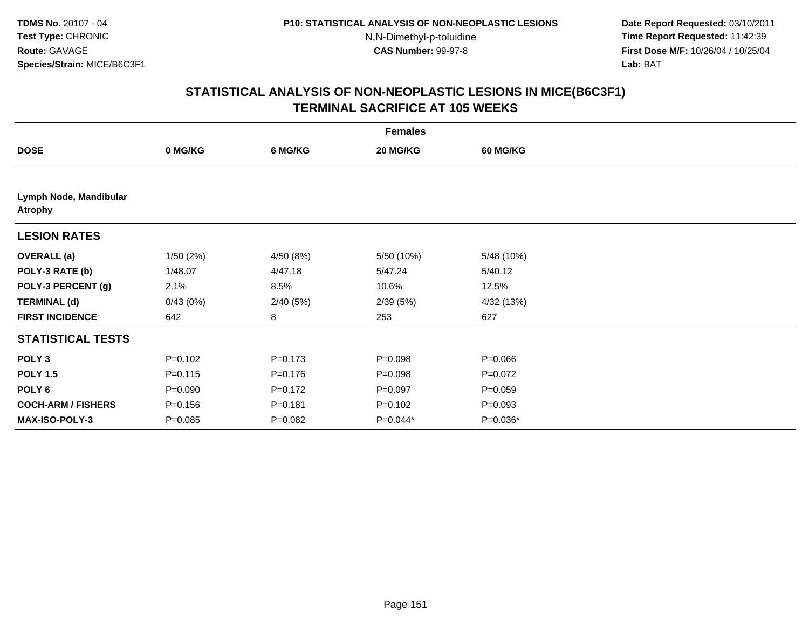**Date Report Requested:** 03/10/2011 **Time Report Requested:** 11:42:39 **First Dose M/F:** 10/26/04 / 10/25/04 Lab: BAT **Lab:** BAT

|                                          | <b>Females</b> |             |             |                 |  |  |  |  |
|------------------------------------------|----------------|-------------|-------------|-----------------|--|--|--|--|
| <b>DOSE</b>                              | 0 MG/KG        | 6 MG/KG     | 20 MG/KG    | <b>60 MG/KG</b> |  |  |  |  |
|                                          |                |             |             |                 |  |  |  |  |
| Lymph Node, Mandibular<br><b>Atrophy</b> |                |             |             |                 |  |  |  |  |
| <b>LESION RATES</b>                      |                |             |             |                 |  |  |  |  |
| <b>OVERALL</b> (a)                       | 1/50(2%)       | 4/50 (8%)   | 5/50 (10%)  | 5/48 (10%)      |  |  |  |  |
| POLY-3 RATE (b)                          | 1/48.07        | 4/47.18     | 5/47.24     | 5/40.12         |  |  |  |  |
| POLY-3 PERCENT (g)                       | 2.1%           | 8.5%        | 10.6%       | 12.5%           |  |  |  |  |
| <b>TERMINAL (d)</b>                      | 0/43(0%)       | 2/40(5%)    | 2/39(5%)    | 4/32 (13%)      |  |  |  |  |
| <b>FIRST INCIDENCE</b>                   | 642            | 8           | 253         | 627             |  |  |  |  |
| <b>STATISTICAL TESTS</b>                 |                |             |             |                 |  |  |  |  |
| POLY <sub>3</sub>                        | $P = 0.102$    | $P = 0.173$ | $P = 0.098$ | $P = 0.066$     |  |  |  |  |
| <b>POLY 1.5</b>                          | $P = 0.115$    | $P = 0.176$ | $P = 0.098$ | $P=0.072$       |  |  |  |  |
| POLY 6                                   | $P = 0.090$    | $P=0.172$   | $P = 0.097$ | $P = 0.059$     |  |  |  |  |
| <b>COCH-ARM / FISHERS</b>                | $P = 0.156$    | $P = 0.181$ | $P = 0.102$ | $P = 0.093$     |  |  |  |  |
| MAX-ISO-POLY-3                           | $P = 0.085$    | $P = 0.082$ | P=0.044*    | P=0.036*        |  |  |  |  |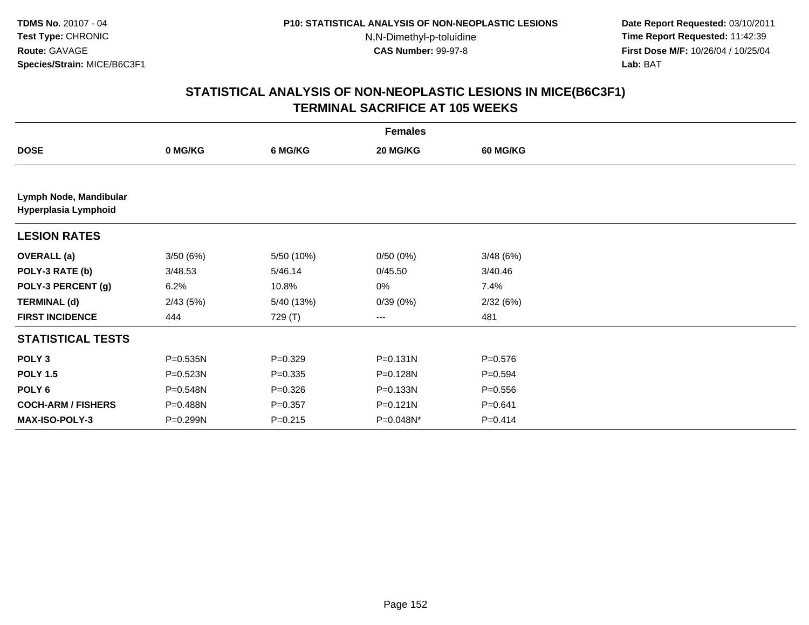**Date Report Requested:** 03/10/2011 **Time Report Requested:** 11:42:39 **First Dose M/F:** 10/26/04 / 10/25/04 Lab: BAT **Lab:** BAT

|                                                | <b>Females</b> |             |              |             |  |  |  |  |
|------------------------------------------------|----------------|-------------|--------------|-------------|--|--|--|--|
| <b>DOSE</b>                                    | 0 MG/KG        | 6 MG/KG     | 20 MG/KG     | 60 MG/KG    |  |  |  |  |
|                                                |                |             |              |             |  |  |  |  |
| Lymph Node, Mandibular<br>Hyperplasia Lymphoid |                |             |              |             |  |  |  |  |
| <b>LESION RATES</b>                            |                |             |              |             |  |  |  |  |
| <b>OVERALL</b> (a)                             | 3/50(6%)       | 5/50 (10%)  | 0/50(0%)     | 3/48(6%)    |  |  |  |  |
| POLY-3 RATE (b)                                | 3/48.53        | 5/46.14     | 0/45.50      | 3/40.46     |  |  |  |  |
| POLY-3 PERCENT (g)                             | 6.2%           | 10.8%       | 0%           | 7.4%        |  |  |  |  |
| <b>TERMINAL (d)</b>                            | 2/43(5%)       | 5/40 (13%)  | 0/39(0%)     | 2/32(6%)    |  |  |  |  |
| <b>FIRST INCIDENCE</b>                         | 444            | 729 (T)     | $--$         | 481         |  |  |  |  |
| <b>STATISTICAL TESTS</b>                       |                |             |              |             |  |  |  |  |
| POLY <sub>3</sub>                              | P=0.535N       | $P = 0.329$ | $P = 0.131N$ | $P = 0.576$ |  |  |  |  |
| <b>POLY 1.5</b>                                | $P = 0.523N$   | $P = 0.335$ | P=0.128N     | $P=0.594$   |  |  |  |  |
| POLY <sub>6</sub>                              | P=0.548N       | $P = 0.326$ | $P = 0.133N$ | $P = 0.556$ |  |  |  |  |
| <b>COCH-ARM / FISHERS</b>                      | P=0.488N       | $P = 0.357$ | P=0.121N     | $P = 0.641$ |  |  |  |  |
| <b>MAX-ISO-POLY-3</b>                          | P=0.299N       | $P=0.215$   | P=0.048N*    | $P = 0.414$ |  |  |  |  |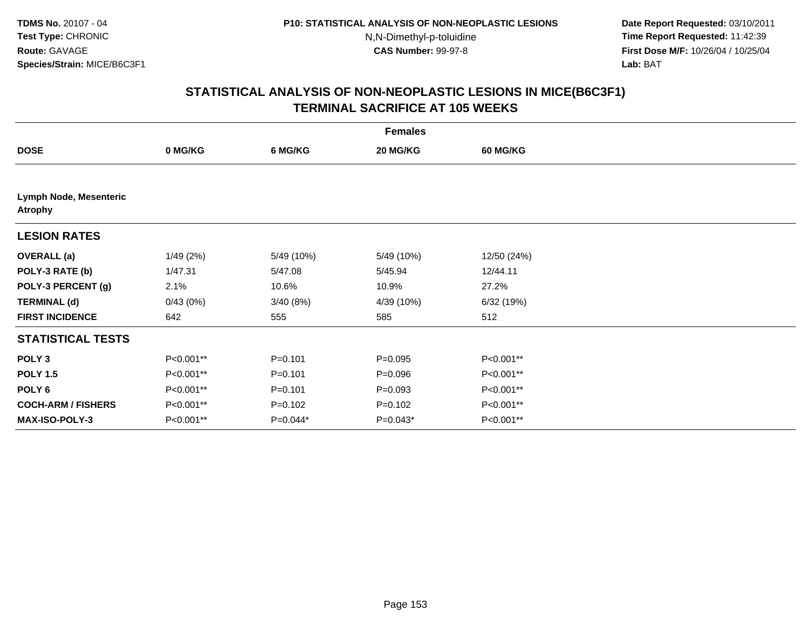**Date Report Requested:** 03/10/2011 **Time Report Requested:** 11:42:39 **First Dose M/F:** 10/26/04 / 10/25/04 Lab: BAT **Lab:** BAT

|                                                 | <b>Females</b> |             |             |                 |  |  |  |
|-------------------------------------------------|----------------|-------------|-------------|-----------------|--|--|--|
| <b>DOSE</b>                                     | 0 MG/KG        | 6 MG/KG     | 20 MG/KG    | <b>60 MG/KG</b> |  |  |  |
|                                                 |                |             |             |                 |  |  |  |
| <b>Lymph Node, Mesenteric</b><br><b>Atrophy</b> |                |             |             |                 |  |  |  |
| <b>LESION RATES</b>                             |                |             |             |                 |  |  |  |
| <b>OVERALL</b> (a)                              | 1/49(2%)       | 5/49 (10%)  | 5/49 (10%)  | 12/50 (24%)     |  |  |  |
| POLY-3 RATE (b)                                 | 1/47.31        | 5/47.08     | 5/45.94     | 12/44.11        |  |  |  |
| POLY-3 PERCENT (g)                              | 2.1%           | 10.6%       | 10.9%       | 27.2%           |  |  |  |
| <b>TERMINAL (d)</b>                             | 0/43(0%)       | 3/40(8%)    | 4/39 (10%)  | 6/32 (19%)      |  |  |  |
| <b>FIRST INCIDENCE</b>                          | 642            | 555         | 585         | 512             |  |  |  |
| <b>STATISTICAL TESTS</b>                        |                |             |             |                 |  |  |  |
| POLY <sub>3</sub>                               | P<0.001**      | $P = 0.101$ | $P = 0.095$ | P<0.001**       |  |  |  |
| <b>POLY 1.5</b>                                 | P<0.001**      | $P = 0.101$ | $P = 0.096$ | P<0.001**       |  |  |  |
| POLY <sub>6</sub>                               | P<0.001**      | $P = 0.101$ | $P = 0.093$ | P<0.001**       |  |  |  |
| <b>COCH-ARM / FISHERS</b>                       | P<0.001**      | $P = 0.102$ | $P = 0.102$ | P<0.001**       |  |  |  |
| <b>MAX-ISO-POLY-3</b>                           | P<0.001**      | $P=0.044*$  | $P=0.043*$  | P<0.001**       |  |  |  |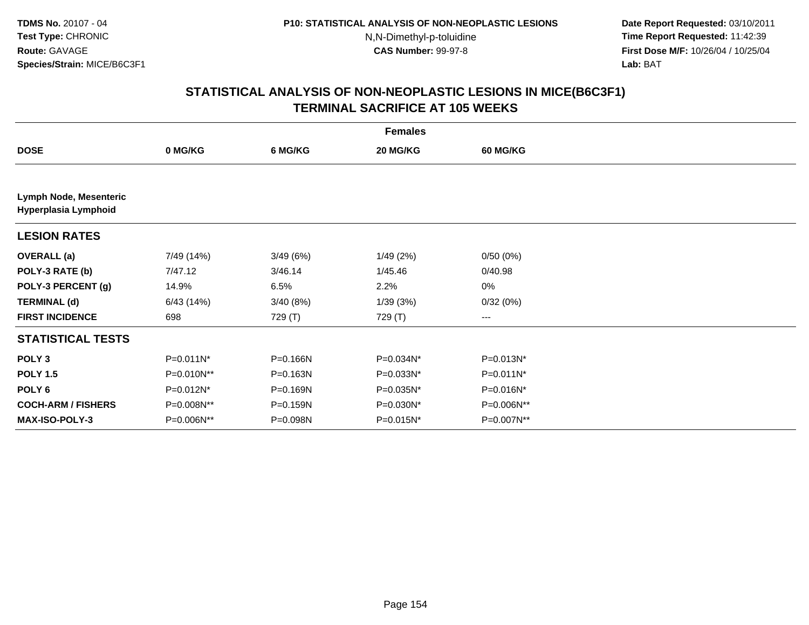**Date Report Requested:** 03/10/2011 **Time Report Requested:** 11:42:39 **First Dose M/F:** 10/26/04 / 10/25/04 Lab: BAT **Lab:** BAT

|                                                | <b>Females</b> |           |           |            |  |  |  |  |
|------------------------------------------------|----------------|-----------|-----------|------------|--|--|--|--|
| <b>DOSE</b>                                    | 0 MG/KG        | 6 MG/KG   | 20 MG/KG  | 60 MG/KG   |  |  |  |  |
|                                                |                |           |           |            |  |  |  |  |
| Lymph Node, Mesenteric<br>Hyperplasia Lymphoid |                |           |           |            |  |  |  |  |
| <b>LESION RATES</b>                            |                |           |           |            |  |  |  |  |
| <b>OVERALL</b> (a)                             | 7/49 (14%)     | 3/49(6%)  | 1/49(2%)  | 0/50(0%)   |  |  |  |  |
| POLY-3 RATE (b)                                | 7/47.12        | 3/46.14   | 1/45.46   | 0/40.98    |  |  |  |  |
| POLY-3 PERCENT (g)                             | 14.9%          | 6.5%      | 2.2%      | 0%         |  |  |  |  |
| <b>TERMINAL (d)</b>                            | 6/43(14%)      | 3/40 (8%) | 1/39(3%)  | 0/32(0%)   |  |  |  |  |
| <b>FIRST INCIDENCE</b>                         | 698            | 729 (T)   | 729 (T)   | ---        |  |  |  |  |
| <b>STATISTICAL TESTS</b>                       |                |           |           |            |  |  |  |  |
| POLY <sub>3</sub>                              | P=0.011N*      | P=0.166N  | P=0.034N* | P=0.013N*  |  |  |  |  |
| <b>POLY 1.5</b>                                | P=0.010N**     | P=0.163N  | P=0.033N* | P=0.011N*  |  |  |  |  |
| POLY <sub>6</sub>                              | P=0.012N*      | P=0.169N  | P=0.035N* | P=0.016N*  |  |  |  |  |
| <b>COCH-ARM / FISHERS</b>                      | P=0.008N**     | P=0.159N  | P=0.030N* | P=0.006N** |  |  |  |  |
| <b>MAX-ISO-POLY-3</b>                          | P=0.006N**     | P=0.098N  | P=0.015N* | P=0.007N** |  |  |  |  |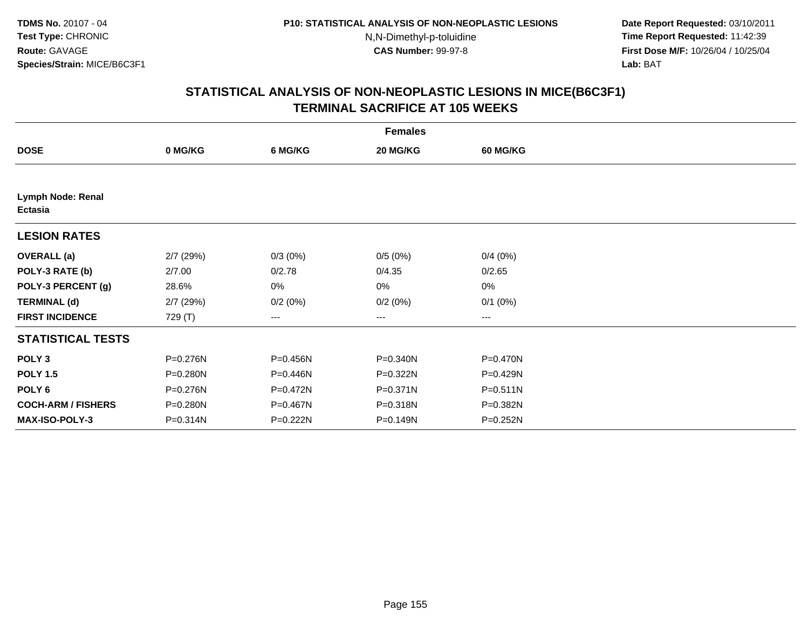**Date Report Requested:** 03/10/2011 **Time Report Requested:** 11:42:39 **First Dose M/F:** 10/26/04 / 10/25/04 Lab: BAT **Lab:** BAT

|                              | <b>Females</b> |          |          |                 |  |  |  |  |
|------------------------------|----------------|----------|----------|-----------------|--|--|--|--|
| <b>DOSE</b>                  | 0 MG/KG        | 6 MG/KG  | 20 MG/KG | <b>60 MG/KG</b> |  |  |  |  |
|                              |                |          |          |                 |  |  |  |  |
| Lymph Node: Renal<br>Ectasia |                |          |          |                 |  |  |  |  |
| <b>LESION RATES</b>          |                |          |          |                 |  |  |  |  |
| <b>OVERALL</b> (a)           | $2/7$ (29%)    | 0/3(0%)  | 0/5(0%)  | 0/4(0%)         |  |  |  |  |
| POLY-3 RATE (b)              | 2/7.00         | 0/2.78   | 0/4.35   | 0/2.65          |  |  |  |  |
| POLY-3 PERCENT (g)           | 28.6%          | 0%       | 0%       | 0%              |  |  |  |  |
| <b>TERMINAL (d)</b>          | $2/7$ (29%)    | 0/2(0%)  | 0/2(0%)  | $0/1$ $(0%)$    |  |  |  |  |
| <b>FIRST INCIDENCE</b>       | 729 (T)        | ---      | ---      | ---             |  |  |  |  |
| <b>STATISTICAL TESTS</b>     |                |          |          |                 |  |  |  |  |
| POLY <sub>3</sub>            | P=0.276N       | P=0.456N | P=0.340N | P=0.470N        |  |  |  |  |
| <b>POLY 1.5</b>              | P=0.280N       | P=0.446N | P=0.322N | P=0.429N        |  |  |  |  |
| POLY <sub>6</sub>            | P=0.276N       | P=0.472N | P=0.371N | $P = 0.511N$    |  |  |  |  |
| <b>COCH-ARM / FISHERS</b>    | P=0.280N       | P=0.467N | P=0.318N | P=0.382N        |  |  |  |  |
| MAX-ISO-POLY-3               | P=0.314N       | P=0.222N | P=0.149N | P=0.252N        |  |  |  |  |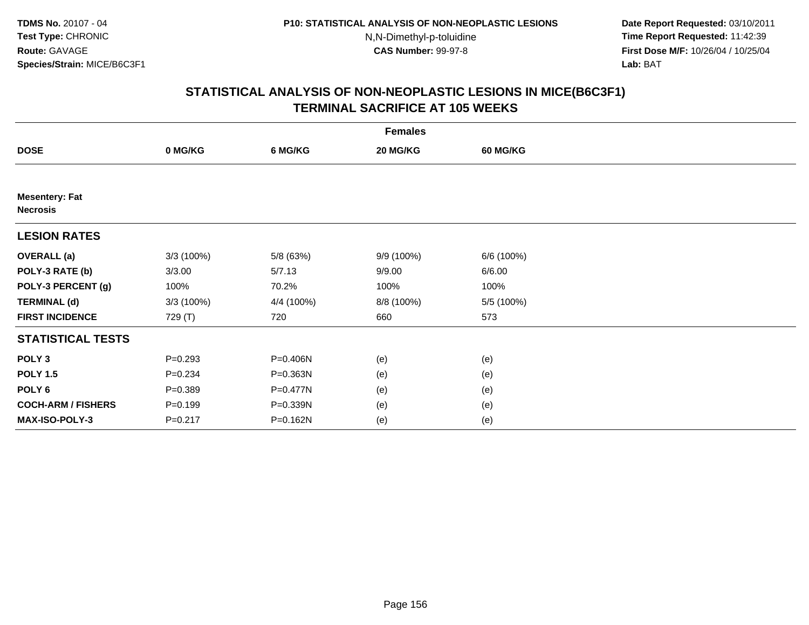**Date Report Requested:** 03/10/2011 **Time Report Requested:** 11:42:39 **First Dose M/F:** 10/26/04 / 10/25/04 Lab: BAT **Lab:** BAT

|                                          | <b>Females</b> |            |            |                 |  |  |  |  |
|------------------------------------------|----------------|------------|------------|-----------------|--|--|--|--|
| <b>DOSE</b>                              | 0 MG/KG        | 6 MG/KG    | 20 MG/KG   | <b>60 MG/KG</b> |  |  |  |  |
|                                          |                |            |            |                 |  |  |  |  |
| <b>Mesentery: Fat</b><br><b>Necrosis</b> |                |            |            |                 |  |  |  |  |
| <b>LESION RATES</b>                      |                |            |            |                 |  |  |  |  |
| <b>OVERALL</b> (a)                       | 3/3(100%)      | 5/8 (63%)  | 9/9 (100%) | 6/6 (100%)      |  |  |  |  |
| POLY-3 RATE (b)                          | 3/3.00         | 5/7.13     | 9/9.00     | 6/6.00          |  |  |  |  |
| POLY-3 PERCENT (g)                       | 100%           | 70.2%      | 100%       | 100%            |  |  |  |  |
| <b>TERMINAL (d)</b>                      | 3/3(100%)      | 4/4 (100%) | 8/8 (100%) | 5/5 (100%)      |  |  |  |  |
| <b>FIRST INCIDENCE</b>                   | 729 (T)        | 720        | 660        | 573             |  |  |  |  |
| <b>STATISTICAL TESTS</b>                 |                |            |            |                 |  |  |  |  |
| POLY <sub>3</sub>                        | $P = 0.293$    | P=0.406N   | (e)        | (e)             |  |  |  |  |
| <b>POLY 1.5</b>                          | $P = 0.234$    | P=0.363N   | (e)        | (e)             |  |  |  |  |
| POLY <sub>6</sub>                        | $P = 0.389$    | P=0.477N   | (e)        | (e)             |  |  |  |  |
| <b>COCH-ARM / FISHERS</b>                | $P = 0.199$    | P=0.339N   | (e)        | (e)             |  |  |  |  |
| MAX-ISO-POLY-3                           | $P = 0.217$    | P=0.162N   | (e)        | (e)             |  |  |  |  |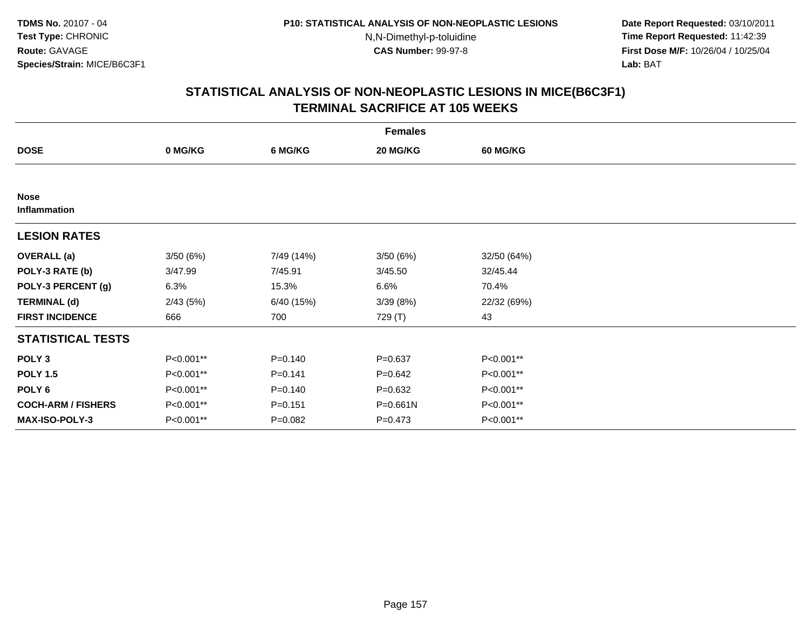**Date Report Requested:** 03/10/2011 **Time Report Requested:** 11:42:39 **First Dose M/F:** 10/26/04 / 10/25/04 Lab: BAT **Lab:** BAT

| <b>Females</b>              |           |             |             |                 |  |  |  |
|-----------------------------|-----------|-------------|-------------|-----------------|--|--|--|
| <b>DOSE</b>                 | 0 MG/KG   | 6 MG/KG     | 20 MG/KG    | <b>60 MG/KG</b> |  |  |  |
|                             |           |             |             |                 |  |  |  |
| <b>Nose</b><br>Inflammation |           |             |             |                 |  |  |  |
| <b>LESION RATES</b>         |           |             |             |                 |  |  |  |
| <b>OVERALL</b> (a)          | 3/50(6%)  | 7/49 (14%)  | 3/50(6%)    | 32/50 (64%)     |  |  |  |
| POLY-3 RATE (b)             | 3/47.99   | 7/45.91     | 3/45.50     | 32/45.44        |  |  |  |
| POLY-3 PERCENT (g)          | 6.3%      | 15.3%       | 6.6%        | 70.4%           |  |  |  |
| <b>TERMINAL (d)</b>         | 2/43(5%)  | 6/40 (15%)  | 3/39(8%)    | 22/32 (69%)     |  |  |  |
| <b>FIRST INCIDENCE</b>      | 666       | 700         | 729 (T)     | 43              |  |  |  |
| <b>STATISTICAL TESTS</b>    |           |             |             |                 |  |  |  |
| POLY <sub>3</sub>           | P<0.001** | $P = 0.140$ | $P = 0.637$ | P<0.001**       |  |  |  |
| <b>POLY 1.5</b>             | P<0.001** | $P = 0.141$ | $P = 0.642$ | P<0.001**       |  |  |  |
| POLY <sub>6</sub>           | P<0.001** | $P = 0.140$ | $P = 0.632$ | P<0.001**       |  |  |  |
| <b>COCH-ARM / FISHERS</b>   | P<0.001** | $P = 0.151$ | P=0.661N    | P<0.001**       |  |  |  |
| <b>MAX-ISO-POLY-3</b>       | P<0.001** | $P = 0.082$ | $P = 0.473$ | P<0.001**       |  |  |  |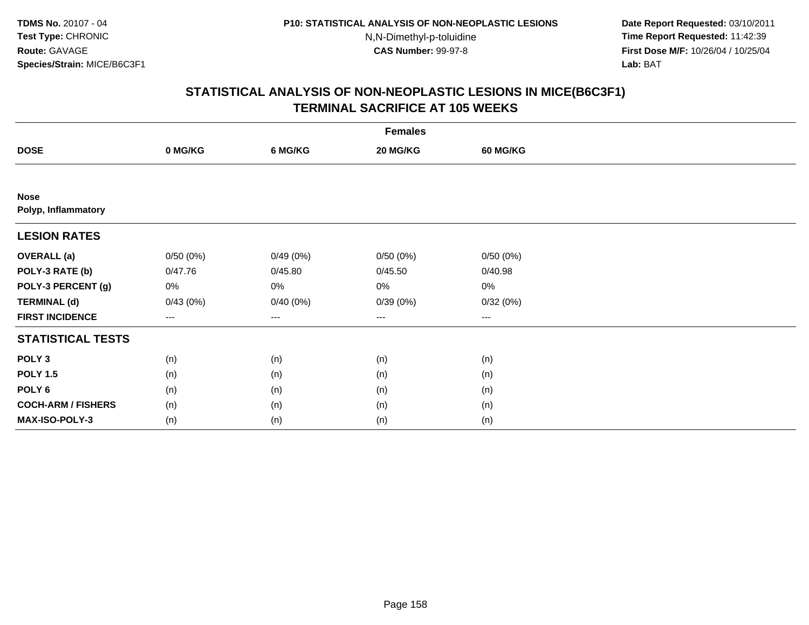**Date Report Requested:** 03/10/2011 **Time Report Requested:** 11:42:39 **First Dose M/F:** 10/26/04 / 10/25/04 Lab: BAT **Lab:** BAT

|                                    | <b>Females</b> |          |          |                 |  |  |  |  |
|------------------------------------|----------------|----------|----------|-----------------|--|--|--|--|
| <b>DOSE</b>                        | 0 MG/KG        | 6 MG/KG  | 20 MG/KG | <b>60 MG/KG</b> |  |  |  |  |
|                                    |                |          |          |                 |  |  |  |  |
| <b>Nose</b><br>Polyp, Inflammatory |                |          |          |                 |  |  |  |  |
| <b>LESION RATES</b>                |                |          |          |                 |  |  |  |  |
| <b>OVERALL</b> (a)                 | 0/50(0%)       | 0/49(0%) | 0/50(0%) | 0/50(0%)        |  |  |  |  |
| POLY-3 RATE (b)                    | 0/47.76        | 0/45.80  | 0/45.50  | 0/40.98         |  |  |  |  |
| POLY-3 PERCENT (g)                 | 0%             | $0\%$    | $0\%$    | 0%              |  |  |  |  |
| <b>TERMINAL (d)</b>                | 0/43(0%)       | 0/40(0%) | 0/39(0%) | 0/32(0%)        |  |  |  |  |
| <b>FIRST INCIDENCE</b>             | $--$           | $--$     | ---      | $---$           |  |  |  |  |
| <b>STATISTICAL TESTS</b>           |                |          |          |                 |  |  |  |  |
| POLY <sub>3</sub>                  | (n)            | (n)      | (n)      | (n)             |  |  |  |  |
| <b>POLY 1.5</b>                    | (n)            | (n)      | (n)      | (n)             |  |  |  |  |
| POLY <sub>6</sub>                  | (n)            | (n)      | (n)      | (n)             |  |  |  |  |
| <b>COCH-ARM / FISHERS</b>          | (n)            | (n)      | (n)      | (n)             |  |  |  |  |
| <b>MAX-ISO-POLY-3</b>              | (n)            | (n)      | (n)      | (n)             |  |  |  |  |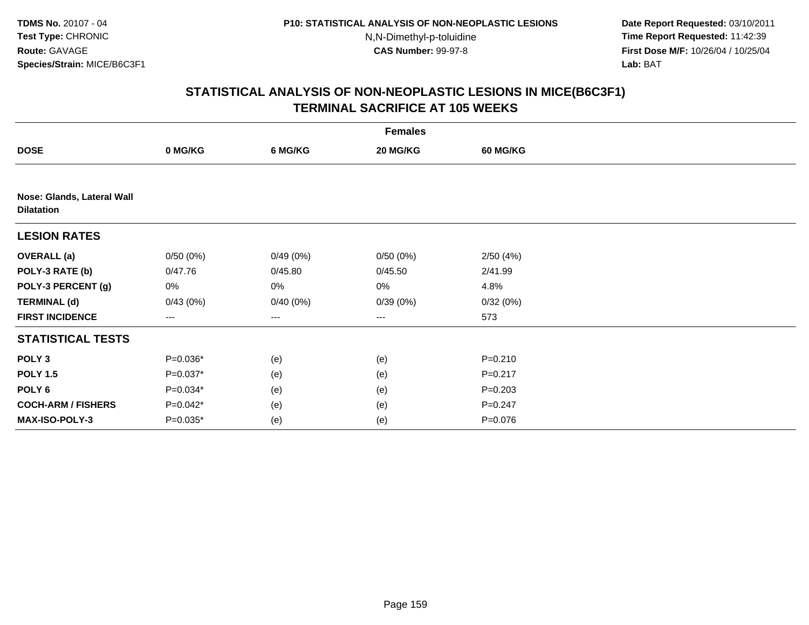**Date Report Requested:** 03/10/2011 **Time Report Requested:** 11:42:39 **First Dose M/F:** 10/26/04 / 10/25/04 Lab: BAT **Lab:** BAT

| <b>Females</b>                                  |                        |          |          |                 |  |  |
|-------------------------------------------------|------------------------|----------|----------|-----------------|--|--|
| <b>DOSE</b>                                     | 0 MG/KG                | 6 MG/KG  | 20 MG/KG | <b>60 MG/KG</b> |  |  |
|                                                 |                        |          |          |                 |  |  |
| Nose: Glands, Lateral Wall<br><b>Dilatation</b> |                        |          |          |                 |  |  |
| <b>LESION RATES</b>                             |                        |          |          |                 |  |  |
| <b>OVERALL (a)</b>                              | 0/50(0%)               | 0/49(0%) | 0/50(0%) | 2/50(4%)        |  |  |
| POLY-3 RATE (b)                                 | 0/47.76                | 0/45.80  | 0/45.50  | 2/41.99         |  |  |
| POLY-3 PERCENT (g)                              | 0%                     | 0%       | 0%       | 4.8%            |  |  |
| <b>TERMINAL (d)</b>                             | 0/43(0%)               | 0/40(0%) | 0/39(0%) | 0/32(0%)        |  |  |
| <b>FIRST INCIDENCE</b>                          | $\qquad \qquad \cdots$ | ---      | $---$    | 573             |  |  |
| <b>STATISTICAL TESTS</b>                        |                        |          |          |                 |  |  |
| POLY <sub>3</sub>                               | $P=0.036*$             | (e)      | (e)      | $P = 0.210$     |  |  |
| <b>POLY 1.5</b>                                 | $P=0.037*$             | (e)      | (e)      | $P = 0.217$     |  |  |
| POLY 6                                          | $P=0.034*$             | (e)      | (e)      | $P = 0.203$     |  |  |
| <b>COCH-ARM / FISHERS</b>                       | $P=0.042*$             | (e)      | (e)      | $P = 0.247$     |  |  |
| MAX-ISO-POLY-3                                  | $P=0.035*$             | (e)      | (e)      | P=0.076         |  |  |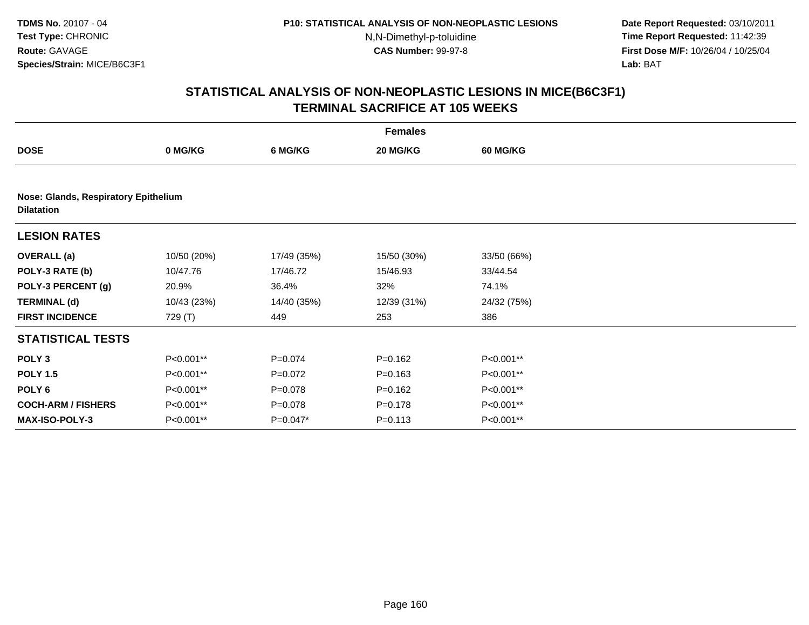**Date Report Requested:** 03/10/2011 **Time Report Requested:** 11:42:39 **First Dose M/F:** 10/26/04 / 10/25/04 Lab: BAT **Lab:** BAT

| <b>Females</b>                                            |             |             |             |                 |  |  |  |
|-----------------------------------------------------------|-------------|-------------|-------------|-----------------|--|--|--|
| <b>DOSE</b>                                               | 0 MG/KG     | 6 MG/KG     | 20 MG/KG    | <b>60 MG/KG</b> |  |  |  |
|                                                           |             |             |             |                 |  |  |  |
| Nose: Glands, Respiratory Epithelium<br><b>Dilatation</b> |             |             |             |                 |  |  |  |
| <b>LESION RATES</b>                                       |             |             |             |                 |  |  |  |
| <b>OVERALL</b> (a)                                        | 10/50 (20%) | 17/49 (35%) | 15/50 (30%) | 33/50 (66%)     |  |  |  |
| POLY-3 RATE (b)                                           | 10/47.76    | 17/46.72    | 15/46.93    | 33/44.54        |  |  |  |
| POLY-3 PERCENT (g)                                        | 20.9%       | 36.4%       | 32%         | 74.1%           |  |  |  |
| <b>TERMINAL (d)</b>                                       | 10/43 (23%) | 14/40 (35%) | 12/39 (31%) | 24/32 (75%)     |  |  |  |
| <b>FIRST INCIDENCE</b>                                    | 729 (T)     | 449         | 253         | 386             |  |  |  |
| <b>STATISTICAL TESTS</b>                                  |             |             |             |                 |  |  |  |
| POLY <sub>3</sub>                                         | P<0.001**   | $P = 0.074$ | $P = 0.162$ | P<0.001**       |  |  |  |
| <b>POLY 1.5</b>                                           | P<0.001**   | $P=0.072$   | $P = 0.163$ | P<0.001**       |  |  |  |
| POLY 6                                                    | P<0.001**   | $P = 0.078$ | $P = 0.162$ | P<0.001**       |  |  |  |
| <b>COCH-ARM / FISHERS</b>                                 | P<0.001**   | $P = 0.078$ | $P = 0.178$ | P<0.001**       |  |  |  |
| <b>MAX-ISO-POLY-3</b>                                     | P<0.001**   | $P=0.047*$  | $P = 0.113$ | P<0.001**       |  |  |  |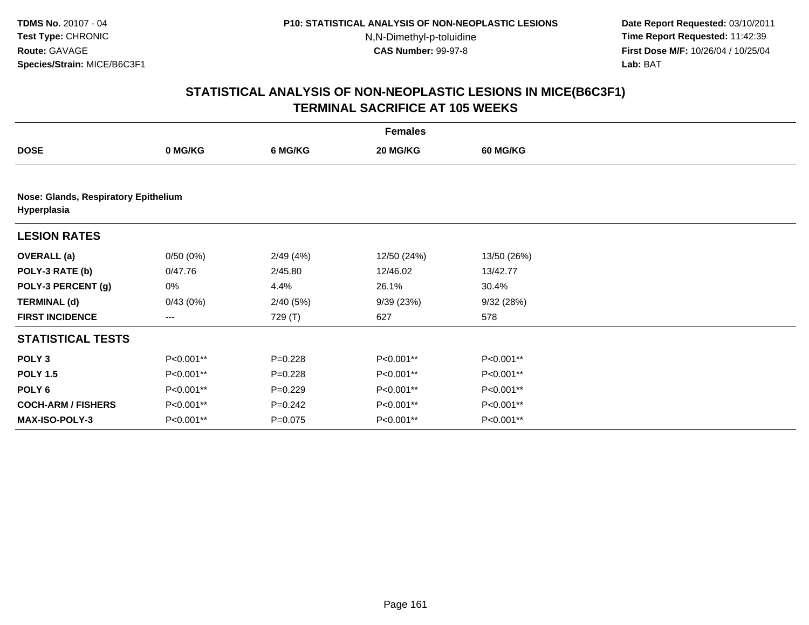**Date Report Requested:** 03/10/2011 **Time Report Requested:** 11:42:39 **First Dose M/F:** 10/26/04 / 10/25/04 Lab: BAT **Lab:** BAT

|                                                     | <b>Females</b> |             |             |                 |  |  |  |  |
|-----------------------------------------------------|----------------|-------------|-------------|-----------------|--|--|--|--|
| <b>DOSE</b>                                         | 0 MG/KG        | 6 MG/KG     | 20 MG/KG    | <b>60 MG/KG</b> |  |  |  |  |
|                                                     |                |             |             |                 |  |  |  |  |
| Nose: Glands, Respiratory Epithelium<br>Hyperplasia |                |             |             |                 |  |  |  |  |
| <b>LESION RATES</b>                                 |                |             |             |                 |  |  |  |  |
| <b>OVERALL</b> (a)                                  | 0/50(0%)       | 2/49(4%)    | 12/50 (24%) | 13/50 (26%)     |  |  |  |  |
| POLY-3 RATE (b)                                     | 0/47.76        | 2/45.80     | 12/46.02    | 13/42.77        |  |  |  |  |
| POLY-3 PERCENT (g)                                  | 0%             | 4.4%        | 26.1%       | 30.4%           |  |  |  |  |
| <b>TERMINAL (d)</b>                                 | 0/43(0%)       | 2/40(5%)    | 9/39(23%)   | 9/32(28%)       |  |  |  |  |
| <b>FIRST INCIDENCE</b>                              | ---            | 729 (T)     | 627         | 578             |  |  |  |  |
| <b>STATISTICAL TESTS</b>                            |                |             |             |                 |  |  |  |  |
| POLY <sub>3</sub>                                   | P<0.001**      | $P=0.228$   | P<0.001**   | P<0.001**       |  |  |  |  |
| <b>POLY 1.5</b>                                     | P<0.001**      | $P = 0.228$ | P<0.001**   | P<0.001**       |  |  |  |  |
| POLY <sub>6</sub>                                   | P<0.001**      | $P=0.229$   | P<0.001**   | P<0.001**       |  |  |  |  |
| <b>COCH-ARM / FISHERS</b>                           | P<0.001**      | $P = 0.242$ | P<0.001**   | P<0.001**       |  |  |  |  |
| <b>MAX-ISO-POLY-3</b>                               | P<0.001**      | $P=0.075$   | P<0.001**   | P<0.001**       |  |  |  |  |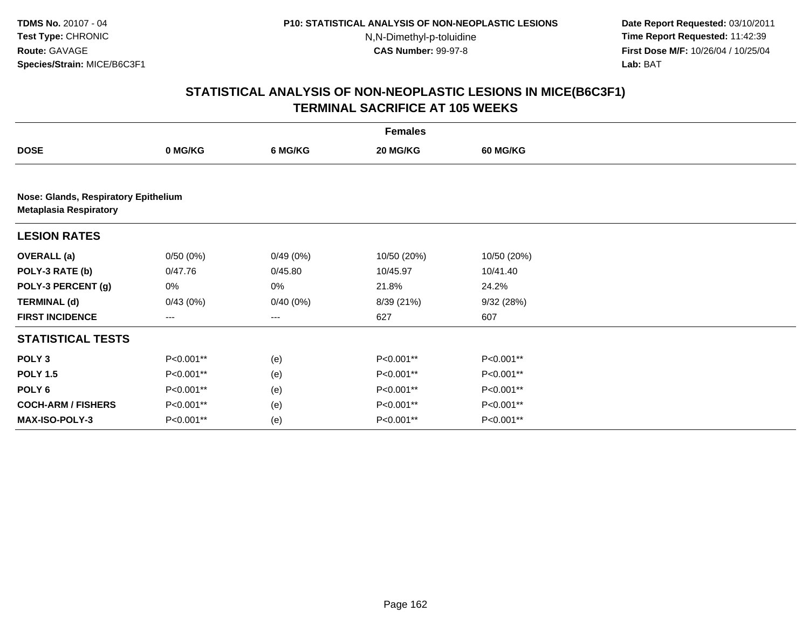**Date Report Requested:** 03/10/2011 **Time Report Requested:** 11:42:39 **First Dose M/F:** 10/26/04 / 10/25/04 Lab: BAT **Lab:** BAT

|                                                                       | <b>Females</b> |          |             |                 |  |  |  |
|-----------------------------------------------------------------------|----------------|----------|-------------|-----------------|--|--|--|
| <b>DOSE</b>                                                           | 0 MG/KG        | 6 MG/KG  | 20 MG/KG    | <b>60 MG/KG</b> |  |  |  |
|                                                                       |                |          |             |                 |  |  |  |
| Nose: Glands, Respiratory Epithelium<br><b>Metaplasia Respiratory</b> |                |          |             |                 |  |  |  |
| <b>LESION RATES</b>                                                   |                |          |             |                 |  |  |  |
| <b>OVERALL</b> (a)                                                    | 0/50(0%)       | 0/49(0%) | 10/50 (20%) | 10/50 (20%)     |  |  |  |
| POLY-3 RATE (b)                                                       | 0/47.76        | 0/45.80  | 10/45.97    | 10/41.40        |  |  |  |
| POLY-3 PERCENT (g)                                                    | 0%             | 0%       | 21.8%       | 24.2%           |  |  |  |
| <b>TERMINAL (d)</b>                                                   | 0/43(0%)       | 0/40(0%) | 8/39 (21%)  | 9/32(28%)       |  |  |  |
| <b>FIRST INCIDENCE</b>                                                | ---            | ---      | 627         | 607             |  |  |  |
| <b>STATISTICAL TESTS</b>                                              |                |          |             |                 |  |  |  |
| POLY <sub>3</sub>                                                     | P<0.001**      | (e)      | P<0.001**   | P<0.001**       |  |  |  |
| <b>POLY 1.5</b>                                                       | P<0.001**      | (e)      | P<0.001**   | P<0.001**       |  |  |  |
| POLY <sub>6</sub>                                                     | P<0.001**      | (e)      | P<0.001**   | P<0.001**       |  |  |  |
| <b>COCH-ARM / FISHERS</b>                                             | P<0.001**      | (e)      | P<0.001**   | P<0.001**       |  |  |  |
| MAX-ISO-POLY-3                                                        | P<0.001**      | (e)      | P<0.001**   | P<0.001**       |  |  |  |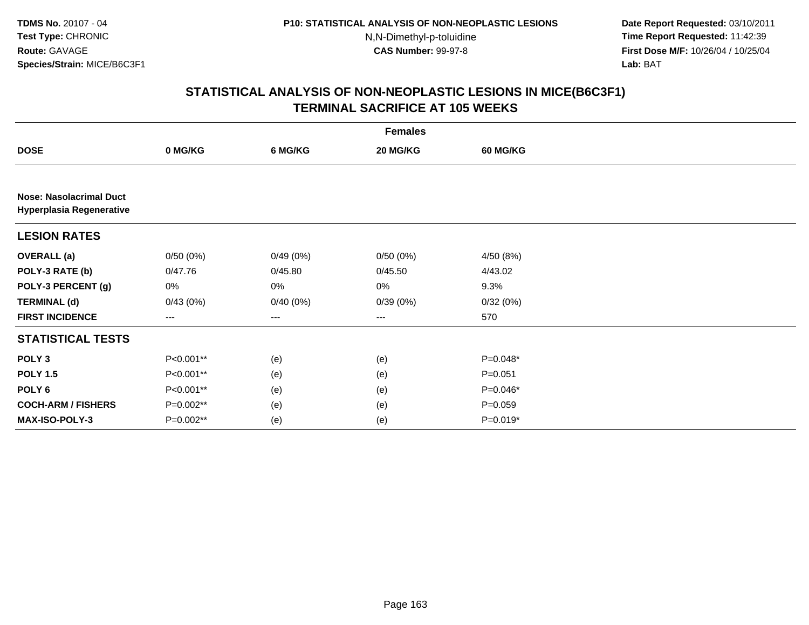**Date Report Requested:** 03/10/2011 **Time Report Requested:** 11:42:39 **First Dose M/F:** 10/26/04 / 10/25/04 Lab: BAT **Lab:** BAT

|                                                                   |           |                                          | <b>Females</b> |                 |  |
|-------------------------------------------------------------------|-----------|------------------------------------------|----------------|-----------------|--|
| <b>DOSE</b>                                                       | 0 MG/KG   | 6 MG/KG                                  | 20 MG/KG       | <b>60 MG/KG</b> |  |
|                                                                   |           |                                          |                |                 |  |
| <b>Nose: Nasolacrimal Duct</b><br><b>Hyperplasia Regenerative</b> |           |                                          |                |                 |  |
| <b>LESION RATES</b>                                               |           |                                          |                |                 |  |
| <b>OVERALL</b> (a)                                                | 0/50(0%)  | 0/49(0%)                                 | 0/50(0%)       | 4/50 (8%)       |  |
| POLY-3 RATE (b)                                                   | 0/47.76   | 0/45.80                                  | 0/45.50        | 4/43.02         |  |
| POLY-3 PERCENT (g)                                                | 0%        | 0%                                       | $0\%$          | 9.3%            |  |
| <b>TERMINAL (d)</b>                                               | 0/43(0%)  | 0/40(0%)                                 | 0/39(0%)       | 0/32(0%)        |  |
| <b>FIRST INCIDENCE</b>                                            | $---$     | $\hspace{0.05cm} \ldots \hspace{0.05cm}$ | $\cdots$       | 570             |  |
| <b>STATISTICAL TESTS</b>                                          |           |                                          |                |                 |  |
| POLY <sub>3</sub>                                                 | P<0.001** | (e)                                      | (e)            | $P=0.048*$      |  |
| <b>POLY 1.5</b>                                                   | P<0.001** | (e)                                      | (e)            | $P = 0.051$     |  |
| POLY <sub>6</sub>                                                 | P<0.001** | (e)                                      | (e)            | P=0.046*        |  |
| <b>COCH-ARM / FISHERS</b>                                         | P=0.002** | (e)                                      | (e)            | $P=0.059$       |  |
| MAX-ISO-POLY-3                                                    | P=0.002** | (e)                                      | (e)            | $P=0.019*$      |  |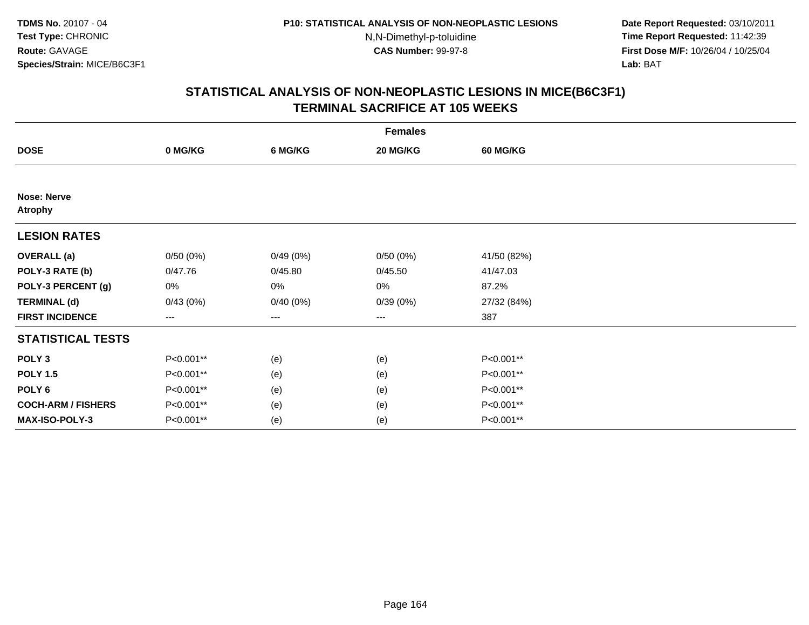**Date Report Requested:** 03/10/2011 **Time Report Requested:** 11:42:39 **First Dose M/F:** 10/26/04 / 10/25/04 Lab: BAT **Lab:** BAT

|                                      | <b>Females</b> |          |          |                 |  |  |  |  |
|--------------------------------------|----------------|----------|----------|-----------------|--|--|--|--|
| <b>DOSE</b>                          | 0 MG/KG        | 6 MG/KG  | 20 MG/KG | <b>60 MG/KG</b> |  |  |  |  |
|                                      |                |          |          |                 |  |  |  |  |
| <b>Nose: Nerve</b><br><b>Atrophy</b> |                |          |          |                 |  |  |  |  |
| <b>LESION RATES</b>                  |                |          |          |                 |  |  |  |  |
| <b>OVERALL</b> (a)                   | 0/50(0%)       | 0/49(0%) | 0/50(0%) | 41/50 (82%)     |  |  |  |  |
| POLY-3 RATE (b)                      | 0/47.76        | 0/45.80  | 0/45.50  | 41/47.03        |  |  |  |  |
| POLY-3 PERCENT (g)                   | 0%             | 0%       | 0%       | 87.2%           |  |  |  |  |
| <b>TERMINAL (d)</b>                  | 0/43(0%)       | 0/40(0%) | 0/39(0%) | 27/32 (84%)     |  |  |  |  |
| <b>FIRST INCIDENCE</b>               | $---$          | ---      | ---      | 387             |  |  |  |  |
| <b>STATISTICAL TESTS</b>             |                |          |          |                 |  |  |  |  |
| POLY <sub>3</sub>                    | P<0.001**      | (e)      | (e)      | P<0.001**       |  |  |  |  |
| <b>POLY 1.5</b>                      | P<0.001**      | (e)      | (e)      | P<0.001**       |  |  |  |  |
| POLY <sub>6</sub>                    | P<0.001**      | (e)      | (e)      | P<0.001**       |  |  |  |  |
| <b>COCH-ARM / FISHERS</b>            | P<0.001**      | (e)      | (e)      | P<0.001**       |  |  |  |  |
| MAX-ISO-POLY-3                       | P<0.001**      | (e)      | (e)      | P<0.001**       |  |  |  |  |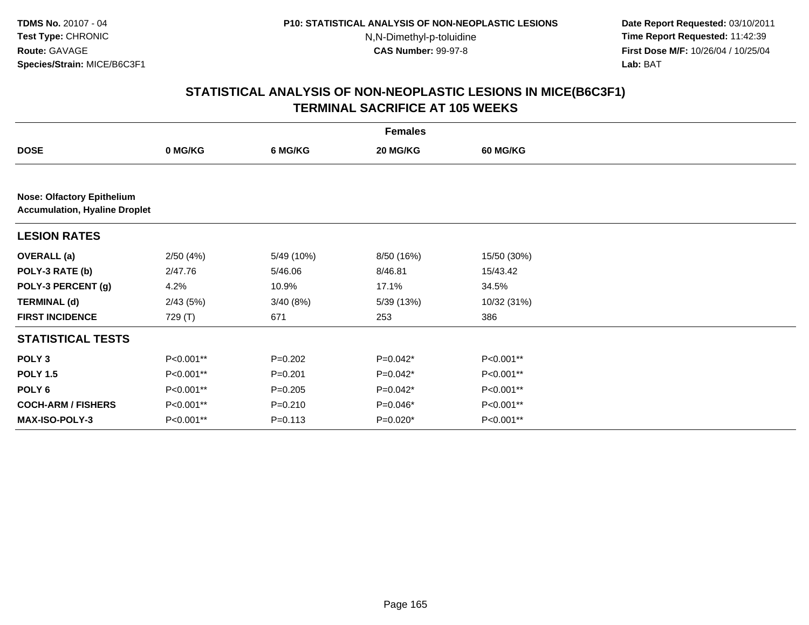**Date Report Requested:** 03/10/2011 **Time Report Requested:** 11:42:39 **First Dose M/F:** 10/26/04 / 10/25/04 Lab: BAT **Lab:** BAT

|                                                                           | <b>Females</b> |             |            |                 |  |  |  |
|---------------------------------------------------------------------------|----------------|-------------|------------|-----------------|--|--|--|
| <b>DOSE</b>                                                               | 0 MG/KG        | 6 MG/KG     | 20 MG/KG   | <b>60 MG/KG</b> |  |  |  |
|                                                                           |                |             |            |                 |  |  |  |
| <b>Nose: Olfactory Epithelium</b><br><b>Accumulation, Hyaline Droplet</b> |                |             |            |                 |  |  |  |
| <b>LESION RATES</b>                                                       |                |             |            |                 |  |  |  |
| <b>OVERALL</b> (a)                                                        | 2/50(4%)       | 5/49 (10%)  | 8/50 (16%) | 15/50 (30%)     |  |  |  |
| POLY-3 RATE (b)                                                           | 2/47.76        | 5/46.06     | 8/46.81    | 15/43.42        |  |  |  |
| POLY-3 PERCENT (g)                                                        | 4.2%           | 10.9%       | 17.1%      | 34.5%           |  |  |  |
| <b>TERMINAL (d)</b>                                                       | 2/43(5%)       | 3/40(8%)    | 5/39(13%)  | 10/32 (31%)     |  |  |  |
| <b>FIRST INCIDENCE</b>                                                    | 729 (T)        | 671         | 253        | 386             |  |  |  |
| <b>STATISTICAL TESTS</b>                                                  |                |             |            |                 |  |  |  |
| POLY <sub>3</sub>                                                         | P<0.001**      | $P=0.202$   | P=0.042*   | P<0.001**       |  |  |  |
| <b>POLY 1.5</b>                                                           | P<0.001**      | $P = 0.201$ | P=0.042*   | P<0.001**       |  |  |  |
| POLY <sub>6</sub>                                                         | P<0.001**      | $P=0.205$   | $P=0.042*$ | P<0.001**       |  |  |  |
| <b>COCH-ARM / FISHERS</b>                                                 | P<0.001**      | $P = 0.210$ | P=0.046*   | P<0.001**       |  |  |  |
| MAX-ISO-POLY-3                                                            | P<0.001**      | $P = 0.113$ | P=0.020*   | P<0.001**       |  |  |  |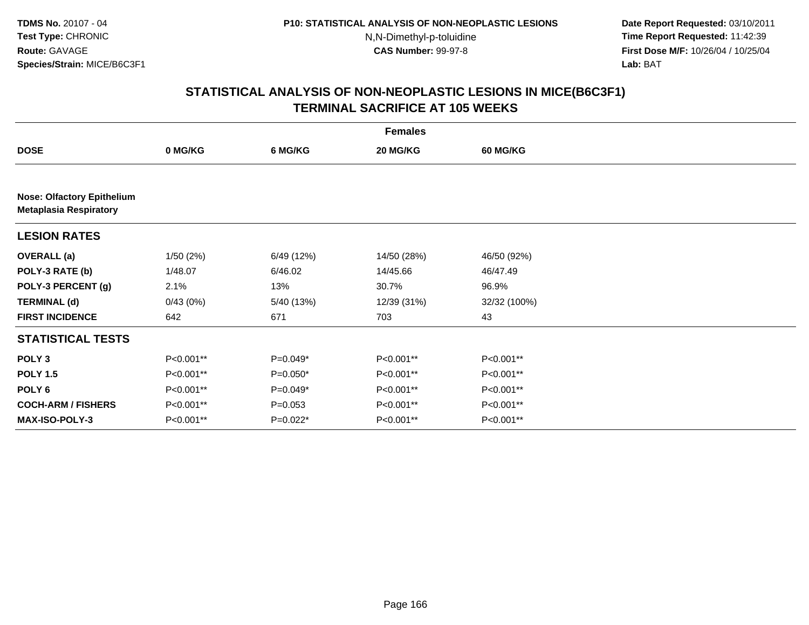**Date Report Requested:** 03/10/2011 **Time Report Requested:** 11:42:39 **First Dose M/F:** 10/26/04 / 10/25/04 Lab: BAT **Lab:** BAT

|                                                                    | <b>Females</b> |            |             |                 |  |  |  |  |
|--------------------------------------------------------------------|----------------|------------|-------------|-----------------|--|--|--|--|
| <b>DOSE</b>                                                        | 0 MG/KG        | 6 MG/KG    | 20 MG/KG    | <b>60 MG/KG</b> |  |  |  |  |
|                                                                    |                |            |             |                 |  |  |  |  |
| <b>Nose: Olfactory Epithelium</b><br><b>Metaplasia Respiratory</b> |                |            |             |                 |  |  |  |  |
| <b>LESION RATES</b>                                                |                |            |             |                 |  |  |  |  |
| <b>OVERALL</b> (a)                                                 | 1/50(2%)       | 6/49 (12%) | 14/50 (28%) | 46/50 (92%)     |  |  |  |  |
| POLY-3 RATE (b)                                                    | 1/48.07        | 6/46.02    | 14/45.66    | 46/47.49        |  |  |  |  |
| POLY-3 PERCENT (g)                                                 | 2.1%           | 13%        | 30.7%       | 96.9%           |  |  |  |  |
| <b>TERMINAL (d)</b>                                                | 0/43(0%)       | 5/40 (13%) | 12/39 (31%) | 32/32 (100%)    |  |  |  |  |
| <b>FIRST INCIDENCE</b>                                             | 642            | 671        | 703         | 43              |  |  |  |  |
| <b>STATISTICAL TESTS</b>                                           |                |            |             |                 |  |  |  |  |
| POLY <sub>3</sub>                                                  | P<0.001**      | $P=0.049*$ | P<0.001**   | P<0.001**       |  |  |  |  |
| <b>POLY 1.5</b>                                                    | P<0.001**      | $P=0.050*$ | P<0.001**   | P<0.001**       |  |  |  |  |
| POLY <sub>6</sub>                                                  | P<0.001**      | $P=0.049*$ | P<0.001**   | P<0.001**       |  |  |  |  |
| <b>COCH-ARM / FISHERS</b>                                          | P<0.001**      | $P=0.053$  | P<0.001**   | P<0.001**       |  |  |  |  |
| <b>MAX-ISO-POLY-3</b>                                              | P<0.001**      | P=0.022*   | P<0.001**   | P<0.001**       |  |  |  |  |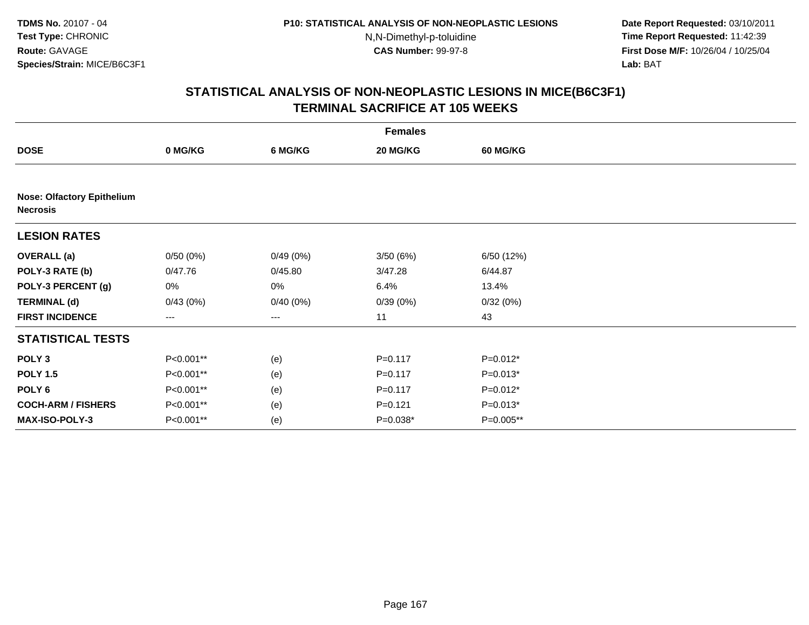**Date Report Requested:** 03/10/2011 **Time Report Requested:** 11:42:39 **First Dose M/F:** 10/26/04 / 10/25/04 Lab: BAT **Lab:** BAT

| <b>Females</b>                                       |           |          |             |                 |  |  |  |
|------------------------------------------------------|-----------|----------|-------------|-----------------|--|--|--|
| <b>DOSE</b>                                          | 0 MG/KG   | 6 MG/KG  | 20 MG/KG    | <b>60 MG/KG</b> |  |  |  |
|                                                      |           |          |             |                 |  |  |  |
| <b>Nose: Olfactory Epithelium</b><br><b>Necrosis</b> |           |          |             |                 |  |  |  |
| <b>LESION RATES</b>                                  |           |          |             |                 |  |  |  |
| <b>OVERALL</b> (a)                                   | 0/50(0%)  | 0/49(0%) | 3/50(6%)    | 6/50 (12%)      |  |  |  |
| POLY-3 RATE (b)                                      | 0/47.76   | 0/45.80  | 3/47.28     | 6/44.87         |  |  |  |
| POLY-3 PERCENT (g)                                   | 0%        | 0%       | 6.4%        | 13.4%           |  |  |  |
| <b>TERMINAL (d)</b>                                  | 0/43(0%)  | 0/40(0%) | 0/39(0%)    | 0/32(0%)        |  |  |  |
| <b>FIRST INCIDENCE</b>                               | ---       | ---      | 11          | 43              |  |  |  |
| <b>STATISTICAL TESTS</b>                             |           |          |             |                 |  |  |  |
| POLY <sub>3</sub>                                    | P<0.001** | (e)      | $P = 0.117$ | P=0.012*        |  |  |  |
| <b>POLY 1.5</b>                                      | P<0.001** | (e)      | $P = 0.117$ | $P=0.013*$      |  |  |  |
| POLY <sub>6</sub>                                    | P<0.001** | (e)      | $P = 0.117$ | P=0.012*        |  |  |  |
| <b>COCH-ARM / FISHERS</b>                            | P<0.001** | (e)      | $P=0.121$   | $P=0.013*$      |  |  |  |
| MAX-ISO-POLY-3                                       | P<0.001** | (e)      | $P=0.038*$  | P=0.005**       |  |  |  |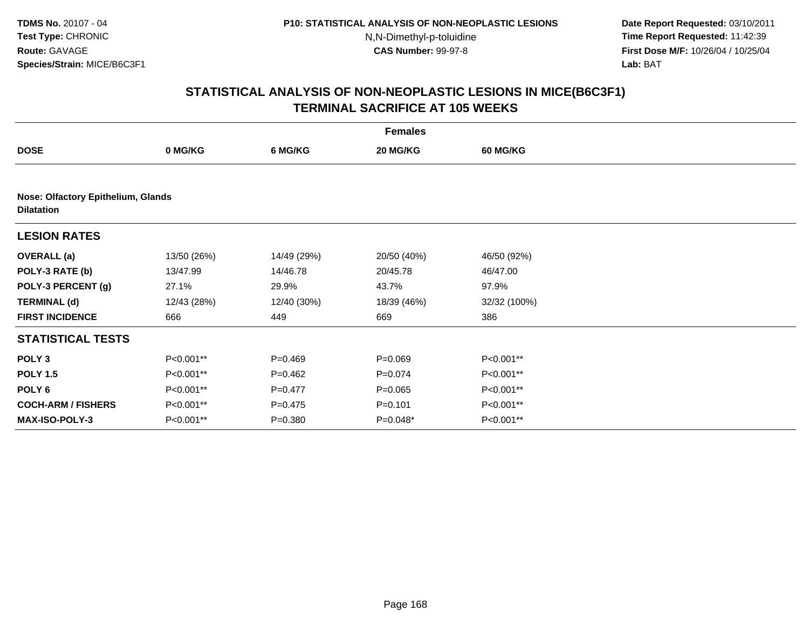**Date Report Requested:** 03/10/2011 **Time Report Requested:** 11:42:39 **First Dose M/F:** 10/26/04 / 10/25/04 Lab: BAT **Lab:** BAT

|                                                         | <b>Females</b> |             |             |                 |  |  |  |  |
|---------------------------------------------------------|----------------|-------------|-------------|-----------------|--|--|--|--|
| <b>DOSE</b>                                             | 0 MG/KG        | 6 MG/KG     | 20 MG/KG    | <b>60 MG/KG</b> |  |  |  |  |
|                                                         |                |             |             |                 |  |  |  |  |
| Nose: Olfactory Epithelium, Glands<br><b>Dilatation</b> |                |             |             |                 |  |  |  |  |
| <b>LESION RATES</b>                                     |                |             |             |                 |  |  |  |  |
| <b>OVERALL</b> (a)                                      | 13/50 (26%)    | 14/49 (29%) | 20/50 (40%) | 46/50 (92%)     |  |  |  |  |
| POLY-3 RATE (b)                                         | 13/47.99       | 14/46.78    | 20/45.78    | 46/47.00        |  |  |  |  |
| POLY-3 PERCENT (g)                                      | 27.1%          | 29.9%       | 43.7%       | 97.9%           |  |  |  |  |
| <b>TERMINAL (d)</b>                                     | 12/43 (28%)    | 12/40 (30%) | 18/39 (46%) | 32/32 (100%)    |  |  |  |  |
| <b>FIRST INCIDENCE</b>                                  | 666            | 449         | 669         | 386             |  |  |  |  |
| <b>STATISTICAL TESTS</b>                                |                |             |             |                 |  |  |  |  |
| POLY <sub>3</sub>                                       | P<0.001**      | $P=0.469$   | $P = 0.069$ | P<0.001**       |  |  |  |  |
| <b>POLY 1.5</b>                                         | P<0.001**      | $P=0.462$   | $P=0.074$   | P<0.001**       |  |  |  |  |
| POLY 6                                                  | P<0.001**      | $P=0.477$   | $P = 0.065$ | P<0.001**       |  |  |  |  |
| <b>COCH-ARM / FISHERS</b>                               | P<0.001**      | $P = 0.475$ | $P = 0.101$ | P<0.001**       |  |  |  |  |
| <b>MAX-ISO-POLY-3</b>                                   | P<0.001**      | $P = 0.380$ | $P=0.048*$  | P<0.001**       |  |  |  |  |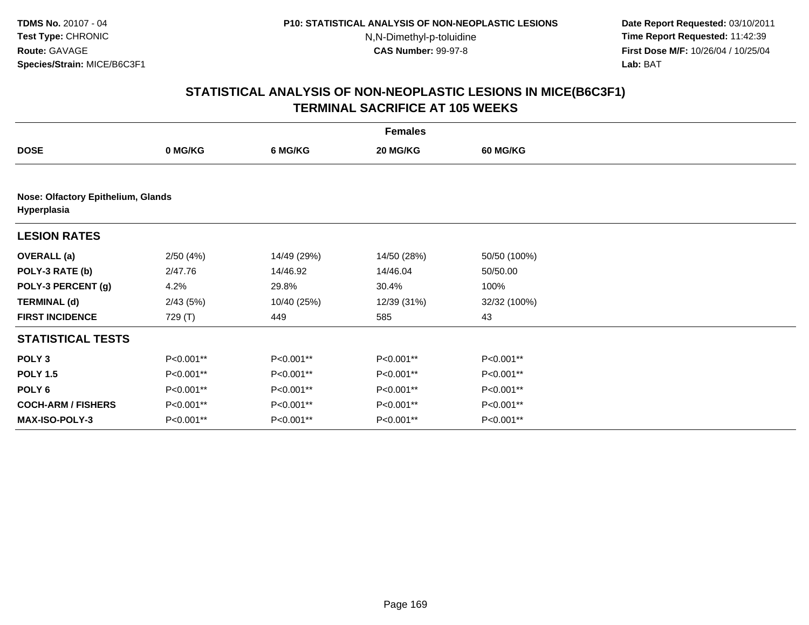**Date Report Requested:** 03/10/2011 **Time Report Requested:** 11:42:39 **First Dose M/F:** 10/26/04 / 10/25/04 Lab: BAT **Lab:** BAT

|                                                   | <b>Females</b> |             |             |                 |  |  |  |  |
|---------------------------------------------------|----------------|-------------|-------------|-----------------|--|--|--|--|
| <b>DOSE</b>                                       | 0 MG/KG        | 6 MG/KG     | 20 MG/KG    | <b>60 MG/KG</b> |  |  |  |  |
|                                                   |                |             |             |                 |  |  |  |  |
| Nose: Olfactory Epithelium, Glands<br>Hyperplasia |                |             |             |                 |  |  |  |  |
| <b>LESION RATES</b>                               |                |             |             |                 |  |  |  |  |
| <b>OVERALL</b> (a)                                | 2/50(4%)       | 14/49 (29%) | 14/50 (28%) | 50/50 (100%)    |  |  |  |  |
| POLY-3 RATE (b)                                   | 2/47.76        | 14/46.92    | 14/46.04    | 50/50.00        |  |  |  |  |
| POLY-3 PERCENT (g)                                | 4.2%           | 29.8%       | 30.4%       | 100%            |  |  |  |  |
| <b>TERMINAL (d)</b>                               | 2/43(5%)       | 10/40 (25%) | 12/39 (31%) | 32/32 (100%)    |  |  |  |  |
| <b>FIRST INCIDENCE</b>                            | 729 (T)        | 449         | 585         | 43              |  |  |  |  |
| <b>STATISTICAL TESTS</b>                          |                |             |             |                 |  |  |  |  |
| POLY <sub>3</sub>                                 | P<0.001**      | P<0.001**   | P<0.001**   | P<0.001**       |  |  |  |  |
| <b>POLY 1.5</b>                                   | P<0.001**      | P<0.001**   | P<0.001**   | P<0.001**       |  |  |  |  |
| POLY 6                                            | P<0.001**      | P<0.001**   | P<0.001**   | P<0.001**       |  |  |  |  |
| <b>COCH-ARM / FISHERS</b>                         | P<0.001**      | P<0.001**   | P<0.001**   | P<0.001**       |  |  |  |  |
| <b>MAX-ISO-POLY-3</b>                             | P<0.001**      | P<0.001**   | P<0.001**   | P<0.001**       |  |  |  |  |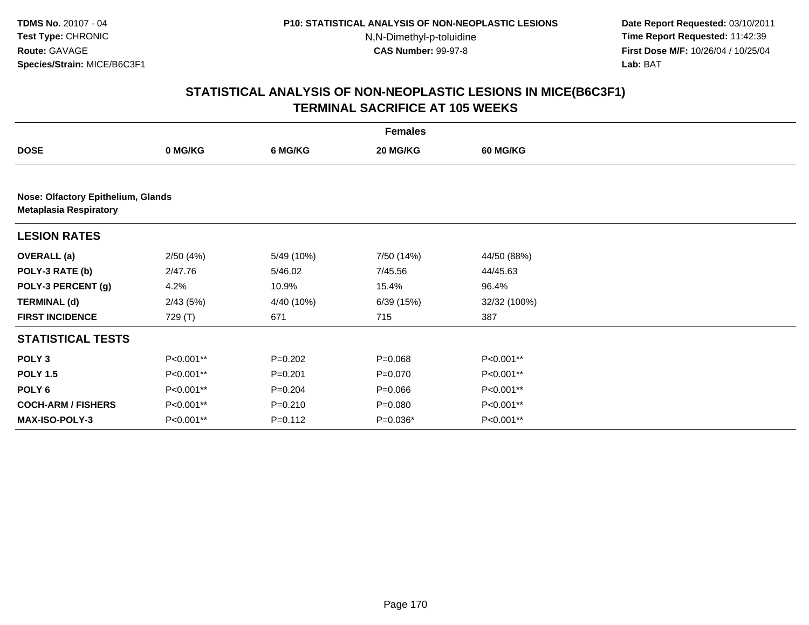**Date Report Requested:** 03/10/2011 **Time Report Requested:** 11:42:39 **First Dose M/F:** 10/26/04 / 10/25/04 Lab: BAT **Lab:** BAT

|                                                                     | <b>Females</b> |             |             |                 |  |  |  |  |
|---------------------------------------------------------------------|----------------|-------------|-------------|-----------------|--|--|--|--|
| <b>DOSE</b>                                                         | 0 MG/KG        | 6 MG/KG     | 20 MG/KG    | <b>60 MG/KG</b> |  |  |  |  |
|                                                                     |                |             |             |                 |  |  |  |  |
| Nose: Olfactory Epithelium, Glands<br><b>Metaplasia Respiratory</b> |                |             |             |                 |  |  |  |  |
| <b>LESION RATES</b>                                                 |                |             |             |                 |  |  |  |  |
| <b>OVERALL</b> (a)                                                  | 2/50(4%)       | 5/49 (10%)  | 7/50 (14%)  | 44/50 (88%)     |  |  |  |  |
| POLY-3 RATE (b)                                                     | 2/47.76        | 5/46.02     | 7/45.56     | 44/45.63        |  |  |  |  |
| POLY-3 PERCENT (g)                                                  | 4.2%           | 10.9%       | 15.4%       | 96.4%           |  |  |  |  |
| <b>TERMINAL (d)</b>                                                 | 2/43(5%)       | 4/40 (10%)  | 6/39(15%)   | 32/32 (100%)    |  |  |  |  |
| <b>FIRST INCIDENCE</b>                                              | 729 (T)        | 671         | 715         | 387             |  |  |  |  |
| <b>STATISTICAL TESTS</b>                                            |                |             |             |                 |  |  |  |  |
| POLY <sub>3</sub>                                                   | P<0.001**      | $P=0.202$   | $P = 0.068$ | P<0.001**       |  |  |  |  |
| <b>POLY 1.5</b>                                                     | P<0.001**      | $P = 0.201$ | $P = 0.070$ | P<0.001**       |  |  |  |  |
| POLY <sub>6</sub>                                                   | P<0.001**      | $P = 0.204$ | $P = 0.066$ | P<0.001**       |  |  |  |  |
| <b>COCH-ARM / FISHERS</b>                                           | P<0.001**      | $P = 0.210$ | $P = 0.080$ | P<0.001**       |  |  |  |  |
| <b>MAX-ISO-POLY-3</b>                                               | P<0.001**      | $P = 0.112$ | $P=0.036*$  | P<0.001**       |  |  |  |  |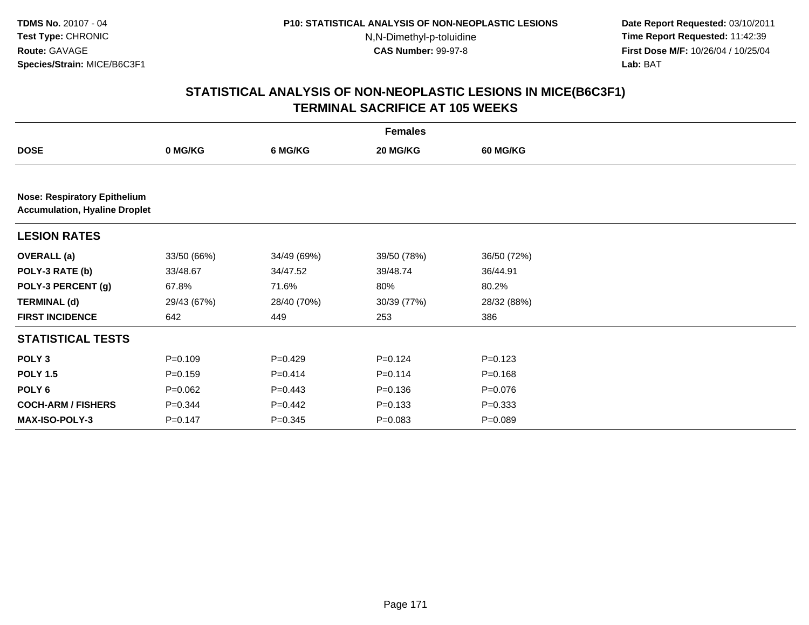**Date Report Requested:** 03/10/2011 **Time Report Requested:** 11:42:39 **First Dose M/F:** 10/26/04 / 10/25/04 Lab: BAT **Lab:** BAT

|                                                                             | <b>Females</b> |             |             |                 |  |  |  |  |
|-----------------------------------------------------------------------------|----------------|-------------|-------------|-----------------|--|--|--|--|
| <b>DOSE</b>                                                                 | 0 MG/KG        | 6 MG/KG     | 20 MG/KG    | <b>60 MG/KG</b> |  |  |  |  |
|                                                                             |                |             |             |                 |  |  |  |  |
| <b>Nose: Respiratory Epithelium</b><br><b>Accumulation, Hyaline Droplet</b> |                |             |             |                 |  |  |  |  |
| <b>LESION RATES</b>                                                         |                |             |             |                 |  |  |  |  |
| <b>OVERALL</b> (a)                                                          | 33/50 (66%)    | 34/49 (69%) | 39/50 (78%) | 36/50 (72%)     |  |  |  |  |
| POLY-3 RATE (b)                                                             | 33/48.67       | 34/47.52    | 39/48.74    | 36/44.91        |  |  |  |  |
| POLY-3 PERCENT (g)                                                          | 67.8%          | 71.6%       | 80%         | 80.2%           |  |  |  |  |
| <b>TERMINAL (d)</b>                                                         | 29/43 (67%)    | 28/40 (70%) | 30/39 (77%) | 28/32 (88%)     |  |  |  |  |
| <b>FIRST INCIDENCE</b>                                                      | 642            | 449         | 253         | 386             |  |  |  |  |
| <b>STATISTICAL TESTS</b>                                                    |                |             |             |                 |  |  |  |  |
| POLY <sub>3</sub>                                                           | $P = 0.109$    | $P=0.429$   | $P=0.124$   | $P = 0.123$     |  |  |  |  |
| <b>POLY 1.5</b>                                                             | $P = 0.159$    | $P=0.414$   | $P = 0.114$ | $P = 0.168$     |  |  |  |  |
| POLY 6                                                                      | $P=0.062$      | $P=0.443$   | $P = 0.136$ | $P = 0.076$     |  |  |  |  |
| <b>COCH-ARM / FISHERS</b>                                                   | $P=0.344$      | $P=0.442$   | $P = 0.133$ | $P = 0.333$     |  |  |  |  |
| MAX-ISO-POLY-3                                                              | $P = 0.147$    | $P = 0.345$ | $P = 0.083$ | $P = 0.089$     |  |  |  |  |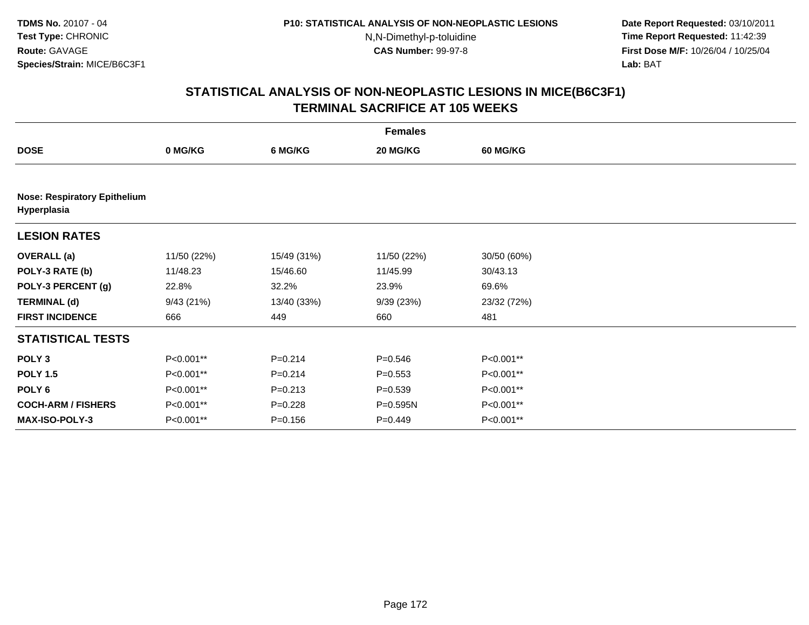**Date Report Requested:** 03/10/2011 **Time Report Requested:** 11:42:39 **First Dose M/F:** 10/26/04 / 10/25/04 Lab: BAT **Lab:** BAT

|                                                    | <b>Females</b> |             |             |                 |  |  |  |  |
|----------------------------------------------------|----------------|-------------|-------------|-----------------|--|--|--|--|
| <b>DOSE</b>                                        | 0 MG/KG        | 6 MG/KG     | 20 MG/KG    | <b>60 MG/KG</b> |  |  |  |  |
|                                                    |                |             |             |                 |  |  |  |  |
| <b>Nose: Respiratory Epithelium</b><br>Hyperplasia |                |             |             |                 |  |  |  |  |
| <b>LESION RATES</b>                                |                |             |             |                 |  |  |  |  |
| <b>OVERALL</b> (a)                                 | 11/50 (22%)    | 15/49 (31%) | 11/50 (22%) | 30/50 (60%)     |  |  |  |  |
| POLY-3 RATE (b)                                    | 11/48.23       | 15/46.60    | 11/45.99    | 30/43.13        |  |  |  |  |
| POLY-3 PERCENT (g)                                 | 22.8%          | 32.2%       | 23.9%       | 69.6%           |  |  |  |  |
| <b>TERMINAL (d)</b>                                | 9/43(21%)      | 13/40 (33%) | 9/39(23%)   | 23/32 (72%)     |  |  |  |  |
| <b>FIRST INCIDENCE</b>                             | 666            | 449         | 660         | 481             |  |  |  |  |
| <b>STATISTICAL TESTS</b>                           |                |             |             |                 |  |  |  |  |
| POLY <sub>3</sub>                                  | P<0.001**      | $P = 0.214$ | $P = 0.546$ | P<0.001**       |  |  |  |  |
| <b>POLY 1.5</b>                                    | P<0.001**      | $P=0.214$   | $P = 0.553$ | P<0.001**       |  |  |  |  |
| POLY 6                                             | P<0.001**      | $P = 0.213$ | $P = 0.539$ | P<0.001**       |  |  |  |  |
| <b>COCH-ARM / FISHERS</b>                          | P<0.001**      | $P=0.228$   | P=0.595N    | P<0.001**       |  |  |  |  |
| <b>MAX-ISO-POLY-3</b>                              | P<0.001**      | $P = 0.156$ | $P=0.449$   | P<0.001**       |  |  |  |  |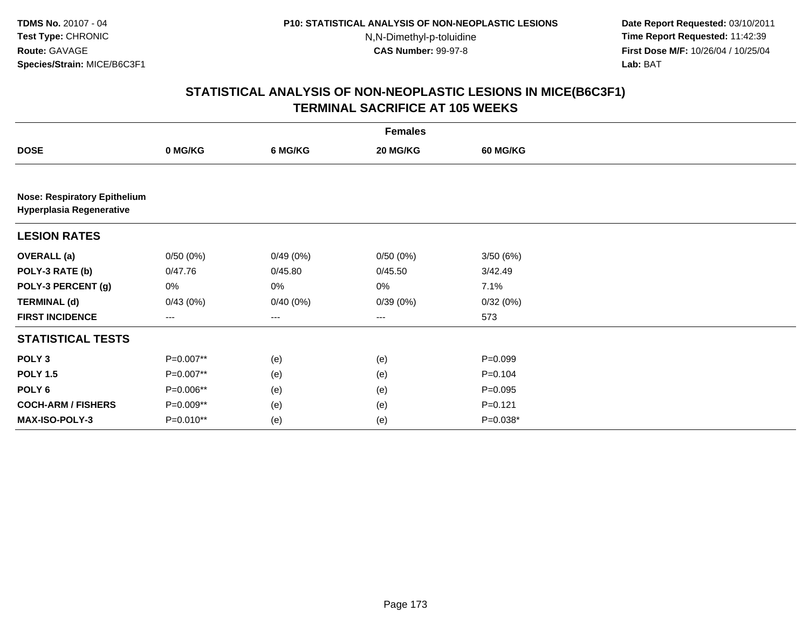**Date Report Requested:** 03/10/2011 **Time Report Requested:** 11:42:39 **First Dose M/F:** 10/26/04 / 10/25/04 Lab: BAT **Lab:** BAT

|                                                                        |           |          | <b>Females</b>    |                 |  |
|------------------------------------------------------------------------|-----------|----------|-------------------|-----------------|--|
| <b>DOSE</b>                                                            | 0 MG/KG   | 6 MG/KG  | 20 MG/KG          | <b>60 MG/KG</b> |  |
|                                                                        |           |          |                   |                 |  |
| <b>Nose: Respiratory Epithelium</b><br><b>Hyperplasia Regenerative</b> |           |          |                   |                 |  |
| <b>LESION RATES</b>                                                    |           |          |                   |                 |  |
| <b>OVERALL</b> (a)                                                     | 0/50(0%)  | 0/49(0%) | 0/50(0%)          | 3/50(6%)        |  |
| POLY-3 RATE (b)                                                        | 0/47.76   | 0/45.80  | 0/45.50           | 3/42.49         |  |
| POLY-3 PERCENT (g)                                                     | 0%        | 0%       | 0%                | 7.1%            |  |
| <b>TERMINAL (d)</b>                                                    | 0/43(0%)  | 0/40(0%) | 0/39(0%)          | 0/32(0%)        |  |
| <b>FIRST INCIDENCE</b>                                                 | $---$     | ---      | $\qquad \qquad -$ | 573             |  |
| <b>STATISTICAL TESTS</b>                                               |           |          |                   |                 |  |
| POLY <sub>3</sub>                                                      | P=0.007** | (e)      | (e)               | $P = 0.099$     |  |
| <b>POLY 1.5</b>                                                        | P=0.007** | (e)      | (e)               | $P = 0.104$     |  |
| POLY <sub>6</sub>                                                      | P=0.006** | (e)      | (e)               | $P=0.095$       |  |
| <b>COCH-ARM / FISHERS</b>                                              | P=0.009** | (e)      | (e)               | $P = 0.121$     |  |
| MAX-ISO-POLY-3                                                         | P=0.010** | (e)      | (e)               | $P=0.038*$      |  |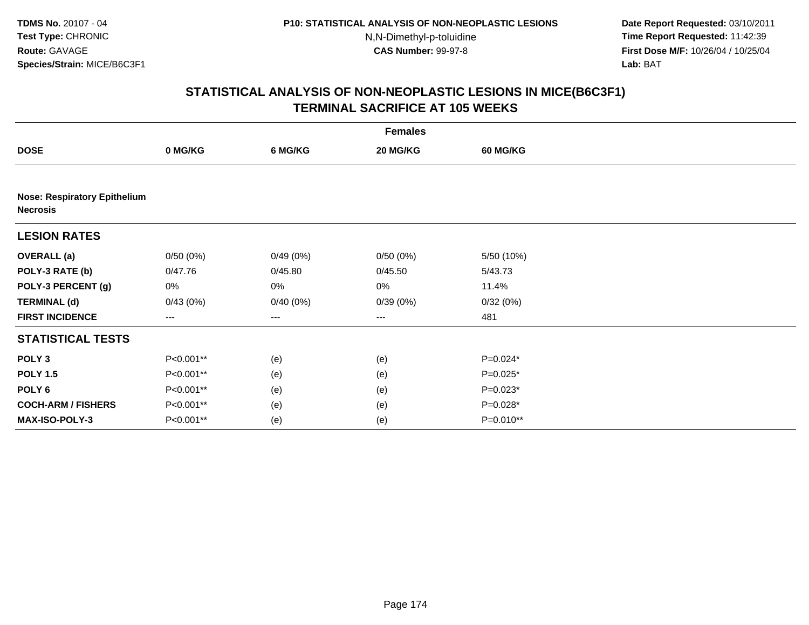**Date Report Requested:** 03/10/2011 **Time Report Requested:** 11:42:39 **First Dose M/F:** 10/26/04 / 10/25/04 Lab: BAT **Lab:** BAT

| <b>Females</b>                                         |                        |          |          |            |  |  |  |
|--------------------------------------------------------|------------------------|----------|----------|------------|--|--|--|
| <b>DOSE</b>                                            | 0 MG/KG                | 6 MG/KG  | 20 MG/KG | 60 MG/KG   |  |  |  |
|                                                        |                        |          |          |            |  |  |  |
| <b>Nose: Respiratory Epithelium</b><br><b>Necrosis</b> |                        |          |          |            |  |  |  |
| <b>LESION RATES</b>                                    |                        |          |          |            |  |  |  |
| <b>OVERALL (a)</b>                                     | 0/50(0%)               | 0/49(0%) | 0/50(0%) | 5/50 (10%) |  |  |  |
| POLY-3 RATE (b)                                        | 0/47.76                | 0/45.80  | 0/45.50  | 5/43.73    |  |  |  |
| POLY-3 PERCENT (g)                                     | 0%                     | 0%       | 0%       | 11.4%      |  |  |  |
| <b>TERMINAL (d)</b>                                    | 0/43(0%)               | 0/40(0%) | 0/39(0%) | 0/32(0%)   |  |  |  |
| <b>FIRST INCIDENCE</b>                                 | $\qquad \qquad \cdots$ | ---      | $---$    | 481        |  |  |  |
| <b>STATISTICAL TESTS</b>                               |                        |          |          |            |  |  |  |
| POLY <sub>3</sub>                                      | P<0.001**              | (e)      | (e)      | P=0.024*   |  |  |  |
| <b>POLY 1.5</b>                                        | P<0.001**              | (e)      | (e)      | $P=0.025*$ |  |  |  |
| POLY 6                                                 | P<0.001**              | (e)      | (e)      | $P=0.023*$ |  |  |  |
| <b>COCH-ARM / FISHERS</b>                              | P<0.001**              | (e)      | (e)      | P=0.028*   |  |  |  |
| MAX-ISO-POLY-3                                         | P<0.001**              | (e)      | (e)      | P=0.010**  |  |  |  |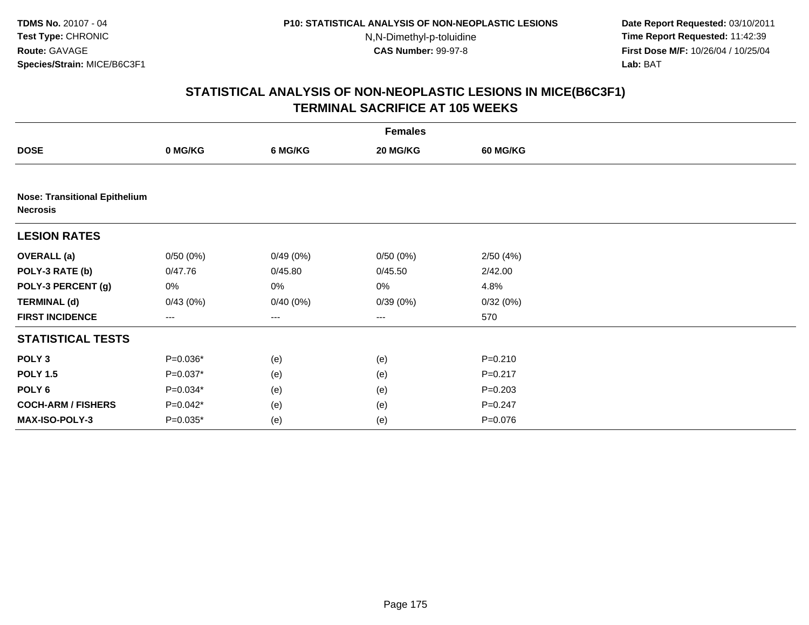**Date Report Requested:** 03/10/2011 **Time Report Requested:** 11:42:39 **First Dose M/F:** 10/26/04 / 10/25/04 Lab: BAT **Lab:** BAT

| <b>Females</b>                                          |                        |          |          |             |  |  |  |
|---------------------------------------------------------|------------------------|----------|----------|-------------|--|--|--|
| <b>DOSE</b>                                             | 0 MG/KG                | 6 MG/KG  | 20 MG/KG | 60 MG/KG    |  |  |  |
|                                                         |                        |          |          |             |  |  |  |
| <b>Nose: Transitional Epithelium</b><br><b>Necrosis</b> |                        |          |          |             |  |  |  |
| <b>LESION RATES</b>                                     |                        |          |          |             |  |  |  |
| <b>OVERALL (a)</b>                                      | 0/50(0%)               | 0/49(0%) | 0/50(0%) | 2/50(4%)    |  |  |  |
| POLY-3 RATE (b)                                         | 0/47.76                | 0/45.80  | 0/45.50  | 2/42.00     |  |  |  |
| POLY-3 PERCENT (g)                                      | 0%                     | 0%       | 0%       | 4.8%        |  |  |  |
| <b>TERMINAL (d)</b>                                     | 0/43(0%)               | 0/40(0%) | 0/39(0%) | 0/32(0%)    |  |  |  |
| <b>FIRST INCIDENCE</b>                                  | $\qquad \qquad \cdots$ | ---      | $---$    | 570         |  |  |  |
| <b>STATISTICAL TESTS</b>                                |                        |          |          |             |  |  |  |
| POLY <sub>3</sub>                                       | $P=0.036*$             | (e)      | (e)      | $P = 0.210$ |  |  |  |
| <b>POLY 1.5</b>                                         | $P=0.037*$             | (e)      | (e)      | $P = 0.217$ |  |  |  |
| POLY 6                                                  | $P=0.034*$             | (e)      | (e)      | $P = 0.203$ |  |  |  |
| <b>COCH-ARM / FISHERS</b>                               | $P=0.042*$             | (e)      | (e)      | $P = 0.247$ |  |  |  |
| MAX-ISO-POLY-3                                          | $P=0.035*$             | (e)      | (e)      | $P = 0.076$ |  |  |  |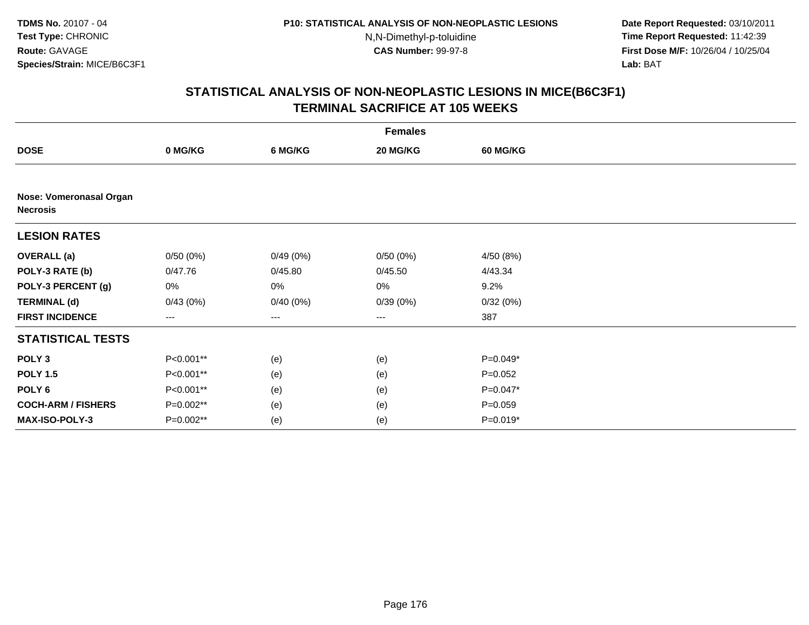**Date Report Requested:** 03/10/2011 **Time Report Requested:** 11:42:39 **First Dose M/F:** 10/26/04 / 10/25/04 Lab: BAT **Lab:** BAT

|                                            | <b>Females</b>         |          |          |             |  |  |  |  |
|--------------------------------------------|------------------------|----------|----------|-------------|--|--|--|--|
| <b>DOSE</b>                                | 0 MG/KG                | 6 MG/KG  | 20 MG/KG | 60 MG/KG    |  |  |  |  |
|                                            |                        |          |          |             |  |  |  |  |
| Nose: Vomeronasal Organ<br><b>Necrosis</b> |                        |          |          |             |  |  |  |  |
| <b>LESION RATES</b>                        |                        |          |          |             |  |  |  |  |
| <b>OVERALL (a)</b>                         | 0/50(0%)               | 0/49(0%) | 0/50(0%) | 4/50 (8%)   |  |  |  |  |
| POLY-3 RATE (b)                            | 0/47.76                | 0/45.80  | 0/45.50  | 4/43.34     |  |  |  |  |
| POLY-3 PERCENT (g)                         | 0%                     | 0%       | 0%       | 9.2%        |  |  |  |  |
| <b>TERMINAL (d)</b>                        | 0/43(0%)               | 0/40(0%) | 0/39(0%) | 0/32(0%)    |  |  |  |  |
| <b>FIRST INCIDENCE</b>                     | $\qquad \qquad \cdots$ | ---      | $---$    | 387         |  |  |  |  |
| <b>STATISTICAL TESTS</b>                   |                        |          |          |             |  |  |  |  |
| POLY <sub>3</sub>                          | P<0.001**              | (e)      | (e)      | P=0.049*    |  |  |  |  |
| <b>POLY 1.5</b>                            | P<0.001**              | (e)      | (e)      | $P=0.052$   |  |  |  |  |
| POLY 6                                     | P<0.001**              | (e)      | (e)      | P=0.047*    |  |  |  |  |
| <b>COCH-ARM / FISHERS</b>                  | P=0.002**              | (e)      | (e)      | $P = 0.059$ |  |  |  |  |
| MAX-ISO-POLY-3                             | $P=0.002**$            | (e)      | (e)      | $P=0.019*$  |  |  |  |  |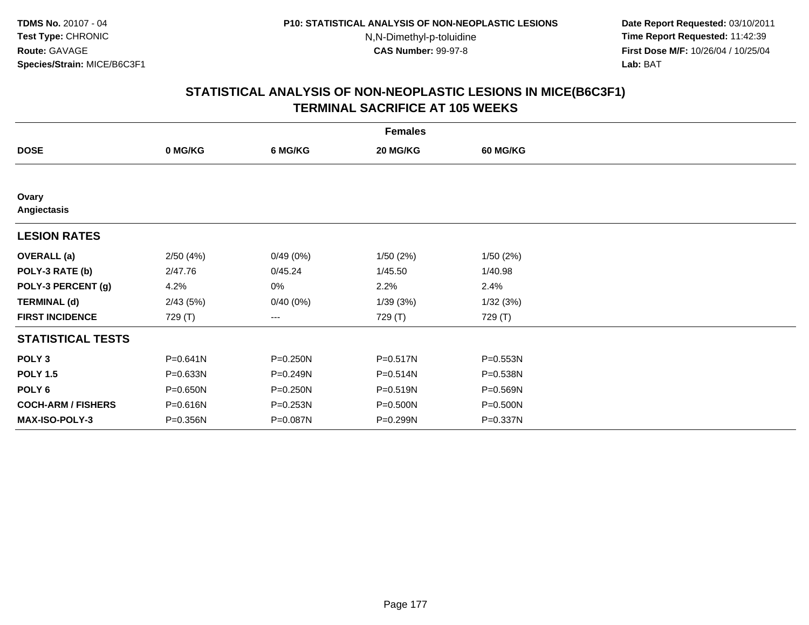**Date Report Requested:** 03/10/2011 **Time Report Requested:** 11:42:39 **First Dose M/F:** 10/26/04 / 10/25/04 Lab: BAT **Lab:** BAT

|                           | <b>Females</b> |              |          |                 |  |  |  |  |
|---------------------------|----------------|--------------|----------|-----------------|--|--|--|--|
| <b>DOSE</b>               | 0 MG/KG        | 6 MG/KG      | 20 MG/KG | <b>60 MG/KG</b> |  |  |  |  |
|                           |                |              |          |                 |  |  |  |  |
| Ovary<br>Angiectasis      |                |              |          |                 |  |  |  |  |
| <b>LESION RATES</b>       |                |              |          |                 |  |  |  |  |
| <b>OVERALL</b> (a)        | 2/50(4%)       | 0/49(0%)     | 1/50(2%) | 1/50(2%)        |  |  |  |  |
| POLY-3 RATE (b)           | 2/47.76        | 0/45.24      | 1/45.50  | 1/40.98         |  |  |  |  |
| POLY-3 PERCENT (g)        | 4.2%           | 0%           | 2.2%     | 2.4%            |  |  |  |  |
| <b>TERMINAL (d)</b>       | 2/43(5%)       | 0/40(0%)     | 1/39(3%) | 1/32(3%)        |  |  |  |  |
| <b>FIRST INCIDENCE</b>    | 729 (T)        | ---          | 729 (T)  | 729 (T)         |  |  |  |  |
| <b>STATISTICAL TESTS</b>  |                |              |          |                 |  |  |  |  |
| POLY <sub>3</sub>         | $P = 0.641N$   | P=0.250N     | P=0.517N | P=0.553N        |  |  |  |  |
| <b>POLY 1.5</b>           | $P = 0.633N$   | P=0.249N     | P=0.514N | P=0.538N        |  |  |  |  |
| POLY <sub>6</sub>         | P=0.650N       | P=0.250N     | P=0.519N | P=0.569N        |  |  |  |  |
| <b>COCH-ARM / FISHERS</b> | P=0.616N       | $P = 0.253N$ | P=0.500N | P=0.500N        |  |  |  |  |
| <b>MAX-ISO-POLY-3</b>     | P=0.356N       | P=0.087N     | P=0.299N | P=0.337N        |  |  |  |  |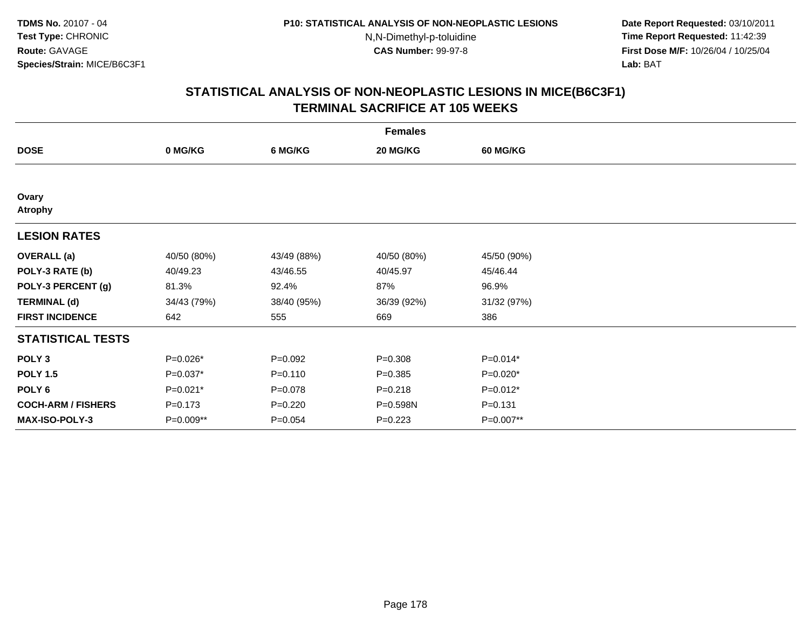**Date Report Requested:** 03/10/2011 **Time Report Requested:** 11:42:39 **First Dose M/F:** 10/26/04 / 10/25/04 Lab: BAT **Lab:** BAT

|                           | <b>Females</b> |             |             |                 |  |  |  |  |
|---------------------------|----------------|-------------|-------------|-----------------|--|--|--|--|
| <b>DOSE</b>               | 0 MG/KG        | 6 MG/KG     | 20 MG/KG    | <b>60 MG/KG</b> |  |  |  |  |
|                           |                |             |             |                 |  |  |  |  |
| Ovary<br><b>Atrophy</b>   |                |             |             |                 |  |  |  |  |
| <b>LESION RATES</b>       |                |             |             |                 |  |  |  |  |
| <b>OVERALL</b> (a)        | 40/50 (80%)    | 43/49 (88%) | 40/50 (80%) | 45/50 (90%)     |  |  |  |  |
| POLY-3 RATE (b)           | 40/49.23       | 43/46.55    | 40/45.97    | 45/46.44        |  |  |  |  |
| POLY-3 PERCENT (g)        | 81.3%          | 92.4%       | 87%         | 96.9%           |  |  |  |  |
| <b>TERMINAL (d)</b>       | 34/43 (79%)    | 38/40 (95%) | 36/39 (92%) | 31/32 (97%)     |  |  |  |  |
| <b>FIRST INCIDENCE</b>    | 642            | 555         | 669         | 386             |  |  |  |  |
| <b>STATISTICAL TESTS</b>  |                |             |             |                 |  |  |  |  |
| POLY <sub>3</sub>         | P=0.026*       | $P = 0.092$ | $P = 0.308$ | $P=0.014*$      |  |  |  |  |
| <b>POLY 1.5</b>           | $P=0.037*$     | $P = 0.110$ | $P = 0.385$ | $P=0.020*$      |  |  |  |  |
| POLY <sub>6</sub>         | $P=0.021*$     | $P=0.078$   | $P = 0.218$ | $P=0.012*$      |  |  |  |  |
| <b>COCH-ARM / FISHERS</b> | $P = 0.173$    | $P=0.220$   | P=0.598N    | $P = 0.131$     |  |  |  |  |
| MAX-ISO-POLY-3            | P=0.009**      | $P = 0.054$ | $P=0.223$   | P=0.007**       |  |  |  |  |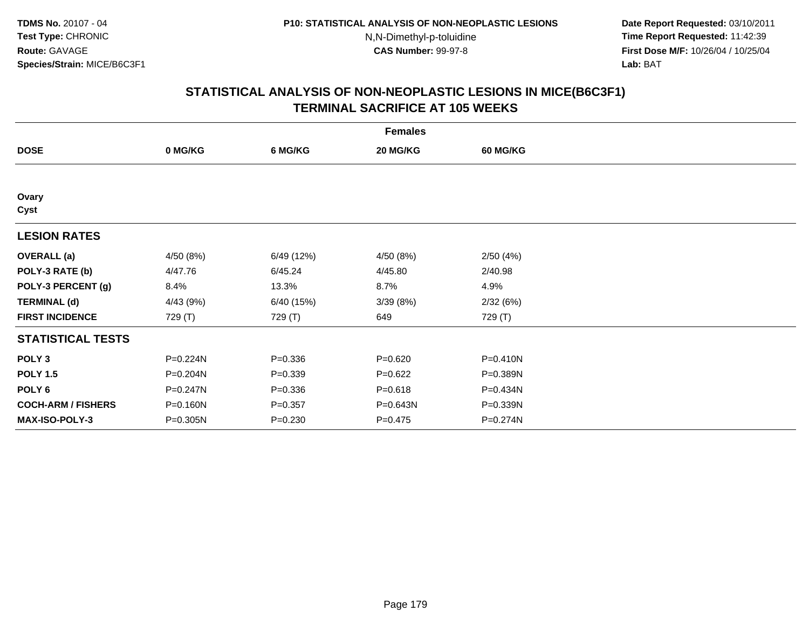**Date Report Requested:** 03/10/2011 **Time Report Requested:** 11:42:39 **First Dose M/F:** 10/26/04 / 10/25/04 Lab: BAT **Lab:** BAT

|                           | <b>Females</b> |             |             |                 |  |  |  |  |
|---------------------------|----------------|-------------|-------------|-----------------|--|--|--|--|
| <b>DOSE</b>               | 0 MG/KG        | 6 MG/KG     | 20 MG/KG    | <b>60 MG/KG</b> |  |  |  |  |
|                           |                |             |             |                 |  |  |  |  |
| Ovary<br>Cyst             |                |             |             |                 |  |  |  |  |
| <b>LESION RATES</b>       |                |             |             |                 |  |  |  |  |
| <b>OVERALL</b> (a)        | 4/50 (8%)      | 6/49 (12%)  | 4/50 (8%)   | 2/50(4%)        |  |  |  |  |
| POLY-3 RATE (b)           | 4/47.76        | 6/45.24     | 4/45.80     | 2/40.98         |  |  |  |  |
| POLY-3 PERCENT (g)        | 8.4%           | 13.3%       | 8.7%        | 4.9%            |  |  |  |  |
| <b>TERMINAL (d)</b>       | 4/43 (9%)      | 6/40 (15%)  | 3/39(8%)    | 2/32(6%)        |  |  |  |  |
| <b>FIRST INCIDENCE</b>    | 729 (T)        | 729 (T)     | 649         | 729 (T)         |  |  |  |  |
| <b>STATISTICAL TESTS</b>  |                |             |             |                 |  |  |  |  |
| POLY <sub>3</sub>         | P=0.224N       | $P = 0.336$ | $P = 0.620$ | P=0.410N        |  |  |  |  |
| <b>POLY 1.5</b>           | P=0.204N       | $P = 0.339$ | $P=0.622$   | P=0.389N        |  |  |  |  |
| POLY 6                    | P=0.247N       | $P = 0.336$ | $P = 0.618$ | P=0.434N        |  |  |  |  |
| <b>COCH-ARM / FISHERS</b> | P=0.160N       | $P = 0.357$ | P=0.643N    | P=0.339N        |  |  |  |  |
| <b>MAX-ISO-POLY-3</b>     | P=0.305N       | $P = 0.230$ | $P = 0.475$ | P=0.274N        |  |  |  |  |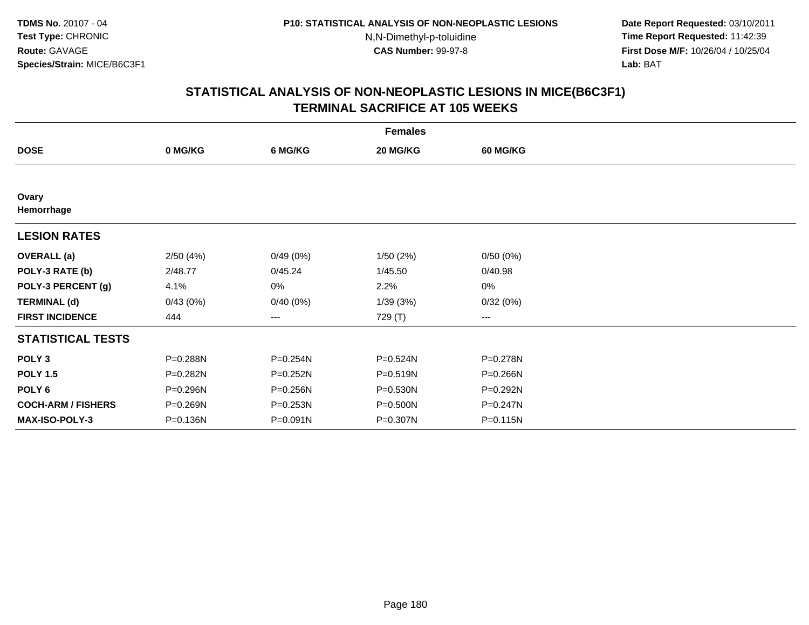**Date Report Requested:** 03/10/2011 **Time Report Requested:** 11:42:39 **First Dose M/F:** 10/26/04 / 10/25/04 Lab: BAT **Lab:** BAT

| <b>Females</b>            |          |              |          |                        |  |  |  |
|---------------------------|----------|--------------|----------|------------------------|--|--|--|
| <b>DOSE</b>               | 0 MG/KG  | 6 MG/KG      | 20 MG/KG | <b>60 MG/KG</b>        |  |  |  |
|                           |          |              |          |                        |  |  |  |
| Ovary<br>Hemorrhage       |          |              |          |                        |  |  |  |
| <b>LESION RATES</b>       |          |              |          |                        |  |  |  |
| <b>OVERALL</b> (a)        | 2/50(4%) | 0/49(0%)     | 1/50(2%) | 0/50(0%)               |  |  |  |
| POLY-3 RATE (b)           | 2/48.77  | 0/45.24      | 1/45.50  | 0/40.98                |  |  |  |
| POLY-3 PERCENT (g)        | 4.1%     | 0%           | 2.2%     | 0%                     |  |  |  |
| <b>TERMINAL (d)</b>       | 0/43(0%) | 0/40(0%)     | 1/39(3%) | 0/32(0%)               |  |  |  |
| <b>FIRST INCIDENCE</b>    | 444      | ---          | 729 (T)  | $\qquad \qquad \cdots$ |  |  |  |
| <b>STATISTICAL TESTS</b>  |          |              |          |                        |  |  |  |
| POLY <sub>3</sub>         | P=0.288N | P=0.254N     | P=0.524N | P=0.278N               |  |  |  |
| <b>POLY 1.5</b>           | P=0.282N | $P = 0.252N$ | P=0.519N | P=0.266N               |  |  |  |
| POLY <sub>6</sub>         | P=0.296N | P=0.256N     | P=0.530N | P=0.292N               |  |  |  |
| <b>COCH-ARM / FISHERS</b> | P=0.269N | $P = 0.253N$ | P=0.500N | P=0.247N               |  |  |  |
| <b>MAX-ISO-POLY-3</b>     | P=0.136N | $P = 0.091N$ | P=0.307N | $P = 0.115N$           |  |  |  |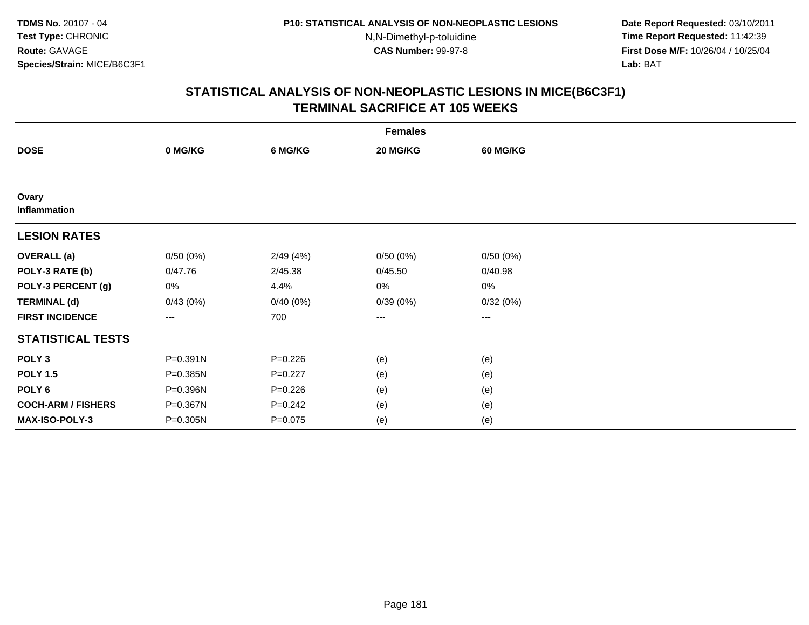**Date Report Requested:** 03/10/2011 **Time Report Requested:** 11:42:39 **First Dose M/F:** 10/26/04 / 10/25/04 Lab: BAT **Lab:** BAT

| <b>Females</b>            |                   |             |          |                        |  |  |  |
|---------------------------|-------------------|-------------|----------|------------------------|--|--|--|
| <b>DOSE</b>               | 0 MG/KG           | 6 MG/KG     | 20 MG/KG | <b>60 MG/KG</b>        |  |  |  |
|                           |                   |             |          |                        |  |  |  |
| Ovary<br>Inflammation     |                   |             |          |                        |  |  |  |
| <b>LESION RATES</b>       |                   |             |          |                        |  |  |  |
| <b>OVERALL</b> (a)        | 0/50(0%)          | 2/49(4%)    | 0/50(0%) | 0/50(0%)               |  |  |  |
| POLY-3 RATE (b)           | 0/47.76           | 2/45.38     | 0/45.50  | 0/40.98                |  |  |  |
| POLY-3 PERCENT (g)        | 0%                | 4.4%        | 0%       | 0%                     |  |  |  |
| <b>TERMINAL (d)</b>       | 0/43(0%)          | 0/40(0%)    | 0/39(0%) | 0/32(0%)               |  |  |  |
| <b>FIRST INCIDENCE</b>    | $\qquad \qquad -$ | 700         | ---      | $\qquad \qquad \cdots$ |  |  |  |
| <b>STATISTICAL TESTS</b>  |                   |             |          |                        |  |  |  |
| POLY <sub>3</sub>         | P=0.391N          | $P = 0.226$ | (e)      | (e)                    |  |  |  |
| <b>POLY 1.5</b>           | P=0.385N          | $P=0.227$   | (e)      | (e)                    |  |  |  |
| POLY <sub>6</sub>         | P=0.396N          | $P=0.226$   | (e)      | (e)                    |  |  |  |
| <b>COCH-ARM / FISHERS</b> | P=0.367N          | $P = 0.242$ | (e)      | (e)                    |  |  |  |
| MAX-ISO-POLY-3            | P=0.305N          | $P = 0.075$ | (e)      | (e)                    |  |  |  |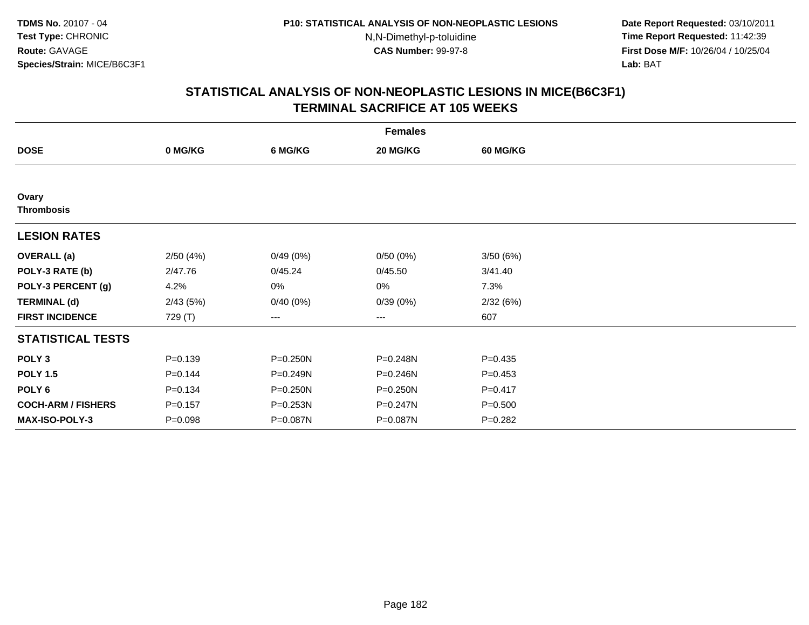**Date Report Requested:** 03/10/2011 **Time Report Requested:** 11:42:39 **First Dose M/F:** 10/26/04 / 10/25/04 Lab: BAT **Lab:** BAT

|                            | <b>Females</b> |          |          |                 |  |  |  |  |  |
|----------------------------|----------------|----------|----------|-----------------|--|--|--|--|--|
| <b>DOSE</b>                | 0 MG/KG        | 6 MG/KG  | 20 MG/KG | <b>60 MG/KG</b> |  |  |  |  |  |
|                            |                |          |          |                 |  |  |  |  |  |
| Ovary<br><b>Thrombosis</b> |                |          |          |                 |  |  |  |  |  |
| <b>LESION RATES</b>        |                |          |          |                 |  |  |  |  |  |
| <b>OVERALL</b> (a)         | 2/50(4%)       | 0/49(0%) | 0/50(0%) | 3/50(6%)        |  |  |  |  |  |
| POLY-3 RATE (b)            | 2/47.76        | 0/45.24  | 0/45.50  | 3/41.40         |  |  |  |  |  |
| POLY-3 PERCENT (g)         | 4.2%           | $0\%$    | 0%       | 7.3%            |  |  |  |  |  |
| <b>TERMINAL (d)</b>        | 2/43(5%)       | 0/40(0%) | 0/39(0%) | 2/32(6%)        |  |  |  |  |  |
| <b>FIRST INCIDENCE</b>     | 729 (T)        | $--$     | ---      | 607             |  |  |  |  |  |
| <b>STATISTICAL TESTS</b>   |                |          |          |                 |  |  |  |  |  |
| POLY <sub>3</sub>          | $P = 0.139$    | P=0.250N | P=0.248N | $P=0.435$       |  |  |  |  |  |
| <b>POLY 1.5</b>            | $P = 0.144$    | P=0.249N | P=0.246N | $P=0.453$       |  |  |  |  |  |
| POLY <sub>6</sub>          | $P = 0.134$    | P=0.250N | P=0.250N | $P = 0.417$     |  |  |  |  |  |
| <b>COCH-ARM / FISHERS</b>  | $P = 0.157$    | P=0.253N | P=0.247N | $P = 0.500$     |  |  |  |  |  |
| MAX-ISO-POLY-3             | $P = 0.098$    | P=0.087N | P=0.087N | $P = 0.282$     |  |  |  |  |  |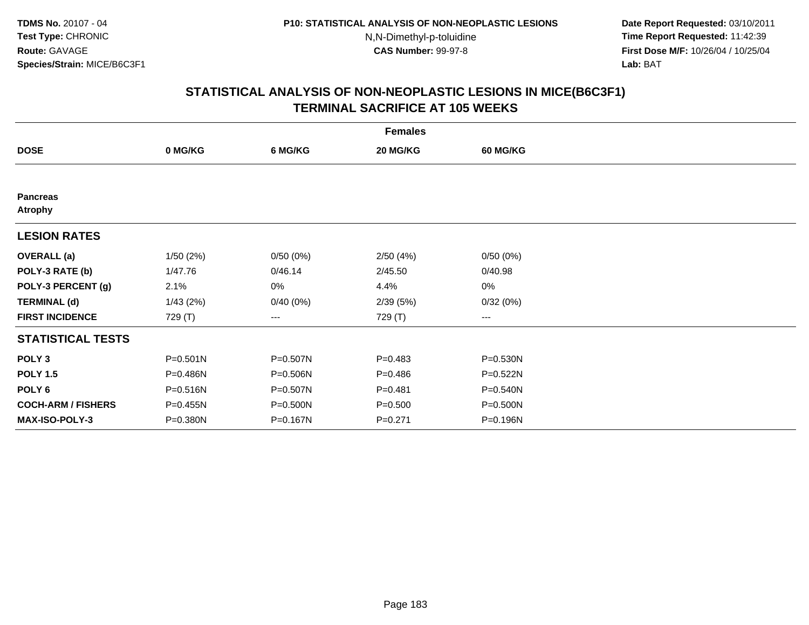**Date Report Requested:** 03/10/2011 **Time Report Requested:** 11:42:39 **First Dose M/F:** 10/26/04 / 10/25/04 Lab: BAT **Lab:** BAT

|                                   | <b>Females</b> |              |             |                        |  |  |  |  |
|-----------------------------------|----------------|--------------|-------------|------------------------|--|--|--|--|
| <b>DOSE</b>                       | 0 MG/KG        | 6 MG/KG      | 20 MG/KG    | <b>60 MG/KG</b>        |  |  |  |  |
|                                   |                |              |             |                        |  |  |  |  |
| <b>Pancreas</b><br><b>Atrophy</b> |                |              |             |                        |  |  |  |  |
| <b>LESION RATES</b>               |                |              |             |                        |  |  |  |  |
| <b>OVERALL</b> (a)                | 1/50 (2%)      | 0/50(0%)     | 2/50(4%)    | 0/50(0%)               |  |  |  |  |
| POLY-3 RATE (b)                   | 1/47.76        | 0/46.14      | 2/45.50     | 0/40.98                |  |  |  |  |
| POLY-3 PERCENT (g)                | 2.1%           | 0%           | 4.4%        | $0\%$                  |  |  |  |  |
| <b>TERMINAL (d)</b>               | 1/43(2%)       | 0/40(0%)     | 2/39(5%)    | 0/32(0%)               |  |  |  |  |
| <b>FIRST INCIDENCE</b>            | 729 (T)        | $---$        | 729 (T)     | $\qquad \qquad \cdots$ |  |  |  |  |
| <b>STATISTICAL TESTS</b>          |                |              |             |                        |  |  |  |  |
| POLY <sub>3</sub>                 | $P = 0.501N$   | P=0.507N     | $P = 0.483$ | P=0.530N               |  |  |  |  |
| <b>POLY 1.5</b>                   | P=0.486N       | $P = 0.506N$ | $P=0.486$   | P=0.522N               |  |  |  |  |
| POLY <sub>6</sub>                 | P=0.516N       | P=0.507N     | $P = 0.481$ | P=0.540N               |  |  |  |  |
| <b>COCH-ARM / FISHERS</b>         | P=0.455N       | P=0.500N     | $P = 0.500$ | P=0.500N               |  |  |  |  |
| <b>MAX-ISO-POLY-3</b>             | P=0.380N       | P=0.167N     | $P = 0.271$ | P=0.196N               |  |  |  |  |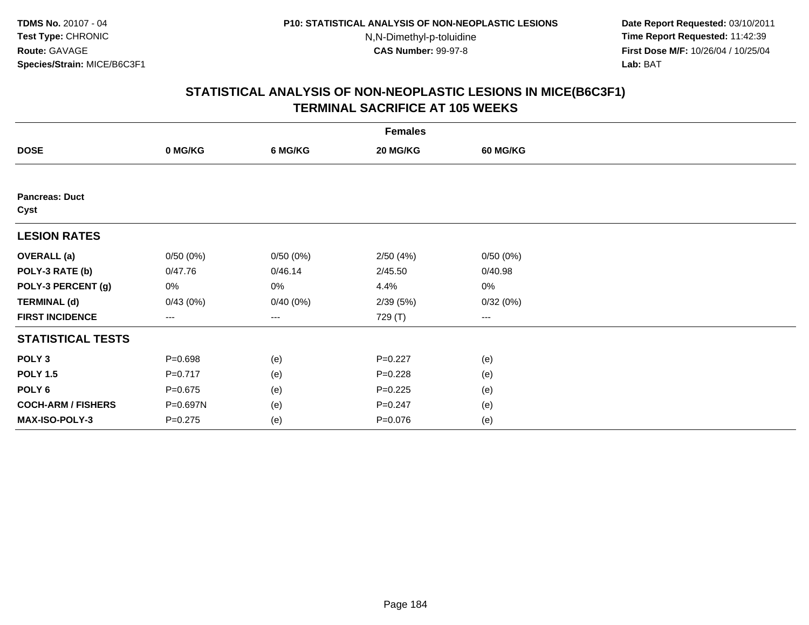**Date Report Requested:** 03/10/2011 **Time Report Requested:** 11:42:39 **First Dose M/F:** 10/26/04 / 10/25/04 Lab: BAT **Lab:** BAT

|                               | <b>Females</b>       |          |             |                 |  |  |  |  |
|-------------------------------|----------------------|----------|-------------|-----------------|--|--|--|--|
| <b>DOSE</b>                   | 0 MG/KG              | 6 MG/KG  | 20 MG/KG    | <b>60 MG/KG</b> |  |  |  |  |
|                               |                      |          |             |                 |  |  |  |  |
| <b>Pancreas: Duct</b><br>Cyst |                      |          |             |                 |  |  |  |  |
| <b>LESION RATES</b>           |                      |          |             |                 |  |  |  |  |
| <b>OVERALL</b> (a)            | 0/50(0%)             | 0/50(0%) | 2/50(4%)    | 0/50(0%)        |  |  |  |  |
| POLY-3 RATE (b)               | 0/47.76              | 0/46.14  | 2/45.50     | 0/40.98         |  |  |  |  |
| POLY-3 PERCENT (g)            | 0%                   | 0%       | 4.4%        | 0%              |  |  |  |  |
| <b>TERMINAL (d)</b>           | 0/43(0%)             | 0/40(0%) | 2/39(5%)    | 0/32(0%)        |  |  |  |  |
| <b>FIRST INCIDENCE</b>        | $\scriptstyle\cdots$ | $\cdots$ | 729 (T)     | $\cdots$        |  |  |  |  |
| <b>STATISTICAL TESTS</b>      |                      |          |             |                 |  |  |  |  |
| POLY <sub>3</sub>             | $P = 0.698$          | (e)      | $P=0.227$   | (e)             |  |  |  |  |
| <b>POLY 1.5</b>               | $P=0.717$            | (e)      | $P = 0.228$ | (e)             |  |  |  |  |
| POLY <sub>6</sub>             | $P = 0.675$          | (e)      | $P=0.225$   | (e)             |  |  |  |  |
| <b>COCH-ARM / FISHERS</b>     | P=0.697N             | (e)      | $P = 0.247$ | (e)             |  |  |  |  |
| MAX-ISO-POLY-3                | $P = 0.275$          | (e)      | $P = 0.076$ | (e)             |  |  |  |  |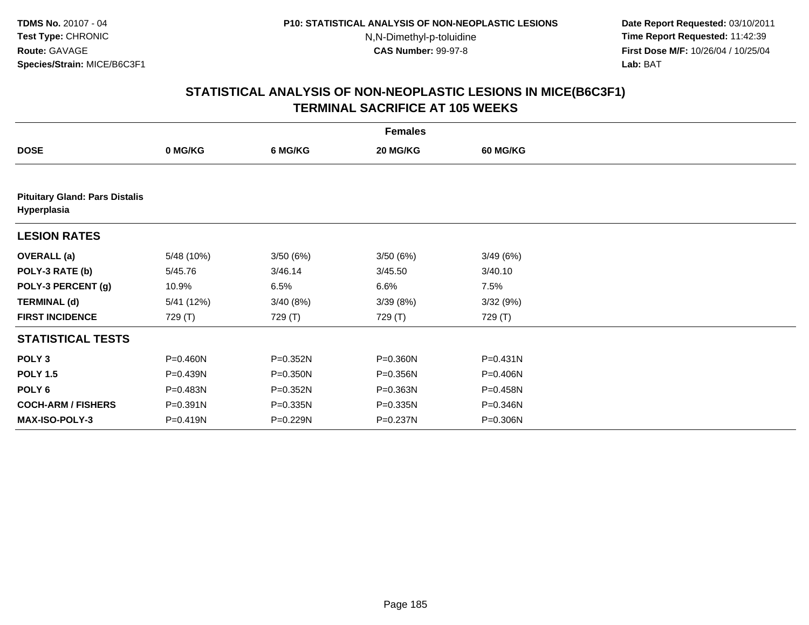**Date Report Requested:** 03/10/2011 **Time Report Requested:** 11:42:39 **First Dose M/F:** 10/26/04 / 10/25/04 Lab: BAT **Lab:** BAT

|                                                      | <b>Females</b> |              |          |                 |  |  |  |  |  |
|------------------------------------------------------|----------------|--------------|----------|-----------------|--|--|--|--|--|
| <b>DOSE</b>                                          | 0 MG/KG        | 6 MG/KG      | 20 MG/KG | <b>60 MG/KG</b> |  |  |  |  |  |
|                                                      |                |              |          |                 |  |  |  |  |  |
| <b>Pituitary Gland: Pars Distalis</b><br>Hyperplasia |                |              |          |                 |  |  |  |  |  |
| <b>LESION RATES</b>                                  |                |              |          |                 |  |  |  |  |  |
| <b>OVERALL (a)</b>                                   | 5/48 (10%)     | 3/50 (6%)    | 3/50(6%) | 3/49(6%)        |  |  |  |  |  |
| POLY-3 RATE (b)                                      | 5/45.76        | 3/46.14      | 3/45.50  | 3/40.10         |  |  |  |  |  |
| POLY-3 PERCENT (g)                                   | 10.9%          | 6.5%         | 6.6%     | 7.5%            |  |  |  |  |  |
| <b>TERMINAL (d)</b>                                  | 5/41 (12%)     | 3/40 (8%)    | 3/39(8%) | 3/32(9%)        |  |  |  |  |  |
| <b>FIRST INCIDENCE</b>                               | 729 (T)        | 729 (T)      | 729 (T)  | 729 (T)         |  |  |  |  |  |
| <b>STATISTICAL TESTS</b>                             |                |              |          |                 |  |  |  |  |  |
| POLY <sub>3</sub>                                    | P=0.460N       | P=0.352N     | P=0.360N | $P = 0.431N$    |  |  |  |  |  |
| <b>POLY 1.5</b>                                      | P=0.439N       | $P = 0.350N$ | P=0.356N | P=0.406N        |  |  |  |  |  |
| POLY 6                                               | P=0.483N       | P=0.352N     | P=0.363N | P=0.458N        |  |  |  |  |  |
| <b>COCH-ARM / FISHERS</b>                            | P=0.391N       | P=0.335N     | P=0.335N | P=0.346N        |  |  |  |  |  |
| <b>MAX-ISO-POLY-3</b>                                | P=0.419N       | P=0.229N     | P=0.237N | P=0.306N        |  |  |  |  |  |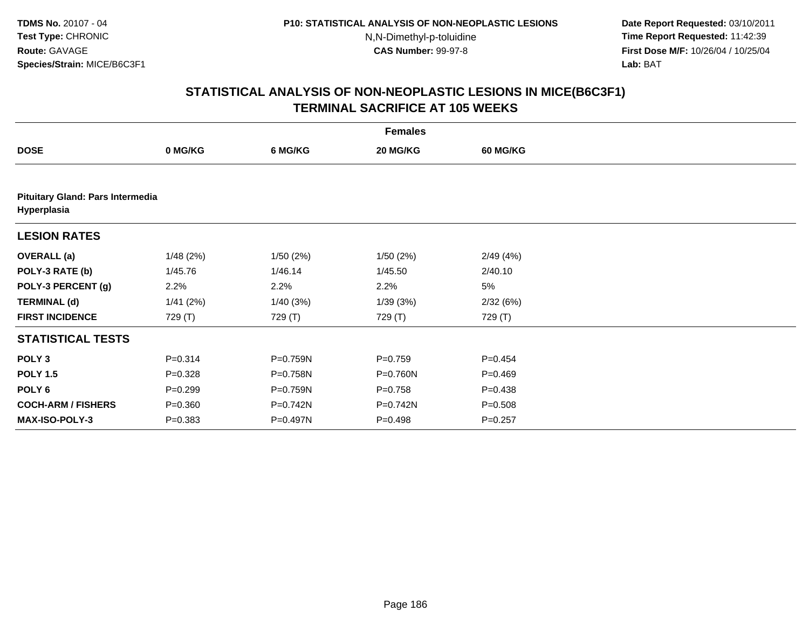**Date Report Requested:** 03/10/2011 **Time Report Requested:** 11:42:39 **First Dose M/F:** 10/26/04 / 10/25/04 Lab: BAT **Lab:** BAT

|                           | <b>Females</b>                   |          |             |             |  |  |  |  |  |  |
|---------------------------|----------------------------------|----------|-------------|-------------|--|--|--|--|--|--|
| <b>DOSE</b>               | 0 MG/KG                          | 6 MG/KG  | 20 MG/KG    | 60 MG/KG    |  |  |  |  |  |  |
|                           |                                  |          |             |             |  |  |  |  |  |  |
| Hyperplasia               | Pituitary Gland: Pars Intermedia |          |             |             |  |  |  |  |  |  |
| <b>LESION RATES</b>       |                                  |          |             |             |  |  |  |  |  |  |
| <b>OVERALL</b> (a)        | 1/48(2%)                         | 1/50(2%) | 1/50(2%)    | 2/49(4%)    |  |  |  |  |  |  |
| POLY-3 RATE (b)           | 1/45.76                          | 1/46.14  | 1/45.50     | 2/40.10     |  |  |  |  |  |  |
| POLY-3 PERCENT (g)        | 2.2%                             | 2.2%     | 2.2%        | 5%          |  |  |  |  |  |  |
| <b>TERMINAL (d)</b>       | 1/41(2%)                         | 1/40(3%) | 1/39(3%)    | 2/32(6%)    |  |  |  |  |  |  |
| <b>FIRST INCIDENCE</b>    | 729 (T)                          | 729 (T)  | 729 (T)     | 729 (T)     |  |  |  |  |  |  |
| <b>STATISTICAL TESTS</b>  |                                  |          |             |             |  |  |  |  |  |  |
| POLY <sub>3</sub>         | $P = 0.314$                      | P=0.759N | $P = 0.759$ | $P = 0.454$ |  |  |  |  |  |  |
| <b>POLY 1.5</b>           | $P = 0.328$                      | P=0.758N | P=0.760N    | $P=0.469$   |  |  |  |  |  |  |
| POLY <sub>6</sub>         | $P = 0.299$                      | P=0.759N | $P = 0.758$ | $P = 0.438$ |  |  |  |  |  |  |
| <b>COCH-ARM / FISHERS</b> | $P = 0.360$                      | P=0.742N | P=0.742N    | $P = 0.508$ |  |  |  |  |  |  |
| <b>MAX-ISO-POLY-3</b>     | $P = 0.383$                      | P=0.497N | $P = 0.498$ | $P = 0.257$ |  |  |  |  |  |  |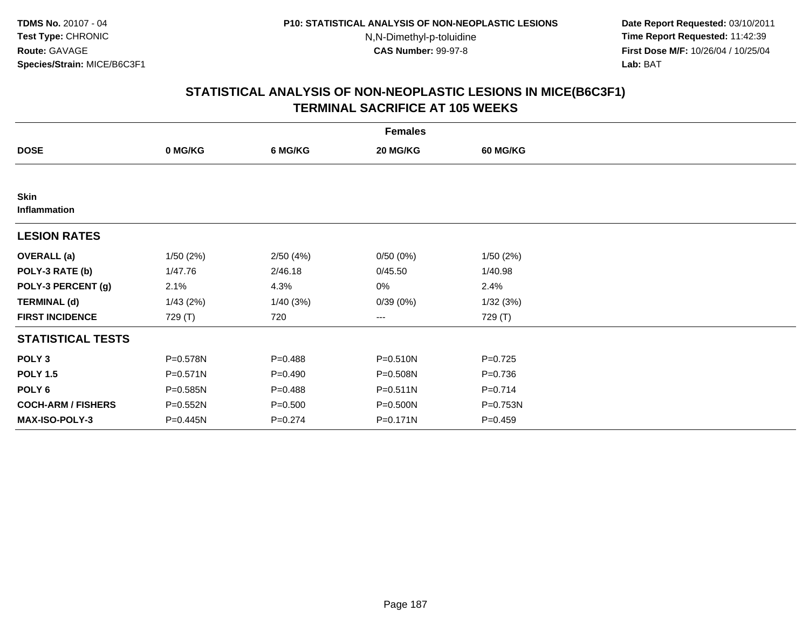**Date Report Requested:** 03/10/2011 **Time Report Requested:** 11:42:39 **First Dose M/F:** 10/26/04 / 10/25/04 Lab: BAT **Lab:** BAT

|                             | <b>Females</b> |             |          |                 |  |  |  |  |
|-----------------------------|----------------|-------------|----------|-----------------|--|--|--|--|
| <b>DOSE</b>                 | 0 MG/KG        | 6 MG/KG     | 20 MG/KG | <b>60 MG/KG</b> |  |  |  |  |
|                             |                |             |          |                 |  |  |  |  |
| <b>Skin</b><br>Inflammation |                |             |          |                 |  |  |  |  |
| <b>LESION RATES</b>         |                |             |          |                 |  |  |  |  |
| <b>OVERALL</b> (a)          | 1/50(2%)       | 2/50(4%)    | 0/50(0%) | 1/50(2%)        |  |  |  |  |
| POLY-3 RATE (b)             | 1/47.76        | 2/46.18     | 0/45.50  | 1/40.98         |  |  |  |  |
| POLY-3 PERCENT (g)          | 2.1%           | 4.3%        | 0%       | 2.4%            |  |  |  |  |
| <b>TERMINAL (d)</b>         | 1/43(2%)       | 1/40(3%)    | 0/39(0%) | 1/32(3%)        |  |  |  |  |
| <b>FIRST INCIDENCE</b>      | 729 (T)        | 720         | ---      | 729 (T)         |  |  |  |  |
| <b>STATISTICAL TESTS</b>    |                |             |          |                 |  |  |  |  |
| POLY <sub>3</sub>           | P=0.578N       | $P=0.488$   | P=0.510N | $P=0.725$       |  |  |  |  |
| <b>POLY 1.5</b>             | $P = 0.571N$   | $P=0.490$   | P=0.508N | $P = 0.736$     |  |  |  |  |
| POLY <sub>6</sub>           | P=0.585N       | $P=0.488$   | P=0.511N | $P = 0.714$     |  |  |  |  |
| <b>COCH-ARM / FISHERS</b>   | P=0.552N       | $P = 0.500$ | P=0.500N | P=0.753N        |  |  |  |  |
| MAX-ISO-POLY-3              | P=0.445N       | $P = 0.274$ | P=0.171N | $P=0.459$       |  |  |  |  |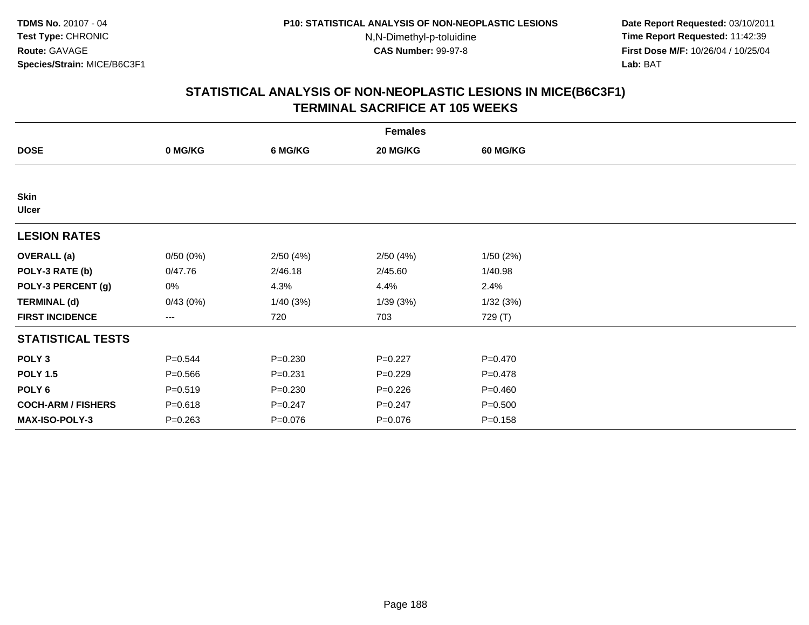**Date Report Requested:** 03/10/2011 **Time Report Requested:** 11:42:39 **First Dose M/F:** 10/26/04 / 10/25/04 Lab: BAT **Lab:** BAT

|                             | <b>Females</b> |             |             |                 |  |  |  |  |
|-----------------------------|----------------|-------------|-------------|-----------------|--|--|--|--|
| <b>DOSE</b>                 | 0 MG/KG        | 6 MG/KG     | 20 MG/KG    | <b>60 MG/KG</b> |  |  |  |  |
|                             |                |             |             |                 |  |  |  |  |
| <b>Skin</b><br><b>Ulcer</b> |                |             |             |                 |  |  |  |  |
| <b>LESION RATES</b>         |                |             |             |                 |  |  |  |  |
| <b>OVERALL</b> (a)          | 0/50(0%)       | 2/50(4%)    | 2/50(4%)    | 1/50(2%)        |  |  |  |  |
| POLY-3 RATE (b)             | 0/47.76        | 2/46.18     | 2/45.60     | 1/40.98         |  |  |  |  |
| POLY-3 PERCENT (g)          | 0%             | 4.3%        | 4.4%        | 2.4%            |  |  |  |  |
| <b>TERMINAL (d)</b>         | 0/43(0%)       | 1/40(3%)    | 1/39(3%)    | 1/32(3%)        |  |  |  |  |
| <b>FIRST INCIDENCE</b>      | ---            | 720         | 703         | 729 (T)         |  |  |  |  |
| <b>STATISTICAL TESTS</b>    |                |             |             |                 |  |  |  |  |
| POLY <sub>3</sub>           | $P = 0.544$    | $P = 0.230$ | $P=0.227$   | $P = 0.470$     |  |  |  |  |
| <b>POLY 1.5</b>             | $P = 0.566$    | $P = 0.231$ | $P=0.229$   | $P=0.478$       |  |  |  |  |
| POLY 6                      | $P = 0.519$    | $P = 0.230$ | $P = 0.226$ | $P=0.460$       |  |  |  |  |
| <b>COCH-ARM / FISHERS</b>   | $P = 0.618$    | $P = 0.247$ | $P = 0.247$ | $P = 0.500$     |  |  |  |  |
| <b>MAX-ISO-POLY-3</b>       | $P = 0.263$    | $P = 0.076$ | $P = 0.076$ | $P = 0.158$     |  |  |  |  |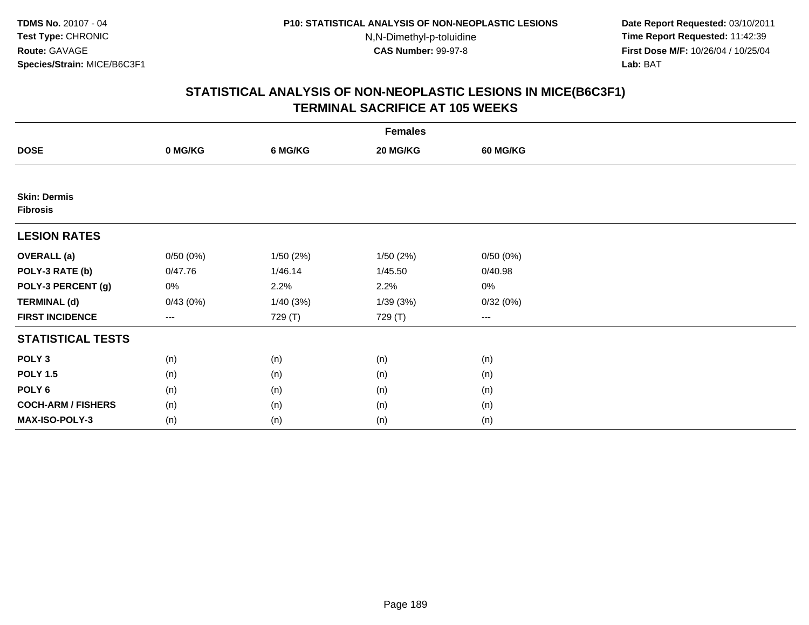**Date Report Requested:** 03/10/2011 **Time Report Requested:** 11:42:39 **First Dose M/F:** 10/26/04 / 10/25/04 Lab: BAT **Lab:** BAT

| <b>Females</b>                         |                        |          |          |                   |  |  |  |
|----------------------------------------|------------------------|----------|----------|-------------------|--|--|--|
| <b>DOSE</b>                            | 0 MG/KG                | 6 MG/KG  | 20 MG/KG | <b>60 MG/KG</b>   |  |  |  |
|                                        |                        |          |          |                   |  |  |  |
| <b>Skin: Dermis</b><br><b>Fibrosis</b> |                        |          |          |                   |  |  |  |
| <b>LESION RATES</b>                    |                        |          |          |                   |  |  |  |
| <b>OVERALL</b> (a)                     | 0/50(0%)               | 1/50(2%) | 1/50(2%) | 0/50(0%)          |  |  |  |
| POLY-3 RATE (b)                        | 0/47.76                | 1/46.14  | 1/45.50  | 0/40.98           |  |  |  |
| POLY-3 PERCENT (g)                     | 0%                     | 2.2%     | 2.2%     | 0%                |  |  |  |
| <b>TERMINAL (d)</b>                    | 0/43(0%)               | 1/40(3%) | 1/39(3%) | 0/32(0%)          |  |  |  |
| <b>FIRST INCIDENCE</b>                 | $\qquad \qquad \cdots$ | 729 (T)  | 729 (T)  | $\qquad \qquad -$ |  |  |  |
| <b>STATISTICAL TESTS</b>               |                        |          |          |                   |  |  |  |
| POLY <sub>3</sub>                      | (n)                    | (n)      | (n)      | (n)               |  |  |  |
| <b>POLY 1.5</b>                        | (n)                    | (n)      | (n)      | (n)               |  |  |  |
| POLY <sub>6</sub>                      | (n)                    | (n)      | (n)      | (n)               |  |  |  |
| <b>COCH-ARM / FISHERS</b>              | (n)                    | (n)      | (n)      | (n)               |  |  |  |
| MAX-ISO-POLY-3                         | (n)                    | (n)      | (n)      | (n)               |  |  |  |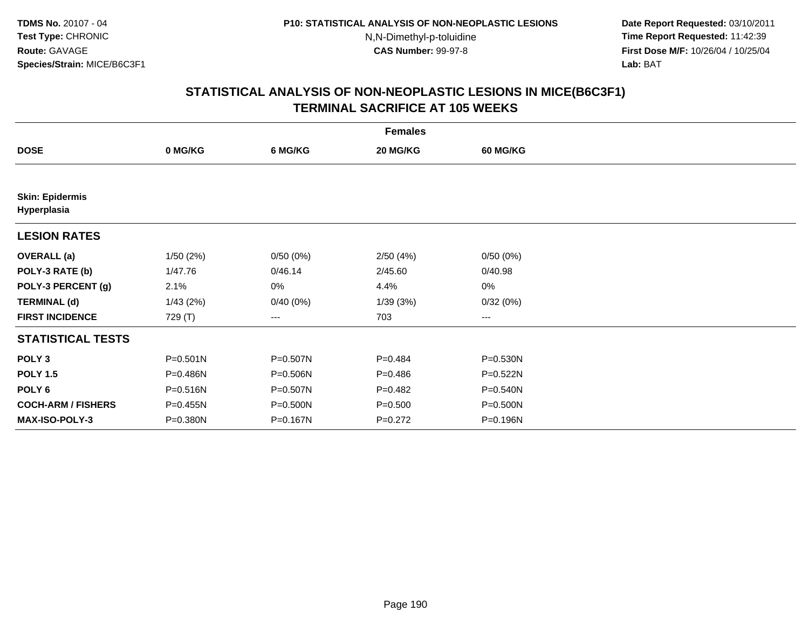**Date Report Requested:** 03/10/2011 **Time Report Requested:** 11:42:39 **First Dose M/F:** 10/26/04 / 10/25/04 Lab: BAT **Lab:** BAT

|                                       | <b>Females</b> |          |             |                 |  |  |  |  |  |
|---------------------------------------|----------------|----------|-------------|-----------------|--|--|--|--|--|
| <b>DOSE</b>                           | 0 MG/KG        | 6 MG/KG  | 20 MG/KG    | <b>60 MG/KG</b> |  |  |  |  |  |
|                                       |                |          |             |                 |  |  |  |  |  |
| <b>Skin: Epidermis</b><br>Hyperplasia |                |          |             |                 |  |  |  |  |  |
| <b>LESION RATES</b>                   |                |          |             |                 |  |  |  |  |  |
| <b>OVERALL</b> (a)                    | 1/50(2%)       | 0/50(0%) | 2/50(4%)    | 0/50(0%)        |  |  |  |  |  |
| POLY-3 RATE (b)                       | 1/47.76        | 0/46.14  | 2/45.60     | 0/40.98         |  |  |  |  |  |
| POLY-3 PERCENT (g)                    | 2.1%           | 0%       | 4.4%        | 0%              |  |  |  |  |  |
| <b>TERMINAL (d)</b>                   | 1/43(2%)       | 0/40(0%) | 1/39(3%)    | 0/32(0%)        |  |  |  |  |  |
| <b>FIRST INCIDENCE</b>                | 729 (T)        | ---      | 703         | $--$            |  |  |  |  |  |
| <b>STATISTICAL TESTS</b>              |                |          |             |                 |  |  |  |  |  |
| POLY <sub>3</sub>                     | $P = 0.501N$   | P=0.507N | $P = 0.484$ | P=0.530N        |  |  |  |  |  |
| <b>POLY 1.5</b>                       | P=0.486N       | P=0.506N | $P = 0.486$ | P=0.522N        |  |  |  |  |  |
| POLY <sub>6</sub>                     | P=0.516N       | P=0.507N | $P=0.482$   | P=0.540N        |  |  |  |  |  |
| <b>COCH-ARM / FISHERS</b>             | P=0.455N       | P=0.500N | $P = 0.500$ | P=0.500N        |  |  |  |  |  |
| MAX-ISO-POLY-3                        | P=0.380N       | P=0.167N | $P=0.272$   | P=0.196N        |  |  |  |  |  |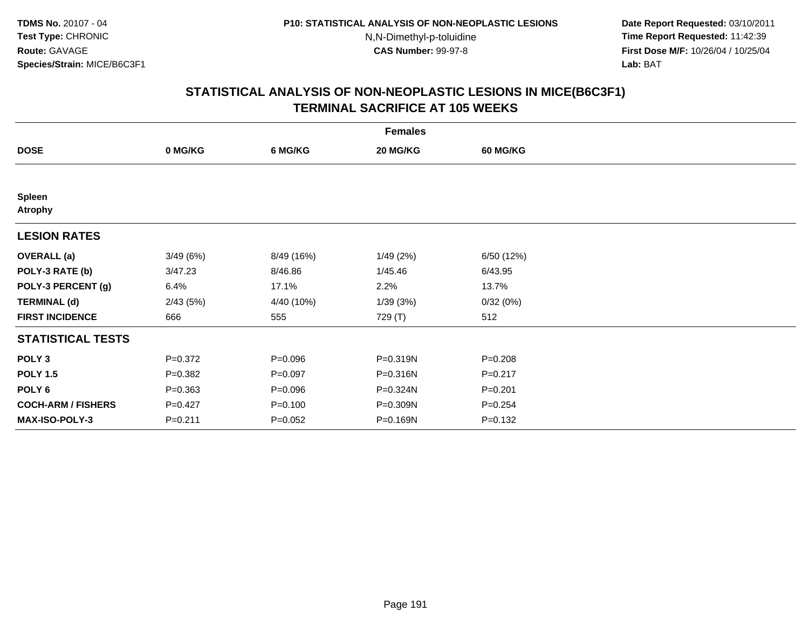**Date Report Requested:** 03/10/2011 **Time Report Requested:** 11:42:39 **First Dose M/F:** 10/26/04 / 10/25/04 Lab: BAT **Lab:** BAT

|                                 | <b>Females</b> |             |          |                 |  |  |  |  |
|---------------------------------|----------------|-------------|----------|-----------------|--|--|--|--|
| <b>DOSE</b>                     | 0 MG/KG        | 6 MG/KG     | 20 MG/KG | <b>60 MG/KG</b> |  |  |  |  |
|                                 |                |             |          |                 |  |  |  |  |
| <b>Spleen</b><br><b>Atrophy</b> |                |             |          |                 |  |  |  |  |
| <b>LESION RATES</b>             |                |             |          |                 |  |  |  |  |
| <b>OVERALL</b> (a)              | 3/49(6%)       | 8/49 (16%)  | 1/49(2%) | 6/50 (12%)      |  |  |  |  |
| POLY-3 RATE (b)                 | 3/47.23        | 8/46.86     | 1/45.46  | 6/43.95         |  |  |  |  |
| POLY-3 PERCENT (g)              | 6.4%           | 17.1%       | 2.2%     | 13.7%           |  |  |  |  |
| <b>TERMINAL (d)</b>             | 2/43(5%)       | 4/40 (10%)  | 1/39(3%) | 0/32(0%)        |  |  |  |  |
| <b>FIRST INCIDENCE</b>          | 666            | 555         | 729 (T)  | 512             |  |  |  |  |
| <b>STATISTICAL TESTS</b>        |                |             |          |                 |  |  |  |  |
| POLY <sub>3</sub>               | $P = 0.372$    | $P = 0.096$ | P=0.319N | $P = 0.208$     |  |  |  |  |
| <b>POLY 1.5</b>                 | $P = 0.382$    | $P = 0.097$ | P=0.316N | $P = 0.217$     |  |  |  |  |
| POLY 6                          | $P = 0.363$    | $P = 0.096$ | P=0.324N | $P = 0.201$     |  |  |  |  |
| <b>COCH-ARM / FISHERS</b>       | $P=0.427$      | $P = 0.100$ | P=0.309N | $P = 0.254$     |  |  |  |  |
| <b>MAX-ISO-POLY-3</b>           | $P = 0.211$    | $P=0.052$   | P=0.169N | $P = 0.132$     |  |  |  |  |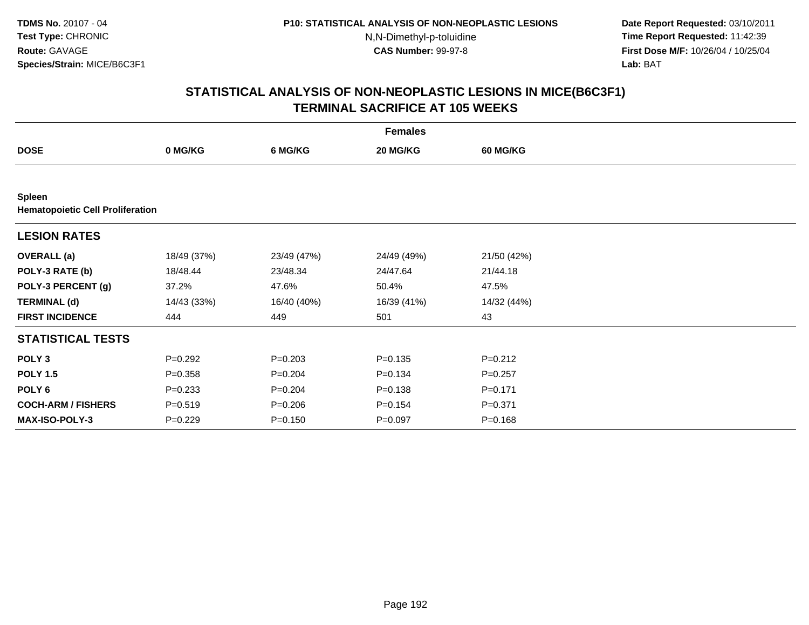**Date Report Requested:** 03/10/2011 **Time Report Requested:** 11:42:39 **First Dose M/F:** 10/26/04 / 10/25/04 Lab: BAT **Lab:** BAT

|                                                          | <b>Females</b> |             |             |                 |  |  |  |  |
|----------------------------------------------------------|----------------|-------------|-------------|-----------------|--|--|--|--|
| <b>DOSE</b>                                              | 0 MG/KG        | 6 MG/KG     | 20 MG/KG    | <b>60 MG/KG</b> |  |  |  |  |
|                                                          |                |             |             |                 |  |  |  |  |
| <b>Spleen</b><br><b>Hematopoietic Cell Proliferation</b> |                |             |             |                 |  |  |  |  |
| <b>LESION RATES</b>                                      |                |             |             |                 |  |  |  |  |
| <b>OVERALL</b> (a)                                       | 18/49 (37%)    | 23/49 (47%) | 24/49 (49%) | 21/50 (42%)     |  |  |  |  |
| POLY-3 RATE (b)                                          | 18/48.44       | 23/48.34    | 24/47.64    | 21/44.18        |  |  |  |  |
| POLY-3 PERCENT (g)                                       | 37.2%          | 47.6%       | 50.4%       | 47.5%           |  |  |  |  |
| <b>TERMINAL (d)</b>                                      | 14/43 (33%)    | 16/40 (40%) | 16/39 (41%) | 14/32 (44%)     |  |  |  |  |
| <b>FIRST INCIDENCE</b>                                   | 444            | 449         | 501         | 43              |  |  |  |  |
| <b>STATISTICAL TESTS</b>                                 |                |             |             |                 |  |  |  |  |
| POLY <sub>3</sub>                                        | $P=0.292$      | $P = 0.203$ | $P = 0.135$ | $P = 0.212$     |  |  |  |  |
| <b>POLY 1.5</b>                                          | $P = 0.358$    | $P = 0.204$ | $P = 0.134$ | $P = 0.257$     |  |  |  |  |
| POLY <sub>6</sub>                                        | $P = 0.233$    | $P = 0.204$ | $P = 0.138$ | $P = 0.171$     |  |  |  |  |
| <b>COCH-ARM / FISHERS</b>                                | $P = 0.519$    | $P = 0.206$ | $P = 0.154$ | $P = 0.371$     |  |  |  |  |
| <b>MAX-ISO-POLY-3</b>                                    | $P=0.229$      | $P = 0.150$ | $P = 0.097$ | $P = 0.168$     |  |  |  |  |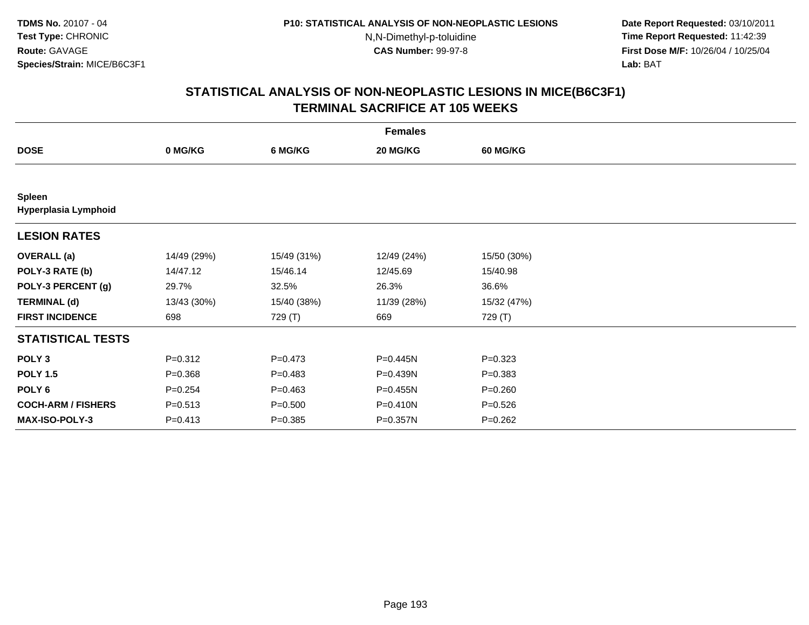**Date Report Requested:** 03/10/2011 **Time Report Requested:** 11:42:39 **First Dose M/F:** 10/26/04 / 10/25/04 Lab: BAT **Lab:** BAT

| <b>Females</b>                 |             |             |              |                 |  |  |
|--------------------------------|-------------|-------------|--------------|-----------------|--|--|
| <b>DOSE</b>                    | 0 MG/KG     | 6 MG/KG     | 20 MG/KG     | <b>60 MG/KG</b> |  |  |
|                                |             |             |              |                 |  |  |
| Spleen<br>Hyperplasia Lymphoid |             |             |              |                 |  |  |
| <b>LESION RATES</b>            |             |             |              |                 |  |  |
| <b>OVERALL</b> (a)             | 14/49 (29%) | 15/49 (31%) | 12/49 (24%)  | 15/50 (30%)     |  |  |
| POLY-3 RATE (b)                | 14/47.12    | 15/46.14    | 12/45.69     | 15/40.98        |  |  |
| POLY-3 PERCENT (g)             | 29.7%       | 32.5%       | 26.3%        | 36.6%           |  |  |
| <b>TERMINAL (d)</b>            | 13/43 (30%) | 15/40 (38%) | 11/39 (28%)  | 15/32 (47%)     |  |  |
| <b>FIRST INCIDENCE</b>         | 698         | 729 (T)     | 669          | 729 (T)         |  |  |
| <b>STATISTICAL TESTS</b>       |             |             |              |                 |  |  |
| POLY <sub>3</sub>              | $P = 0.312$ | $P = 0.473$ | P=0.445N     | $P = 0.323$     |  |  |
| <b>POLY 1.5</b>                | $P = 0.368$ | $P = 0.483$ | P=0.439N     | $P = 0.383$     |  |  |
| POLY 6                         | $P = 0.254$ | $P = 0.463$ | $P = 0.455N$ | $P = 0.260$     |  |  |
| <b>COCH-ARM / FISHERS</b>      | $P = 0.513$ | $P = 0.500$ | P=0.410N     | $P = 0.526$     |  |  |
| MAX-ISO-POLY-3                 | $P = 0.413$ | $P = 0.385$ | P=0.357N     | $P = 0.262$     |  |  |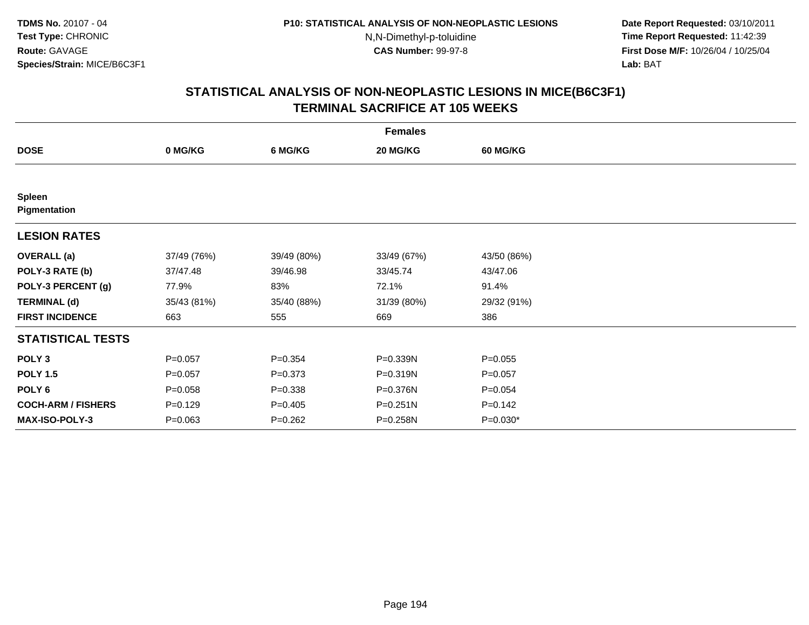**Date Report Requested:** 03/10/2011 **Time Report Requested:** 11:42:39 **First Dose M/F:** 10/26/04 / 10/25/04 Lab: BAT **Lab:** BAT

| <b>Females</b>                |             |             |             |                 |  |  |
|-------------------------------|-------------|-------------|-------------|-----------------|--|--|
| <b>DOSE</b>                   | 0 MG/KG     | 6 MG/KG     | 20 MG/KG    | <b>60 MG/KG</b> |  |  |
|                               |             |             |             |                 |  |  |
| <b>Spleen</b><br>Pigmentation |             |             |             |                 |  |  |
| <b>LESION RATES</b>           |             |             |             |                 |  |  |
| <b>OVERALL</b> (a)            | 37/49 (76%) | 39/49 (80%) | 33/49 (67%) | 43/50 (86%)     |  |  |
| POLY-3 RATE (b)               | 37/47.48    | 39/46.98    | 33/45.74    | 43/47.06        |  |  |
| POLY-3 PERCENT (g)            | 77.9%       | 83%         | 72.1%       | 91.4%           |  |  |
| <b>TERMINAL (d)</b>           | 35/43 (81%) | 35/40 (88%) | 31/39 (80%) | 29/32 (91%)     |  |  |
| <b>FIRST INCIDENCE</b>        | 663         | 555         | 669         | 386             |  |  |
| <b>STATISTICAL TESTS</b>      |             |             |             |                 |  |  |
| POLY <sub>3</sub>             | $P = 0.057$ | $P = 0.354$ | P=0.339N    | $P = 0.055$     |  |  |
| <b>POLY 1.5</b>               | $P = 0.057$ | $P = 0.373$ | P=0.319N    | $P = 0.057$     |  |  |
| POLY <sub>6</sub>             | $P = 0.058$ | $P = 0.338$ | P=0.376N    | $P = 0.054$     |  |  |
| <b>COCH-ARM / FISHERS</b>     | $P=0.129$   | $P=0.405$   | P=0.251N    | $P = 0.142$     |  |  |
| <b>MAX-ISO-POLY-3</b>         | $P = 0.063$ | $P = 0.262$ | P=0.258N    | $P=0.030*$      |  |  |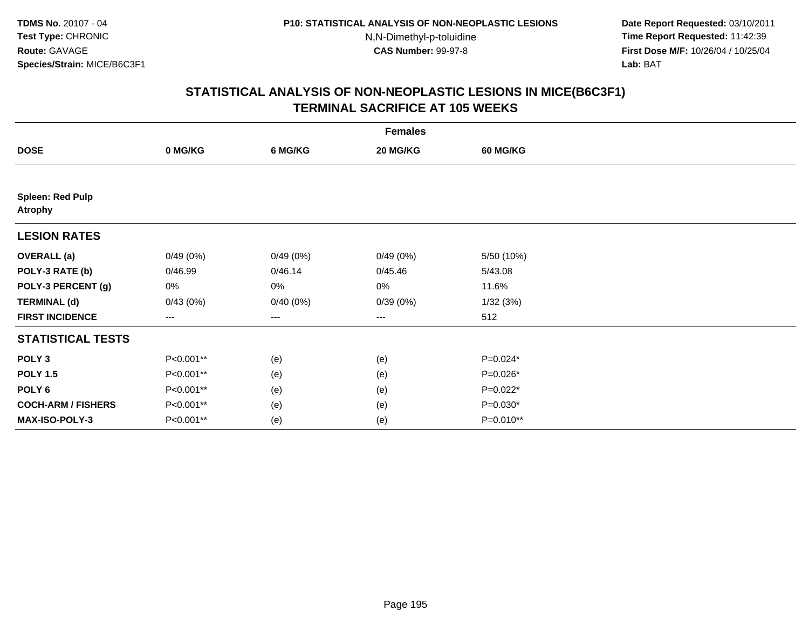**Date Report Requested:** 03/10/2011 **Time Report Requested:** 11:42:39 **First Dose M/F:** 10/26/04 / 10/25/04 Lab: BAT **Lab:** BAT

| <b>Females</b>                            |           |          |                   |                 |  |  |
|-------------------------------------------|-----------|----------|-------------------|-----------------|--|--|
| <b>DOSE</b>                               | 0 MG/KG   | 6 MG/KG  | 20 MG/KG          | <b>60 MG/KG</b> |  |  |
|                                           |           |          |                   |                 |  |  |
| <b>Spleen: Red Pulp</b><br><b>Atrophy</b> |           |          |                   |                 |  |  |
| <b>LESION RATES</b>                       |           |          |                   |                 |  |  |
| <b>OVERALL</b> (a)                        | 0/49(0%)  | 0/49(0%) | 0/49(0%)          | 5/50 (10%)      |  |  |
| POLY-3 RATE (b)                           | 0/46.99   | 0/46.14  | 0/45.46           | 5/43.08         |  |  |
| POLY-3 PERCENT (g)                        | 0%        | 0%       | 0%                | 11.6%           |  |  |
| <b>TERMINAL (d)</b>                       | 0/43(0%)  | 0/40(0%) | 0/39(0%)          | 1/32(3%)        |  |  |
| <b>FIRST INCIDENCE</b>                    | ---       | ---      | $\qquad \qquad -$ | 512             |  |  |
| <b>STATISTICAL TESTS</b>                  |           |          |                   |                 |  |  |
| POLY <sub>3</sub>                         | P<0.001** | (e)      | (e)               | $P=0.024*$      |  |  |
| <b>POLY 1.5</b>                           | P<0.001** | (e)      | (e)               | P=0.026*        |  |  |
| POLY 6                                    | P<0.001** | (e)      | (e)               | $P=0.022*$      |  |  |
| <b>COCH-ARM / FISHERS</b>                 | P<0.001** | (e)      | (e)               | $P=0.030*$      |  |  |
| MAX-ISO-POLY-3                            | P<0.001** | (e)      | (e)               | P=0.010**       |  |  |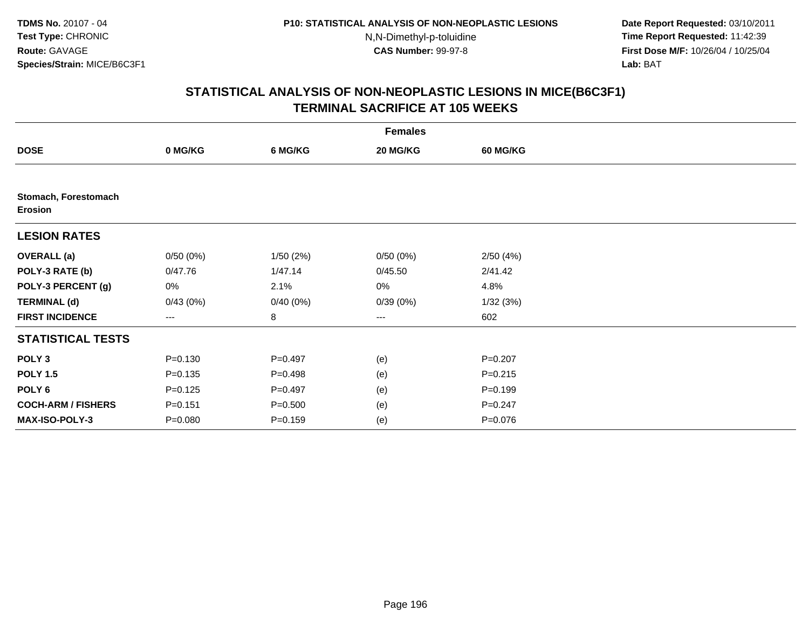**Date Report Requested:** 03/10/2011 **Time Report Requested:** 11:42:39 **First Dose M/F:** 10/26/04 / 10/25/04 Lab: BAT **Lab:** BAT

| <b>Females</b>                         |             |             |          |                 |  |  |  |
|----------------------------------------|-------------|-------------|----------|-----------------|--|--|--|
| <b>DOSE</b>                            | 0 MG/KG     | 6 MG/KG     | 20 MG/KG | <b>60 MG/KG</b> |  |  |  |
|                                        |             |             |          |                 |  |  |  |
| Stomach, Forestomach<br><b>Erosion</b> |             |             |          |                 |  |  |  |
| <b>LESION RATES</b>                    |             |             |          |                 |  |  |  |
| <b>OVERALL</b> (a)                     | 0/50(0%)    | 1/50(2%)    | 0/50(0%) | 2/50(4%)        |  |  |  |
| POLY-3 RATE (b)                        | 0/47.76     | 1/47.14     | 0/45.50  | 2/41.42         |  |  |  |
| POLY-3 PERCENT (g)                     | 0%          | 2.1%        | 0%       | 4.8%            |  |  |  |
| <b>TERMINAL (d)</b>                    | 0/43(0%)    | 0/40(0%)    | 0/39(0%) | 1/32(3%)        |  |  |  |
| <b>FIRST INCIDENCE</b>                 | ---         | 8           | ---      | 602             |  |  |  |
| <b>STATISTICAL TESTS</b>               |             |             |          |                 |  |  |  |
| POLY <sub>3</sub>                      | $P = 0.130$ | $P=0.497$   | (e)      | $P = 0.207$     |  |  |  |
| <b>POLY 1.5</b>                        | $P = 0.135$ | $P=0.498$   | (e)      | $P = 0.215$     |  |  |  |
| POLY 6                                 | $P = 0.125$ | $P=0.497$   | (e)      | $P = 0.199$     |  |  |  |
| <b>COCH-ARM / FISHERS</b>              | $P = 0.151$ | $P = 0.500$ | (e)      | $P = 0.247$     |  |  |  |
| MAX-ISO-POLY-3                         | $P = 0.080$ | $P = 0.159$ | (e)      | $P = 0.076$     |  |  |  |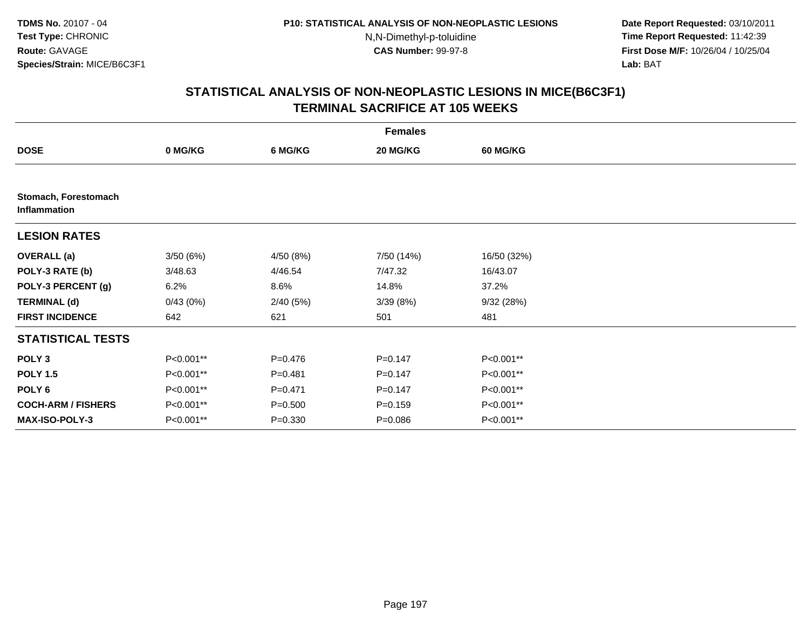**Date Report Requested:** 03/10/2011 **Time Report Requested:** 11:42:39 **First Dose M/F:** 10/26/04 / 10/25/04 Lab: BAT **Lab:** BAT

| <b>Females</b>                       |           |             |             |             |  |  |
|--------------------------------------|-----------|-------------|-------------|-------------|--|--|
| <b>DOSE</b>                          | 0 MG/KG   | 6 MG/KG     | 20 MG/KG    | 60 MG/KG    |  |  |
|                                      |           |             |             |             |  |  |
| Stomach, Forestomach<br>Inflammation |           |             |             |             |  |  |
| <b>LESION RATES</b>                  |           |             |             |             |  |  |
| <b>OVERALL</b> (a)                   | 3/50(6%)  | 4/50 (8%)   | 7/50 (14%)  | 16/50 (32%) |  |  |
| POLY-3 RATE (b)                      | 3/48.63   | 4/46.54     | 7/47.32     | 16/43.07    |  |  |
| POLY-3 PERCENT (g)                   | 6.2%      | 8.6%        | 14.8%       | 37.2%       |  |  |
| <b>TERMINAL (d)</b>                  | 0/43(0%)  | 2/40(5%)    | 3/39(8%)    | 9/32(28%)   |  |  |
| <b>FIRST INCIDENCE</b>               | 642       | 621         | 501         | 481         |  |  |
| <b>STATISTICAL TESTS</b>             |           |             |             |             |  |  |
| POLY <sub>3</sub>                    | P<0.001** | $P = 0.476$ | $P = 0.147$ | P<0.001**   |  |  |
| <b>POLY 1.5</b>                      | P<0.001** | $P = 0.481$ | $P = 0.147$ | P<0.001**   |  |  |
| POLY 6                               | P<0.001** | $P = 0.471$ | $P = 0.147$ | P<0.001**   |  |  |
| <b>COCH-ARM / FISHERS</b>            | P<0.001** | $P = 0.500$ | $P = 0.159$ | P<0.001**   |  |  |
| MAX-ISO-POLY-3                       | P<0.001** | $P = 0.330$ | $P = 0.086$ | P<0.001**   |  |  |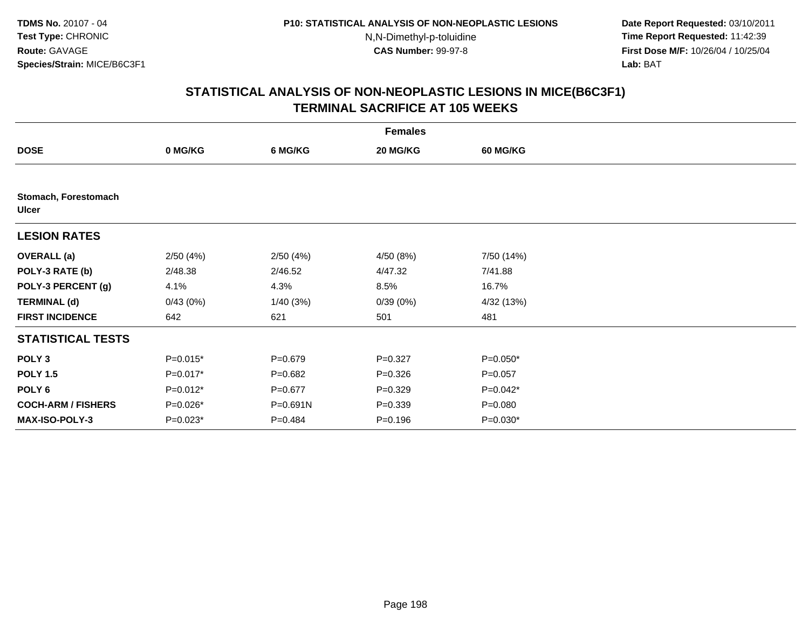**Date Report Requested:** 03/10/2011 **Time Report Requested:** 11:42:39 **First Dose M/F:** 10/26/04 / 10/25/04 Lab: BAT **Lab:** BAT

| <b>Females</b>                       |            |             |             |                 |  |  |
|--------------------------------------|------------|-------------|-------------|-----------------|--|--|
| <b>DOSE</b>                          | 0 MG/KG    | 6 MG/KG     | 20 MG/KG    | <b>60 MG/KG</b> |  |  |
|                                      |            |             |             |                 |  |  |
| Stomach, Forestomach<br><b>Ulcer</b> |            |             |             |                 |  |  |
| <b>LESION RATES</b>                  |            |             |             |                 |  |  |
| <b>OVERALL</b> (a)                   | 2/50(4%)   | 2/50(4%)    | 4/50 (8%)   | 7/50 (14%)      |  |  |
| POLY-3 RATE (b)                      | 2/48.38    | 2/46.52     | 4/47.32     | 7/41.88         |  |  |
| POLY-3 PERCENT (g)                   | 4.1%       | 4.3%        | 8.5%        | 16.7%           |  |  |
| <b>TERMINAL (d)</b>                  | 0/43(0%)   | 1/40(3%)    | 0/39(0%)    | 4/32 (13%)      |  |  |
| <b>FIRST INCIDENCE</b>               | 642        | 621         | 501         | 481             |  |  |
| <b>STATISTICAL TESTS</b>             |            |             |             |                 |  |  |
| POLY <sub>3</sub>                    | $P=0.015*$ | $P = 0.679$ | $P = 0.327$ | $P=0.050*$      |  |  |
| <b>POLY 1.5</b>                      | P=0.017*   | $P=0.682$   | $P = 0.326$ | $P = 0.057$     |  |  |
| POLY 6                               | $P=0.012*$ | $P = 0.677$ | $P=0.329$   | P=0.042*        |  |  |
| <b>COCH-ARM / FISHERS</b>            | P=0.026*   | P=0.691N    | $P = 0.339$ | $P = 0.080$     |  |  |
| MAX-ISO-POLY-3                       | $P=0.023*$ | $P = 0.484$ | $P = 0.196$ | $P=0.030*$      |  |  |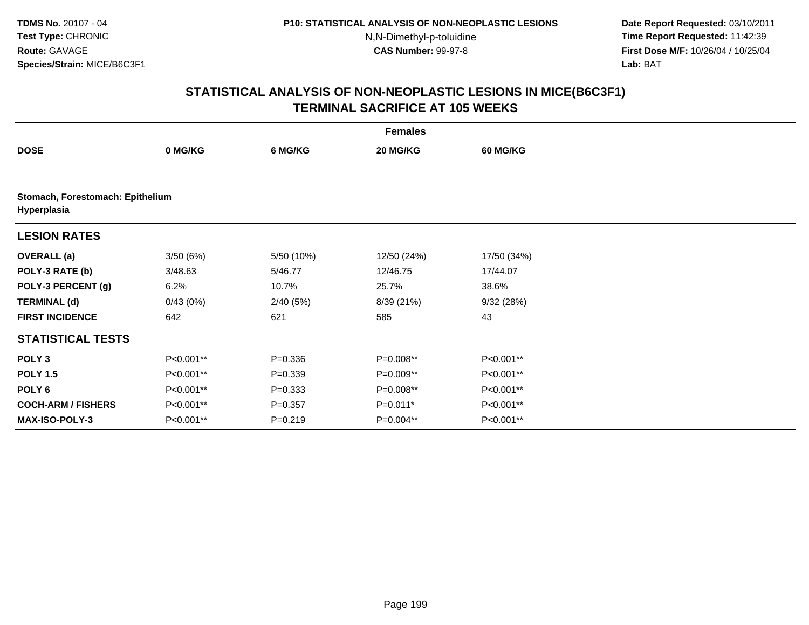**Date Report Requested:** 03/10/2011 **Time Report Requested:** 11:42:39 **First Dose M/F:** 10/26/04 / 10/25/04 Lab: BAT **Lab:** BAT

|                                                 | <b>Females</b> |             |             |                 |  |  |  |
|-------------------------------------------------|----------------|-------------|-------------|-----------------|--|--|--|
| <b>DOSE</b>                                     | 0 MG/KG        | 6 MG/KG     | 20 MG/KG    | <b>60 MG/KG</b> |  |  |  |
|                                                 |                |             |             |                 |  |  |  |
| Stomach, Forestomach: Epithelium<br>Hyperplasia |                |             |             |                 |  |  |  |
| <b>LESION RATES</b>                             |                |             |             |                 |  |  |  |
| <b>OVERALL</b> (a)                              | 3/50(6%)       | 5/50 (10%)  | 12/50 (24%) | 17/50 (34%)     |  |  |  |
| POLY-3 RATE (b)                                 | 3/48.63        | 5/46.77     | 12/46.75    | 17/44.07        |  |  |  |
| POLY-3 PERCENT (g)                              | 6.2%           | 10.7%       | 25.7%       | 38.6%           |  |  |  |
| <b>TERMINAL (d)</b>                             | 0/43(0%)       | 2/40(5%)    | 8/39 (21%)  | 9/32(28%)       |  |  |  |
| <b>FIRST INCIDENCE</b>                          | 642            | 621         | 585         | 43              |  |  |  |
| <b>STATISTICAL TESTS</b>                        |                |             |             |                 |  |  |  |
| POLY <sub>3</sub>                               | P<0.001**      | $P = 0.336$ | P=0.008**   | P<0.001**       |  |  |  |
| <b>POLY 1.5</b>                                 | P<0.001**      | $P = 0.339$ | P=0.009**   | P<0.001**       |  |  |  |
| POLY <sub>6</sub>                               | P<0.001**      | $P = 0.333$ | P=0.008**   | P<0.001**       |  |  |  |
| <b>COCH-ARM / FISHERS</b>                       | P<0.001**      | $P=0.357$   | $P=0.011*$  | P<0.001**       |  |  |  |
| <b>MAX-ISO-POLY-3</b>                           | P<0.001**      | $P = 0.219$ | P=0.004**   | P<0.001**       |  |  |  |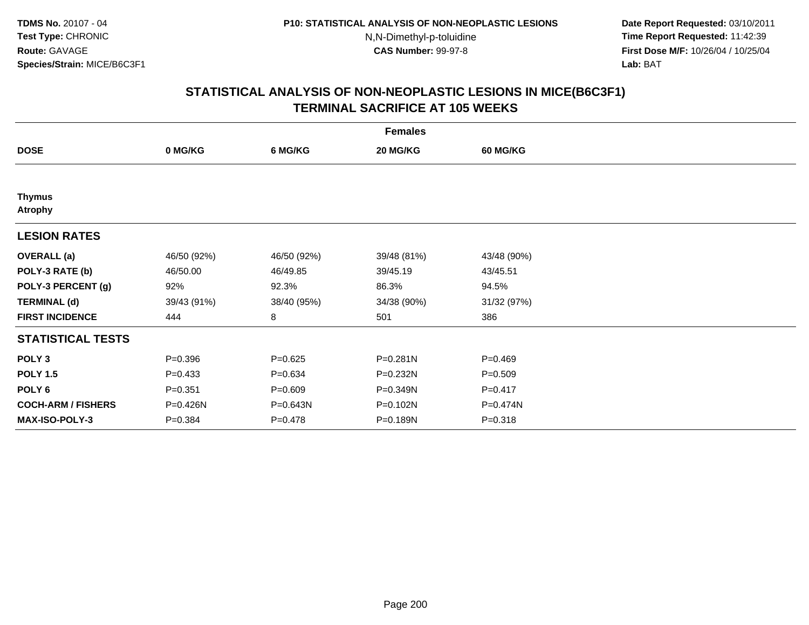**Date Report Requested:** 03/10/2011 **Time Report Requested:** 11:42:39 **First Dose M/F:** 10/26/04 / 10/25/04 Lab: BAT **Lab:** BAT

| <b>Females</b>                  |             |             |             |                 |  |  |
|---------------------------------|-------------|-------------|-------------|-----------------|--|--|
| <b>DOSE</b>                     | 0 MG/KG     | 6 MG/KG     | 20 MG/KG    | <b>60 MG/KG</b> |  |  |
|                                 |             |             |             |                 |  |  |
| <b>Thymus</b><br><b>Atrophy</b> |             |             |             |                 |  |  |
| <b>LESION RATES</b>             |             |             |             |                 |  |  |
| <b>OVERALL</b> (a)              | 46/50 (92%) | 46/50 (92%) | 39/48 (81%) | 43/48 (90%)     |  |  |
| POLY-3 RATE (b)                 | 46/50.00    | 46/49.85    | 39/45.19    | 43/45.51        |  |  |
| POLY-3 PERCENT (g)              | 92%         | 92.3%       | 86.3%       | 94.5%           |  |  |
| <b>TERMINAL (d)</b>             | 39/43 (91%) | 38/40 (95%) | 34/38 (90%) | 31/32 (97%)     |  |  |
| <b>FIRST INCIDENCE</b>          | 444         | 8           | 501         | 386             |  |  |
| <b>STATISTICAL TESTS</b>        |             |             |             |                 |  |  |
| POLY <sub>3</sub>               | $P = 0.396$ | $P=0.625$   | P=0.281N    | $P=0.469$       |  |  |
| <b>POLY 1.5</b>                 | $P = 0.433$ | $P = 0.634$ | P=0.232N    | $P = 0.509$     |  |  |
| POLY <sub>6</sub>               | $P = 0.351$ | $P = 0.609$ | P=0.349N    | $P = 0.417$     |  |  |
| <b>COCH-ARM / FISHERS</b>       | P=0.426N    | P=0.643N    | P=0.102N    | P=0.474N        |  |  |
| MAX-ISO-POLY-3                  | $P = 0.384$ | $P = 0.478$ | P=0.189N    | $P = 0.318$     |  |  |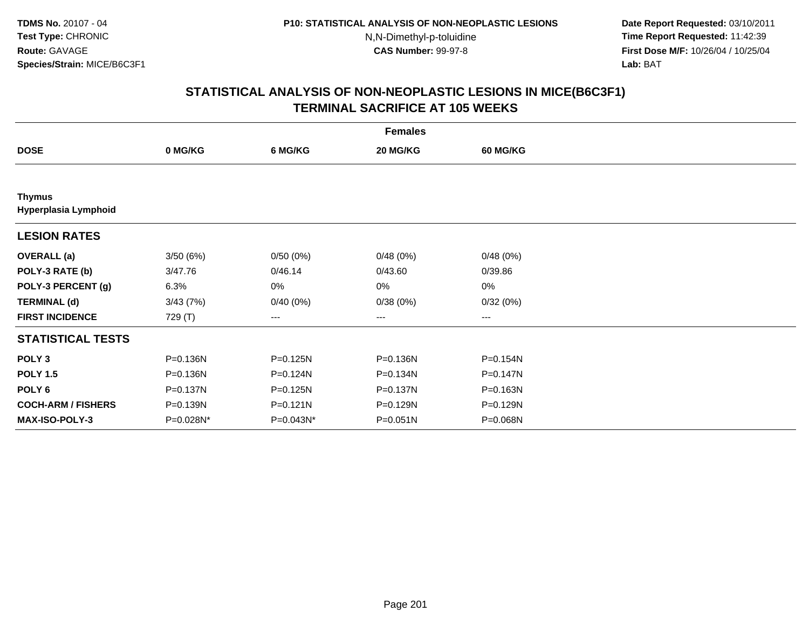**Date Report Requested:** 03/10/2011 **Time Report Requested:** 11:42:39 **First Dose M/F:** 10/26/04 / 10/25/04 Lab: BAT **Lab:** BAT

|                                       |              |              | <b>Females</b> |                 |  |
|---------------------------------------|--------------|--------------|----------------|-----------------|--|
| <b>DOSE</b>                           | 0 MG/KG      | 6 MG/KG      | 20 MG/KG       | <b>60 MG/KG</b> |  |
|                                       |              |              |                |                 |  |
| <b>Thymus</b><br>Hyperplasia Lymphoid |              |              |                |                 |  |
| <b>LESION RATES</b>                   |              |              |                |                 |  |
| <b>OVERALL</b> (a)                    | 3/50(6%)     | 0/50(0%)     | 0/48(0%)       | 0/48(0%)        |  |
| POLY-3 RATE (b)                       | 3/47.76      | 0/46.14      | 0/43.60        | 0/39.86         |  |
| POLY-3 PERCENT (g)                    | 6.3%         | 0%           | 0%             | 0%              |  |
| <b>TERMINAL (d)</b>                   | 3/43(7%)     | 0/40(0%)     | 0/38(0%)       | 0/32(0%)        |  |
| <b>FIRST INCIDENCE</b>                | 729 (T)      | ---          | $--$           | ---             |  |
| <b>STATISTICAL TESTS</b>              |              |              |                |                 |  |
| POLY <sub>3</sub>                     | $P = 0.136N$ | $P = 0.125N$ | P=0.136N       | P=0.154N        |  |
| <b>POLY 1.5</b>                       | P=0.136N     | P=0.124N     | P=0.134N       | $P = 0.147N$    |  |
| POLY 6                                | P=0.137N     | P=0.125N     | P=0.137N       | P=0.163N        |  |
| <b>COCH-ARM / FISHERS</b>             | P=0.139N     | $P = 0.121N$ | P=0.129N       | P=0.129N        |  |
| <b>MAX-ISO-POLY-3</b>                 | P=0.028N*    | P=0.043N*    | $P = 0.051N$   | P=0.068N        |  |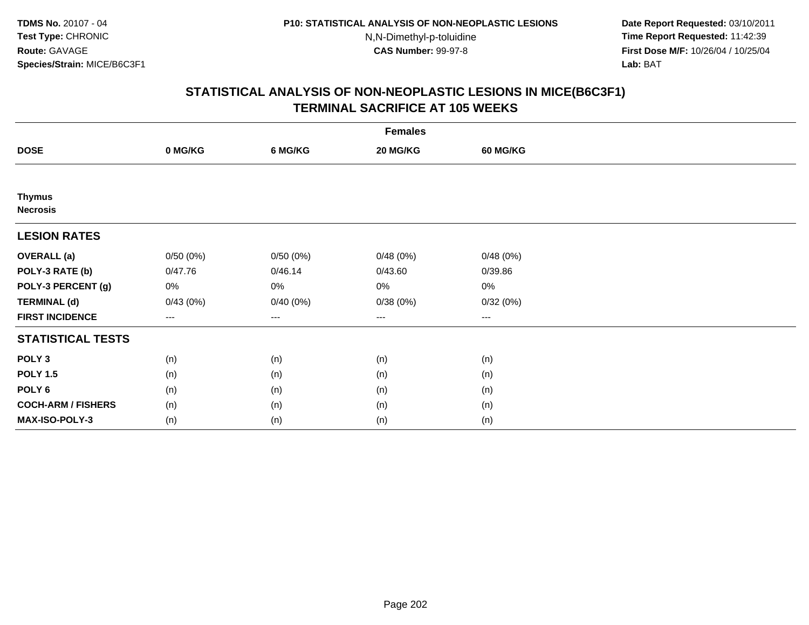**Date Report Requested:** 03/10/2011 **Time Report Requested:** 11:42:39 **First Dose M/F:** 10/26/04 / 10/25/04 Lab: BAT **Lab:** BAT

| <b>Females</b>                   |          |          |          |                        |  |  |
|----------------------------------|----------|----------|----------|------------------------|--|--|
| <b>DOSE</b>                      | 0 MG/KG  | 6 MG/KG  | 20 MG/KG | <b>60 MG/KG</b>        |  |  |
|                                  |          |          |          |                        |  |  |
| <b>Thymus</b><br><b>Necrosis</b> |          |          |          |                        |  |  |
| <b>LESION RATES</b>              |          |          |          |                        |  |  |
| <b>OVERALL</b> (a)               | 0/50(0%) | 0/50(0%) | 0/48(0%) | 0/48(0%)               |  |  |
| POLY-3 RATE (b)                  | 0/47.76  | 0/46.14  | 0/43.60  | 0/39.86                |  |  |
| POLY-3 PERCENT (g)               | 0%       | 0%       | 0%       | 0%                     |  |  |
| <b>TERMINAL (d)</b>              | 0/43(0%) | 0/40(0%) | 0/38(0%) | 0/32(0%)               |  |  |
| <b>FIRST INCIDENCE</b>           | $---$    | ---      | $---$    | $\qquad \qquad \cdots$ |  |  |
| <b>STATISTICAL TESTS</b>         |          |          |          |                        |  |  |
| POLY <sub>3</sub>                | (n)      | (n)      | (n)      | (n)                    |  |  |
| <b>POLY 1.5</b>                  | (n)      | (n)      | (n)      | (n)                    |  |  |
| POLY <sub>6</sub>                | (n)      | (n)      | (n)      | (n)                    |  |  |
| <b>COCH-ARM / FISHERS</b>        | (n)      | (n)      | (n)      | (n)                    |  |  |
| MAX-ISO-POLY-3                   | (n)      | (n)      | (n)      | (n)                    |  |  |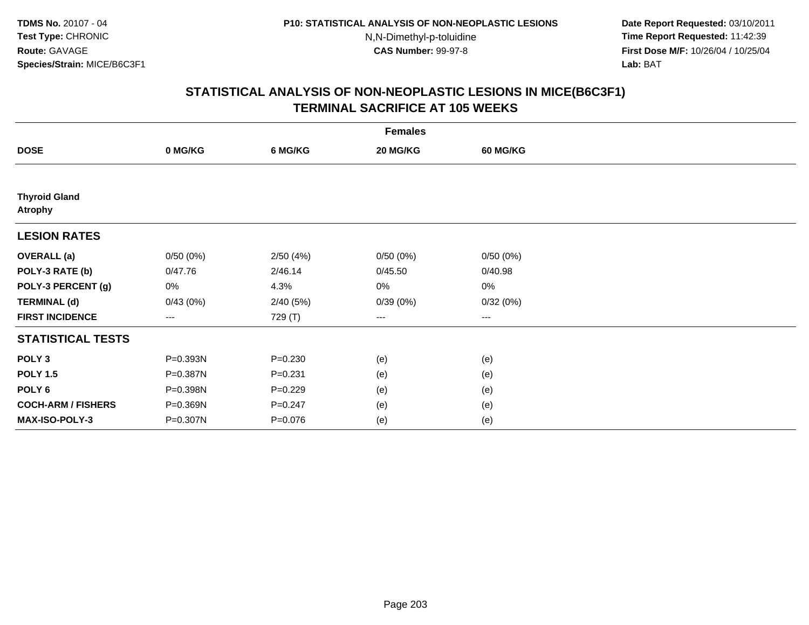**Date Report Requested:** 03/10/2011 **Time Report Requested:** 11:42:39 **First Dose M/F:** 10/26/04 / 10/25/04 Lab: BAT **Lab:** BAT

| <b>Females</b>                         |          |             |          |                        |  |  |  |
|----------------------------------------|----------|-------------|----------|------------------------|--|--|--|
| <b>DOSE</b>                            | 0 MG/KG  | 6 MG/KG     | 20 MG/KG | <b>60 MG/KG</b>        |  |  |  |
|                                        |          |             |          |                        |  |  |  |
| <b>Thyroid Gland</b><br><b>Atrophy</b> |          |             |          |                        |  |  |  |
| <b>LESION RATES</b>                    |          |             |          |                        |  |  |  |
| <b>OVERALL</b> (a)                     | 0/50(0%) | 2/50(4%)    | 0/50(0%) | 0/50(0%)               |  |  |  |
| POLY-3 RATE (b)                        | 0/47.76  | 2/46.14     | 0/45.50  | 0/40.98                |  |  |  |
| POLY-3 PERCENT (g)                     | 0%       | 4.3%        | 0%       | 0%                     |  |  |  |
| <b>TERMINAL (d)</b>                    | 0/43(0%) | 2/40(5%)    | 0/39(0%) | 0/32(0%)               |  |  |  |
| <b>FIRST INCIDENCE</b>                 | $---$    | 729 (T)     | ---      | $\qquad \qquad \cdots$ |  |  |  |
| <b>STATISTICAL TESTS</b>               |          |             |          |                        |  |  |  |
| POLY <sub>3</sub>                      | P=0.393N | $P = 0.230$ | (e)      | (e)                    |  |  |  |
| <b>POLY 1.5</b>                        | P=0.387N | $P = 0.231$ | (e)      | (e)                    |  |  |  |
| POLY <sub>6</sub>                      | P=0.398N | $P=0.229$   | (e)      | (e)                    |  |  |  |
| <b>COCH-ARM / FISHERS</b>              | P=0.369N | $P = 0.247$ | (e)      | (e)                    |  |  |  |
| MAX-ISO-POLY-3                         | P=0.307N | $P = 0.076$ | (e)      | (e)                    |  |  |  |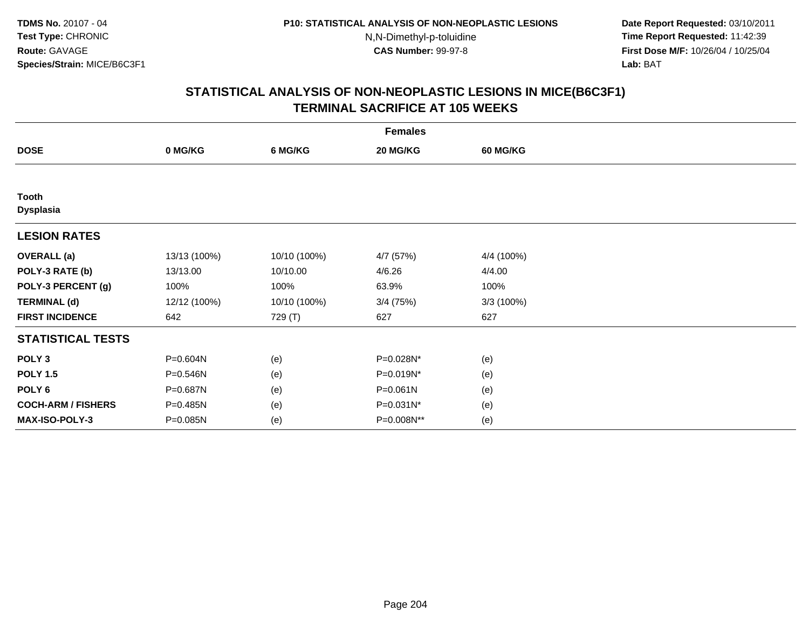**Date Report Requested:** 03/10/2011 **Time Report Requested:** 11:42:39 **First Dose M/F:** 10/26/04 / 10/25/04 Lab: BAT **Lab:** BAT

| <b>Females</b>            |              |              |              |            |  |  |
|---------------------------|--------------|--------------|--------------|------------|--|--|
| <b>DOSE</b>               | 0 MG/KG      | 6 MG/KG      | 20 MG/KG     | 60 MG/KG   |  |  |
|                           |              |              |              |            |  |  |
| Tooth<br><b>Dysplasia</b> |              |              |              |            |  |  |
| <b>LESION RATES</b>       |              |              |              |            |  |  |
| <b>OVERALL</b> (a)        | 13/13 (100%) | 10/10 (100%) | 4/7 (57%)    | 4/4 (100%) |  |  |
| POLY-3 RATE (b)           | 13/13.00     | 10/10.00     | 4/6.26       | 4/4.00     |  |  |
| POLY-3 PERCENT (g)        | 100%         | 100%         | 63.9%        | 100%       |  |  |
| <b>TERMINAL (d)</b>       | 12/12 (100%) | 10/10 (100%) | $3/4$ (75%)  | 3/3(100%)  |  |  |
| <b>FIRST INCIDENCE</b>    | 642          | 729 (T)      | 627          | 627        |  |  |
| <b>STATISTICAL TESTS</b>  |              |              |              |            |  |  |
| POLY <sub>3</sub>         | P=0.604N     | (e)          | P=0.028N*    | (e)        |  |  |
| <b>POLY 1.5</b>           | P=0.546N     | (e)          | P=0.019N*    | (e)        |  |  |
| POLY <sub>6</sub>         | P=0.687N     | (e)          | $P = 0.061N$ | (e)        |  |  |
| <b>COCH-ARM / FISHERS</b> | P=0.485N     | (e)          | P=0.031N*    | (e)        |  |  |
| <b>MAX-ISO-POLY-3</b>     | P=0.085N     | (e)          | P=0.008N**   | (e)        |  |  |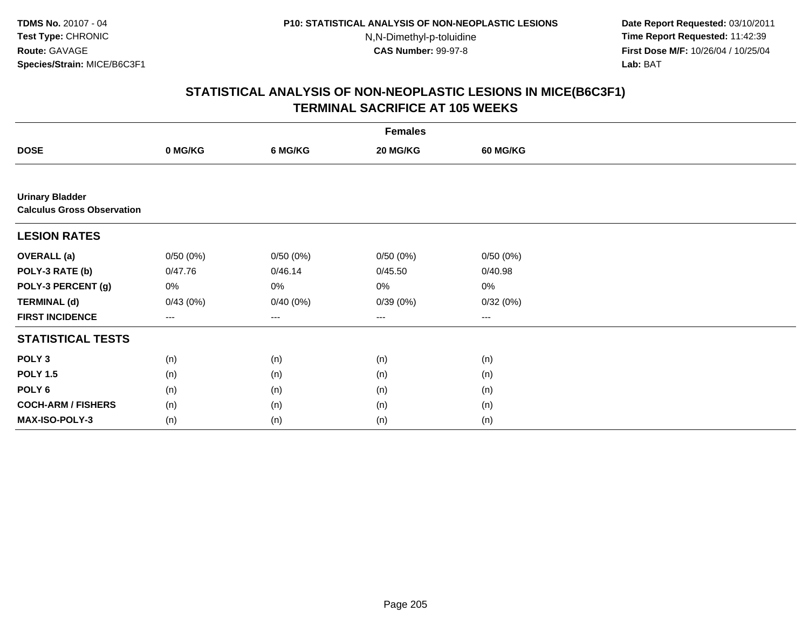**Date Report Requested:** 03/10/2011 **Time Report Requested:** 11:42:39 **First Dose M/F:** 10/26/04 / 10/25/04 Lab: BAT **Lab:** BAT

|                                                             |          |          | <b>Females</b>    |          |  |
|-------------------------------------------------------------|----------|----------|-------------------|----------|--|
| <b>DOSE</b>                                                 | 0 MG/KG  | 6 MG/KG  | 20 MG/KG          | 60 MG/KG |  |
|                                                             |          |          |                   |          |  |
| <b>Urinary Bladder</b><br><b>Calculus Gross Observation</b> |          |          |                   |          |  |
| <b>LESION RATES</b>                                         |          |          |                   |          |  |
| <b>OVERALL</b> (a)                                          | 0/50(0%) | 0/50(0%) | 0/50(0%)          | 0/50(0%) |  |
| POLY-3 RATE (b)                                             | 0/47.76  | 0/46.14  | 0/45.50           | 0/40.98  |  |
| POLY-3 PERCENT (g)                                          | 0%       | 0%       | 0%                | 0%       |  |
| <b>TERMINAL (d)</b>                                         | 0/43(0%) | 0/40(0%) | 0/39(0%)          | 0/32(0%) |  |
| <b>FIRST INCIDENCE</b>                                      | $---$    | ---      | $\qquad \qquad -$ | ---      |  |
| <b>STATISTICAL TESTS</b>                                    |          |          |                   |          |  |
| POLY <sub>3</sub>                                           | (n)      | (n)      | (n)               | (n)      |  |
| <b>POLY 1.5</b>                                             | (n)      | (n)      | (n)               | (n)      |  |
| POLY <sub>6</sub>                                           | (n)      | (n)      | (n)               | (n)      |  |
| <b>COCH-ARM / FISHERS</b>                                   | (n)      | (n)      | (n)               | (n)      |  |
| MAX-ISO-POLY-3                                              | (n)      | (n)      | (n)               | (n)      |  |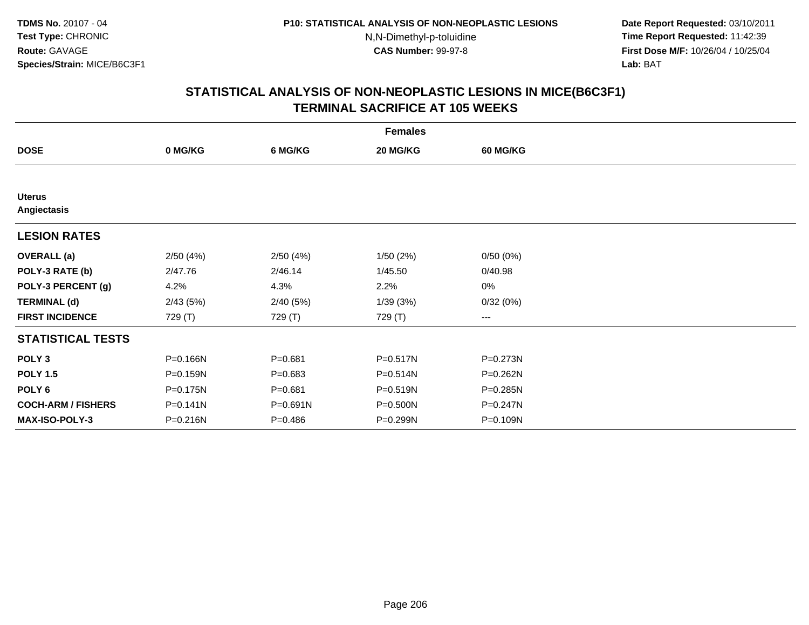**Date Report Requested:** 03/10/2011 **Time Report Requested:** 11:42:39 **First Dose M/F:** 10/26/04 / 10/25/04 Lab: BAT **Lab:** BAT

|                              |              |             | <b>Females</b> |                        |  |
|------------------------------|--------------|-------------|----------------|------------------------|--|
| <b>DOSE</b>                  | 0 MG/KG      | 6 MG/KG     | 20 MG/KG       | <b>60 MG/KG</b>        |  |
|                              |              |             |                |                        |  |
| <b>Uterus</b><br>Angiectasis |              |             |                |                        |  |
| <b>LESION RATES</b>          |              |             |                |                        |  |
| <b>OVERALL</b> (a)           | 2/50(4%)     | 2/50(4%)    | 1/50(2%)       | 0/50(0%)               |  |
| POLY-3 RATE (b)              | 2/47.76      | 2/46.14     | 1/45.50        | 0/40.98                |  |
| POLY-3 PERCENT (g)           | 4.2%         | 4.3%        | 2.2%           | $0\%$                  |  |
| <b>TERMINAL (d)</b>          | 2/43(5%)     | 2/40(5%)    | 1/39(3%)       | 0/32(0%)               |  |
| <b>FIRST INCIDENCE</b>       | 729 (T)      | 729 (T)     | 729 (T)        | $\qquad \qquad \cdots$ |  |
| <b>STATISTICAL TESTS</b>     |              |             |                |                        |  |
| POLY <sub>3</sub>            | P=0.166N     | $P = 0.681$ | P=0.517N       | P=0.273N               |  |
| <b>POLY 1.5</b>              | P=0.159N     | $P = 0.683$ | $P = 0.514N$   | P=0.262N               |  |
| POLY <sub>6</sub>            | P=0.175N     | $P = 0.681$ | $P = 0.519N$   | P=0.285N               |  |
| <b>COCH-ARM / FISHERS</b>    | $P = 0.141N$ | P=0.691N    | P=0.500N       | P=0.247N               |  |
| <b>MAX-ISO-POLY-3</b>        | P=0.216N     | $P = 0.486$ | P=0.299N       | P=0.109N               |  |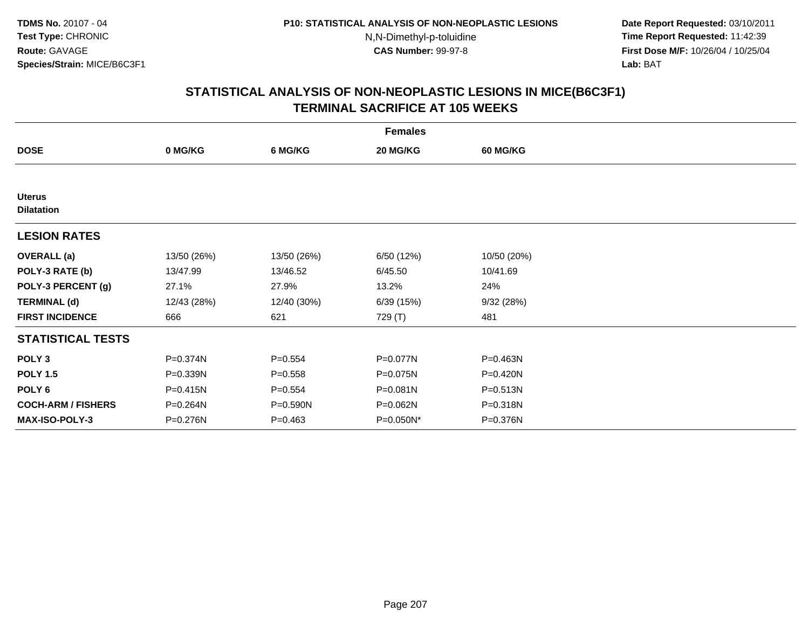**Date Report Requested:** 03/10/2011 **Time Report Requested:** 11:42:39 **First Dose M/F:** 10/26/04 / 10/25/04 Lab: BAT **Lab:** BAT

|                                    |              |             | <b>Females</b> |                 |  |
|------------------------------------|--------------|-------------|----------------|-----------------|--|
| <b>DOSE</b>                        | 0 MG/KG      | 6 MG/KG     | 20 MG/KG       | <b>60 MG/KG</b> |  |
|                                    |              |             |                |                 |  |
| <b>Uterus</b><br><b>Dilatation</b> |              |             |                |                 |  |
| <b>LESION RATES</b>                |              |             |                |                 |  |
| <b>OVERALL</b> (a)                 | 13/50 (26%)  | 13/50 (26%) | 6/50 (12%)     | 10/50 (20%)     |  |
| POLY-3 RATE (b)                    | 13/47.99     | 13/46.52    | 6/45.50        | 10/41.69        |  |
| POLY-3 PERCENT (g)                 | 27.1%        | 27.9%       | 13.2%          | 24%             |  |
| <b>TERMINAL (d)</b>                | 12/43 (28%)  | 12/40 (30%) | 6/39(15%)      | 9/32(28%)       |  |
| <b>FIRST INCIDENCE</b>             | 666          | 621         | 729 (T)        | 481             |  |
| <b>STATISTICAL TESTS</b>           |              |             |                |                 |  |
| POLY <sub>3</sub>                  | P=0.374N     | $P = 0.554$ | P=0.077N       | P=0.463N        |  |
| <b>POLY 1.5</b>                    | P=0.339N     | $P = 0.558$ | P=0.075N       | P=0.420N        |  |
| POLY <sub>6</sub>                  | $P = 0.415N$ | $P = 0.554$ | P=0.081N       | P=0.513N        |  |
| <b>COCH-ARM / FISHERS</b>          | P=0.264N     | P=0.590N    | P=0.062N       | P=0.318N        |  |
| <b>MAX-ISO-POLY-3</b>              | P=0.276N     | $P = 0.463$ | P=0.050N*      | P=0.376N        |  |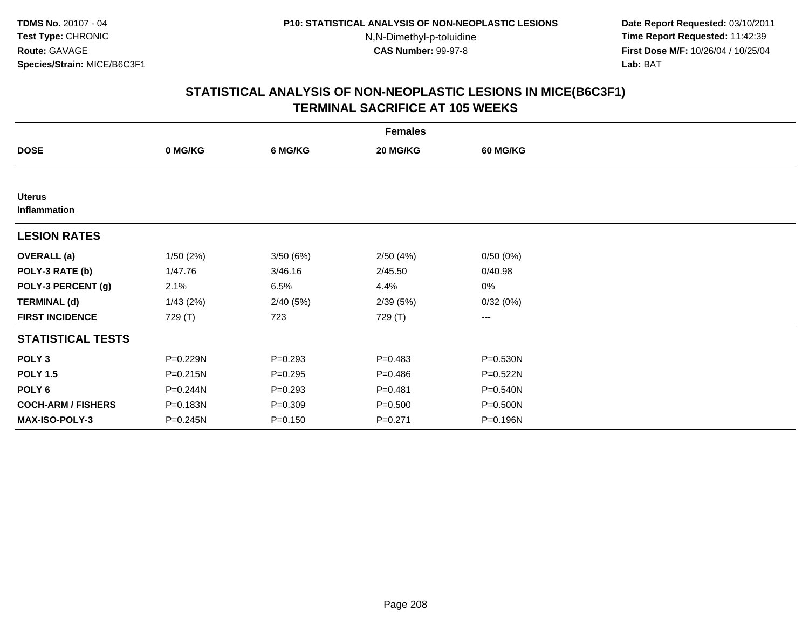**Date Report Requested:** 03/10/2011 **Time Report Requested:** 11:42:39 **First Dose M/F:** 10/26/04 / 10/25/04 Lab: BAT **Lab:** BAT

|                               |          |             | <b>Females</b> |                 |  |
|-------------------------------|----------|-------------|----------------|-----------------|--|
| <b>DOSE</b>                   | 0 MG/KG  | 6 MG/KG     | 20 MG/KG       | <b>60 MG/KG</b> |  |
|                               |          |             |                |                 |  |
| <b>Uterus</b><br>Inflammation |          |             |                |                 |  |
| <b>LESION RATES</b>           |          |             |                |                 |  |
| <b>OVERALL</b> (a)            | 1/50(2%) | 3/50(6%)    | 2/50(4%)       | 0/50(0%)        |  |
| POLY-3 RATE (b)               | 1/47.76  | 3/46.16     | 2/45.50        | 0/40.98         |  |
| POLY-3 PERCENT (g)            | 2.1%     | 6.5%        | 4.4%           | 0%              |  |
| <b>TERMINAL (d)</b>           | 1/43(2%) | 2/40(5%)    | 2/39(5%)       | 0/32(0%)        |  |
| <b>FIRST INCIDENCE</b>        | 729 (T)  | 723         | 729 (T)        | $\cdots$        |  |
| <b>STATISTICAL TESTS</b>      |          |             |                |                 |  |
| POLY <sub>3</sub>             | P=0.229N | $P = 0.293$ | $P=0.483$      | P=0.530N        |  |
| <b>POLY 1.5</b>               | P=0.215N | $P = 0.295$ | $P = 0.486$    | $P = 0.522N$    |  |
| POLY 6                        | P=0.244N | $P = 0.293$ | $P = 0.481$    | $P = 0.540N$    |  |
| <b>COCH-ARM / FISHERS</b>     | P=0.183N | $P = 0.309$ | $P = 0.500$    | P=0.500N        |  |
| <b>MAX-ISO-POLY-3</b>         | P=0.245N | $P = 0.150$ | $P=0.271$      | P=0.196N        |  |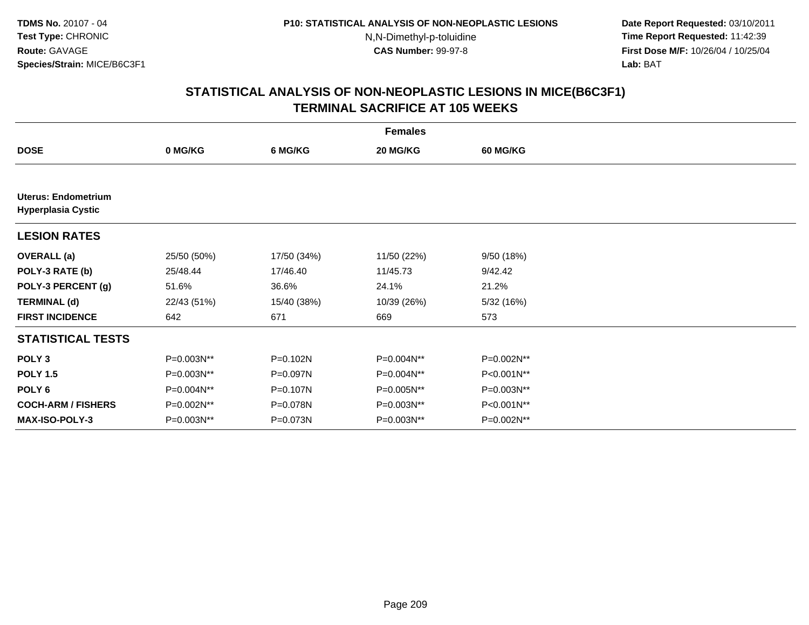**Date Report Requested:** 03/10/2011 **Time Report Requested:** 11:42:39 **First Dose M/F:** 10/26/04 / 10/25/04 Lab: BAT **Lab:** BAT

|                                                         |             |             | <b>Females</b> |                 |  |
|---------------------------------------------------------|-------------|-------------|----------------|-----------------|--|
| <b>DOSE</b>                                             | 0 MG/KG     | 6 MG/KG     | 20 MG/KG       | <b>60 MG/KG</b> |  |
|                                                         |             |             |                |                 |  |
| <b>Uterus: Endometrium</b><br><b>Hyperplasia Cystic</b> |             |             |                |                 |  |
| <b>LESION RATES</b>                                     |             |             |                |                 |  |
| <b>OVERALL</b> (a)                                      | 25/50 (50%) | 17/50 (34%) | 11/50 (22%)    | 9/50 (18%)      |  |
| POLY-3 RATE (b)                                         | 25/48.44    | 17/46.40    | 11/45.73       | 9/42.42         |  |
| POLY-3 PERCENT (g)                                      | 51.6%       | 36.6%       | 24.1%          | 21.2%           |  |
| <b>TERMINAL (d)</b>                                     | 22/43 (51%) | 15/40 (38%) | 10/39 (26%)    | 5/32 (16%)      |  |
| <b>FIRST INCIDENCE</b>                                  | 642         | 671         | 669            | 573             |  |
| <b>STATISTICAL TESTS</b>                                |             |             |                |                 |  |
| POLY <sub>3</sub>                                       | P=0.003N**  | P=0.102N    | P=0.004N**     | P=0.002N**      |  |
| <b>POLY 1.5</b>                                         | P=0.003N**  | P=0.097N    | P=0.004N**     | P<0.001N**      |  |
| POLY 6                                                  | P=0.004N**  | P=0.107N    | P=0.005N**     | P=0.003N**      |  |
| <b>COCH-ARM / FISHERS</b>                               | P=0.002N**  | P=0.078N    | P=0.003N**     | P<0.001N**      |  |
| <b>MAX-ISO-POLY-3</b>                                   | P=0.003N**  | P=0.073N    | P=0.003N**     | P=0.002N**      |  |